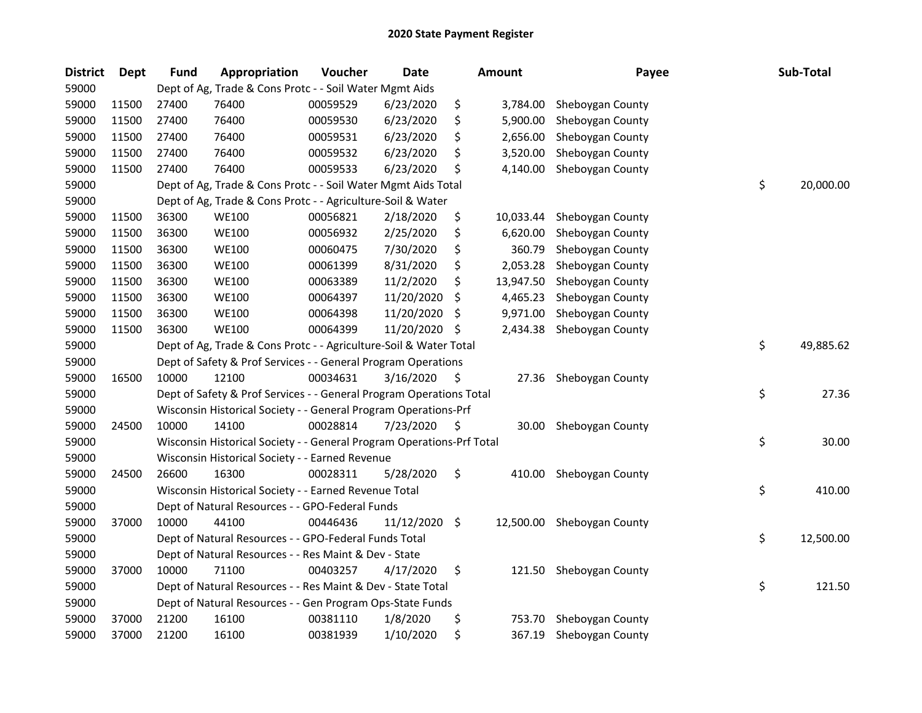| <b>District</b> | Dept  | <b>Fund</b> | Appropriation                                                         | Voucher  | <b>Date</b> |     | <b>Amount</b> | Payee                      | Sub-Total       |
|-----------------|-------|-------------|-----------------------------------------------------------------------|----------|-------------|-----|---------------|----------------------------|-----------------|
| 59000           |       |             | Dept of Ag, Trade & Cons Protc - - Soil Water Mgmt Aids               |          |             |     |               |                            |                 |
| 59000           | 11500 | 27400       | 76400                                                                 | 00059529 | 6/23/2020   | \$  | 3,784.00      | Sheboygan County           |                 |
| 59000           | 11500 | 27400       | 76400                                                                 | 00059530 | 6/23/2020   | \$  | 5,900.00      | Sheboygan County           |                 |
| 59000           | 11500 | 27400       | 76400                                                                 | 00059531 | 6/23/2020   | \$  | 2,656.00      | Sheboygan County           |                 |
| 59000           | 11500 | 27400       | 76400                                                                 | 00059532 | 6/23/2020   | \$  | 3,520.00      | Sheboygan County           |                 |
| 59000           | 11500 | 27400       | 76400                                                                 | 00059533 | 6/23/2020   | \$  | 4,140.00      | Sheboygan County           |                 |
| 59000           |       |             | Dept of Ag, Trade & Cons Protc - - Soil Water Mgmt Aids Total         |          |             |     |               |                            | \$<br>20,000.00 |
| 59000           |       |             | Dept of Ag, Trade & Cons Protc - - Agriculture-Soil & Water           |          |             |     |               |                            |                 |
| 59000           | 11500 | 36300       | <b>WE100</b>                                                          | 00056821 | 2/18/2020   | \$  | 10,033.44     | Sheboygan County           |                 |
| 59000           | 11500 | 36300       | WE100                                                                 | 00056932 | 2/25/2020   | \$  | 6,620.00      | Sheboygan County           |                 |
| 59000           | 11500 | 36300       | <b>WE100</b>                                                          | 00060475 | 7/30/2020   | \$  | 360.79        | Sheboygan County           |                 |
| 59000           | 11500 | 36300       | WE100                                                                 | 00061399 | 8/31/2020   | \$  | 2,053.28      | Sheboygan County           |                 |
| 59000           | 11500 | 36300       | <b>WE100</b>                                                          | 00063389 | 11/2/2020   | \$  | 13,947.50     | Sheboygan County           |                 |
| 59000           | 11500 | 36300       | <b>WE100</b>                                                          | 00064397 | 11/20/2020  | \$  | 4,465.23      | Sheboygan County           |                 |
| 59000           | 11500 | 36300       | WE100                                                                 | 00064398 | 11/20/2020  | \$, | 9,971.00      | Sheboygan County           |                 |
| 59000           | 11500 | 36300       | <b>WE100</b>                                                          | 00064399 | 11/20/2020  | -\$ | 2,434.38      | Sheboygan County           |                 |
| 59000           |       |             | Dept of Ag, Trade & Cons Protc - - Agriculture-Soil & Water Total     |          |             |     |               |                            | \$<br>49,885.62 |
| 59000           |       |             | Dept of Safety & Prof Services - - General Program Operations         |          |             |     |               |                            |                 |
| 59000           | 16500 | 10000       | 12100                                                                 | 00034631 | 3/16/2020   | \$  | 27.36         | Sheboygan County           |                 |
| 59000           |       |             | Dept of Safety & Prof Services - - General Program Operations Total   |          |             |     |               |                            | \$<br>27.36     |
| 59000           |       |             | Wisconsin Historical Society - - General Program Operations-Prf       |          |             |     |               |                            |                 |
| 59000           | 24500 | 10000       | 14100                                                                 | 00028814 | 7/23/2020   | \$  |               | 30.00 Sheboygan County     |                 |
| 59000           |       |             | Wisconsin Historical Society - - General Program Operations-Prf Total |          |             |     |               |                            | \$<br>30.00     |
| 59000           |       |             | Wisconsin Historical Society - - Earned Revenue                       |          |             |     |               |                            |                 |
| 59000           | 24500 | 26600       | 16300                                                                 | 00028311 | 5/28/2020   | \$  | 410.00        | Sheboygan County           |                 |
| 59000           |       |             | Wisconsin Historical Society - - Earned Revenue Total                 |          |             |     |               |                            | \$<br>410.00    |
| 59000           |       |             | Dept of Natural Resources - - GPO-Federal Funds                       |          |             |     |               |                            |                 |
| 59000           | 37000 | 10000       | 44100                                                                 | 00446436 | 11/12/2020  | -\$ |               | 12,500.00 Sheboygan County |                 |
| 59000           |       |             | Dept of Natural Resources - - GPO-Federal Funds Total                 |          |             |     |               |                            | \$<br>12,500.00 |
| 59000           |       |             | Dept of Natural Resources - - Res Maint & Dev - State                 |          |             |     |               |                            |                 |
| 59000           | 37000 | 10000       | 71100                                                                 | 00403257 | 4/17/2020   | \$  |               | 121.50 Sheboygan County    |                 |
| 59000           |       |             | Dept of Natural Resources - - Res Maint & Dev - State Total           |          |             |     |               |                            | \$<br>121.50    |
| 59000           |       |             | Dept of Natural Resources - - Gen Program Ops-State Funds             |          |             |     |               |                            |                 |
| 59000           | 37000 | 21200       | 16100                                                                 | 00381110 | 1/8/2020    | \$  | 753.70        | Sheboygan County           |                 |
| 59000           | 37000 | 21200       | 16100                                                                 | 00381939 | 1/10/2020   | \$  | 367.19        | Sheboygan County           |                 |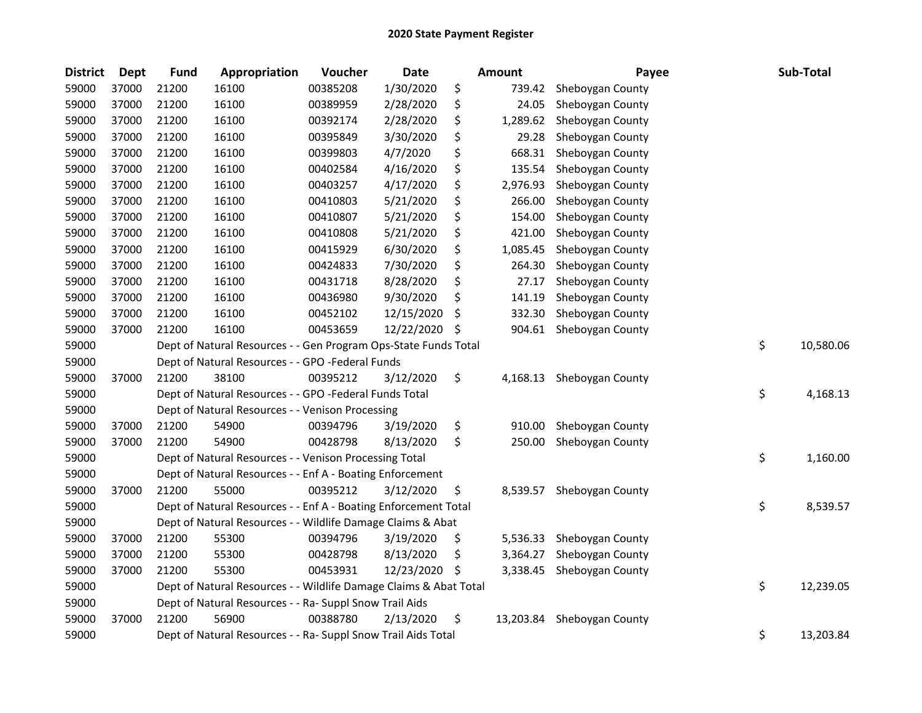| <b>District</b> | <b>Dept</b> | <b>Fund</b> | Appropriation                                                     | Voucher  | <b>Date</b> |     | Amount    | Payee            | Sub-Total       |
|-----------------|-------------|-------------|-------------------------------------------------------------------|----------|-------------|-----|-----------|------------------|-----------------|
| 59000           | 37000       | 21200       | 16100                                                             | 00385208 | 1/30/2020   | \$  | 739.42    | Sheboygan County |                 |
| 59000           | 37000       | 21200       | 16100                                                             | 00389959 | 2/28/2020   | \$  | 24.05     | Sheboygan County |                 |
| 59000           | 37000       | 21200       | 16100                                                             | 00392174 | 2/28/2020   | \$  | 1,289.62  | Sheboygan County |                 |
| 59000           | 37000       | 21200       | 16100                                                             | 00395849 | 3/30/2020   | \$  | 29.28     | Sheboygan County |                 |
| 59000           | 37000       | 21200       | 16100                                                             | 00399803 | 4/7/2020    | \$  | 668.31    | Sheboygan County |                 |
| 59000           | 37000       | 21200       | 16100                                                             | 00402584 | 4/16/2020   | \$  | 135.54    | Sheboygan County |                 |
| 59000           | 37000       | 21200       | 16100                                                             | 00403257 | 4/17/2020   | \$  | 2,976.93  | Sheboygan County |                 |
| 59000           | 37000       | 21200       | 16100                                                             | 00410803 | 5/21/2020   | \$  | 266.00    | Sheboygan County |                 |
| 59000           | 37000       | 21200       | 16100                                                             | 00410807 | 5/21/2020   | \$  | 154.00    | Sheboygan County |                 |
| 59000           | 37000       | 21200       | 16100                                                             | 00410808 | 5/21/2020   | \$  | 421.00    | Sheboygan County |                 |
| 59000           | 37000       | 21200       | 16100                                                             | 00415929 | 6/30/2020   | \$  | 1,085.45  | Sheboygan County |                 |
| 59000           | 37000       | 21200       | 16100                                                             | 00424833 | 7/30/2020   | \$  | 264.30    | Sheboygan County |                 |
| 59000           | 37000       | 21200       | 16100                                                             | 00431718 | 8/28/2020   | \$  | 27.17     | Sheboygan County |                 |
| 59000           | 37000       | 21200       | 16100                                                             | 00436980 | 9/30/2020   | \$. | 141.19    | Sheboygan County |                 |
| 59000           | 37000       | 21200       | 16100                                                             | 00452102 | 12/15/2020  | \$  | 332.30    | Sheboygan County |                 |
| 59000           | 37000       | 21200       | 16100                                                             | 00453659 | 12/22/2020  | S   | 904.61    | Sheboygan County |                 |
| 59000           |             |             | Dept of Natural Resources - - Gen Program Ops-State Funds Total   |          |             |     |           |                  | \$<br>10,580.06 |
| 59000           |             |             | Dept of Natural Resources - - GPO -Federal Funds                  |          |             |     |           |                  |                 |
| 59000           | 37000       | 21200       | 38100                                                             | 00395212 | 3/12/2020   | \$  | 4,168.13  | Sheboygan County |                 |
| 59000           |             |             | Dept of Natural Resources - - GPO -Federal Funds Total            |          |             |     |           |                  | \$<br>4,168.13  |
| 59000           |             |             | Dept of Natural Resources - - Venison Processing                  |          |             |     |           |                  |                 |
| 59000           | 37000       | 21200       | 54900                                                             | 00394796 | 3/19/2020   | \$  | 910.00    | Sheboygan County |                 |
| 59000           | 37000       | 21200       | 54900                                                             | 00428798 | 8/13/2020   | \$  | 250.00    | Sheboygan County |                 |
| 59000           |             |             | Dept of Natural Resources - - Venison Processing Total            |          |             |     |           |                  | \$<br>1,160.00  |
| 59000           |             |             | Dept of Natural Resources - - Enf A - Boating Enforcement         |          |             |     |           |                  |                 |
| 59000           | 37000       | 21200       | 55000                                                             | 00395212 | 3/12/2020   | \$  | 8,539.57  | Sheboygan County |                 |
| 59000           |             |             | Dept of Natural Resources - - Enf A - Boating Enforcement Total   |          |             |     |           |                  | \$<br>8,539.57  |
| 59000           |             |             | Dept of Natural Resources - - Wildlife Damage Claims & Abat       |          |             |     |           |                  |                 |
| 59000           | 37000       | 21200       | 55300                                                             | 00394796 | 3/19/2020   | \$  | 5,536.33  | Sheboygan County |                 |
| 59000           | 37000       | 21200       | 55300                                                             | 00428798 | 8/13/2020   | \$  | 3,364.27  | Sheboygan County |                 |
| 59000           | 37000       | 21200       | 55300                                                             | 00453931 | 12/23/2020  | \$, | 3,338.45  | Sheboygan County |                 |
| 59000           |             |             | Dept of Natural Resources - - Wildlife Damage Claims & Abat Total |          |             |     |           |                  | \$<br>12,239.05 |
| 59000           |             |             | Dept of Natural Resources - - Ra- Suppl Snow Trail Aids           |          |             |     |           |                  |                 |
| 59000           | 37000       | 21200       | 56900                                                             | 00388780 | 2/13/2020   | \$  | 13,203.84 | Sheboygan County |                 |
| 59000           |             |             | Dept of Natural Resources - - Ra- Suppl Snow Trail Aids Total     |          |             |     |           |                  | \$<br>13,203.84 |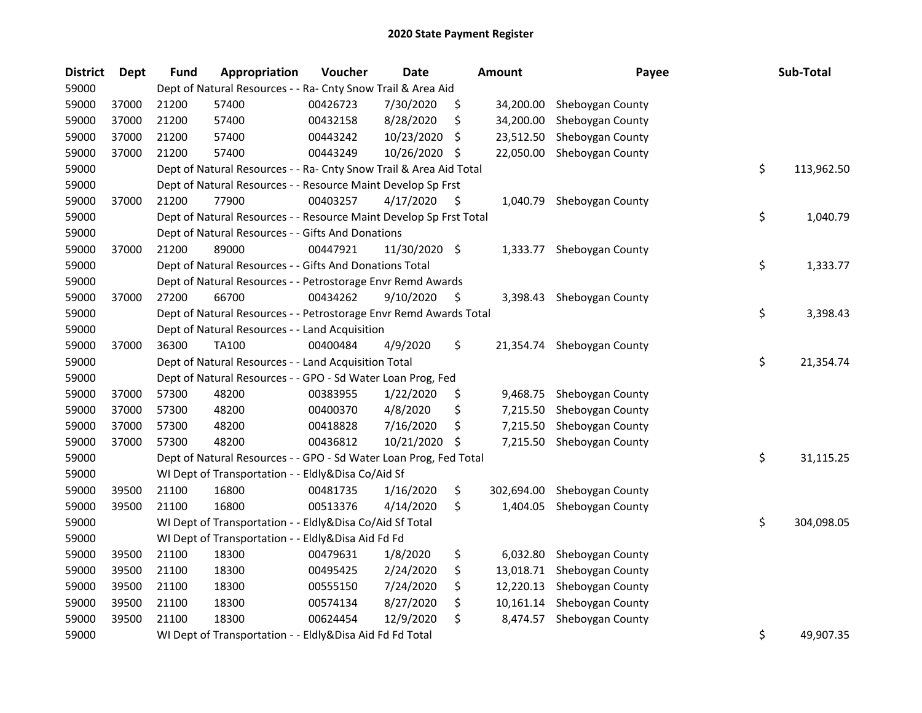| <b>District</b> | <b>Dept</b> | <b>Fund</b> | <b>Appropriation</b>                                               | Voucher  | <b>Date</b>   |     | <b>Amount</b> | Payee            | Sub-Total        |
|-----------------|-------------|-------------|--------------------------------------------------------------------|----------|---------------|-----|---------------|------------------|------------------|
| 59000           |             |             | Dept of Natural Resources - - Ra- Cnty Snow Trail & Area Aid       |          |               |     |               |                  |                  |
| 59000           | 37000       | 21200       | 57400                                                              | 00426723 | 7/30/2020     | \$  | 34,200.00     | Sheboygan County |                  |
| 59000           | 37000       | 21200       | 57400                                                              | 00432158 | 8/28/2020     | \$  | 34,200.00     | Sheboygan County |                  |
| 59000           | 37000       | 21200       | 57400                                                              | 00443242 | 10/23/2020    | S   | 23,512.50     | Sheboygan County |                  |
| 59000           | 37000       | 21200       | 57400                                                              | 00443249 | 10/26/2020    | \$. | 22,050.00     | Sheboygan County |                  |
| 59000           |             |             | Dept of Natural Resources - - Ra- Cnty Snow Trail & Area Aid Total |          |               |     |               |                  | \$<br>113,962.50 |
| 59000           |             |             | Dept of Natural Resources - - Resource Maint Develop Sp Frst       |          |               |     |               |                  |                  |
| 59000           | 37000       | 21200       | 77900                                                              | 00403257 | 4/17/2020     | \$  | 1,040.79      | Sheboygan County |                  |
| 59000           |             |             | Dept of Natural Resources - - Resource Maint Develop Sp Frst Total |          |               |     |               |                  | \$<br>1,040.79   |
| 59000           |             |             | Dept of Natural Resources - - Gifts And Donations                  |          |               |     |               |                  |                  |
| 59000           | 37000       | 21200       | 89000                                                              | 00447921 | 11/30/2020 \$ |     | 1,333.77      | Sheboygan County |                  |
| 59000           |             |             | Dept of Natural Resources - - Gifts And Donations Total            |          |               |     |               |                  | \$<br>1,333.77   |
| 59000           |             |             | Dept of Natural Resources - - Petrostorage Envr Remd Awards        |          |               |     |               |                  |                  |
| 59000           | 37000       | 27200       | 66700                                                              | 00434262 | 9/10/2020     | \$, | 3,398.43      | Sheboygan County |                  |
| 59000           |             |             | Dept of Natural Resources - - Petrostorage Envr Remd Awards Total  |          |               |     |               |                  | \$<br>3,398.43   |
| 59000           |             |             | Dept of Natural Resources - - Land Acquisition                     |          |               |     |               |                  |                  |
| 59000           | 37000       | 36300       | <b>TA100</b>                                                       | 00400484 | 4/9/2020      | \$  | 21,354.74     | Sheboygan County |                  |
| 59000           |             |             | Dept of Natural Resources - - Land Acquisition Total               |          |               |     |               |                  | \$<br>21,354.74  |
| 59000           |             |             | Dept of Natural Resources - - GPO - Sd Water Loan Prog, Fed        |          |               |     |               |                  |                  |
| 59000           | 37000       | 57300       | 48200                                                              | 00383955 | 1/22/2020     | \$  | 9,468.75      | Sheboygan County |                  |
| 59000           | 37000       | 57300       | 48200                                                              | 00400370 | 4/8/2020      | \$  | 7,215.50      | Sheboygan County |                  |
| 59000           | 37000       | 57300       | 48200                                                              | 00418828 | 7/16/2020     | \$  | 7,215.50      | Sheboygan County |                  |
| 59000           | 37000       | 57300       | 48200                                                              | 00436812 | 10/21/2020    | \$  | 7,215.50      | Sheboygan County |                  |
| 59000           |             |             | Dept of Natural Resources - - GPO - Sd Water Loan Prog, Fed Total  |          |               |     |               |                  | \$<br>31,115.25  |
| 59000           |             |             | WI Dept of Transportation - - Eldly&Disa Co/Aid Sf                 |          |               |     |               |                  |                  |
| 59000           | 39500       | 21100       | 16800                                                              | 00481735 | 1/16/2020     | \$  | 302,694.00    | Sheboygan County |                  |
| 59000           | 39500       | 21100       | 16800                                                              | 00513376 | 4/14/2020     | \$  | 1,404.05      | Sheboygan County |                  |
| 59000           |             |             | WI Dept of Transportation - - Eldly&Disa Co/Aid Sf Total           |          |               |     |               |                  | \$<br>304,098.05 |
| 59000           |             |             | WI Dept of Transportation - - Eldly&Disa Aid Fd Fd                 |          |               |     |               |                  |                  |
| 59000           | 39500       | 21100       | 18300                                                              | 00479631 | 1/8/2020      | \$  | 6,032.80      | Sheboygan County |                  |
| 59000           | 39500       | 21100       | 18300                                                              | 00495425 | 2/24/2020     | \$  | 13,018.71     | Sheboygan County |                  |
| 59000           | 39500       | 21100       | 18300                                                              | 00555150 | 7/24/2020     | \$  | 12,220.13     | Sheboygan County |                  |
| 59000           | 39500       | 21100       | 18300                                                              | 00574134 | 8/27/2020     | \$  | 10,161.14     | Sheboygan County |                  |
| 59000           | 39500       | 21100       | 18300                                                              | 00624454 | 12/9/2020     | \$  | 8,474.57      | Sheboygan County |                  |
| 59000           |             |             | WI Dept of Transportation - - Eldly&Disa Aid Fd Fd Total           |          |               |     |               |                  | \$<br>49,907.35  |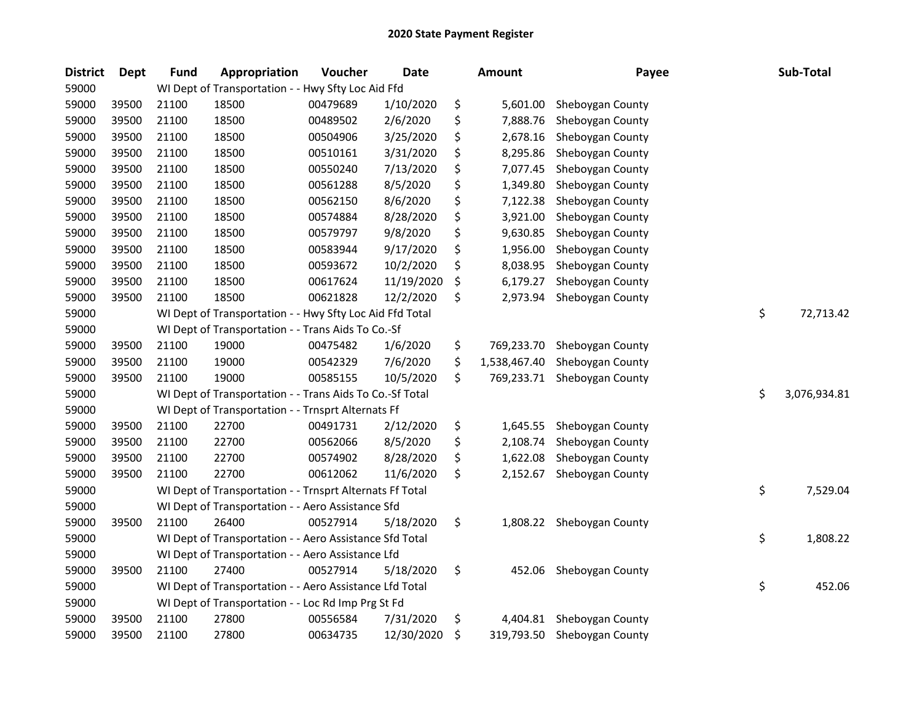| <b>District</b> | <b>Dept</b> | <b>Fund</b> | Appropriation                                            | Voucher  | Date       | <b>Amount</b>      | Payee                       | Sub-Total          |
|-----------------|-------------|-------------|----------------------------------------------------------|----------|------------|--------------------|-----------------------------|--------------------|
| 59000           |             |             | WI Dept of Transportation - - Hwy Sfty Loc Aid Ffd       |          |            |                    |                             |                    |
| 59000           | 39500       | 21100       | 18500                                                    | 00479689 | 1/10/2020  | \$<br>5,601.00     | Sheboygan County            |                    |
| 59000           | 39500       | 21100       | 18500                                                    | 00489502 | 2/6/2020   | \$<br>7,888.76     | Sheboygan County            |                    |
| 59000           | 39500       | 21100       | 18500                                                    | 00504906 | 3/25/2020  | \$<br>2,678.16     | Sheboygan County            |                    |
| 59000           | 39500       | 21100       | 18500                                                    | 00510161 | 3/31/2020  | \$<br>8,295.86     | Sheboygan County            |                    |
| 59000           | 39500       | 21100       | 18500                                                    | 00550240 | 7/13/2020  | \$<br>7,077.45     | Sheboygan County            |                    |
| 59000           | 39500       | 21100       | 18500                                                    | 00561288 | 8/5/2020   | \$<br>1,349.80     | Sheboygan County            |                    |
| 59000           | 39500       | 21100       | 18500                                                    | 00562150 | 8/6/2020   | \$<br>7,122.38     | Sheboygan County            |                    |
| 59000           | 39500       | 21100       | 18500                                                    | 00574884 | 8/28/2020  | \$<br>3,921.00     | Sheboygan County            |                    |
| 59000           | 39500       | 21100       | 18500                                                    | 00579797 | 9/8/2020   | \$<br>9,630.85     | Sheboygan County            |                    |
| 59000           | 39500       | 21100       | 18500                                                    | 00583944 | 9/17/2020  | \$<br>1,956.00     | Sheboygan County            |                    |
| 59000           | 39500       | 21100       | 18500                                                    | 00593672 | 10/2/2020  | \$<br>8,038.95     | Sheboygan County            |                    |
| 59000           | 39500       | 21100       | 18500                                                    | 00617624 | 11/19/2020 | \$<br>6,179.27     | Sheboygan County            |                    |
| 59000           | 39500       | 21100       | 18500                                                    | 00621828 | 12/2/2020  | \$<br>2,973.94     | Sheboygan County            |                    |
| 59000           |             |             | WI Dept of Transportation - - Hwy Sfty Loc Aid Ffd Total |          |            |                    |                             | \$<br>72,713.42    |
| 59000           |             |             | WI Dept of Transportation - - Trans Aids To Co.-Sf       |          |            |                    |                             |                    |
| 59000           | 39500       | 21100       | 19000                                                    | 00475482 | 1/6/2020   | \$<br>769,233.70   | Sheboygan County            |                    |
| 59000           | 39500       | 21100       | 19000                                                    | 00542329 | 7/6/2020   | \$<br>1,538,467.40 | Sheboygan County            |                    |
| 59000           | 39500       | 21100       | 19000                                                    | 00585155 | 10/5/2020  | \$<br>769,233.71   | Sheboygan County            |                    |
| 59000           |             |             | WI Dept of Transportation - - Trans Aids To Co.-Sf Total |          |            |                    |                             | \$<br>3,076,934.81 |
| 59000           |             |             | WI Dept of Transportation - - Trnsprt Alternats Ff       |          |            |                    |                             |                    |
| 59000           | 39500       | 21100       | 22700                                                    | 00491731 | 2/12/2020  | \$<br>1,645.55     | Sheboygan County            |                    |
| 59000           | 39500       | 21100       | 22700                                                    | 00562066 | 8/5/2020   | \$<br>2,108.74     | Sheboygan County            |                    |
| 59000           | 39500       | 21100       | 22700                                                    | 00574902 | 8/28/2020  | \$<br>1,622.08     | Sheboygan County            |                    |
| 59000           | 39500       | 21100       | 22700                                                    | 00612062 | 11/6/2020  | \$<br>2,152.67     | Sheboygan County            |                    |
| 59000           |             |             | WI Dept of Transportation - - Trnsprt Alternats Ff Total |          |            |                    |                             | \$<br>7,529.04     |
| 59000           |             |             | WI Dept of Transportation - - Aero Assistance Sfd        |          |            |                    |                             |                    |
| 59000           | 39500       | 21100       | 26400                                                    | 00527914 | 5/18/2020  | \$                 | 1,808.22 Sheboygan County   |                    |
| 59000           |             |             | WI Dept of Transportation - - Aero Assistance Sfd Total  |          |            |                    |                             | \$<br>1,808.22     |
| 59000           |             |             | WI Dept of Transportation - - Aero Assistance Lfd        |          |            |                    |                             |                    |
| 59000           | 39500       | 21100       | 27400                                                    | 00527914 | 5/18/2020  | \$<br>452.06       | Sheboygan County            |                    |
| 59000           |             |             | WI Dept of Transportation - - Aero Assistance Lfd Total  |          |            |                    |                             | \$<br>452.06       |
| 59000           |             |             | WI Dept of Transportation - - Loc Rd Imp Prg St Fd       |          |            |                    |                             |                    |
| 59000           | 39500       | 21100       | 27800                                                    | 00556584 | 7/31/2020  | \$<br>4,404.81     | Sheboygan County            |                    |
| 59000           | 39500       | 21100       | 27800                                                    | 00634735 | 12/30/2020 | \$                 | 319,793.50 Sheboygan County |                    |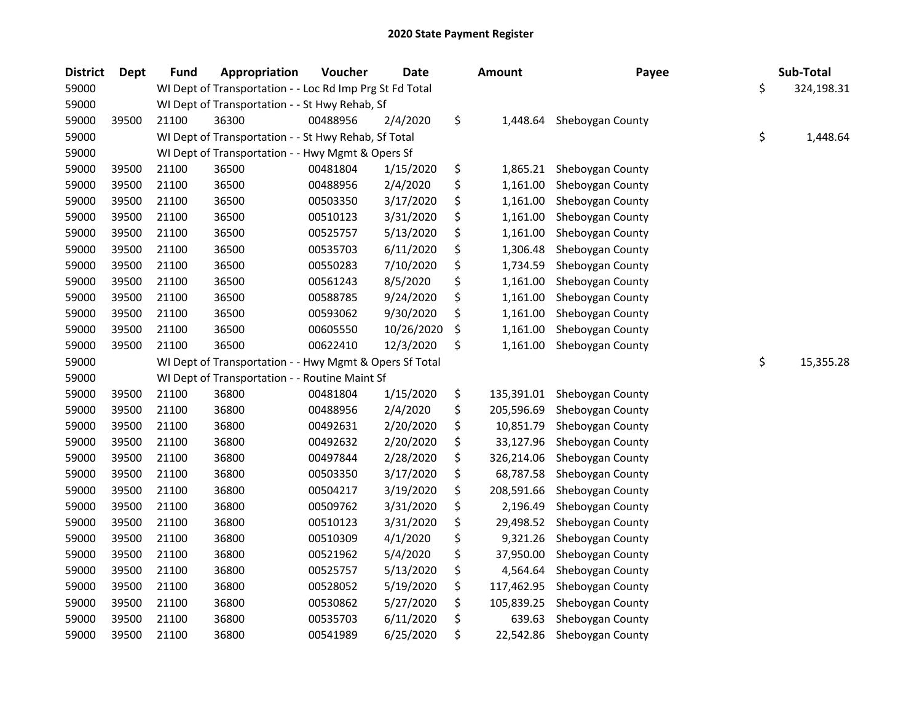| <b>District</b> | <b>Dept</b> | Fund  | Appropriation                                            | Voucher  | <b>Date</b> | <b>Amount</b>    | Payee            | Sub-Total        |
|-----------------|-------------|-------|----------------------------------------------------------|----------|-------------|------------------|------------------|------------------|
| 59000           |             |       | WI Dept of Transportation - - Loc Rd Imp Prg St Fd Total |          |             |                  |                  | \$<br>324,198.31 |
| 59000           |             |       | WI Dept of Transportation - - St Hwy Rehab, Sf           |          |             |                  |                  |                  |
| 59000           | 39500       | 21100 | 36300                                                    | 00488956 | 2/4/2020    | \$<br>1,448.64   | Sheboygan County |                  |
| 59000           |             |       | WI Dept of Transportation - - St Hwy Rehab, Sf Total     |          |             |                  |                  | \$<br>1,448.64   |
| 59000           |             |       | WI Dept of Transportation - - Hwy Mgmt & Opers Sf        |          |             |                  |                  |                  |
| 59000           | 39500       | 21100 | 36500                                                    | 00481804 | 1/15/2020   | \$<br>1,865.21   | Sheboygan County |                  |
| 59000           | 39500       | 21100 | 36500                                                    | 00488956 | 2/4/2020    | \$<br>1,161.00   | Sheboygan County |                  |
| 59000           | 39500       | 21100 | 36500                                                    | 00503350 | 3/17/2020   | \$<br>1,161.00   | Sheboygan County |                  |
| 59000           | 39500       | 21100 | 36500                                                    | 00510123 | 3/31/2020   | \$<br>1,161.00   | Sheboygan County |                  |
| 59000           | 39500       | 21100 | 36500                                                    | 00525757 | 5/13/2020   | \$<br>1,161.00   | Sheboygan County |                  |
| 59000           | 39500       | 21100 | 36500                                                    | 00535703 | 6/11/2020   | \$<br>1,306.48   | Sheboygan County |                  |
| 59000           | 39500       | 21100 | 36500                                                    | 00550283 | 7/10/2020   | \$<br>1,734.59   | Sheboygan County |                  |
| 59000           | 39500       | 21100 | 36500                                                    | 00561243 | 8/5/2020    | \$<br>1,161.00   | Sheboygan County |                  |
| 59000           | 39500       | 21100 | 36500                                                    | 00588785 | 9/24/2020   | \$<br>1,161.00   | Sheboygan County |                  |
| 59000           | 39500       | 21100 | 36500                                                    | 00593062 | 9/30/2020   | \$<br>1,161.00   | Sheboygan County |                  |
| 59000           | 39500       | 21100 | 36500                                                    | 00605550 | 10/26/2020  | \$<br>1,161.00   | Sheboygan County |                  |
| 59000           | 39500       | 21100 | 36500                                                    | 00622410 | 12/3/2020   | \$<br>1,161.00   | Sheboygan County |                  |
| 59000           |             |       | WI Dept of Transportation - - Hwy Mgmt & Opers Sf Total  |          |             |                  |                  | \$<br>15,355.28  |
| 59000           |             |       | WI Dept of Transportation - - Routine Maint Sf           |          |             |                  |                  |                  |
| 59000           | 39500       | 21100 | 36800                                                    | 00481804 | 1/15/2020   | \$<br>135,391.01 | Sheboygan County |                  |
| 59000           | 39500       | 21100 | 36800                                                    | 00488956 | 2/4/2020    | \$<br>205,596.69 | Sheboygan County |                  |
| 59000           | 39500       | 21100 | 36800                                                    | 00492631 | 2/20/2020   | \$<br>10,851.79  | Sheboygan County |                  |
| 59000           | 39500       | 21100 | 36800                                                    | 00492632 | 2/20/2020   | \$<br>33,127.96  | Sheboygan County |                  |
| 59000           | 39500       | 21100 | 36800                                                    | 00497844 | 2/28/2020   | \$<br>326,214.06 | Sheboygan County |                  |
| 59000           | 39500       | 21100 | 36800                                                    | 00503350 | 3/17/2020   | \$<br>68,787.58  | Sheboygan County |                  |
| 59000           | 39500       | 21100 | 36800                                                    | 00504217 | 3/19/2020   | \$<br>208,591.66 | Sheboygan County |                  |
| 59000           | 39500       | 21100 | 36800                                                    | 00509762 | 3/31/2020   | \$<br>2,196.49   | Sheboygan County |                  |
| 59000           | 39500       | 21100 | 36800                                                    | 00510123 | 3/31/2020   | \$<br>29,498.52  | Sheboygan County |                  |
| 59000           | 39500       | 21100 | 36800                                                    | 00510309 | 4/1/2020    | \$<br>9,321.26   | Sheboygan County |                  |
| 59000           | 39500       | 21100 | 36800                                                    | 00521962 | 5/4/2020    | \$<br>37,950.00  | Sheboygan County |                  |
| 59000           | 39500       | 21100 | 36800                                                    | 00525757 | 5/13/2020   | \$<br>4,564.64   | Sheboygan County |                  |
| 59000           | 39500       | 21100 | 36800                                                    | 00528052 | 5/19/2020   | \$<br>117,462.95 | Sheboygan County |                  |
| 59000           | 39500       | 21100 | 36800                                                    | 00530862 | 5/27/2020   | \$<br>105,839.25 | Sheboygan County |                  |
| 59000           | 39500       | 21100 | 36800                                                    | 00535703 | 6/11/2020   | \$<br>639.63     | Sheboygan County |                  |
| 59000           | 39500       | 21100 | 36800                                                    | 00541989 | 6/25/2020   | \$<br>22,542.86  | Sheboygan County |                  |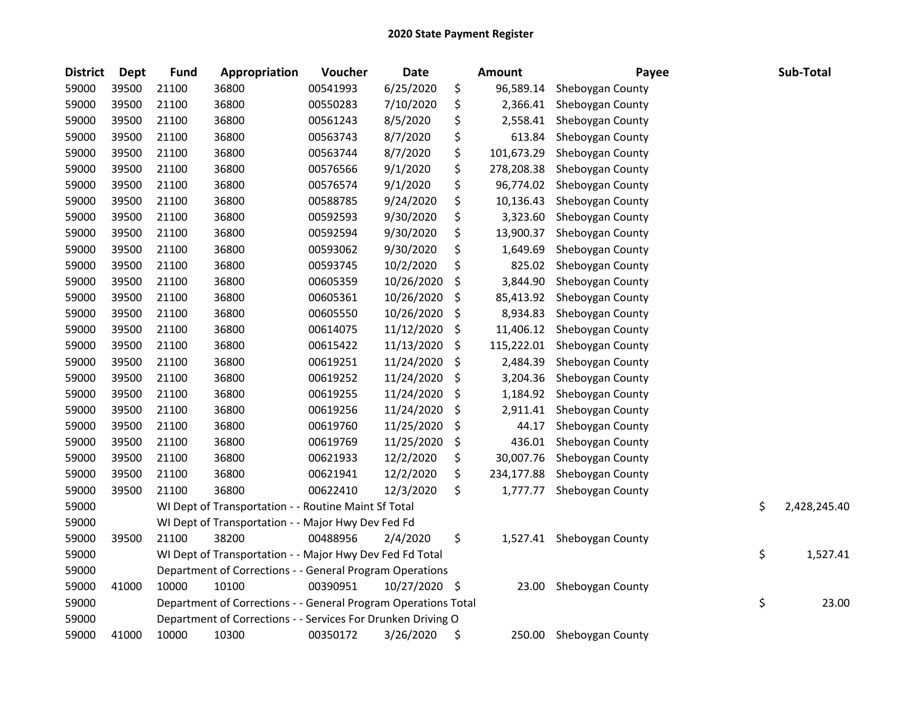| <b>District</b> | <b>Dept</b> | <b>Fund</b> | Appropriation                                                  | Voucher  | <b>Date</b> |     | Amount     | Payee                     | Sub-Total          |
|-----------------|-------------|-------------|----------------------------------------------------------------|----------|-------------|-----|------------|---------------------------|--------------------|
| 59000           | 39500       | 21100       | 36800                                                          | 00541993 | 6/25/2020   | \$  | 96,589.14  | Sheboygan County          |                    |
| 59000           | 39500       | 21100       | 36800                                                          | 00550283 | 7/10/2020   | \$  | 2,366.41   | Sheboygan County          |                    |
| 59000           | 39500       | 21100       | 36800                                                          | 00561243 | 8/5/2020    | \$  | 2,558.41   | Sheboygan County          |                    |
| 59000           | 39500       | 21100       | 36800                                                          | 00563743 | 8/7/2020    | \$  | 613.84     | Sheboygan County          |                    |
| 59000           | 39500       | 21100       | 36800                                                          | 00563744 | 8/7/2020    | \$  | 101,673.29 | Sheboygan County          |                    |
| 59000           | 39500       | 21100       | 36800                                                          | 00576566 | 9/1/2020    | \$  | 278,208.38 | Sheboygan County          |                    |
| 59000           | 39500       | 21100       | 36800                                                          | 00576574 | 9/1/2020    | \$  | 96,774.02  | Sheboygan County          |                    |
| 59000           | 39500       | 21100       | 36800                                                          | 00588785 | 9/24/2020   | \$  | 10,136.43  | Sheboygan County          |                    |
| 59000           | 39500       | 21100       | 36800                                                          | 00592593 | 9/30/2020   | \$  | 3,323.60   | Sheboygan County          |                    |
| 59000           | 39500       | 21100       | 36800                                                          | 00592594 | 9/30/2020   | \$  | 13,900.37  | Sheboygan County          |                    |
| 59000           | 39500       | 21100       | 36800                                                          | 00593062 | 9/30/2020   | \$  | 1,649.69   | Sheboygan County          |                    |
| 59000           | 39500       | 21100       | 36800                                                          | 00593745 | 10/2/2020   | \$  | 825.02     | Sheboygan County          |                    |
| 59000           | 39500       | 21100       | 36800                                                          | 00605359 | 10/26/2020  | \$  | 3,844.90   | Sheboygan County          |                    |
| 59000           | 39500       | 21100       | 36800                                                          | 00605361 | 10/26/2020  | \$  | 85,413.92  | Sheboygan County          |                    |
| 59000           | 39500       | 21100       | 36800                                                          | 00605550 | 10/26/2020  | \$  | 8,934.83   | Sheboygan County          |                    |
| 59000           | 39500       | 21100       | 36800                                                          | 00614075 | 11/12/2020  | \$  | 11,406.12  | Sheboygan County          |                    |
| 59000           | 39500       | 21100       | 36800                                                          | 00615422 | 11/13/2020  | \$  | 115,222.01 | Sheboygan County          |                    |
| 59000           | 39500       | 21100       | 36800                                                          | 00619251 | 11/24/2020  | \$  | 2,484.39   | Sheboygan County          |                    |
| 59000           | 39500       | 21100       | 36800                                                          | 00619252 | 11/24/2020  | \$  | 3,204.36   | Sheboygan County          |                    |
| 59000           | 39500       | 21100       | 36800                                                          | 00619255 | 11/24/2020  | \$  | 1,184.92   | Sheboygan County          |                    |
| 59000           | 39500       | 21100       | 36800                                                          | 00619256 | 11/24/2020  | \$  | 2,911.41   | Sheboygan County          |                    |
| 59000           | 39500       | 21100       | 36800                                                          | 00619760 | 11/25/2020  | \$  | 44.17      | Sheboygan County          |                    |
| 59000           | 39500       | 21100       | 36800                                                          | 00619769 | 11/25/2020  | \$  | 436.01     | Sheboygan County          |                    |
| 59000           | 39500       | 21100       | 36800                                                          | 00621933 | 12/2/2020   | \$  | 30,007.76  | Sheboygan County          |                    |
| 59000           | 39500       | 21100       | 36800                                                          | 00621941 | 12/2/2020   | \$  | 234,177.88 | Sheboygan County          |                    |
| 59000           | 39500       | 21100       | 36800                                                          | 00622410 | 12/3/2020   | \$  | 1,777.77   | Sheboygan County          |                    |
| 59000           |             |             | WI Dept of Transportation - - Routine Maint Sf Total           |          |             |     |            |                           | \$<br>2,428,245.40 |
| 59000           |             |             | WI Dept of Transportation - - Major Hwy Dev Fed Fd             |          |             |     |            |                           |                    |
| 59000           | 39500       | 21100       | 38200                                                          | 00488956 | 2/4/2020    | \$  |            | 1,527.41 Sheboygan County |                    |
| 59000           |             |             | WI Dept of Transportation - - Major Hwy Dev Fed Fd Total       |          |             |     |            |                           | \$<br>1,527.41     |
| 59000           |             |             | Department of Corrections - - General Program Operations       |          |             |     |            |                           |                    |
| 59000           | 41000       | 10000       | 10100                                                          | 00390951 | 10/27/2020  | -\$ | 23.00      | Sheboygan County          |                    |
| 59000           |             |             | Department of Corrections - - General Program Operations Total |          |             |     |            |                           | \$<br>23.00        |
| 59000           |             |             | Department of Corrections - - Services For Drunken Driving O   |          |             |     |            |                           |                    |
| 59000           | 41000       | 10000       | 10300                                                          | 00350172 | 3/26/2020   | \$  | 250.00     | Sheboygan County          |                    |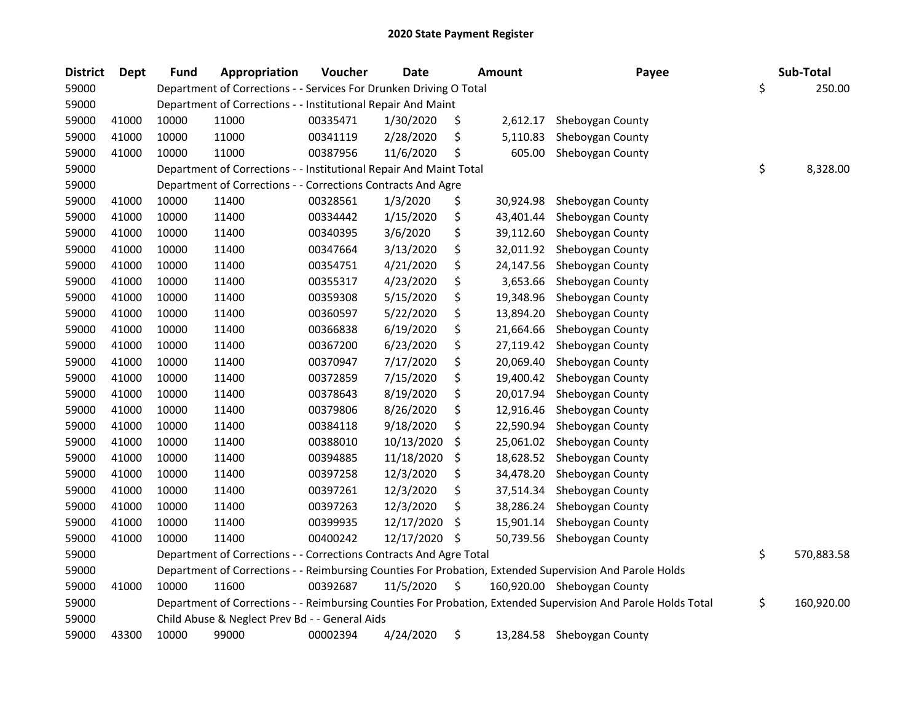| <b>District</b> | <b>Dept</b> | <b>Fund</b> | Appropriation                                                      | Voucher  | <b>Date</b> | <b>Amount</b>   | Payee                                                                                                         | Sub-Total        |
|-----------------|-------------|-------------|--------------------------------------------------------------------|----------|-------------|-----------------|---------------------------------------------------------------------------------------------------------------|------------------|
| 59000           |             |             | Department of Corrections - - Services For Drunken Driving O Total |          |             |                 |                                                                                                               | \$<br>250.00     |
| 59000           |             |             | Department of Corrections - - Institutional Repair And Maint       |          |             |                 |                                                                                                               |                  |
| 59000           | 41000       | 10000       | 11000                                                              | 00335471 | 1/30/2020   | \$<br>2,612.17  | Sheboygan County                                                                                              |                  |
| 59000           | 41000       | 10000       | 11000                                                              | 00341119 | 2/28/2020   | \$<br>5,110.83  | Sheboygan County                                                                                              |                  |
| 59000           | 41000       | 10000       | 11000                                                              | 00387956 | 11/6/2020   | \$<br>605.00    | Sheboygan County                                                                                              |                  |
| 59000           |             |             | Department of Corrections - - Institutional Repair And Maint Total |          |             |                 |                                                                                                               | \$<br>8,328.00   |
| 59000           |             |             | Department of Corrections - - Corrections Contracts And Agre       |          |             |                 |                                                                                                               |                  |
| 59000           | 41000       | 10000       | 11400                                                              | 00328561 | 1/3/2020    | \$<br>30,924.98 | Sheboygan County                                                                                              |                  |
| 59000           | 41000       | 10000       | 11400                                                              | 00334442 | 1/15/2020   | \$<br>43,401.44 | Sheboygan County                                                                                              |                  |
| 59000           | 41000       | 10000       | 11400                                                              | 00340395 | 3/6/2020    | \$<br>39,112.60 | Sheboygan County                                                                                              |                  |
| 59000           | 41000       | 10000       | 11400                                                              | 00347664 | 3/13/2020   | \$<br>32,011.92 | Sheboygan County                                                                                              |                  |
| 59000           | 41000       | 10000       | 11400                                                              | 00354751 | 4/21/2020   | \$<br>24,147.56 | Sheboygan County                                                                                              |                  |
| 59000           | 41000       | 10000       | 11400                                                              | 00355317 | 4/23/2020   | \$<br>3,653.66  | Sheboygan County                                                                                              |                  |
| 59000           | 41000       | 10000       | 11400                                                              | 00359308 | 5/15/2020   | \$<br>19,348.96 | Sheboygan County                                                                                              |                  |
| 59000           | 41000       | 10000       | 11400                                                              | 00360597 | 5/22/2020   | \$<br>13,894.20 | Sheboygan County                                                                                              |                  |
| 59000           | 41000       | 10000       | 11400                                                              | 00366838 | 6/19/2020   | \$<br>21,664.66 | Sheboygan County                                                                                              |                  |
| 59000           | 41000       | 10000       | 11400                                                              | 00367200 | 6/23/2020   | \$<br>27,119.42 | Sheboygan County                                                                                              |                  |
| 59000           | 41000       | 10000       | 11400                                                              | 00370947 | 7/17/2020   | \$<br>20,069.40 | Sheboygan County                                                                                              |                  |
| 59000           | 41000       | 10000       | 11400                                                              | 00372859 | 7/15/2020   | \$<br>19,400.42 | Sheboygan County                                                                                              |                  |
| 59000           | 41000       | 10000       | 11400                                                              | 00378643 | 8/19/2020   | \$<br>20,017.94 | Sheboygan County                                                                                              |                  |
| 59000           | 41000       | 10000       | 11400                                                              | 00379806 | 8/26/2020   | \$<br>12,916.46 | Sheboygan County                                                                                              |                  |
| 59000           | 41000       | 10000       | 11400                                                              | 00384118 | 9/18/2020   | \$<br>22,590.94 | Sheboygan County                                                                                              |                  |
| 59000           | 41000       | 10000       | 11400                                                              | 00388010 | 10/13/2020  | \$<br>25,061.02 | Sheboygan County                                                                                              |                  |
| 59000           | 41000       | 10000       | 11400                                                              | 00394885 | 11/18/2020  | \$<br>18,628.52 | Sheboygan County                                                                                              |                  |
| 59000           | 41000       | 10000       | 11400                                                              | 00397258 | 12/3/2020   | \$<br>34,478.20 | Sheboygan County                                                                                              |                  |
| 59000           | 41000       | 10000       | 11400                                                              | 00397261 | 12/3/2020   | \$<br>37,514.34 | Sheboygan County                                                                                              |                  |
| 59000           | 41000       | 10000       | 11400                                                              | 00397263 | 12/3/2020   | \$<br>38,286.24 | Sheboygan County                                                                                              |                  |
| 59000           | 41000       | 10000       | 11400                                                              | 00399935 | 12/17/2020  | \$<br>15,901.14 | Sheboygan County                                                                                              |                  |
| 59000           | 41000       | 10000       | 11400                                                              | 00400242 | 12/17/2020  | \$<br>50,739.56 | Sheboygan County                                                                                              |                  |
| 59000           |             |             | Department of Corrections - - Corrections Contracts And Agre Total |          |             |                 |                                                                                                               | \$<br>570,883.58 |
| 59000           |             |             |                                                                    |          |             |                 | Department of Corrections - - Reimbursing Counties For Probation, Extended Supervision And Parole Holds       |                  |
| 59000           | 41000       | 10000       | 11600                                                              | 00392687 | 11/5/2020   | \$              | 160,920.00 Sheboygan County                                                                                   |                  |
| 59000           |             |             |                                                                    |          |             |                 | Department of Corrections - - Reimbursing Counties For Probation, Extended Supervision And Parole Holds Total | \$<br>160,920.00 |
| 59000           |             |             | Child Abuse & Neglect Prev Bd - - General Aids                     |          |             |                 |                                                                                                               |                  |
| 59000           | 43300       | 10000       | 99000                                                              | 00002394 | 4/24/2020   | \$<br>13,284.58 | Sheboygan County                                                                                              |                  |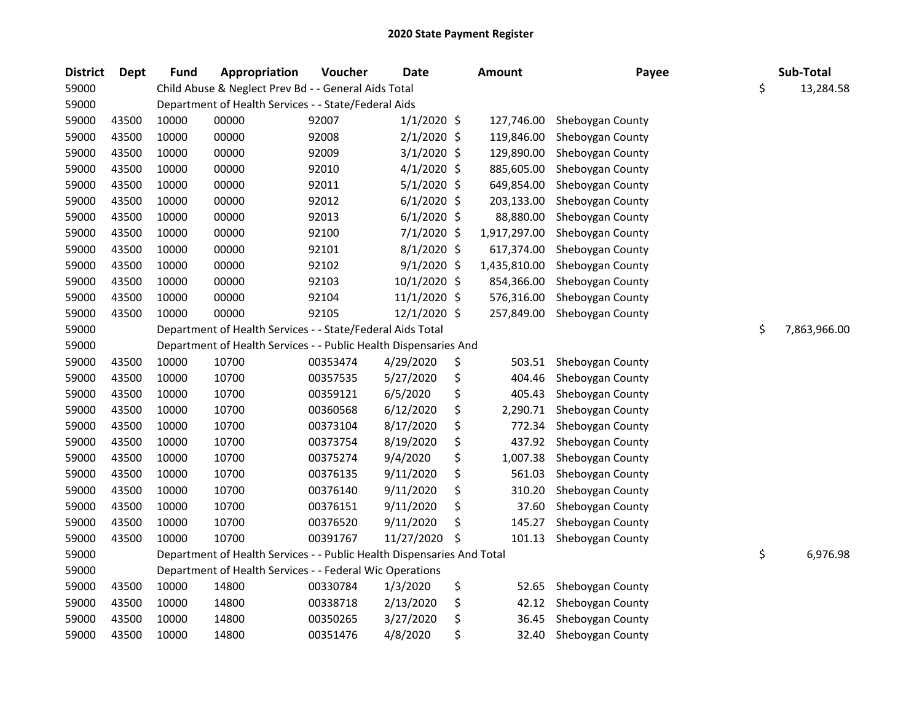| <b>District</b> | <b>Dept</b> | <b>Fund</b> | Appropriation                                                          | Voucher  | <b>Date</b>   |    | Amount       | Payee            | Sub-Total          |
|-----------------|-------------|-------------|------------------------------------------------------------------------|----------|---------------|----|--------------|------------------|--------------------|
| 59000           |             |             | Child Abuse & Neglect Prev Bd - - General Aids Total                   |          |               |    |              |                  | \$<br>13,284.58    |
| 59000           |             |             | Department of Health Services - - State/Federal Aids                   |          |               |    |              |                  |                    |
| 59000           | 43500       | 10000       | 00000                                                                  | 92007    | $1/1/2020$ \$ |    | 127,746.00   | Sheboygan County |                    |
| 59000           | 43500       | 10000       | 00000                                                                  | 92008    | $2/1/2020$ \$ |    | 119,846.00   | Sheboygan County |                    |
| 59000           | 43500       | 10000       | 00000                                                                  | 92009    | $3/1/2020$ \$ |    | 129,890.00   | Sheboygan County |                    |
| 59000           | 43500       | 10000       | 00000                                                                  | 92010    | $4/1/2020$ \$ |    | 885,605.00   | Sheboygan County |                    |
| 59000           | 43500       | 10000       | 00000                                                                  | 92011    | $5/1/2020$ \$ |    | 649,854.00   | Sheboygan County |                    |
| 59000           | 43500       | 10000       | 00000                                                                  | 92012    | $6/1/2020$ \$ |    | 203,133.00   | Sheboygan County |                    |
| 59000           | 43500       | 10000       | 00000                                                                  | 92013    | $6/1/2020$ \$ |    | 88,880.00    | Sheboygan County |                    |
| 59000           | 43500       | 10000       | 00000                                                                  | 92100    | $7/1/2020$ \$ |    | 1,917,297.00 | Sheboygan County |                    |
| 59000           | 43500       | 10000       | 00000                                                                  | 92101    | $8/1/2020$ \$ |    | 617,374.00   | Sheboygan County |                    |
| 59000           | 43500       | 10000       | 00000                                                                  | 92102    | $9/1/2020$ \$ |    | 1,435,810.00 | Sheboygan County |                    |
| 59000           | 43500       | 10000       | 00000                                                                  | 92103    | 10/1/2020 \$  |    | 854,366.00   | Sheboygan County |                    |
| 59000           | 43500       | 10000       | 00000                                                                  | 92104    | 11/1/2020 \$  |    | 576,316.00   | Sheboygan County |                    |
| 59000           | 43500       | 10000       | 00000                                                                  | 92105    | 12/1/2020 \$  |    | 257,849.00   | Sheboygan County |                    |
| 59000           |             |             | Department of Health Services - - State/Federal Aids Total             |          |               |    |              |                  | \$<br>7,863,966.00 |
| 59000           |             |             | Department of Health Services - - Public Health Dispensaries And       |          |               |    |              |                  |                    |
| 59000           | 43500       | 10000       | 10700                                                                  | 00353474 | 4/29/2020     | \$ | 503.51       | Sheboygan County |                    |
| 59000           | 43500       | 10000       | 10700                                                                  | 00357535 | 5/27/2020     | \$ | 404.46       | Sheboygan County |                    |
| 59000           | 43500       | 10000       | 10700                                                                  | 00359121 | 6/5/2020      | \$ | 405.43       | Sheboygan County |                    |
| 59000           | 43500       | 10000       | 10700                                                                  | 00360568 | 6/12/2020     | \$ | 2,290.71     | Sheboygan County |                    |
| 59000           | 43500       | 10000       | 10700                                                                  | 00373104 | 8/17/2020     | \$ | 772.34       | Sheboygan County |                    |
| 59000           | 43500       | 10000       | 10700                                                                  | 00373754 | 8/19/2020     | \$ | 437.92       | Sheboygan County |                    |
| 59000           | 43500       | 10000       | 10700                                                                  | 00375274 | 9/4/2020      | \$ | 1,007.38     | Sheboygan County |                    |
| 59000           | 43500       | 10000       | 10700                                                                  | 00376135 | 9/11/2020     | \$ | 561.03       | Sheboygan County |                    |
| 59000           | 43500       | 10000       | 10700                                                                  | 00376140 | 9/11/2020     | \$ | 310.20       | Sheboygan County |                    |
| 59000           | 43500       | 10000       | 10700                                                                  | 00376151 | 9/11/2020     | \$ | 37.60        | Sheboygan County |                    |
| 59000           | 43500       | 10000       | 10700                                                                  | 00376520 | 9/11/2020     | Ś  | 145.27       | Sheboygan County |                    |
| 59000           | 43500       | 10000       | 10700                                                                  | 00391767 | 11/27/2020    | \$ | 101.13       | Sheboygan County |                    |
| 59000           |             |             | Department of Health Services - - Public Health Dispensaries And Total |          |               |    |              |                  | \$<br>6,976.98     |
| 59000           |             |             | Department of Health Services - - Federal Wic Operations               |          |               |    |              |                  |                    |
| 59000           | 43500       | 10000       | 14800                                                                  | 00330784 | 1/3/2020      | \$ | 52.65        | Sheboygan County |                    |
| 59000           | 43500       | 10000       | 14800                                                                  | 00338718 | 2/13/2020     | \$ | 42.12        | Sheboygan County |                    |
| 59000           | 43500       | 10000       | 14800                                                                  | 00350265 | 3/27/2020     | \$ | 36.45        | Sheboygan County |                    |
| 59000           | 43500       | 10000       | 14800                                                                  | 00351476 | 4/8/2020      | \$ | 32.40        | Sheboygan County |                    |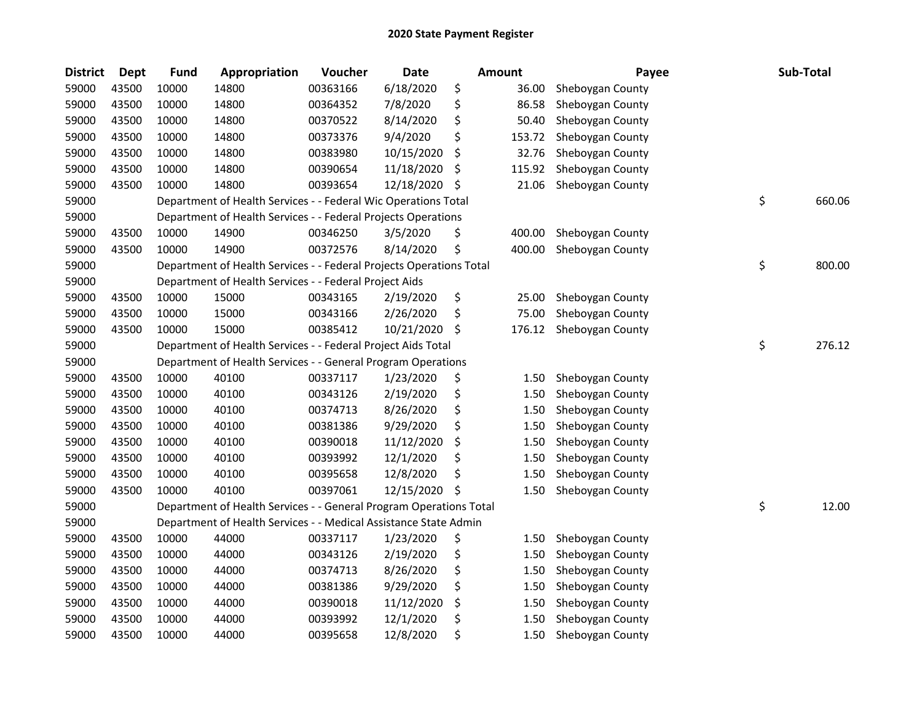| <b>District</b> | Dept  | <b>Fund</b> | Appropriation                                                       | Voucher  | <b>Date</b> |     | Amount | Payee            | Sub-Total    |
|-----------------|-------|-------------|---------------------------------------------------------------------|----------|-------------|-----|--------|------------------|--------------|
| 59000           | 43500 | 10000       | 14800                                                               | 00363166 | 6/18/2020   | \$  | 36.00  | Sheboygan County |              |
| 59000           | 43500 | 10000       | 14800                                                               | 00364352 | 7/8/2020    | \$  | 86.58  | Sheboygan County |              |
| 59000           | 43500 | 10000       | 14800                                                               | 00370522 | 8/14/2020   | \$  | 50.40  | Sheboygan County |              |
| 59000           | 43500 | 10000       | 14800                                                               | 00373376 | 9/4/2020    | \$  | 153.72 | Sheboygan County |              |
| 59000           | 43500 | 10000       | 14800                                                               | 00383980 | 10/15/2020  | \$  | 32.76  | Sheboygan County |              |
| 59000           | 43500 | 10000       | 14800                                                               | 00390654 | 11/18/2020  | \$  | 115.92 | Sheboygan County |              |
| 59000           | 43500 | 10000       | 14800                                                               | 00393654 | 12/18/2020  | \$, | 21.06  | Sheboygan County |              |
| 59000           |       |             | Department of Health Services - - Federal Wic Operations Total      |          |             |     |        |                  | \$<br>660.06 |
| 59000           |       |             | Department of Health Services - - Federal Projects Operations       |          |             |     |        |                  |              |
| 59000           | 43500 | 10000       | 14900                                                               | 00346250 | 3/5/2020    | \$  | 400.00 | Sheboygan County |              |
| 59000           | 43500 | 10000       | 14900                                                               | 00372576 | 8/14/2020   | \$  | 400.00 | Sheboygan County |              |
| 59000           |       |             | Department of Health Services - - Federal Projects Operations Total |          |             |     |        |                  | \$<br>800.00 |
| 59000           |       |             | Department of Health Services - - Federal Project Aids              |          |             |     |        |                  |              |
| 59000           | 43500 | 10000       | 15000                                                               | 00343165 | 2/19/2020   | \$  | 25.00  | Sheboygan County |              |
| 59000           | 43500 | 10000       | 15000                                                               | 00343166 | 2/26/2020   | \$  | 75.00  | Sheboygan County |              |
| 59000           | 43500 | 10000       | 15000                                                               | 00385412 | 10/21/2020  | \$  | 176.12 | Sheboygan County |              |
| 59000           |       |             | Department of Health Services - - Federal Project Aids Total        |          |             |     |        |                  | \$<br>276.12 |
| 59000           |       |             | Department of Health Services - - General Program Operations        |          |             |     |        |                  |              |
| 59000           | 43500 | 10000       | 40100                                                               | 00337117 | 1/23/2020   | \$  | 1.50   | Sheboygan County |              |
| 59000           | 43500 | 10000       | 40100                                                               | 00343126 | 2/19/2020   | \$  | 1.50   | Sheboygan County |              |
| 59000           | 43500 | 10000       | 40100                                                               | 00374713 | 8/26/2020   | \$  | 1.50   | Sheboygan County |              |
| 59000           | 43500 | 10000       | 40100                                                               | 00381386 | 9/29/2020   | \$  | 1.50   | Sheboygan County |              |
| 59000           | 43500 | 10000       | 40100                                                               | 00390018 | 11/12/2020  | \$  | 1.50   | Sheboygan County |              |
| 59000           | 43500 | 10000       | 40100                                                               | 00393992 | 12/1/2020   | \$  | 1.50   | Sheboygan County |              |
| 59000           | 43500 | 10000       | 40100                                                               | 00395658 | 12/8/2020   | \$  | 1.50   | Sheboygan County |              |
| 59000           | 43500 | 10000       | 40100                                                               | 00397061 | 12/15/2020  | \$  | 1.50   | Sheboygan County |              |
| 59000           |       |             | Department of Health Services - - General Program Operations Total  |          |             |     |        |                  | \$<br>12.00  |
| 59000           |       |             | Department of Health Services - - Medical Assistance State Admin    |          |             |     |        |                  |              |
| 59000           | 43500 | 10000       | 44000                                                               | 00337117 | 1/23/2020   | \$  | 1.50   | Sheboygan County |              |
| 59000           | 43500 | 10000       | 44000                                                               | 00343126 | 2/19/2020   | \$  | 1.50   | Sheboygan County |              |
| 59000           | 43500 | 10000       | 44000                                                               | 00374713 | 8/26/2020   | \$  | 1.50   | Sheboygan County |              |
| 59000           | 43500 | 10000       | 44000                                                               | 00381386 | 9/29/2020   | \$  | 1.50   | Sheboygan County |              |
| 59000           | 43500 | 10000       | 44000                                                               | 00390018 | 11/12/2020  | \$  | 1.50   | Sheboygan County |              |
| 59000           | 43500 | 10000       | 44000                                                               | 00393992 | 12/1/2020   | \$  | 1.50   | Sheboygan County |              |
| 59000           | 43500 | 10000       | 44000                                                               | 00395658 | 12/8/2020   | \$  | 1.50   | Sheboygan County |              |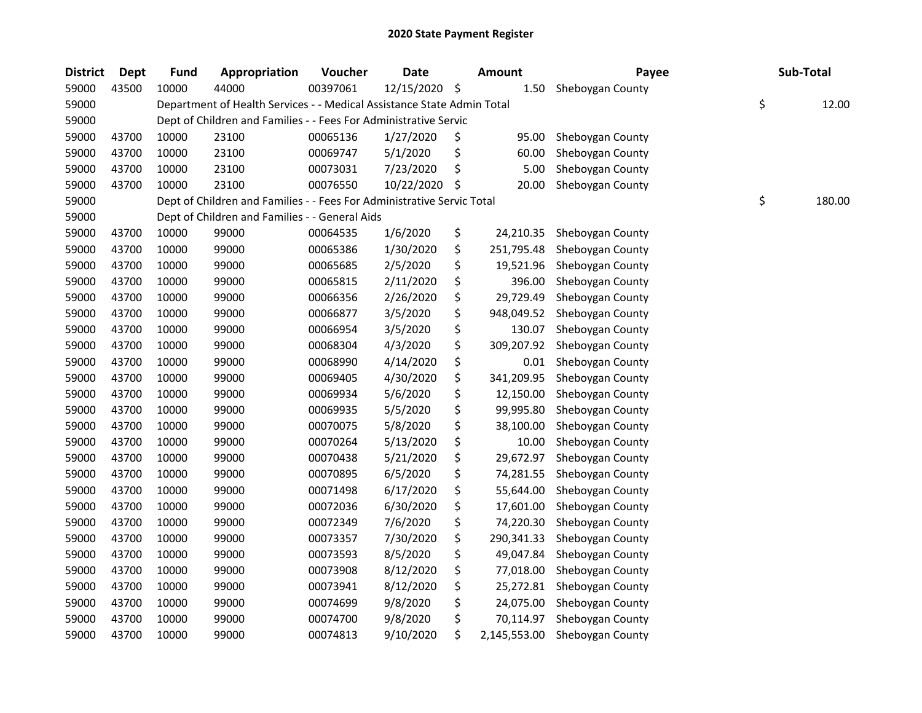| <b>District</b> | <b>Dept</b> | <b>Fund</b> | Appropriation                                                          | Voucher  | <b>Date</b> |    | <b>Amount</b> | Payee            | Sub-Total    |
|-----------------|-------------|-------------|------------------------------------------------------------------------|----------|-------------|----|---------------|------------------|--------------|
| 59000           | 43500       | 10000       | 44000                                                                  | 00397061 | 12/15/2020  | \$ | 1.50          | Sheboygan County |              |
| 59000           |             |             | Department of Health Services - - Medical Assistance State Admin Total |          |             |    |               |                  | \$<br>12.00  |
| 59000           |             |             | Dept of Children and Families - - Fees For Administrative Servic       |          |             |    |               |                  |              |
| 59000           | 43700       | 10000       | 23100                                                                  | 00065136 | 1/27/2020   | \$ | 95.00         | Sheboygan County |              |
| 59000           | 43700       | 10000       | 23100                                                                  | 00069747 | 5/1/2020    | \$ | 60.00         | Sheboygan County |              |
| 59000           | 43700       | 10000       | 23100                                                                  | 00073031 | 7/23/2020   | \$ | 5.00          | Sheboygan County |              |
| 59000           | 43700       | 10000       | 23100                                                                  | 00076550 | 10/22/2020  | S  | 20.00         | Sheboygan County |              |
| 59000           |             |             | Dept of Children and Families - - Fees For Administrative Servic Total |          |             |    |               |                  | \$<br>180.00 |
| 59000           |             |             | Dept of Children and Families - - General Aids                         |          |             |    |               |                  |              |
| 59000           | 43700       | 10000       | 99000                                                                  | 00064535 | 1/6/2020    | \$ | 24,210.35     | Sheboygan County |              |
| 59000           | 43700       | 10000       | 99000                                                                  | 00065386 | 1/30/2020   | \$ | 251,795.48    | Sheboygan County |              |
| 59000           | 43700       | 10000       | 99000                                                                  | 00065685 | 2/5/2020    | \$ | 19,521.96     | Sheboygan County |              |
| 59000           | 43700       | 10000       | 99000                                                                  | 00065815 | 2/11/2020   | \$ | 396.00        | Sheboygan County |              |
| 59000           | 43700       | 10000       | 99000                                                                  | 00066356 | 2/26/2020   | \$ | 29,729.49     | Sheboygan County |              |
| 59000           | 43700       | 10000       | 99000                                                                  | 00066877 | 3/5/2020    | \$ | 948,049.52    | Sheboygan County |              |
| 59000           | 43700       | 10000       | 99000                                                                  | 00066954 | 3/5/2020    | \$ | 130.07        | Sheboygan County |              |
| 59000           | 43700       | 10000       | 99000                                                                  | 00068304 | 4/3/2020    | \$ | 309,207.92    | Sheboygan County |              |
| 59000           | 43700       | 10000       | 99000                                                                  | 00068990 | 4/14/2020   | \$ | 0.01          | Sheboygan County |              |
| 59000           | 43700       | 10000       | 99000                                                                  | 00069405 | 4/30/2020   | \$ | 341,209.95    | Sheboygan County |              |
| 59000           | 43700       | 10000       | 99000                                                                  | 00069934 | 5/6/2020    | \$ | 12,150.00     | Sheboygan County |              |
| 59000           | 43700       | 10000       | 99000                                                                  | 00069935 | 5/5/2020    | \$ | 99,995.80     | Sheboygan County |              |
| 59000           | 43700       | 10000       | 99000                                                                  | 00070075 | 5/8/2020    | \$ | 38,100.00     | Sheboygan County |              |
| 59000           | 43700       | 10000       | 99000                                                                  | 00070264 | 5/13/2020   | \$ | 10.00         | Sheboygan County |              |
| 59000           | 43700       | 10000       | 99000                                                                  | 00070438 | 5/21/2020   | \$ | 29,672.97     | Sheboygan County |              |
| 59000           | 43700       | 10000       | 99000                                                                  | 00070895 | 6/5/2020    | \$ | 74,281.55     | Sheboygan County |              |
| 59000           | 43700       | 10000       | 99000                                                                  | 00071498 | 6/17/2020   | \$ | 55,644.00     | Sheboygan County |              |
| 59000           | 43700       | 10000       | 99000                                                                  | 00072036 | 6/30/2020   | \$ | 17,601.00     | Sheboygan County |              |
| 59000           | 43700       | 10000       | 99000                                                                  | 00072349 | 7/6/2020    | \$ | 74,220.30     | Sheboygan County |              |
| 59000           | 43700       | 10000       | 99000                                                                  | 00073357 | 7/30/2020   | \$ | 290,341.33    | Sheboygan County |              |
| 59000           | 43700       | 10000       | 99000                                                                  | 00073593 | 8/5/2020    | \$ | 49,047.84     | Sheboygan County |              |
| 59000           | 43700       | 10000       | 99000                                                                  | 00073908 | 8/12/2020   | \$ | 77,018.00     | Sheboygan County |              |
| 59000           | 43700       | 10000       | 99000                                                                  | 00073941 | 8/12/2020   | \$ | 25,272.81     | Sheboygan County |              |
| 59000           | 43700       | 10000       | 99000                                                                  | 00074699 | 9/8/2020    | \$ | 24,075.00     | Sheboygan County |              |
| 59000           | 43700       | 10000       | 99000                                                                  | 00074700 | 9/8/2020    | \$ | 70,114.97     | Sheboygan County |              |
| 59000           | 43700       | 10000       | 99000                                                                  | 00074813 | 9/10/2020   | \$ | 2,145,553.00  | Sheboygan County |              |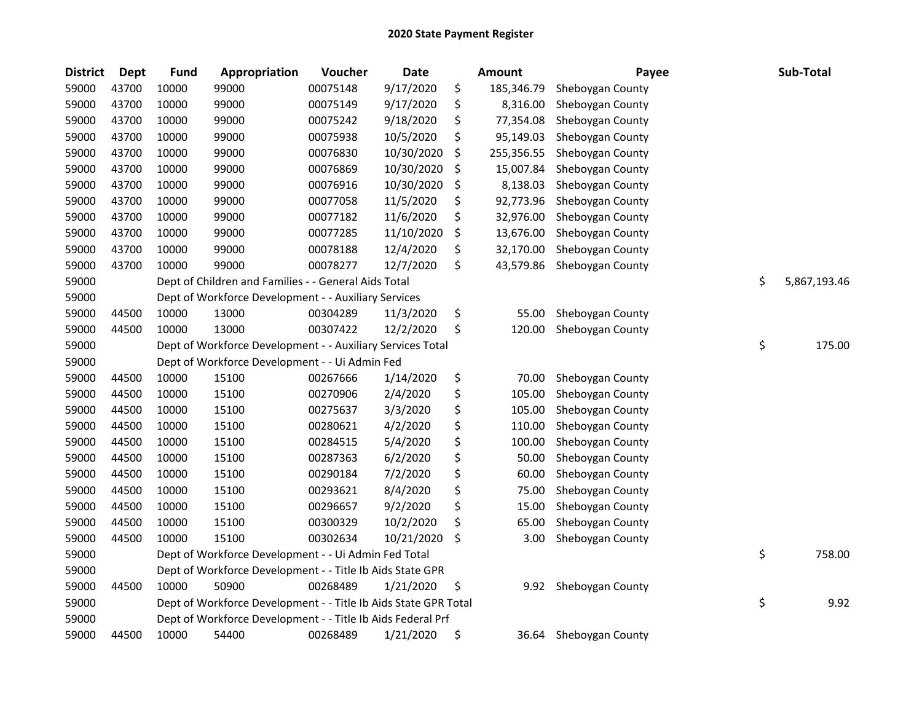| <b>District</b> | <b>Dept</b> | <b>Fund</b> | Appropriation                                                   | Voucher  | <b>Date</b> | <b>Amount</b>    | Payee            | Sub-Total          |
|-----------------|-------------|-------------|-----------------------------------------------------------------|----------|-------------|------------------|------------------|--------------------|
| 59000           | 43700       | 10000       | 99000                                                           | 00075148 | 9/17/2020   | \$<br>185,346.79 | Sheboygan County |                    |
| 59000           | 43700       | 10000       | 99000                                                           | 00075149 | 9/17/2020   | \$<br>8,316.00   | Sheboygan County |                    |
| 59000           | 43700       | 10000       | 99000                                                           | 00075242 | 9/18/2020   | \$<br>77,354.08  | Sheboygan County |                    |
| 59000           | 43700       | 10000       | 99000                                                           | 00075938 | 10/5/2020   | \$<br>95,149.03  | Sheboygan County |                    |
| 59000           | 43700       | 10000       | 99000                                                           | 00076830 | 10/30/2020  | \$<br>255,356.55 | Sheboygan County |                    |
| 59000           | 43700       | 10000       | 99000                                                           | 00076869 | 10/30/2020  | \$<br>15,007.84  | Sheboygan County |                    |
| 59000           | 43700       | 10000       | 99000                                                           | 00076916 | 10/30/2020  | \$<br>8,138.03   | Sheboygan County |                    |
| 59000           | 43700       | 10000       | 99000                                                           | 00077058 | 11/5/2020   | \$<br>92,773.96  | Sheboygan County |                    |
| 59000           | 43700       | 10000       | 99000                                                           | 00077182 | 11/6/2020   | \$<br>32,976.00  | Sheboygan County |                    |
| 59000           | 43700       | 10000       | 99000                                                           | 00077285 | 11/10/2020  | \$<br>13,676.00  | Sheboygan County |                    |
| 59000           | 43700       | 10000       | 99000                                                           | 00078188 | 12/4/2020   | \$<br>32,170.00  | Sheboygan County |                    |
| 59000           | 43700       | 10000       | 99000                                                           | 00078277 | 12/7/2020   | \$<br>43,579.86  | Sheboygan County |                    |
| 59000           |             |             | Dept of Children and Families - - General Aids Total            |          |             |                  |                  | \$<br>5,867,193.46 |
| 59000           |             |             | Dept of Workforce Development - - Auxiliary Services            |          |             |                  |                  |                    |
| 59000           | 44500       | 10000       | 13000                                                           | 00304289 | 11/3/2020   | \$<br>55.00      | Sheboygan County |                    |
| 59000           | 44500       | 10000       | 13000                                                           | 00307422 | 12/2/2020   | \$<br>120.00     | Sheboygan County |                    |
| 59000           |             |             | Dept of Workforce Development - - Auxiliary Services Total      |          |             |                  |                  | \$<br>175.00       |
| 59000           |             |             | Dept of Workforce Development - - Ui Admin Fed                  |          |             |                  |                  |                    |
| 59000           | 44500       | 10000       | 15100                                                           | 00267666 | 1/14/2020   | \$<br>70.00      | Sheboygan County |                    |
| 59000           | 44500       | 10000       | 15100                                                           | 00270906 | 2/4/2020    | \$<br>105.00     | Sheboygan County |                    |
| 59000           | 44500       | 10000       | 15100                                                           | 00275637 | 3/3/2020    | \$<br>105.00     | Sheboygan County |                    |
| 59000           | 44500       | 10000       | 15100                                                           | 00280621 | 4/2/2020    | \$<br>110.00     | Sheboygan County |                    |
| 59000           | 44500       | 10000       | 15100                                                           | 00284515 | 5/4/2020    | \$<br>100.00     | Sheboygan County |                    |
| 59000           | 44500       | 10000       | 15100                                                           | 00287363 | 6/2/2020    | \$<br>50.00      | Sheboygan County |                    |
| 59000           | 44500       | 10000       | 15100                                                           | 00290184 | 7/2/2020    | \$<br>60.00      | Sheboygan County |                    |
| 59000           | 44500       | 10000       | 15100                                                           | 00293621 | 8/4/2020    | \$<br>75.00      | Sheboygan County |                    |
| 59000           | 44500       | 10000       | 15100                                                           | 00296657 | 9/2/2020    | \$<br>15.00      | Sheboygan County |                    |
| 59000           | 44500       | 10000       | 15100                                                           | 00300329 | 10/2/2020   | \$<br>65.00      | Sheboygan County |                    |
| 59000           | 44500       | 10000       | 15100                                                           | 00302634 | 10/21/2020  | \$<br>3.00       | Sheboygan County |                    |
| 59000           |             |             | Dept of Workforce Development - - Ui Admin Fed Total            |          |             |                  |                  | \$<br>758.00       |
| 59000           |             |             | Dept of Workforce Development - - Title Ib Aids State GPR       |          |             |                  |                  |                    |
| 59000           | 44500       | 10000       | 50900                                                           | 00268489 | 1/21/2020   | \$<br>9.92       | Sheboygan County |                    |
| 59000           |             |             | Dept of Workforce Development - - Title Ib Aids State GPR Total |          |             |                  |                  | \$<br>9.92         |
| 59000           |             |             | Dept of Workforce Development - - Title Ib Aids Federal Prf     |          |             |                  |                  |                    |
| 59000           | 44500       | 10000       | 54400                                                           | 00268489 | 1/21/2020   | \$<br>36.64      | Sheboygan County |                    |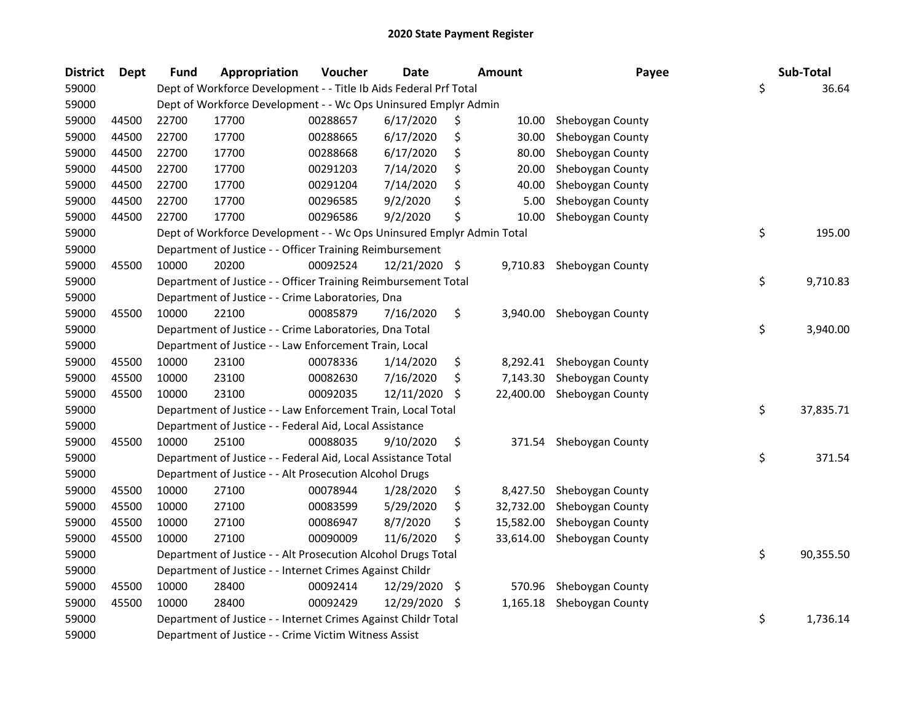| <b>District</b> | <b>Dept</b> | <b>Fund</b> | Appropriation                                                         | Voucher  | <b>Date</b>   |     | <b>Amount</b> | Payee                   | Sub-Total       |
|-----------------|-------------|-------------|-----------------------------------------------------------------------|----------|---------------|-----|---------------|-------------------------|-----------------|
| 59000           |             |             | Dept of Workforce Development - - Title Ib Aids Federal Prf Total     |          |               |     |               |                         | \$<br>36.64     |
| 59000           |             |             | Dept of Workforce Development - - Wc Ops Uninsured Emplyr Admin       |          |               |     |               |                         |                 |
| 59000           | 44500       | 22700       | 17700                                                                 | 00288657 | 6/17/2020     | \$, | 10.00         | Sheboygan County        |                 |
| 59000           | 44500       | 22700       | 17700                                                                 | 00288665 | 6/17/2020     | \$  | 30.00         | Sheboygan County        |                 |
| 59000           | 44500       | 22700       | 17700                                                                 | 00288668 | 6/17/2020     | \$  | 80.00         | Sheboygan County        |                 |
| 59000           | 44500       | 22700       | 17700                                                                 | 00291203 | 7/14/2020     | \$  | 20.00         | Sheboygan County        |                 |
| 59000           | 44500       | 22700       | 17700                                                                 | 00291204 | 7/14/2020     | \$  | 40.00         | Sheboygan County        |                 |
| 59000           | 44500       | 22700       | 17700                                                                 | 00296585 | 9/2/2020      | Ś   | 5.00          | Sheboygan County        |                 |
| 59000           | 44500       | 22700       | 17700                                                                 | 00296586 | 9/2/2020      | \$  | 10.00         | Sheboygan County        |                 |
| 59000           |             |             | Dept of Workforce Development - - Wc Ops Uninsured Emplyr Admin Total |          |               |     |               |                         | \$<br>195.00    |
| 59000           |             |             | Department of Justice - - Officer Training Reimbursement              |          |               |     |               |                         |                 |
| 59000           | 45500       | 10000       | 20200                                                                 | 00092524 | 12/21/2020 \$ |     | 9,710.83      | Sheboygan County        |                 |
| 59000           |             |             | Department of Justice - - Officer Training Reimbursement Total        |          |               |     |               |                         | \$<br>9,710.83  |
| 59000           |             |             | Department of Justice - - Crime Laboratories, Dna                     |          |               |     |               |                         |                 |
| 59000           | 45500       | 10000       | 22100                                                                 | 00085879 | 7/16/2020     | \$  | 3,940.00      | Sheboygan County        |                 |
| 59000           |             |             | Department of Justice - - Crime Laboratories, Dna Total               |          |               |     |               |                         | \$<br>3,940.00  |
| 59000           |             |             | Department of Justice - - Law Enforcement Train, Local                |          |               |     |               |                         |                 |
| 59000           | 45500       | 10000       | 23100                                                                 | 00078336 | 1/14/2020     | \$  | 8,292.41      | Sheboygan County        |                 |
| 59000           | 45500       | 10000       | 23100                                                                 | 00082630 | 7/16/2020     | \$  | 7,143.30      | Sheboygan County        |                 |
| 59000           | 45500       | 10000       | 23100                                                                 | 00092035 | 12/11/2020    | S   | 22,400.00     | Sheboygan County        |                 |
| 59000           |             |             | Department of Justice - - Law Enforcement Train, Local Total          |          |               |     |               |                         | \$<br>37,835.71 |
| 59000           |             |             | Department of Justice - - Federal Aid, Local Assistance               |          |               |     |               |                         |                 |
| 59000           | 45500       | 10000       | 25100                                                                 | 00088035 | 9/10/2020     | \$  |               | 371.54 Sheboygan County |                 |
| 59000           |             |             | Department of Justice - - Federal Aid, Local Assistance Total         |          |               |     |               |                         | \$<br>371.54    |
| 59000           |             |             | Department of Justice - - Alt Prosecution Alcohol Drugs               |          |               |     |               |                         |                 |
| 59000           | 45500       | 10000       | 27100                                                                 | 00078944 | 1/28/2020     | \$  | 8,427.50      | Sheboygan County        |                 |
| 59000           | 45500       | 10000       | 27100                                                                 | 00083599 | 5/29/2020     | \$  | 32,732.00     | Sheboygan County        |                 |
| 59000           | 45500       | 10000       | 27100                                                                 | 00086947 | 8/7/2020      | \$  | 15,582.00     | Sheboygan County        |                 |
| 59000           | 45500       | 10000       | 27100                                                                 | 00090009 | 11/6/2020     | \$  | 33,614.00     | Sheboygan County        |                 |
| 59000           |             |             | Department of Justice - - Alt Prosecution Alcohol Drugs Total         |          |               |     |               |                         | \$<br>90,355.50 |
| 59000           |             |             | Department of Justice - - Internet Crimes Against Childr              |          |               |     |               |                         |                 |
| 59000           | 45500       | 10000       | 28400                                                                 | 00092414 | 12/29/2020    | \$  | 570.96        | Sheboygan County        |                 |
| 59000           | 45500       | 10000       | 28400                                                                 | 00092429 | 12/29/2020    | -\$ | 1,165.18      | Sheboygan County        |                 |
| 59000           |             |             | Department of Justice - - Internet Crimes Against Childr Total        |          |               |     |               |                         | \$<br>1,736.14  |
| 59000           |             |             | Department of Justice - - Crime Victim Witness Assist                 |          |               |     |               |                         |                 |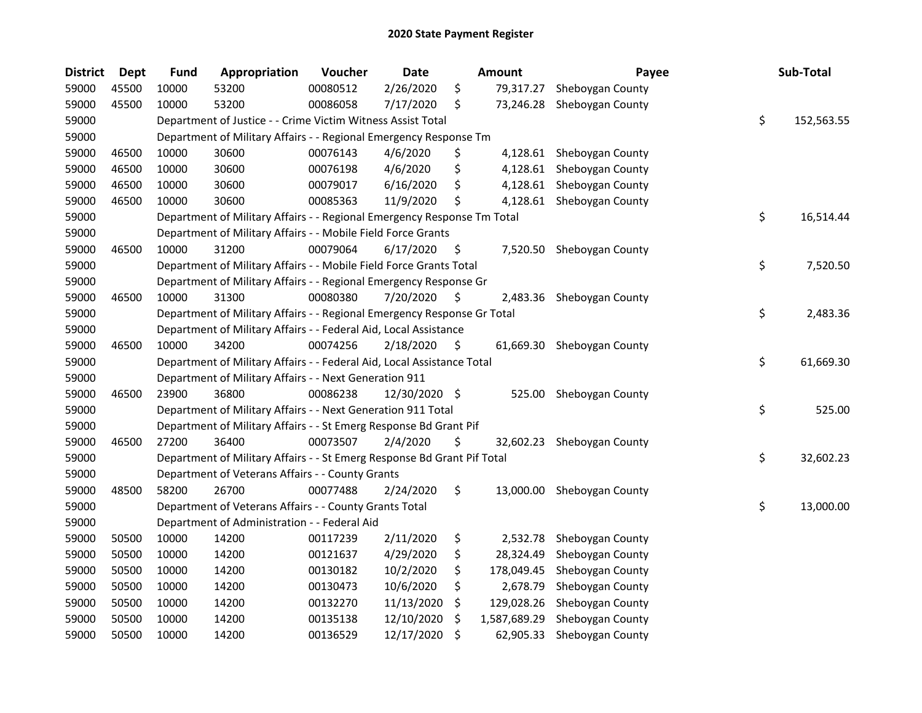| <b>District</b> | Dept  | <b>Fund</b> | Appropriation                                                           | Voucher  | <b>Date</b>   |    | <b>Amount</b> | Payee                      | Sub-Total        |
|-----------------|-------|-------------|-------------------------------------------------------------------------|----------|---------------|----|---------------|----------------------------|------------------|
| 59000           | 45500 | 10000       | 53200                                                                   | 00080512 | 2/26/2020     | \$ | 79,317.27     | Sheboygan County           |                  |
| 59000           | 45500 | 10000       | 53200                                                                   | 00086058 | 7/17/2020     | \$ | 73,246.28     | Sheboygan County           |                  |
| 59000           |       |             | Department of Justice - - Crime Victim Witness Assist Total             |          |               |    |               |                            | \$<br>152,563.55 |
| 59000           |       |             | Department of Military Affairs - - Regional Emergency Response Tm       |          |               |    |               |                            |                  |
| 59000           | 46500 | 10000       | 30600                                                                   | 00076143 | 4/6/2020      | Ş  | 4,128.61      | Sheboygan County           |                  |
| 59000           | 46500 | 10000       | 30600                                                                   | 00076198 | 4/6/2020      | \$ | 4,128.61      | Sheboygan County           |                  |
| 59000           | 46500 | 10000       | 30600                                                                   | 00079017 | 6/16/2020     | \$ | 4,128.61      | Sheboygan County           |                  |
| 59000           | 46500 | 10000       | 30600                                                                   | 00085363 | 11/9/2020     | \$ | 4,128.61      | Sheboygan County           |                  |
| 59000           |       |             | Department of Military Affairs - - Regional Emergency Response Tm Total |          |               |    |               |                            | \$<br>16,514.44  |
| 59000           |       |             | Department of Military Affairs - - Mobile Field Force Grants            |          |               |    |               |                            |                  |
| 59000           | 46500 | 10000       | 31200                                                                   | 00079064 | 6/17/2020     | \$ |               | 7,520.50 Sheboygan County  |                  |
| 59000           |       |             | Department of Military Affairs - - Mobile Field Force Grants Total      |          |               |    |               |                            | \$<br>7,520.50   |
| 59000           |       |             | Department of Military Affairs - - Regional Emergency Response Gr       |          |               |    |               |                            |                  |
| 59000           | 46500 | 10000       | 31300                                                                   | 00080380 | 7/20/2020     | \$ | 2,483.36      | Sheboygan County           |                  |
| 59000           |       |             | Department of Military Affairs - - Regional Emergency Response Gr Total |          |               |    |               |                            | \$<br>2,483.36   |
| 59000           |       |             | Department of Military Affairs - - Federal Aid, Local Assistance        |          |               |    |               |                            |                  |
| 59000           | 46500 | 10000       | 34200                                                                   | 00074256 | 2/18/2020     | \$ |               | 61,669.30 Sheboygan County |                  |
| 59000           |       |             | Department of Military Affairs - - Federal Aid, Local Assistance Total  |          |               |    |               |                            | \$<br>61,669.30  |
| 59000           |       |             | Department of Military Affairs - - Next Generation 911                  |          |               |    |               |                            |                  |
| 59000           | 46500 | 23900       | 36800                                                                   | 00086238 | 12/30/2020 \$ |    | 525.00        | Sheboygan County           |                  |
| 59000           |       |             | Department of Military Affairs - - Next Generation 911 Total            |          |               |    |               |                            | \$<br>525.00     |
| 59000           |       |             | Department of Military Affairs - - St Emerg Response Bd Grant Pif       |          |               |    |               |                            |                  |
| 59000           | 46500 | 27200       | 36400                                                                   | 00073507 | 2/4/2020      | \$ |               | 32,602.23 Sheboygan County |                  |
| 59000           |       |             | Department of Military Affairs - - St Emerg Response Bd Grant Pif Total |          |               |    |               |                            | \$<br>32,602.23  |
| 59000           |       |             | Department of Veterans Affairs - - County Grants                        |          |               |    |               |                            |                  |
| 59000           | 48500 | 58200       | 26700                                                                   | 00077488 | 2/24/2020     | \$ | 13,000.00     | Sheboygan County           |                  |
| 59000           |       |             | Department of Veterans Affairs - - County Grants Total                  |          |               |    |               |                            | \$<br>13,000.00  |
| 59000           |       |             | Department of Administration - - Federal Aid                            |          |               |    |               |                            |                  |
| 59000           | 50500 | 10000       | 14200                                                                   | 00117239 | 2/11/2020     | \$ | 2,532.78      | Sheboygan County           |                  |
| 59000           | 50500 | 10000       | 14200                                                                   | 00121637 | 4/29/2020     | \$ | 28,324.49     | Sheboygan County           |                  |
| 59000           | 50500 | 10000       | 14200                                                                   | 00130182 | 10/2/2020     | \$ | 178,049.45    | Sheboygan County           |                  |
| 59000           | 50500 | 10000       | 14200                                                                   | 00130473 | 10/6/2020     | \$ | 2,678.79      | Sheboygan County           |                  |
| 59000           | 50500 | 10000       | 14200                                                                   | 00132270 | 11/13/2020    | \$ | 129,028.26    | Sheboygan County           |                  |
| 59000           | 50500 | 10000       | 14200                                                                   | 00135138 | 12/10/2020    | \$ | 1,587,689.29  | Sheboygan County           |                  |
| 59000           | 50500 | 10000       | 14200                                                                   | 00136529 | 12/17/2020    | \$ | 62,905.33     | Sheboygan County           |                  |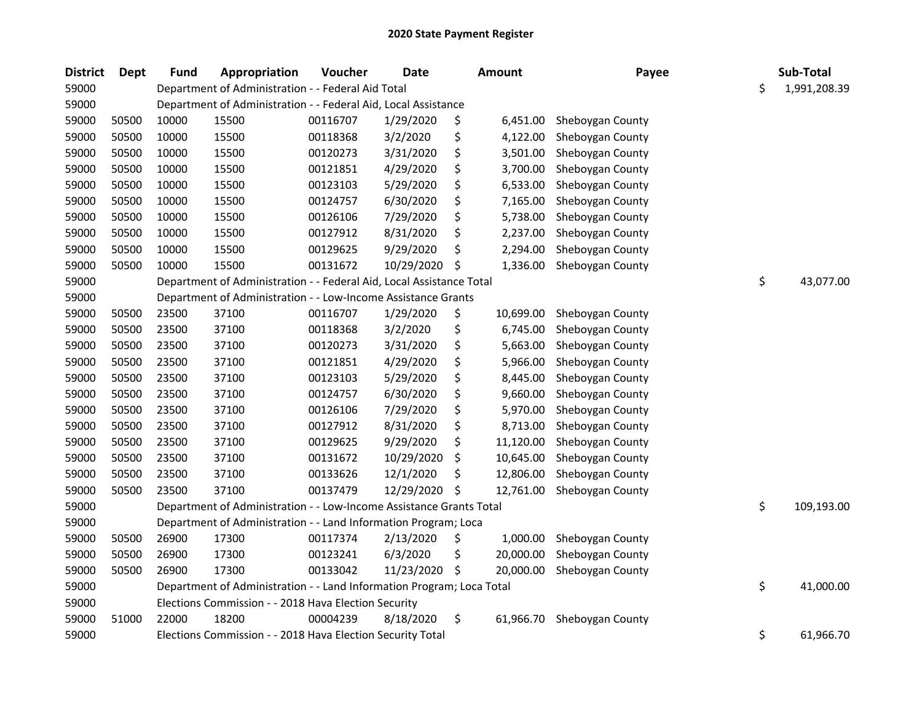| <b>District</b> | <b>Dept</b> | <b>Fund</b> | Appropriation                                                         | Voucher  | Date       |     | <b>Amount</b> | Payee            | Sub-Total          |
|-----------------|-------------|-------------|-----------------------------------------------------------------------|----------|------------|-----|---------------|------------------|--------------------|
| 59000           |             |             | Department of Administration - - Federal Aid Total                    |          |            |     |               |                  | \$<br>1,991,208.39 |
| 59000           |             |             | Department of Administration - - Federal Aid, Local Assistance        |          |            |     |               |                  |                    |
| 59000           | 50500       | 10000       | 15500                                                                 | 00116707 | 1/29/2020  | \$  | 6,451.00      | Sheboygan County |                    |
| 59000           | 50500       | 10000       | 15500                                                                 | 00118368 | 3/2/2020   | \$  | 4,122.00      | Sheboygan County |                    |
| 59000           | 50500       | 10000       | 15500                                                                 | 00120273 | 3/31/2020  | \$  | 3,501.00      | Sheboygan County |                    |
| 59000           | 50500       | 10000       | 15500                                                                 | 00121851 | 4/29/2020  | \$  | 3,700.00      | Sheboygan County |                    |
| 59000           | 50500       | 10000       | 15500                                                                 | 00123103 | 5/29/2020  | \$  | 6,533.00      | Sheboygan County |                    |
| 59000           | 50500       | 10000       | 15500                                                                 | 00124757 | 6/30/2020  | \$  | 7,165.00      | Sheboygan County |                    |
| 59000           | 50500       | 10000       | 15500                                                                 | 00126106 | 7/29/2020  | \$  | 5,738.00      | Sheboygan County |                    |
| 59000           | 50500       | 10000       | 15500                                                                 | 00127912 | 8/31/2020  | \$  | 2,237.00      | Sheboygan County |                    |
| 59000           | 50500       | 10000       | 15500                                                                 | 00129625 | 9/29/2020  | \$  | 2,294.00      | Sheboygan County |                    |
| 59000           | 50500       | 10000       | 15500                                                                 | 00131672 | 10/29/2020 | \$  | 1,336.00      | Sheboygan County |                    |
| 59000           |             |             | Department of Administration - - Federal Aid, Local Assistance Total  |          |            |     |               |                  | \$<br>43,077.00    |
| 59000           |             |             | Department of Administration - - Low-Income Assistance Grants         |          |            |     |               |                  |                    |
| 59000           | 50500       | 23500       | 37100                                                                 | 00116707 | 1/29/2020  | \$  | 10,699.00     | Sheboygan County |                    |
| 59000           | 50500       | 23500       | 37100                                                                 | 00118368 | 3/2/2020   | \$  | 6,745.00      | Sheboygan County |                    |
| 59000           | 50500       | 23500       | 37100                                                                 | 00120273 | 3/31/2020  | \$  | 5,663.00      | Sheboygan County |                    |
| 59000           | 50500       | 23500       | 37100                                                                 | 00121851 | 4/29/2020  | \$  | 5,966.00      | Sheboygan County |                    |
| 59000           | 50500       | 23500       | 37100                                                                 | 00123103 | 5/29/2020  | \$  | 8,445.00      | Sheboygan County |                    |
| 59000           | 50500       | 23500       | 37100                                                                 | 00124757 | 6/30/2020  | \$  | 9,660.00      | Sheboygan County |                    |
| 59000           | 50500       | 23500       | 37100                                                                 | 00126106 | 7/29/2020  | \$  | 5,970.00      | Sheboygan County |                    |
| 59000           | 50500       | 23500       | 37100                                                                 | 00127912 | 8/31/2020  | \$  | 8,713.00      | Sheboygan County |                    |
| 59000           | 50500       | 23500       | 37100                                                                 | 00129625 | 9/29/2020  | \$  | 11,120.00     | Sheboygan County |                    |
| 59000           | 50500       | 23500       | 37100                                                                 | 00131672 | 10/29/2020 | \$  | 10,645.00     | Sheboygan County |                    |
| 59000           | 50500       | 23500       | 37100                                                                 | 00133626 | 12/1/2020  | \$  | 12,806.00     | Sheboygan County |                    |
| 59000           | 50500       | 23500       | 37100                                                                 | 00137479 | 12/29/2020 | \$  | 12,761.00     | Sheboygan County |                    |
| 59000           |             |             | Department of Administration - - Low-Income Assistance Grants Total   |          |            |     |               |                  | \$<br>109,193.00   |
| 59000           |             |             | Department of Administration - - Land Information Program; Loca       |          |            |     |               |                  |                    |
| 59000           | 50500       | 26900       | 17300                                                                 | 00117374 | 2/13/2020  | \$, | 1,000.00      | Sheboygan County |                    |
| 59000           | 50500       | 26900       | 17300                                                                 | 00123241 | 6/3/2020   | \$  | 20,000.00     | Sheboygan County |                    |
| 59000           | 50500       | 26900       | 17300                                                                 | 00133042 | 11/23/2020 | \$  | 20,000.00     | Sheboygan County |                    |
| 59000           |             |             | Department of Administration - - Land Information Program; Loca Total |          |            |     |               |                  | \$<br>41,000.00    |
| 59000           |             |             | Elections Commission - - 2018 Hava Election Security                  |          |            |     |               |                  |                    |
| 59000           | 51000       | 22000       | 18200                                                                 | 00004239 | 8/18/2020  | \$  | 61,966.70     | Sheboygan County |                    |
| 59000           |             |             | Elections Commission - - 2018 Hava Election Security Total            |          |            |     |               |                  | \$<br>61,966.70    |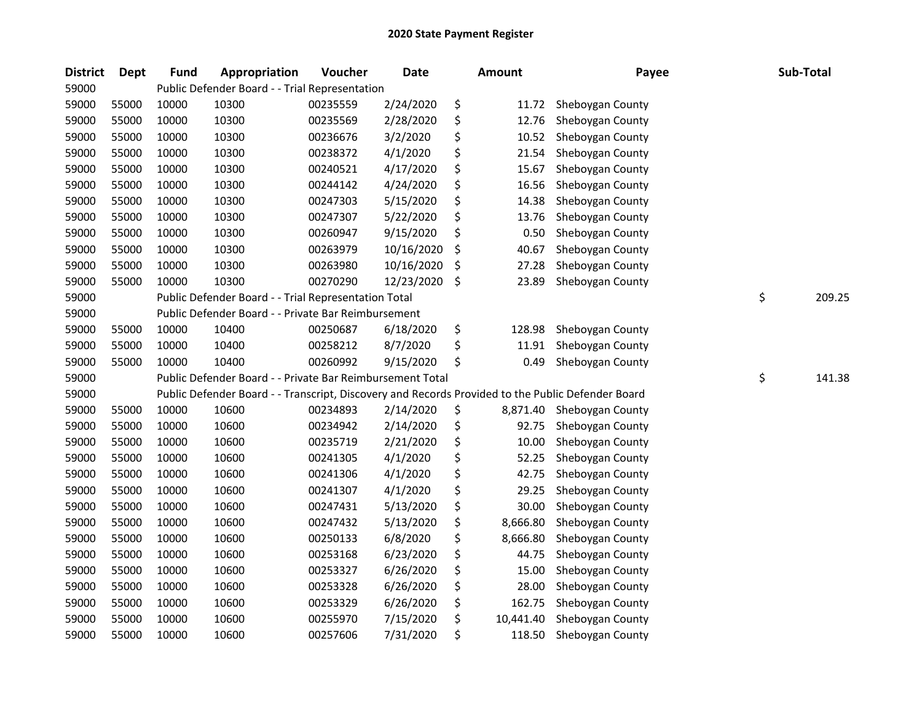| <b>District</b> | <b>Dept</b> | Fund  | Appropriation                                                                                     | Voucher  | <b>Date</b> | Amount          | Payee            | Sub-Total    |
|-----------------|-------------|-------|---------------------------------------------------------------------------------------------------|----------|-------------|-----------------|------------------|--------------|
| 59000           |             |       | Public Defender Board - - Trial Representation                                                    |          |             |                 |                  |              |
| 59000           | 55000       | 10000 | 10300                                                                                             | 00235559 | 2/24/2020   | \$<br>11.72     | Sheboygan County |              |
| 59000           | 55000       | 10000 | 10300                                                                                             | 00235569 | 2/28/2020   | \$<br>12.76     | Sheboygan County |              |
| 59000           | 55000       | 10000 | 10300                                                                                             | 00236676 | 3/2/2020    | \$<br>10.52     | Sheboygan County |              |
| 59000           | 55000       | 10000 | 10300                                                                                             | 00238372 | 4/1/2020    | \$<br>21.54     | Sheboygan County |              |
| 59000           | 55000       | 10000 | 10300                                                                                             | 00240521 | 4/17/2020   | \$<br>15.67     | Sheboygan County |              |
| 59000           | 55000       | 10000 | 10300                                                                                             | 00244142 | 4/24/2020   | \$<br>16.56     | Sheboygan County |              |
| 59000           | 55000       | 10000 | 10300                                                                                             | 00247303 | 5/15/2020   | \$<br>14.38     | Sheboygan County |              |
| 59000           | 55000       | 10000 | 10300                                                                                             | 00247307 | 5/22/2020   | \$<br>13.76     | Sheboygan County |              |
| 59000           | 55000       | 10000 | 10300                                                                                             | 00260947 | 9/15/2020   | \$<br>0.50      | Sheboygan County |              |
| 59000           | 55000       | 10000 | 10300                                                                                             | 00263979 | 10/16/2020  | \$<br>40.67     | Sheboygan County |              |
| 59000           | 55000       | 10000 | 10300                                                                                             | 00263980 | 10/16/2020  | \$<br>27.28     | Sheboygan County |              |
| 59000           | 55000       | 10000 | 10300                                                                                             | 00270290 | 12/23/2020  | \$<br>23.89     | Sheboygan County |              |
| 59000           |             |       | Public Defender Board - - Trial Representation Total                                              |          |             |                 |                  | \$<br>209.25 |
| 59000           |             |       | Public Defender Board - - Private Bar Reimbursement                                               |          |             |                 |                  |              |
| 59000           | 55000       | 10000 | 10400                                                                                             | 00250687 | 6/18/2020   | \$<br>128.98    | Sheboygan County |              |
| 59000           | 55000       | 10000 | 10400                                                                                             | 00258212 | 8/7/2020    | \$<br>11.91     | Sheboygan County |              |
| 59000           | 55000       | 10000 | 10400                                                                                             | 00260992 | 9/15/2020   | \$<br>0.49      | Sheboygan County |              |
| 59000           |             |       | Public Defender Board - - Private Bar Reimbursement Total                                         |          |             |                 |                  | \$<br>141.38 |
| 59000           |             |       | Public Defender Board - - Transcript, Discovery and Records Provided to the Public Defender Board |          |             |                 |                  |              |
| 59000           | 55000       | 10000 | 10600                                                                                             | 00234893 | 2/14/2020   | \$<br>8,871.40  | Sheboygan County |              |
| 59000           | 55000       | 10000 | 10600                                                                                             | 00234942 | 2/14/2020   | \$<br>92.75     | Sheboygan County |              |
| 59000           | 55000       | 10000 | 10600                                                                                             | 00235719 | 2/21/2020   | \$<br>10.00     | Sheboygan County |              |
| 59000           | 55000       | 10000 | 10600                                                                                             | 00241305 | 4/1/2020    | \$<br>52.25     | Sheboygan County |              |
| 59000           | 55000       | 10000 | 10600                                                                                             | 00241306 | 4/1/2020    | \$<br>42.75     | Sheboygan County |              |
| 59000           | 55000       | 10000 | 10600                                                                                             | 00241307 | 4/1/2020    | \$<br>29.25     | Sheboygan County |              |
| 59000           | 55000       | 10000 | 10600                                                                                             | 00247431 | 5/13/2020   | \$<br>30.00     | Sheboygan County |              |
| 59000           | 55000       | 10000 | 10600                                                                                             | 00247432 | 5/13/2020   | \$<br>8,666.80  | Sheboygan County |              |
| 59000           | 55000       | 10000 | 10600                                                                                             | 00250133 | 6/8/2020    | \$<br>8,666.80  | Sheboygan County |              |
| 59000           | 55000       | 10000 | 10600                                                                                             | 00253168 | 6/23/2020   | \$<br>44.75     | Sheboygan County |              |
| 59000           | 55000       | 10000 | 10600                                                                                             | 00253327 | 6/26/2020   | \$<br>15.00     | Sheboygan County |              |
| 59000           | 55000       | 10000 | 10600                                                                                             | 00253328 | 6/26/2020   | \$<br>28.00     | Sheboygan County |              |
| 59000           | 55000       | 10000 | 10600                                                                                             | 00253329 | 6/26/2020   | \$<br>162.75    | Sheboygan County |              |
| 59000           | 55000       | 10000 | 10600                                                                                             | 00255970 | 7/15/2020   | \$<br>10,441.40 | Sheboygan County |              |
| 59000           | 55000       | 10000 | 10600                                                                                             | 00257606 | 7/31/2020   | \$<br>118.50    | Sheboygan County |              |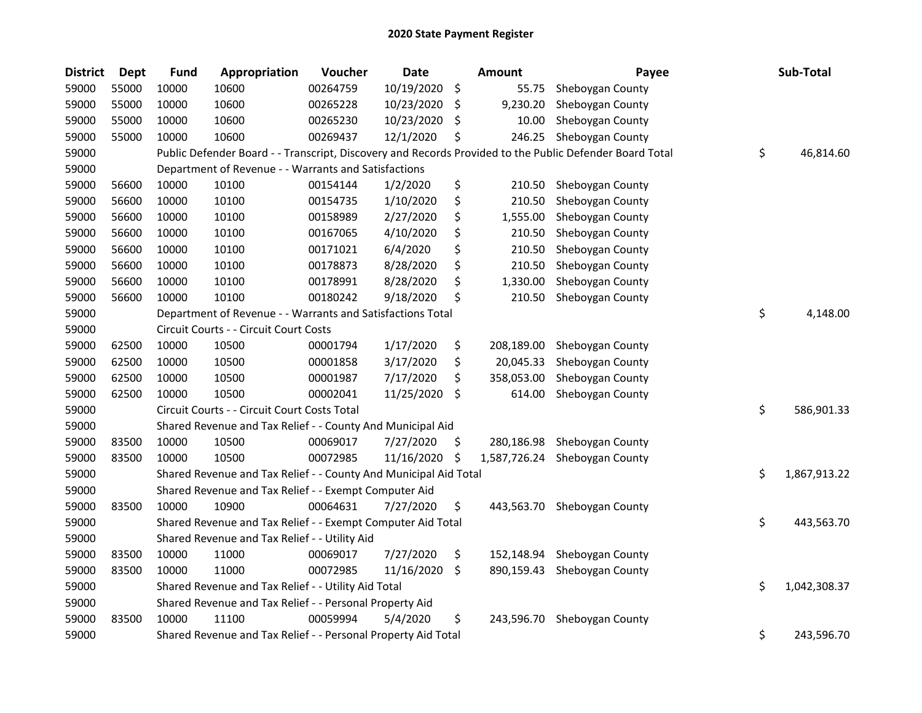| <b>District</b> | Dept  | <b>Fund</b> | Appropriation                                                    | Voucher  | Date       |     | <b>Amount</b> | Payee                                                                                                   | Sub-Total          |
|-----------------|-------|-------------|------------------------------------------------------------------|----------|------------|-----|---------------|---------------------------------------------------------------------------------------------------------|--------------------|
| 59000           | 55000 | 10000       | 10600                                                            | 00264759 | 10/19/2020 | \$  | 55.75         | Sheboygan County                                                                                        |                    |
| 59000           | 55000 | 10000       | 10600                                                            | 00265228 | 10/23/2020 | \$. | 9,230.20      | Sheboygan County                                                                                        |                    |
| 59000           | 55000 | 10000       | 10600                                                            | 00265230 | 10/23/2020 | \$  | 10.00         | Sheboygan County                                                                                        |                    |
| 59000           | 55000 | 10000       | 10600                                                            | 00269437 | 12/1/2020  | \$  | 246.25        | Sheboygan County                                                                                        |                    |
| 59000           |       |             |                                                                  |          |            |     |               | Public Defender Board - - Transcript, Discovery and Records Provided to the Public Defender Board Total | \$<br>46,814.60    |
| 59000           |       |             | Department of Revenue - - Warrants and Satisfactions             |          |            |     |               |                                                                                                         |                    |
| 59000           | 56600 | 10000       | 10100                                                            | 00154144 | 1/2/2020   | \$  | 210.50        | Sheboygan County                                                                                        |                    |
| 59000           | 56600 | 10000       | 10100                                                            | 00154735 | 1/10/2020  | \$  | 210.50        | Sheboygan County                                                                                        |                    |
| 59000           | 56600 | 10000       | 10100                                                            | 00158989 | 2/27/2020  | \$  | 1,555.00      | Sheboygan County                                                                                        |                    |
| 59000           | 56600 | 10000       | 10100                                                            | 00167065 | 4/10/2020  | \$  | 210.50        | Sheboygan County                                                                                        |                    |
| 59000           | 56600 | 10000       | 10100                                                            | 00171021 | 6/4/2020   | \$  | 210.50        | Sheboygan County                                                                                        |                    |
| 59000           | 56600 | 10000       | 10100                                                            | 00178873 | 8/28/2020  | \$  | 210.50        | Sheboygan County                                                                                        |                    |
| 59000           | 56600 | 10000       | 10100                                                            | 00178991 | 8/28/2020  | \$  | 1,330.00      | Sheboygan County                                                                                        |                    |
| 59000           | 56600 | 10000       | 10100                                                            | 00180242 | 9/18/2020  | \$  | 210.50        | Sheboygan County                                                                                        |                    |
| 59000           |       |             | Department of Revenue - - Warrants and Satisfactions Total       |          |            |     |               |                                                                                                         | \$<br>4,148.00     |
| 59000           |       |             | Circuit Courts - - Circuit Court Costs                           |          |            |     |               |                                                                                                         |                    |
| 59000           | 62500 | 10000       | 10500                                                            | 00001794 | 1/17/2020  | \$  | 208,189.00    | Sheboygan County                                                                                        |                    |
| 59000           | 62500 | 10000       | 10500                                                            | 00001858 | 3/17/2020  | \$  | 20,045.33     | Sheboygan County                                                                                        |                    |
| 59000           | 62500 | 10000       | 10500                                                            | 00001987 | 7/17/2020  | \$  | 358,053.00    | Sheboygan County                                                                                        |                    |
| 59000           | 62500 | 10000       | 10500                                                            | 00002041 | 11/25/2020 | \$  | 614.00        | Sheboygan County                                                                                        |                    |
| 59000           |       |             | Circuit Courts - - Circuit Court Costs Total                     |          |            |     |               |                                                                                                         | \$<br>586,901.33   |
| 59000           |       |             | Shared Revenue and Tax Relief - - County And Municipal Aid       |          |            |     |               |                                                                                                         |                    |
| 59000           | 83500 | 10000       | 10500                                                            | 00069017 | 7/27/2020  | Ş.  | 280,186.98    | Sheboygan County                                                                                        |                    |
| 59000           | 83500 | 10000       | 10500                                                            | 00072985 | 11/16/2020 | \$  | 1,587,726.24  | Sheboygan County                                                                                        |                    |
| 59000           |       |             | Shared Revenue and Tax Relief - - County And Municipal Aid Total |          |            |     |               |                                                                                                         | \$<br>1,867,913.22 |
| 59000           |       |             | Shared Revenue and Tax Relief - - Exempt Computer Aid            |          |            |     |               |                                                                                                         |                    |
| 59000           | 83500 | 10000       | 10900                                                            | 00064631 | 7/27/2020  | \$  | 443,563.70    | Sheboygan County                                                                                        |                    |
| 59000           |       |             | Shared Revenue and Tax Relief - - Exempt Computer Aid Total      |          |            |     |               |                                                                                                         | \$<br>443,563.70   |
| 59000           |       |             | Shared Revenue and Tax Relief - - Utility Aid                    |          |            |     |               |                                                                                                         |                    |
| 59000           | 83500 | 10000       | 11000                                                            | 00069017 | 7/27/2020  | \$  | 152,148.94    | Sheboygan County                                                                                        |                    |
| 59000           | 83500 | 10000       | 11000                                                            | 00072985 | 11/16/2020 | \$  | 890,159.43    | Sheboygan County                                                                                        |                    |
| 59000           |       |             | Shared Revenue and Tax Relief - - Utility Aid Total              |          |            |     |               |                                                                                                         | \$<br>1,042,308.37 |
| 59000           |       |             | Shared Revenue and Tax Relief - - Personal Property Aid          |          |            |     |               |                                                                                                         |                    |
| 59000           | 83500 | 10000       | 11100                                                            | 00059994 | 5/4/2020   | \$  | 243,596.70    | Sheboygan County                                                                                        |                    |
| 59000           |       |             | Shared Revenue and Tax Relief - - Personal Property Aid Total    |          |            |     |               |                                                                                                         | \$<br>243,596.70   |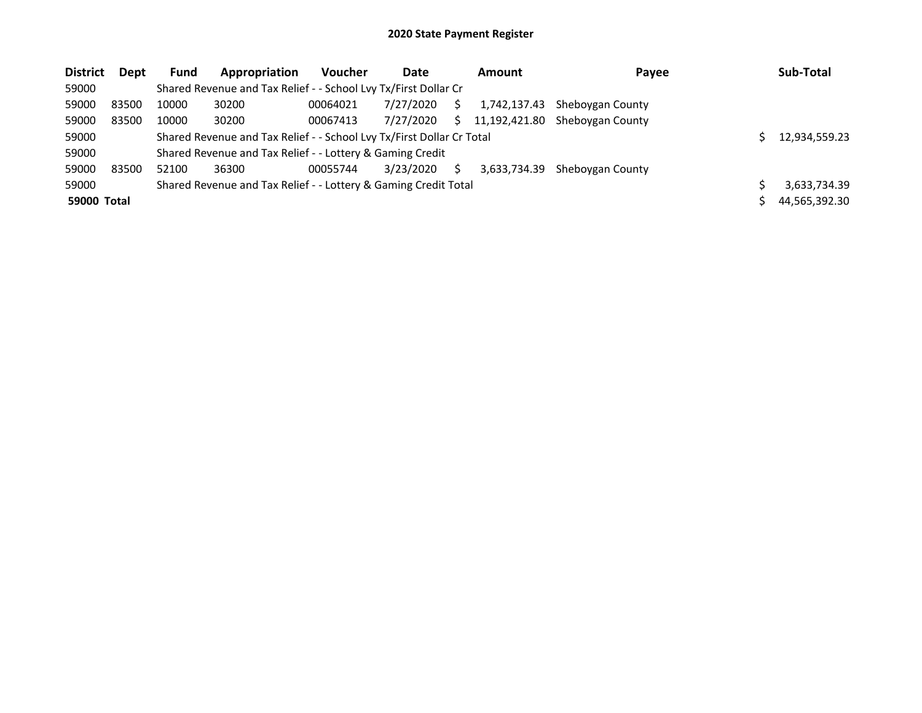| <b>District</b> | <b>Dept</b> | <b>Fund</b> | Appropriation                                                         | <b>Voucher</b> | Date      |    | Amount        | Payee            | Sub-Total     |
|-----------------|-------------|-------------|-----------------------------------------------------------------------|----------------|-----------|----|---------------|------------------|---------------|
| 59000           |             |             | Shared Revenue and Tax Relief - - School Lvy Tx/First Dollar Cr       |                |           |    |               |                  |               |
| 59000           | 83500       | 10000       | 30200                                                                 | 00064021       | 7/27/2020 | S  | 1,742,137.43  | Sheboygan County |               |
| 59000           | 83500       | 10000       | 30200                                                                 | 00067413       | 7/27/2020 | Ś. | 11,192,421.80 | Sheboygan County |               |
| 59000           |             |             | Shared Revenue and Tax Relief - - School Lvy Tx/First Dollar Cr Total |                |           |    |               |                  | 12,934,559.23 |
| 59000           |             |             | Shared Revenue and Tax Relief - - Lottery & Gaming Credit             |                |           |    |               |                  |               |
| 59000           | 83500       | 52100       | 36300                                                                 | 00055744       | 3/23/2020 | S. | 3.633.734.39  | Sheboygan County |               |
| 59000           |             |             | Shared Revenue and Tax Relief - - Lottery & Gaming Credit Total       |                |           |    |               |                  | 3,633,734.39  |
| 59000 Total     |             |             |                                                                       |                |           |    |               |                  | 44,565,392.30 |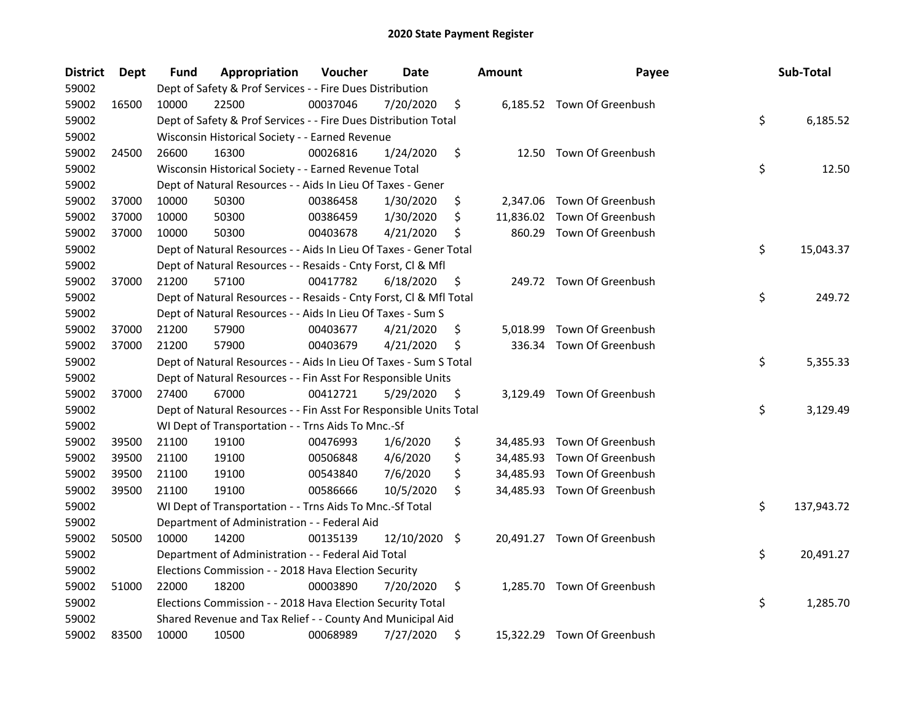| <b>District</b> | Dept  | Fund  | Appropriation                                                      | Voucher  | Date          | <b>Amount</b>  | Payee                       | Sub-Total        |
|-----------------|-------|-------|--------------------------------------------------------------------|----------|---------------|----------------|-----------------------------|------------------|
| 59002           |       |       | Dept of Safety & Prof Services - - Fire Dues Distribution          |          |               |                |                             |                  |
| 59002           | 16500 | 10000 | 22500                                                              | 00037046 | 7/20/2020     | \$             | 6,185.52 Town Of Greenbush  |                  |
| 59002           |       |       | Dept of Safety & Prof Services - - Fire Dues Distribution Total    |          |               |                |                             | \$<br>6,185.52   |
| 59002           |       |       | Wisconsin Historical Society - - Earned Revenue                    |          |               |                |                             |                  |
| 59002           | 24500 | 26600 | 16300                                                              | 00026816 | 1/24/2020     | \$             | 12.50 Town Of Greenbush     |                  |
| 59002           |       |       | Wisconsin Historical Society - - Earned Revenue Total              |          |               |                |                             | \$<br>12.50      |
| 59002           |       |       | Dept of Natural Resources - - Aids In Lieu Of Taxes - Gener        |          |               |                |                             |                  |
| 59002           | 37000 | 10000 | 50300                                                              | 00386458 | 1/30/2020     | \$             | 2,347.06 Town Of Greenbush  |                  |
| 59002           | 37000 | 10000 | 50300                                                              | 00386459 | 1/30/2020     | \$             | 11,836.02 Town Of Greenbush |                  |
| 59002           | 37000 | 10000 | 50300                                                              | 00403678 | 4/21/2020     | \$             | 860.29 Town Of Greenbush    |                  |
| 59002           |       |       | Dept of Natural Resources - - Aids In Lieu Of Taxes - Gener Total  |          |               |                |                             | \$<br>15,043.37  |
| 59002           |       |       | Dept of Natural Resources - - Resaids - Cnty Forst, Cl & Mfl       |          |               |                |                             |                  |
| 59002           | 37000 | 21200 | 57100                                                              | 00417782 | 6/18/2020     | \$             | 249.72 Town Of Greenbush    |                  |
| 59002           |       |       | Dept of Natural Resources - - Resaids - Cnty Forst, Cl & Mfl Total |          |               |                |                             | \$<br>249.72     |
| 59002           |       |       | Dept of Natural Resources - - Aids In Lieu Of Taxes - Sum S        |          |               |                |                             |                  |
| 59002           | 37000 | 21200 | 57900                                                              | 00403677 | 4/21/2020     | \$<br>5,018.99 | Town Of Greenbush           |                  |
| 59002           | 37000 | 21200 | 57900                                                              | 00403679 | 4/21/2020     | \$             | 336.34 Town Of Greenbush    |                  |
| 59002           |       |       | Dept of Natural Resources - - Aids In Lieu Of Taxes - Sum S Total  |          |               |                |                             | \$<br>5,355.33   |
| 59002           |       |       | Dept of Natural Resources - - Fin Asst For Responsible Units       |          |               |                |                             |                  |
| 59002           | 37000 | 27400 | 67000                                                              | 00412721 | 5/29/2020     | \$             | 3,129.49 Town Of Greenbush  |                  |
| 59002           |       |       | Dept of Natural Resources - - Fin Asst For Responsible Units Total |          |               |                |                             | \$<br>3,129.49   |
| 59002           |       |       | WI Dept of Transportation - - Trns Aids To Mnc.-Sf                 |          |               |                |                             |                  |
| 59002           | 39500 | 21100 | 19100                                                              | 00476993 | 1/6/2020      | \$             | 34,485.93 Town Of Greenbush |                  |
| 59002           | 39500 | 21100 | 19100                                                              | 00506848 | 4/6/2020      | \$             | 34,485.93 Town Of Greenbush |                  |
| 59002           | 39500 | 21100 | 19100                                                              | 00543840 | 7/6/2020      | \$             | 34,485.93 Town Of Greenbush |                  |
| 59002           | 39500 | 21100 | 19100                                                              | 00586666 | 10/5/2020     | \$             | 34,485.93 Town Of Greenbush |                  |
| 59002           |       |       | WI Dept of Transportation - - Trns Aids To Mnc.-Sf Total           |          |               |                |                             | \$<br>137,943.72 |
| 59002           |       |       | Department of Administration - - Federal Aid                       |          |               |                |                             |                  |
| 59002           | 50500 | 10000 | 14200                                                              | 00135139 | 12/10/2020 \$ |                | 20,491.27 Town Of Greenbush |                  |
| 59002           |       |       | Department of Administration - - Federal Aid Total                 |          |               |                |                             | \$<br>20,491.27  |
| 59002           |       |       | Elections Commission - - 2018 Hava Election Security               |          |               |                |                             |                  |
| 59002           | 51000 | 22000 | 18200                                                              | 00003890 | 7/20/2020     | \$             | 1,285.70 Town Of Greenbush  |                  |
| 59002           |       |       | Elections Commission - - 2018 Hava Election Security Total         |          |               |                |                             | \$<br>1,285.70   |
| 59002           |       |       | Shared Revenue and Tax Relief - - County And Municipal Aid         |          |               |                |                             |                  |
| 59002           | 83500 | 10000 | 10500                                                              | 00068989 | 7/27/2020     | \$             | 15,322.29 Town Of Greenbush |                  |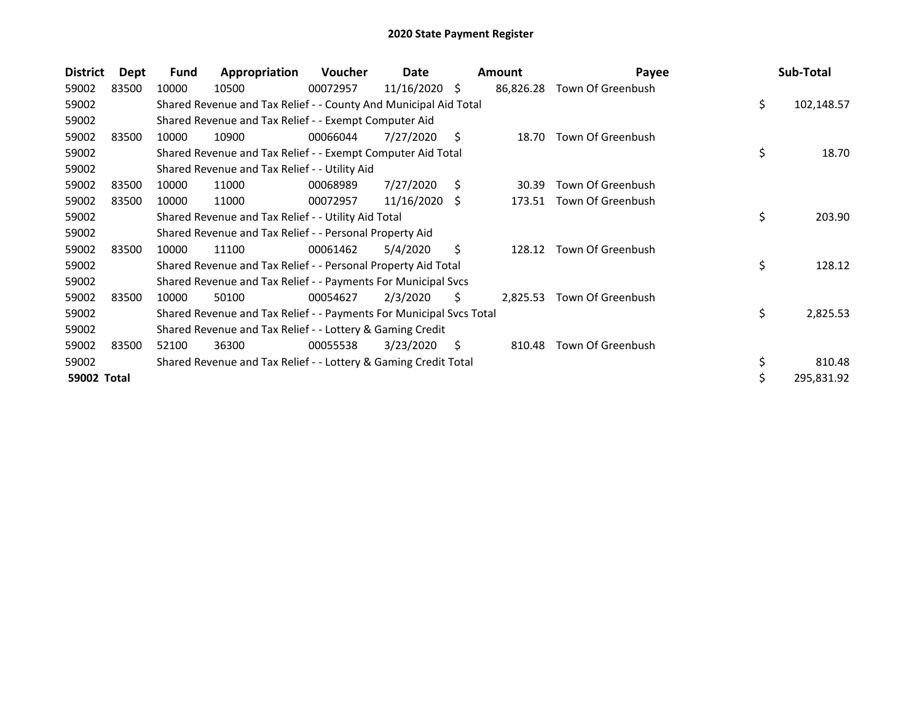| <b>District</b> | <b>Dept</b> | Fund  | Appropriation                                                       | <b>Voucher</b> | Date            |    | <b>Amount</b> | Payee             | Sub-Total        |
|-----------------|-------------|-------|---------------------------------------------------------------------|----------------|-----------------|----|---------------|-------------------|------------------|
| 59002           | 83500       | 10000 | 10500                                                               | 00072957       | $11/16/2020$ \$ |    | 86,826.28     | Town Of Greenbush |                  |
| 59002           |             |       | Shared Revenue and Tax Relief - - County And Municipal Aid Total    |                |                 |    |               |                   | \$<br>102,148.57 |
| 59002           |             |       | Shared Revenue and Tax Relief - - Exempt Computer Aid               |                |                 |    |               |                   |                  |
| 59002           | 83500       | 10000 | 10900                                                               | 00066044       | 7/27/2020       | S  | 18.70         | Town Of Greenbush |                  |
| 59002           |             |       | Shared Revenue and Tax Relief - - Exempt Computer Aid Total         |                |                 |    |               |                   | \$<br>18.70      |
| 59002           |             |       | Shared Revenue and Tax Relief - - Utility Aid                       |                |                 |    |               |                   |                  |
| 59002           | 83500       | 10000 | 11000                                                               | 00068989       | 7/27/2020       | S  | 30.39         | Town Of Greenbush |                  |
| 59002           | 83500       | 10000 | 11000                                                               | 00072957       | 11/16/2020 \$   |    | 173.51        | Town Of Greenbush |                  |
| 59002           |             |       | Shared Revenue and Tax Relief - - Utility Aid Total                 |                |                 |    |               |                   | \$<br>203.90     |
| 59002           |             |       | Shared Revenue and Tax Relief - - Personal Property Aid             |                |                 |    |               |                   |                  |
| 59002           | 83500       | 10000 | 11100                                                               | 00061462       | 5/4/2020        | Ŝ. | 128.12        | Town Of Greenbush |                  |
| 59002           |             |       | Shared Revenue and Tax Relief - - Personal Property Aid Total       |                |                 |    |               |                   | \$<br>128.12     |
| 59002           |             |       | Shared Revenue and Tax Relief - - Payments For Municipal Svcs       |                |                 |    |               |                   |                  |
| 59002           | 83500       | 10000 | 50100                                                               | 00054627       | 2/3/2020        | Ś. | 2,825.53      | Town Of Greenbush |                  |
| 59002           |             |       | Shared Revenue and Tax Relief - - Payments For Municipal Svcs Total |                |                 |    |               |                   | \$<br>2,825.53   |
| 59002           |             |       | Shared Revenue and Tax Relief - - Lottery & Gaming Credit           |                |                 |    |               |                   |                  |
| 59002           | 83500       | 52100 | 36300                                                               | 00055538       | 3/23/2020       | S  | 810.48        | Town Of Greenbush |                  |
| 59002           |             |       | Shared Revenue and Tax Relief - - Lottery & Gaming Credit Total     |                |                 |    |               |                   | \$<br>810.48     |
| 59002 Total     |             |       |                                                                     |                |                 |    |               |                   | \$<br>295,831.92 |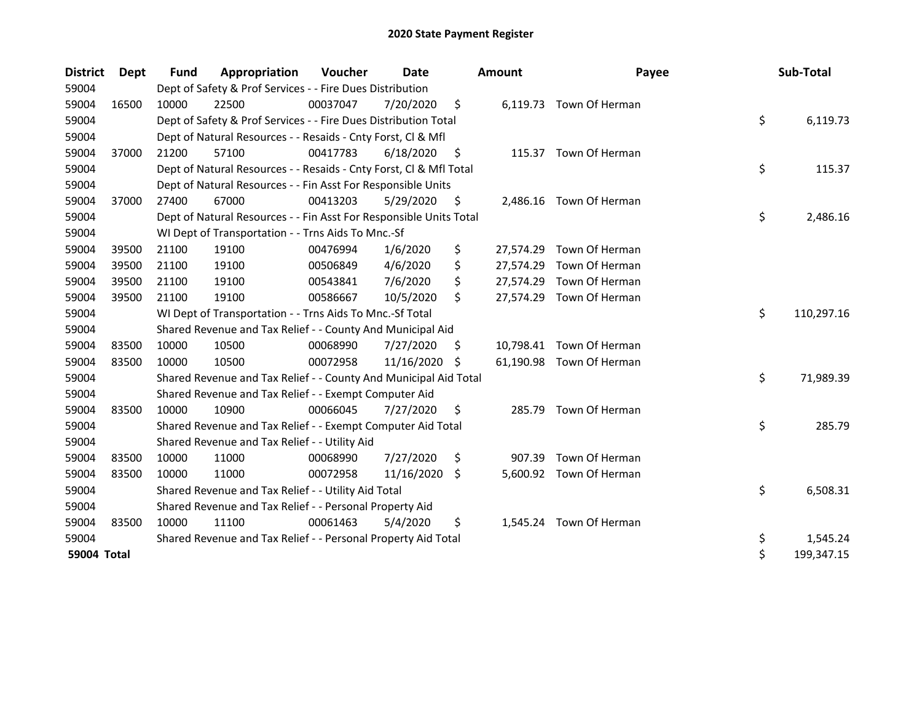| <b>District</b> | <b>Dept</b> | <b>Fund</b> | Appropriation                                                      | Voucher  | Date       |     | <b>Amount</b> | Payee                    | Sub-Total        |
|-----------------|-------------|-------------|--------------------------------------------------------------------|----------|------------|-----|---------------|--------------------------|------------------|
| 59004           |             |             | Dept of Safety & Prof Services - - Fire Dues Distribution          |          |            |     |               |                          |                  |
| 59004           | 16500       | 10000       | 22500                                                              | 00037047 | 7/20/2020  | \$  |               | 6,119.73 Town Of Herman  |                  |
| 59004           |             |             | Dept of Safety & Prof Services - - Fire Dues Distribution Total    |          |            |     |               |                          | \$<br>6,119.73   |
| 59004           |             |             | Dept of Natural Resources - - Resaids - Cnty Forst, Cl & Mfl       |          |            |     |               |                          |                  |
| 59004           | 37000       | 21200       | 57100                                                              | 00417783 | 6/18/2020  | -\$ |               | 115.37 Town Of Herman    |                  |
| 59004           |             |             | Dept of Natural Resources - - Resaids - Cnty Forst, Cl & Mfl Total |          |            |     |               |                          | \$<br>115.37     |
| 59004           |             |             | Dept of Natural Resources - - Fin Asst For Responsible Units       |          |            |     |               |                          |                  |
| 59004           | 37000       | 27400       | 67000                                                              | 00413203 | 5/29/2020  | \$  | 2,486.16      | Town Of Herman           |                  |
| 59004           |             |             | Dept of Natural Resources - - Fin Asst For Responsible Units Total |          |            |     |               |                          | \$<br>2,486.16   |
| 59004           |             |             | WI Dept of Transportation - - Trns Aids To Mnc.-Sf                 |          |            |     |               |                          |                  |
| 59004           | 39500       | 21100       | 19100                                                              | 00476994 | 1/6/2020   | \$  |               | 27,574.29 Town Of Herman |                  |
| 59004           | 39500       | 21100       | 19100                                                              | 00506849 | 4/6/2020   | \$  | 27,574.29     | Town Of Herman           |                  |
| 59004           | 39500       | 21100       | 19100                                                              | 00543841 | 7/6/2020   | \$  |               | 27,574.29 Town Of Herman |                  |
| 59004           | 39500       | 21100       | 19100                                                              | 00586667 | 10/5/2020  | \$  |               | 27,574.29 Town Of Herman |                  |
| 59004           |             |             | WI Dept of Transportation - - Trns Aids To Mnc.-Sf Total           |          |            |     |               |                          | \$<br>110,297.16 |
| 59004           |             |             | Shared Revenue and Tax Relief - - County And Municipal Aid         |          |            |     |               |                          |                  |
| 59004           | 83500       | 10000       | 10500                                                              | 00068990 | 7/27/2020  | \$. |               | 10,798.41 Town Of Herman |                  |
| 59004           | 83500       | 10000       | 10500                                                              | 00072958 | 11/16/2020 | -S  |               | 61,190.98 Town Of Herman |                  |
| 59004           |             |             | Shared Revenue and Tax Relief - - County And Municipal Aid Total   |          |            |     |               |                          | \$<br>71,989.39  |
| 59004           |             |             | Shared Revenue and Tax Relief - - Exempt Computer Aid              |          |            |     |               |                          |                  |
| 59004           | 83500       | 10000       | 10900                                                              | 00066045 | 7/27/2020  | \$  | 285.79        | Town Of Herman           |                  |
| 59004           |             |             | Shared Revenue and Tax Relief - - Exempt Computer Aid Total        |          |            |     |               |                          | \$<br>285.79     |
| 59004           |             |             | Shared Revenue and Tax Relief - - Utility Aid                      |          |            |     |               |                          |                  |
| 59004           | 83500       | 10000       | 11000                                                              | 00068990 | 7/27/2020  | \$  | 907.39        | Town Of Herman           |                  |
| 59004           | 83500       | 10000       | 11000                                                              | 00072958 | 11/16/2020 | \$  |               | 5,600.92 Town Of Herman  |                  |
| 59004           |             |             | Shared Revenue and Tax Relief - - Utility Aid Total                |          |            |     |               |                          | \$<br>6,508.31   |
| 59004           |             |             | Shared Revenue and Tax Relief - - Personal Property Aid            |          |            |     |               |                          |                  |
| 59004           | 83500       | 10000       | 11100                                                              | 00061463 | 5/4/2020   | \$  |               | 1,545.24 Town Of Herman  |                  |
| 59004           |             |             | Shared Revenue and Tax Relief - - Personal Property Aid Total      |          |            |     |               |                          | \$<br>1,545.24   |
| 59004 Total     |             |             |                                                                    |          |            |     |               |                          | \$<br>199,347.15 |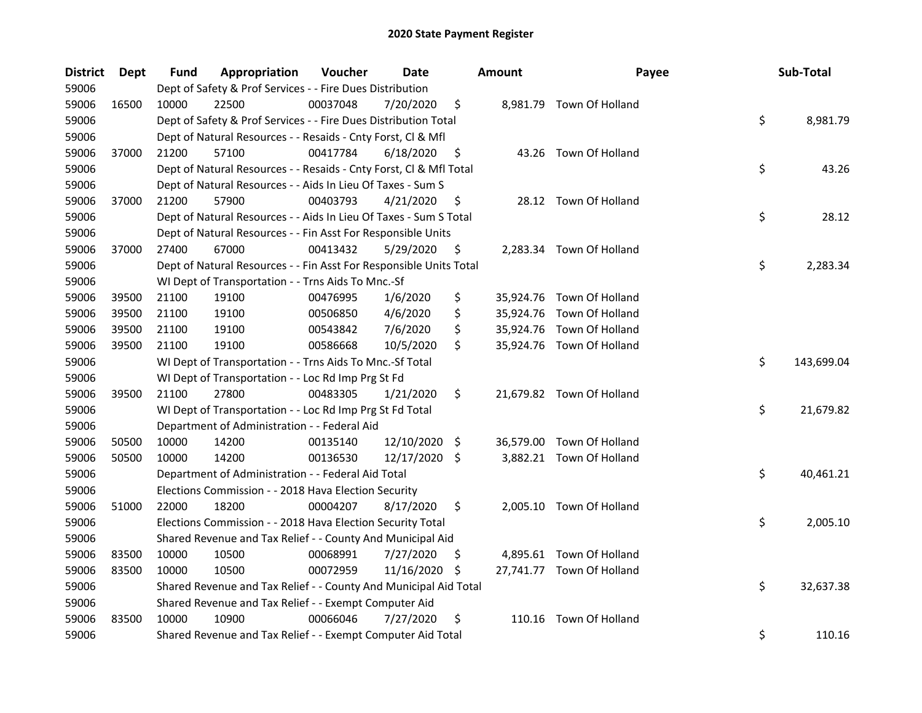| <b>District</b> | Dept  | Fund  | Appropriation                                                      | Voucher  | Date            |     | <b>Amount</b> | Payee                     | Sub-Total        |
|-----------------|-------|-------|--------------------------------------------------------------------|----------|-----------------|-----|---------------|---------------------------|------------------|
| 59006           |       |       | Dept of Safety & Prof Services - - Fire Dues Distribution          |          |                 |     |               |                           |                  |
| 59006           | 16500 | 10000 | 22500                                                              | 00037048 | 7/20/2020       | \$  |               | 8,981.79 Town Of Holland  |                  |
| 59006           |       |       | Dept of Safety & Prof Services - - Fire Dues Distribution Total    |          |                 |     |               |                           | \$<br>8,981.79   |
| 59006           |       |       | Dept of Natural Resources - - Resaids - Cnty Forst, Cl & Mfl       |          |                 |     |               |                           |                  |
| 59006           | 37000 | 21200 | 57100                                                              | 00417784 | 6/18/2020       | \$  |               | 43.26 Town Of Holland     |                  |
| 59006           |       |       | Dept of Natural Resources - - Resaids - Cnty Forst, Cl & Mfl Total |          |                 |     |               |                           | \$<br>43.26      |
| 59006           |       |       | Dept of Natural Resources - - Aids In Lieu Of Taxes - Sum S        |          |                 |     |               |                           |                  |
| 59006           | 37000 | 21200 | 57900                                                              | 00403793 | 4/21/2020       | \$  |               | 28.12 Town Of Holland     |                  |
| 59006           |       |       | Dept of Natural Resources - - Aids In Lieu Of Taxes - Sum S Total  |          |                 |     |               |                           | \$<br>28.12      |
| 59006           |       |       | Dept of Natural Resources - - Fin Asst For Responsible Units       |          |                 |     |               |                           |                  |
| 59006           | 37000 | 27400 | 67000                                                              | 00413432 | 5/29/2020       | Ş.  |               | 2,283.34 Town Of Holland  |                  |
| 59006           |       |       | Dept of Natural Resources - - Fin Asst For Responsible Units Total |          |                 |     |               |                           | \$<br>2,283.34   |
| 59006           |       |       | WI Dept of Transportation - - Trns Aids To Mnc.-Sf                 |          |                 |     |               |                           |                  |
| 59006           | 39500 | 21100 | 19100                                                              | 00476995 | 1/6/2020        | \$  |               | 35,924.76 Town Of Holland |                  |
| 59006           | 39500 | 21100 | 19100                                                              | 00506850 | 4/6/2020        | \$  |               | 35,924.76 Town Of Holland |                  |
| 59006           | 39500 | 21100 | 19100                                                              | 00543842 | 7/6/2020        | \$  |               | 35,924.76 Town Of Holland |                  |
| 59006           | 39500 | 21100 | 19100                                                              | 00586668 | 10/5/2020       | \$  |               | 35,924.76 Town Of Holland |                  |
| 59006           |       |       | WI Dept of Transportation - - Trns Aids To Mnc.-Sf Total           |          |                 |     |               |                           | \$<br>143,699.04 |
| 59006           |       |       | WI Dept of Transportation - - Loc Rd Imp Prg St Fd                 |          |                 |     |               |                           |                  |
| 59006           | 39500 | 21100 | 27800                                                              | 00483305 | 1/21/2020       | \$  |               | 21,679.82 Town Of Holland |                  |
| 59006           |       |       | WI Dept of Transportation - - Loc Rd Imp Prg St Fd Total           |          |                 |     |               |                           | \$<br>21,679.82  |
| 59006           |       |       | Department of Administration - - Federal Aid                       |          |                 |     |               |                           |                  |
| 59006           | 50500 | 10000 | 14200                                                              | 00135140 | $12/10/2020$ \$ |     |               | 36,579.00 Town Of Holland |                  |
| 59006           | 50500 | 10000 | 14200                                                              | 00136530 | 12/17/2020 \$   |     |               | 3,882.21 Town Of Holland  |                  |
| 59006           |       |       | Department of Administration - - Federal Aid Total                 |          |                 |     |               |                           | \$<br>40,461.21  |
| 59006           |       |       | Elections Commission - - 2018 Hava Election Security               |          |                 |     |               |                           |                  |
| 59006           | 51000 | 22000 | 18200                                                              | 00004207 | 8/17/2020       | \$  |               | 2,005.10 Town Of Holland  |                  |
| 59006           |       |       | Elections Commission - - 2018 Hava Election Security Total         |          |                 |     |               |                           | \$<br>2,005.10   |
| 59006           |       |       | Shared Revenue and Tax Relief - - County And Municipal Aid         |          |                 |     |               |                           |                  |
| 59006           | 83500 | 10000 | 10500                                                              | 00068991 | 7/27/2020       | \$. |               | 4,895.61 Town Of Holland  |                  |
| 59006           | 83500 | 10000 | 10500                                                              | 00072959 | 11/16/2020      | S   |               | 27,741.77 Town Of Holland |                  |
| 59006           |       |       | Shared Revenue and Tax Relief - - County And Municipal Aid Total   |          |                 |     |               |                           | \$<br>32,637.38  |
| 59006           |       |       | Shared Revenue and Tax Relief - - Exempt Computer Aid              |          |                 |     |               |                           |                  |
| 59006           | 83500 | 10000 | 10900                                                              | 00066046 | 7/27/2020       | \$  |               | 110.16 Town Of Holland    |                  |
| 59006           |       |       | Shared Revenue and Tax Relief - - Exempt Computer Aid Total        |          |                 |     |               |                           | \$<br>110.16     |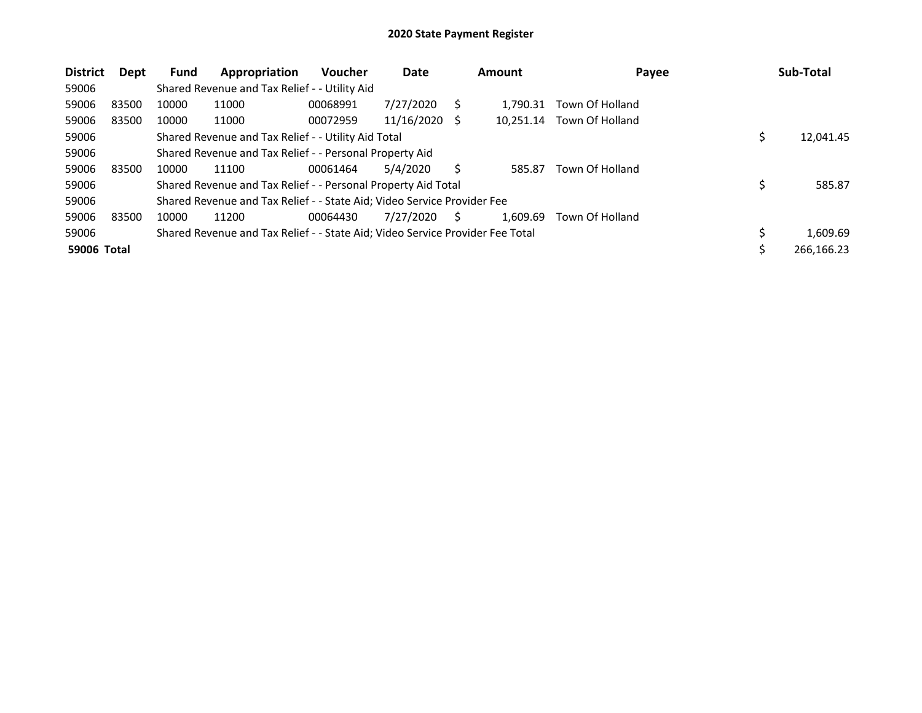| <b>District</b> | Dept  | <b>Fund</b> | Appropriation                                                                 | Voucher  | Date       |     | Amount    | Payee           | Sub-Total      |
|-----------------|-------|-------------|-------------------------------------------------------------------------------|----------|------------|-----|-----------|-----------------|----------------|
| 59006           |       |             | Shared Revenue and Tax Relief - - Utility Aid                                 |          |            |     |           |                 |                |
| 59006           | 83500 | 10000       | 11000                                                                         | 00068991 | 7/27/2020  |     | 1.790.31  | Town Of Holland |                |
| 59006           | 83500 | 10000       | 11000                                                                         | 00072959 | 11/16/2020 | - S | 10.251.14 | Town Of Holland |                |
| 59006           |       |             | Shared Revenue and Tax Relief - - Utility Aid Total                           |          |            |     |           |                 | 12,041.45      |
| 59006           |       |             | Shared Revenue and Tax Relief - - Personal Property Aid                       |          |            |     |           |                 |                |
| 59006           | 83500 | 10000       | 11100                                                                         | 00061464 | 5/4/2020   | S   | 585.87    | Town Of Holland |                |
| 59006           |       |             | Shared Revenue and Tax Relief - - Personal Property Aid Total                 |          |            |     |           |                 | 585.87         |
| 59006           |       |             | Shared Revenue and Tax Relief - - State Aid; Video Service Provider Fee       |          |            |     |           |                 |                |
| 59006           | 83500 | 10000       | 11200                                                                         | 00064430 | 7/27/2020  | S   | 1.609.69  | Town Of Holland |                |
| 59006           |       |             | Shared Revenue and Tax Relief - - State Aid; Video Service Provider Fee Total |          |            |     |           |                 | \$<br>1,609.69 |
| 59006 Total     |       |             |                                                                               |          |            |     |           |                 | 266,166.23     |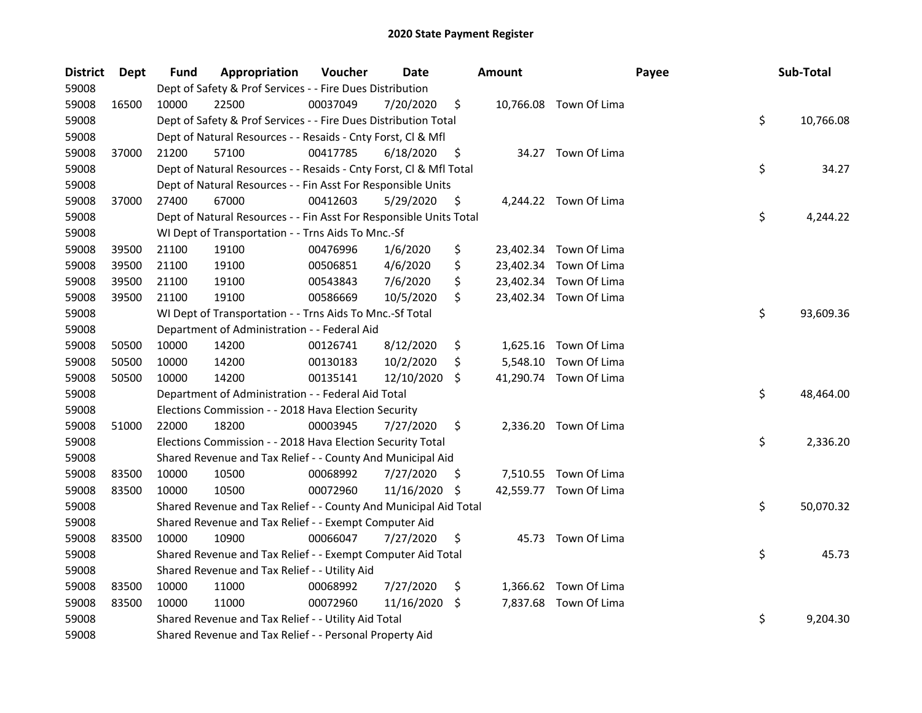| <b>District</b> | Dept  | <b>Fund</b> | Appropriation                                                      | Voucher  | Date          |     | <b>Amount</b> |                        | Payee | Sub-Total       |
|-----------------|-------|-------------|--------------------------------------------------------------------|----------|---------------|-----|---------------|------------------------|-------|-----------------|
| 59008           |       |             | Dept of Safety & Prof Services - - Fire Dues Distribution          |          |               |     |               |                        |       |                 |
| 59008           | 16500 | 10000       | 22500                                                              | 00037049 | 7/20/2020     | \$  |               | 10,766.08 Town Of Lima |       |                 |
| 59008           |       |             | Dept of Safety & Prof Services - - Fire Dues Distribution Total    |          |               |     |               |                        |       | \$<br>10,766.08 |
| 59008           |       |             | Dept of Natural Resources - - Resaids - Cnty Forst, Cl & Mfl       |          |               |     |               |                        |       |                 |
| 59008           | 37000 | 21200       | 57100                                                              | 00417785 | 6/18/2020     | \$  |               | 34.27 Town Of Lima     |       |                 |
| 59008           |       |             | Dept of Natural Resources - - Resaids - Cnty Forst, Cl & Mfl Total |          |               |     |               |                        |       | \$<br>34.27     |
| 59008           |       |             | Dept of Natural Resources - - Fin Asst For Responsible Units       |          |               |     |               |                        |       |                 |
| 59008           | 37000 | 27400       | 67000                                                              | 00412603 | 5/29/2020     | \$  |               | 4,244.22 Town Of Lima  |       |                 |
| 59008           |       |             | Dept of Natural Resources - - Fin Asst For Responsible Units Total |          |               |     |               |                        |       | \$<br>4,244.22  |
| 59008           |       |             | WI Dept of Transportation - - Trns Aids To Mnc.-Sf                 |          |               |     |               |                        |       |                 |
| 59008           | 39500 | 21100       | 19100                                                              | 00476996 | 1/6/2020      | \$  |               | 23,402.34 Town Of Lima |       |                 |
| 59008           | 39500 | 21100       | 19100                                                              | 00506851 | 4/6/2020      | \$  |               | 23,402.34 Town Of Lima |       |                 |
| 59008           | 39500 | 21100       | 19100                                                              | 00543843 | 7/6/2020      | \$  |               | 23,402.34 Town Of Lima |       |                 |
| 59008           | 39500 | 21100       | 19100                                                              | 00586669 | 10/5/2020     | \$  |               | 23,402.34 Town Of Lima |       |                 |
| 59008           |       |             | WI Dept of Transportation - - Trns Aids To Mnc.-Sf Total           |          |               |     |               |                        |       | \$<br>93,609.36 |
| 59008           |       |             | Department of Administration - - Federal Aid                       |          |               |     |               |                        |       |                 |
| 59008           | 50500 | 10000       | 14200                                                              | 00126741 | 8/12/2020     | \$  |               | 1,625.16 Town Of Lima  |       |                 |
| 59008           | 50500 | 10000       | 14200                                                              | 00130183 | 10/2/2020     | \$  |               | 5,548.10 Town Of Lima  |       |                 |
| 59008           | 50500 | 10000       | 14200                                                              | 00135141 | 12/10/2020    | -\$ |               | 41,290.74 Town Of Lima |       |                 |
| 59008           |       |             | Department of Administration - - Federal Aid Total                 |          |               |     |               |                        |       | \$<br>48,464.00 |
| 59008           |       |             | Elections Commission - - 2018 Hava Election Security               |          |               |     |               |                        |       |                 |
| 59008           | 51000 | 22000       | 18200                                                              | 00003945 | 7/27/2020     | \$  |               | 2,336.20 Town Of Lima  |       |                 |
| 59008           |       |             | Elections Commission - - 2018 Hava Election Security Total         |          |               |     |               |                        |       | \$<br>2,336.20  |
| 59008           |       |             | Shared Revenue and Tax Relief - - County And Municipal Aid         |          |               |     |               |                        |       |                 |
| 59008           | 83500 | 10000       | 10500                                                              | 00068992 | 7/27/2020     | -\$ |               | 7,510.55 Town Of Lima  |       |                 |
| 59008           | 83500 | 10000       | 10500                                                              | 00072960 | 11/16/2020 \$ |     |               | 42,559.77 Town Of Lima |       |                 |
| 59008           |       |             | Shared Revenue and Tax Relief - - County And Municipal Aid Total   |          |               |     |               |                        |       | \$<br>50,070.32 |
| 59008           |       |             | Shared Revenue and Tax Relief - - Exempt Computer Aid              |          |               |     |               |                        |       |                 |
| 59008           | 83500 | 10000       | 10900                                                              | 00066047 | 7/27/2020     | \$  |               | 45.73 Town Of Lima     |       |                 |
| 59008           |       |             | Shared Revenue and Tax Relief - - Exempt Computer Aid Total        |          |               |     |               |                        |       | \$<br>45.73     |
| 59008           |       |             | Shared Revenue and Tax Relief - - Utility Aid                      |          |               |     |               |                        |       |                 |
| 59008           | 83500 | 10000       | 11000                                                              | 00068992 | 7/27/2020     | \$  |               | 1,366.62 Town Of Lima  |       |                 |
| 59008           | 83500 | 10000       | 11000                                                              | 00072960 | 11/16/2020 \$ |     |               | 7,837.68 Town Of Lima  |       |                 |
| 59008           |       |             | Shared Revenue and Tax Relief - - Utility Aid Total                |          |               |     |               |                        |       | \$<br>9,204.30  |
| 59008           |       |             | Shared Revenue and Tax Relief - - Personal Property Aid            |          |               |     |               |                        |       |                 |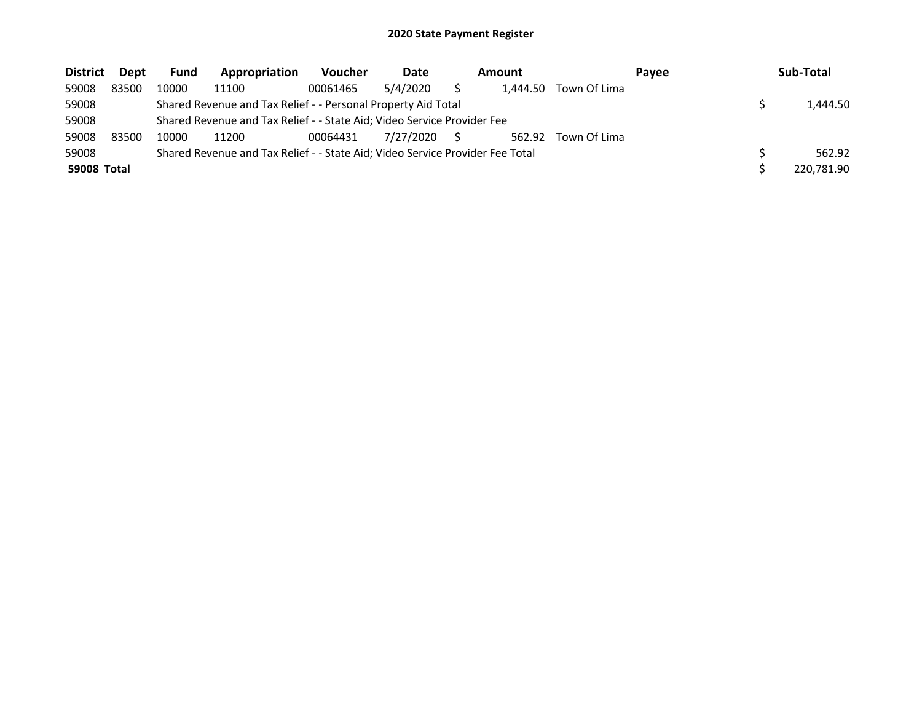| <b>District</b>    | Dept  | <b>Fund</b> | Appropriation                                                                 | <b>Voucher</b> | Date      | Amount   |              | Payee | Sub-Total  |
|--------------------|-------|-------------|-------------------------------------------------------------------------------|----------------|-----------|----------|--------------|-------|------------|
| 59008              | 83500 | 10000       | 11100                                                                         | 00061465       | 5/4/2020  | 1.444.50 | Town Of Lima |       |            |
| 59008              |       |             | Shared Revenue and Tax Relief - - Personal Property Aid Total                 |                |           |          |              |       | 1,444.50   |
| 59008              |       |             | Shared Revenue and Tax Relief - - State Aid; Video Service Provider Fee       |                |           |          |              |       |            |
| 59008              | 83500 | 10000       | 11200                                                                         | 00064431       | 7/27/2020 | 562.92   | Town Of Lima |       |            |
| 59008              |       |             | Shared Revenue and Tax Relief - - State Aid; Video Service Provider Fee Total |                |           |          |              |       | 562.92     |
| <b>59008 Total</b> |       |             |                                                                               |                |           |          |              |       | 220,781.90 |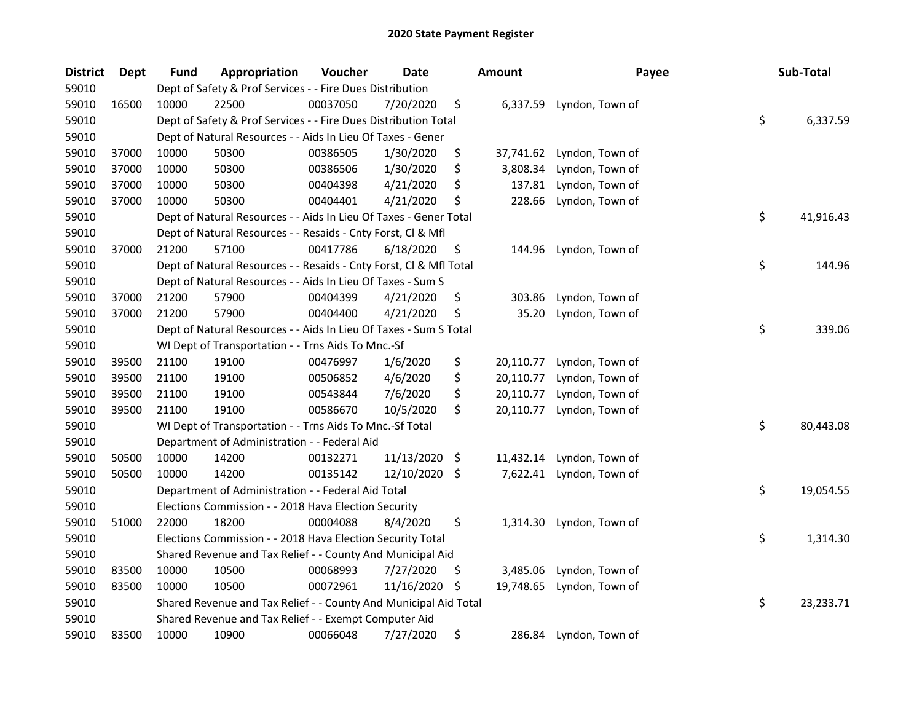| <b>District</b> | <b>Dept</b> | Fund  | Appropriation                                                      | Voucher  | <b>Date</b> |      | Amount    | Payee                  | Sub-Total       |
|-----------------|-------------|-------|--------------------------------------------------------------------|----------|-------------|------|-----------|------------------------|-----------------|
| 59010           |             |       | Dept of Safety & Prof Services - - Fire Dues Distribution          |          |             |      |           |                        |                 |
| 59010           | 16500       | 10000 | 22500                                                              | 00037050 | 7/20/2020   | \$   | 6,337.59  | Lyndon, Town of        |                 |
| 59010           |             |       | Dept of Safety & Prof Services - - Fire Dues Distribution Total    |          |             |      |           |                        | \$<br>6,337.59  |
| 59010           |             |       | Dept of Natural Resources - - Aids In Lieu Of Taxes - Gener        |          |             |      |           |                        |                 |
| 59010           | 37000       | 10000 | 50300                                                              | 00386505 | 1/30/2020   | \$   | 37,741.62 | Lyndon, Town of        |                 |
| 59010           | 37000       | 10000 | 50300                                                              | 00386506 | 1/30/2020   | \$   | 3,808.34  | Lyndon, Town of        |                 |
| 59010           | 37000       | 10000 | 50300                                                              | 00404398 | 4/21/2020   | \$   | 137.81    | Lyndon, Town of        |                 |
| 59010           | 37000       | 10000 | 50300                                                              | 00404401 | 4/21/2020   | \$   | 228.66    | Lyndon, Town of        |                 |
| 59010           |             |       | Dept of Natural Resources - - Aids In Lieu Of Taxes - Gener Total  |          |             |      |           |                        | \$<br>41,916.43 |
| 59010           |             |       | Dept of Natural Resources - - Resaids - Cnty Forst, Cl & Mfl       |          |             |      |           |                        |                 |
| 59010           | 37000       | 21200 | 57100                                                              | 00417786 | 6/18/2020   | \$   | 144.96    | Lyndon, Town of        |                 |
| 59010           |             |       | Dept of Natural Resources - - Resaids - Cnty Forst, Cl & Mfl Total |          |             |      |           |                        | \$<br>144.96    |
| 59010           |             |       | Dept of Natural Resources - - Aids In Lieu Of Taxes - Sum S        |          |             |      |           |                        |                 |
| 59010           | 37000       | 21200 | 57900                                                              | 00404399 | 4/21/2020   | \$   | 303.86    | Lyndon, Town of        |                 |
| 59010           | 37000       | 21200 | 57900                                                              | 00404400 | 4/21/2020   | \$   | 35.20     | Lyndon, Town of        |                 |
| 59010           |             |       | Dept of Natural Resources - - Aids In Lieu Of Taxes - Sum S Total  |          |             |      |           |                        | \$<br>339.06    |
| 59010           |             |       | WI Dept of Transportation - - Trns Aids To Mnc.-Sf                 |          |             |      |           |                        |                 |
| 59010           | 39500       | 21100 | 19100                                                              | 00476997 | 1/6/2020    | \$   | 20,110.77 | Lyndon, Town of        |                 |
| 59010           | 39500       | 21100 | 19100                                                              | 00506852 | 4/6/2020    | \$   | 20,110.77 | Lyndon, Town of        |                 |
| 59010           | 39500       | 21100 | 19100                                                              | 00543844 | 7/6/2020    | \$   | 20,110.77 | Lyndon, Town of        |                 |
| 59010           | 39500       | 21100 | 19100                                                              | 00586670 | 10/5/2020   | \$   | 20,110.77 | Lyndon, Town of        |                 |
| 59010           |             |       | WI Dept of Transportation - - Trns Aids To Mnc.-Sf Total           |          |             |      |           |                        | \$<br>80,443.08 |
| 59010           |             |       | Department of Administration - - Federal Aid                       |          |             |      |           |                        |                 |
| 59010           | 50500       | 10000 | 14200                                                              | 00132271 | 11/13/2020  | -\$  | 11,432.14 | Lyndon, Town of        |                 |
| 59010           | 50500       | 10000 | 14200                                                              | 00135142 | 12/10/2020  | - \$ | 7,622.41  | Lyndon, Town of        |                 |
| 59010           |             |       | Department of Administration - - Federal Aid Total                 |          |             |      |           |                        | \$<br>19,054.55 |
| 59010           |             |       | Elections Commission - - 2018 Hava Election Security               |          |             |      |           |                        |                 |
| 59010           | 51000       | 22000 | 18200                                                              | 00004088 | 8/4/2020    | \$   | 1,314.30  | Lyndon, Town of        |                 |
| 59010           |             |       | Elections Commission - - 2018 Hava Election Security Total         |          |             |      |           |                        | \$<br>1,314.30  |
| 59010           |             |       | Shared Revenue and Tax Relief - - County And Municipal Aid         |          |             |      |           |                        |                 |
| 59010           | 83500       | 10000 | 10500                                                              | 00068993 | 7/27/2020   | \$   | 3,485.06  | Lyndon, Town of        |                 |
| 59010           | 83500       | 10000 | 10500                                                              | 00072961 | 11/16/2020  | \$   | 19,748.65 | Lyndon, Town of        |                 |
| 59010           |             |       | Shared Revenue and Tax Relief - - County And Municipal Aid Total   |          |             |      |           |                        | \$<br>23,233.71 |
| 59010           |             |       | Shared Revenue and Tax Relief - - Exempt Computer Aid              |          |             |      |           |                        |                 |
| 59010           | 83500       | 10000 | 10900                                                              | 00066048 | 7/27/2020   | \$   |           | 286.84 Lyndon, Town of |                 |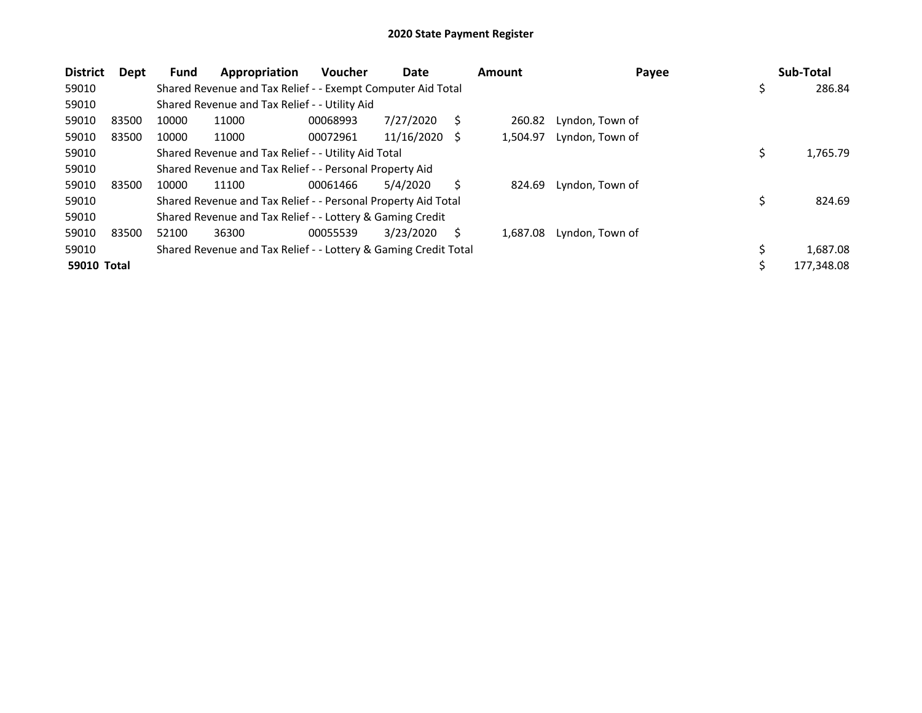| <b>District</b>    | Dept  | <b>Fund</b> | Appropriation                                                   | <b>Voucher</b> | Date       |    | <b>Amount</b> | Payee           |     | Sub-Total  |
|--------------------|-------|-------------|-----------------------------------------------------------------|----------------|------------|----|---------------|-----------------|-----|------------|
| 59010              |       |             | Shared Revenue and Tax Relief - - Exempt Computer Aid Total     |                |            |    |               |                 | \$. | 286.84     |
| 59010              |       |             | Shared Revenue and Tax Relief - - Utility Aid                   |                |            |    |               |                 |     |            |
| 59010              | 83500 | 10000       | 11000                                                           | 00068993       | 7/27/2020  | S  | 260.82        | Lyndon, Town of |     |            |
| 59010              | 83500 | 10000       | 11000                                                           | 00072961       | 11/16/2020 | -S | 1,504.97      | Lyndon, Town of |     |            |
| 59010              |       |             | Shared Revenue and Tax Relief - - Utility Aid Total             |                |            |    |               |                 | \$  | 1,765.79   |
| 59010              |       |             | Shared Revenue and Tax Relief - - Personal Property Aid         |                |            |    |               |                 |     |            |
| 59010              | 83500 | 10000       | 11100                                                           | 00061466       | 5/4/2020   |    | 824.69        | Lyndon, Town of |     |            |
| 59010              |       |             | Shared Revenue and Tax Relief - - Personal Property Aid Total   |                |            |    |               |                 | \$  | 824.69     |
| 59010              |       |             | Shared Revenue and Tax Relief - - Lottery & Gaming Credit       |                |            |    |               |                 |     |            |
| 59010              | 83500 | 52100       | 36300                                                           | 00055539       | 3/23/2020  | S  | 1.687.08      | Lyndon, Town of |     |            |
| 59010              |       |             | Shared Revenue and Tax Relief - - Lottery & Gaming Credit Total |                |            |    |               |                 | \$  | 1,687.08   |
| <b>59010 Total</b> |       |             |                                                                 |                |            |    |               |                 | \$  | 177,348.08 |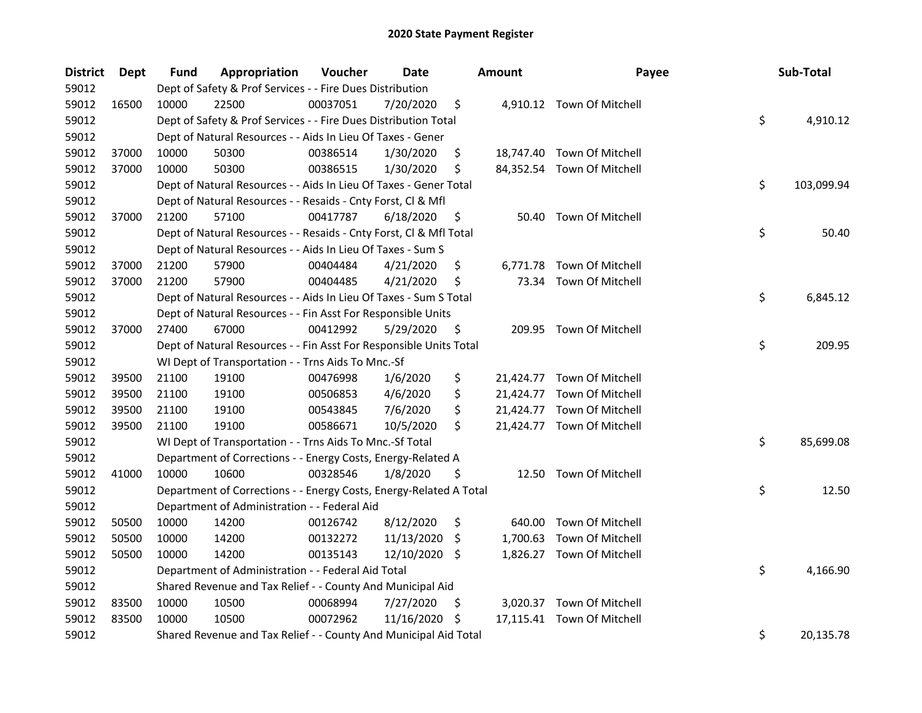| <b>District</b> | <b>Dept</b> | Fund  | Appropriation                                                      | Voucher  | Date       |     | Amount    | Payee                      | Sub-Total        |
|-----------------|-------------|-------|--------------------------------------------------------------------|----------|------------|-----|-----------|----------------------------|------------------|
| 59012           |             |       | Dept of Safety & Prof Services - - Fire Dues Distribution          |          |            |     |           |                            |                  |
| 59012           | 16500       | 10000 | 22500                                                              | 00037051 | 7/20/2020  | \$  |           | 4,910.12 Town Of Mitchell  |                  |
| 59012           |             |       | Dept of Safety & Prof Services - - Fire Dues Distribution Total    |          |            |     |           |                            | \$<br>4,910.12   |
| 59012           |             |       | Dept of Natural Resources - - Aids In Lieu Of Taxes - Gener        |          |            |     |           |                            |                  |
| 59012           | 37000       | 10000 | 50300                                                              | 00386514 | 1/30/2020  | \$  |           | 18,747.40 Town Of Mitchell |                  |
| 59012           | 37000       | 10000 | 50300                                                              | 00386515 | 1/30/2020  | \$  |           | 84,352.54 Town Of Mitchell |                  |
| 59012           |             |       | Dept of Natural Resources - - Aids In Lieu Of Taxes - Gener Total  |          |            |     |           |                            | \$<br>103,099.94 |
| 59012           |             |       | Dept of Natural Resources - - Resaids - Cnty Forst, Cl & Mfl       |          |            |     |           |                            |                  |
| 59012           | 37000       | 21200 | 57100                                                              | 00417787 | 6/18/2020  | \$  |           | 50.40 Town Of Mitchell     |                  |
| 59012           |             |       | Dept of Natural Resources - - Resaids - Cnty Forst, Cl & Mfl Total |          |            |     |           |                            | \$<br>50.40      |
| 59012           |             |       | Dept of Natural Resources - - Aids In Lieu Of Taxes - Sum S        |          |            |     |           |                            |                  |
| 59012           | 37000       | 21200 | 57900                                                              | 00404484 | 4/21/2020  | \$  | 6,771.78  | Town Of Mitchell           |                  |
| 59012           | 37000       | 21200 | 57900                                                              | 00404485 | 4/21/2020  | \$  | 73.34     | Town Of Mitchell           |                  |
| 59012           |             |       | Dept of Natural Resources - - Aids In Lieu Of Taxes - Sum S Total  |          |            |     |           |                            | \$<br>6,845.12   |
| 59012           |             |       | Dept of Natural Resources - - Fin Asst For Responsible Units       |          |            |     |           |                            |                  |
| 59012           | 37000       | 27400 | 67000                                                              | 00412992 | 5/29/2020  | \$, |           | 209.95 Town Of Mitchell    |                  |
| 59012           |             |       | Dept of Natural Resources - - Fin Asst For Responsible Units Total |          |            |     |           |                            | \$<br>209.95     |
| 59012           |             |       | WI Dept of Transportation - - Trns Aids To Mnc.-Sf                 |          |            |     |           |                            |                  |
| 59012           | 39500       | 21100 | 19100                                                              | 00476998 | 1/6/2020   | \$  |           | 21,424.77 Town Of Mitchell |                  |
| 59012           | 39500       | 21100 | 19100                                                              | 00506853 | 4/6/2020   | \$  | 21,424.77 | Town Of Mitchell           |                  |
| 59012           | 39500       | 21100 | 19100                                                              | 00543845 | 7/6/2020   | \$  |           | 21,424.77 Town Of Mitchell |                  |
| 59012           | 39500       | 21100 | 19100                                                              | 00586671 | 10/5/2020  | \$  |           | 21,424.77 Town Of Mitchell |                  |
| 59012           |             |       | WI Dept of Transportation - - Trns Aids To Mnc.-Sf Total           |          |            |     |           |                            | \$<br>85,699.08  |
| 59012           |             |       | Department of Corrections - - Energy Costs, Energy-Related A       |          |            |     |           |                            |                  |
| 59012           | 41000       | 10000 | 10600                                                              | 00328546 | 1/8/2020   | \$  |           | 12.50 Town Of Mitchell     |                  |
| 59012           |             |       | Department of Corrections - - Energy Costs, Energy-Related A Total |          |            |     |           |                            | \$<br>12.50      |
| 59012           |             |       | Department of Administration - - Federal Aid                       |          |            |     |           |                            |                  |
| 59012           | 50500       | 10000 | 14200                                                              | 00126742 | 8/12/2020  | \$  | 640.00    | Town Of Mitchell           |                  |
| 59012           | 50500       | 10000 | 14200                                                              | 00132272 | 11/13/2020 | \$, | 1,700.63  | Town Of Mitchell           |                  |
| 59012           | 50500       | 10000 | 14200                                                              | 00135143 | 12/10/2020 | \$  |           | 1,826.27 Town Of Mitchell  |                  |
| 59012           |             |       | Department of Administration - - Federal Aid Total                 |          |            |     |           |                            | \$<br>4,166.90   |
| 59012           |             |       | Shared Revenue and Tax Relief - - County And Municipal Aid         |          |            |     |           |                            |                  |
| 59012           | 83500       | 10000 | 10500                                                              | 00068994 | 7/27/2020  | \$, |           | 3,020.37 Town Of Mitchell  |                  |
| 59012           | 83500       | 10000 | 10500                                                              | 00072962 | 11/16/2020 | \$  |           | 17,115.41 Town Of Mitchell |                  |
| 59012           |             |       | Shared Revenue and Tax Relief - - County And Municipal Aid Total   |          |            |     |           |                            | \$<br>20,135.78  |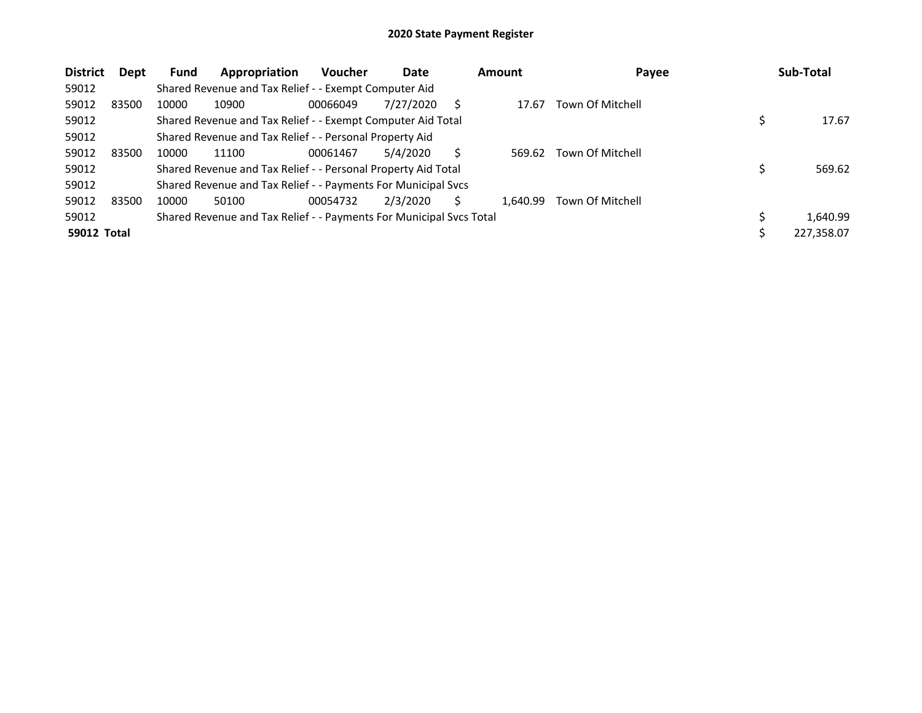| <b>District</b>    | Dept  | <b>Fund</b> | Appropriation                                                       | <b>Voucher</b> | Date      |   | <b>Amount</b> | Payee            | Sub-Total  |
|--------------------|-------|-------------|---------------------------------------------------------------------|----------------|-----------|---|---------------|------------------|------------|
| 59012              |       |             | Shared Revenue and Tax Relief - - Exempt Computer Aid               |                |           |   |               |                  |            |
| 59012              | 83500 | 10000       | 10900                                                               | 00066049       | 7/27/2020 | S | 17.67         | Town Of Mitchell |            |
| 59012              |       |             | Shared Revenue and Tax Relief - - Exempt Computer Aid Total         |                |           |   |               |                  | 17.67      |
| 59012              |       |             | Shared Revenue and Tax Relief - - Personal Property Aid             |                |           |   |               |                  |            |
| 59012              | 83500 | 10000       | 11100                                                               | 00061467       | 5/4/2020  |   | 569.62        | Town Of Mitchell |            |
| 59012              |       |             | Shared Revenue and Tax Relief - - Personal Property Aid Total       |                |           |   |               |                  | 569.62     |
| 59012              |       |             | Shared Revenue and Tax Relief - - Payments For Municipal Svcs       |                |           |   |               |                  |            |
| 59012              | 83500 | 10000       | 50100                                                               | 00054732       | 2/3/2020  |   | 1.640.99      | Town Of Mitchell |            |
| 59012              |       |             | Shared Revenue and Tax Relief - - Payments For Municipal Svcs Total |                |           |   |               |                  | 1,640.99   |
| <b>59012 Total</b> |       |             |                                                                     |                |           |   |               |                  | 227,358.07 |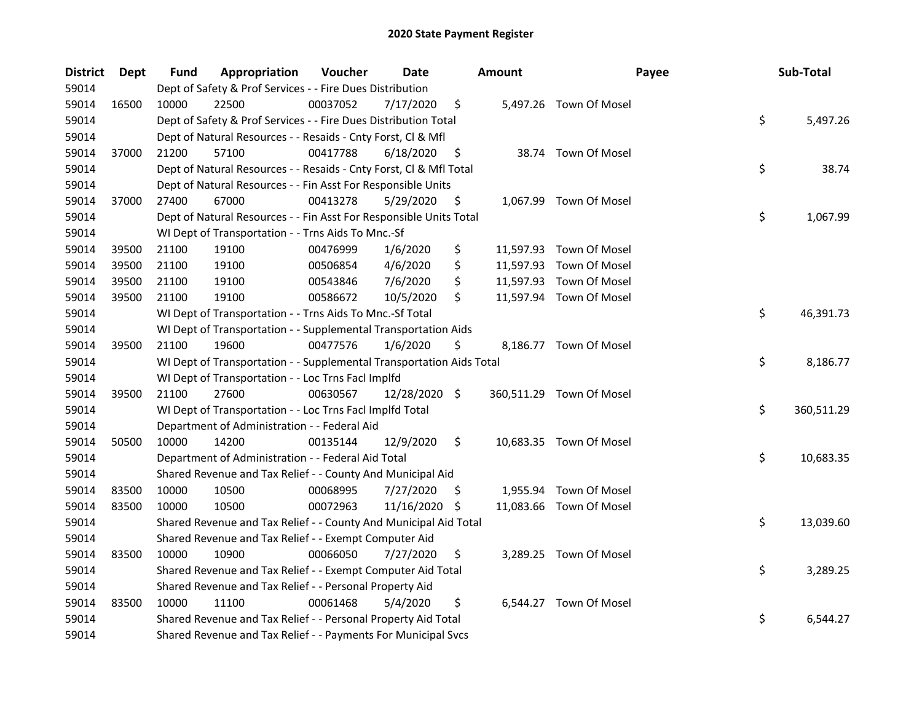| <b>District</b> | Dept  | <b>Fund</b> | Appropriation                                                        | Voucher  | <b>Date</b>   |     | <b>Amount</b> | Payee                    | Sub-Total        |
|-----------------|-------|-------------|----------------------------------------------------------------------|----------|---------------|-----|---------------|--------------------------|------------------|
| 59014           |       |             | Dept of Safety & Prof Services - - Fire Dues Distribution            |          |               |     |               |                          |                  |
| 59014           | 16500 | 10000       | 22500                                                                | 00037052 | 7/17/2020     | \$  |               | 5,497.26 Town Of Mosel   |                  |
| 59014           |       |             | Dept of Safety & Prof Services - - Fire Dues Distribution Total      |          |               |     |               |                          | \$<br>5,497.26   |
| 59014           |       |             | Dept of Natural Resources - - Resaids - Cnty Forst, Cl & Mfl         |          |               |     |               |                          |                  |
| 59014           | 37000 | 21200       | 57100                                                                | 00417788 | 6/18/2020     | \$  |               | 38.74 Town Of Mosel      |                  |
| 59014           |       |             | Dept of Natural Resources - - Resaids - Cnty Forst, Cl & Mfl Total   |          |               |     |               |                          | \$<br>38.74      |
| 59014           |       |             | Dept of Natural Resources - - Fin Asst For Responsible Units         |          |               |     |               |                          |                  |
| 59014           | 37000 | 27400       | 67000                                                                | 00413278 | 5/29/2020     | \$  |               | 1,067.99 Town Of Mosel   |                  |
| 59014           |       |             | Dept of Natural Resources - - Fin Asst For Responsible Units Total   |          |               |     |               |                          | \$<br>1,067.99   |
| 59014           |       |             | WI Dept of Transportation - - Trns Aids To Mnc.-Sf                   |          |               |     |               |                          |                  |
| 59014           | 39500 | 21100       | 19100                                                                | 00476999 | 1/6/2020      | \$  |               | 11,597.93 Town Of Mosel  |                  |
| 59014           | 39500 | 21100       | 19100                                                                | 00506854 | 4/6/2020      | \$  |               | 11,597.93 Town Of Mosel  |                  |
| 59014           | 39500 | 21100       | 19100                                                                | 00543846 | 7/6/2020      | \$  |               | 11,597.93 Town Of Mosel  |                  |
| 59014           | 39500 | 21100       | 19100                                                                | 00586672 | 10/5/2020     | \$  |               | 11,597.94 Town Of Mosel  |                  |
| 59014           |       |             | WI Dept of Transportation - - Trns Aids To Mnc.-Sf Total             |          |               |     |               |                          | \$<br>46,391.73  |
| 59014           |       |             | WI Dept of Transportation - - Supplemental Transportation Aids       |          |               |     |               |                          |                  |
| 59014           | 39500 | 21100       | 19600                                                                | 00477576 | 1/6/2020      | \$  |               | 8,186.77 Town Of Mosel   |                  |
| 59014           |       |             | WI Dept of Transportation - - Supplemental Transportation Aids Total |          |               |     |               |                          | \$<br>8,186.77   |
| 59014           |       |             | WI Dept of Transportation - - Loc Trns Facl Implfd                   |          |               |     |               |                          |                  |
| 59014           | 39500 | 21100       | 27600                                                                | 00630567 | 12/28/2020 \$ |     |               | 360,511.29 Town Of Mosel |                  |
| 59014           |       |             | WI Dept of Transportation - - Loc Trns Facl Implfd Total             |          |               |     |               |                          | \$<br>360,511.29 |
| 59014           |       |             | Department of Administration - - Federal Aid                         |          |               |     |               |                          |                  |
| 59014           | 50500 | 10000       | 14200                                                                | 00135144 | 12/9/2020     | \$  |               | 10,683.35 Town Of Mosel  |                  |
| 59014           |       |             | Department of Administration - - Federal Aid Total                   |          |               |     |               |                          | \$<br>10,683.35  |
| 59014           |       |             | Shared Revenue and Tax Relief - - County And Municipal Aid           |          |               |     |               |                          |                  |
| 59014           | 83500 | 10000       | 10500                                                                | 00068995 | 7/27/2020     | \$  |               | 1,955.94 Town Of Mosel   |                  |
| 59014           | 83500 | 10000       | 10500                                                                | 00072963 | 11/16/2020    | -\$ |               | 11,083.66 Town Of Mosel  |                  |
| 59014           |       |             | Shared Revenue and Tax Relief - - County And Municipal Aid Total     |          |               |     |               |                          | \$<br>13,039.60  |
| 59014           |       |             | Shared Revenue and Tax Relief - - Exempt Computer Aid                |          |               |     |               |                          |                  |
| 59014           | 83500 | 10000       | 10900                                                                | 00066050 | 7/27/2020     | \$  |               | 3,289.25 Town Of Mosel   |                  |
| 59014           |       |             | Shared Revenue and Tax Relief - - Exempt Computer Aid Total          |          |               |     |               |                          | \$<br>3,289.25   |
| 59014           |       |             | Shared Revenue and Tax Relief - - Personal Property Aid              |          |               |     |               |                          |                  |
| 59014           | 83500 | 10000       | 11100                                                                | 00061468 | 5/4/2020      | \$  |               | 6,544.27 Town Of Mosel   |                  |
| 59014           |       |             | Shared Revenue and Tax Relief - - Personal Property Aid Total        |          |               |     |               |                          | \$<br>6,544.27   |
| 59014           |       |             | Shared Revenue and Tax Relief - - Payments For Municipal Svcs        |          |               |     |               |                          |                  |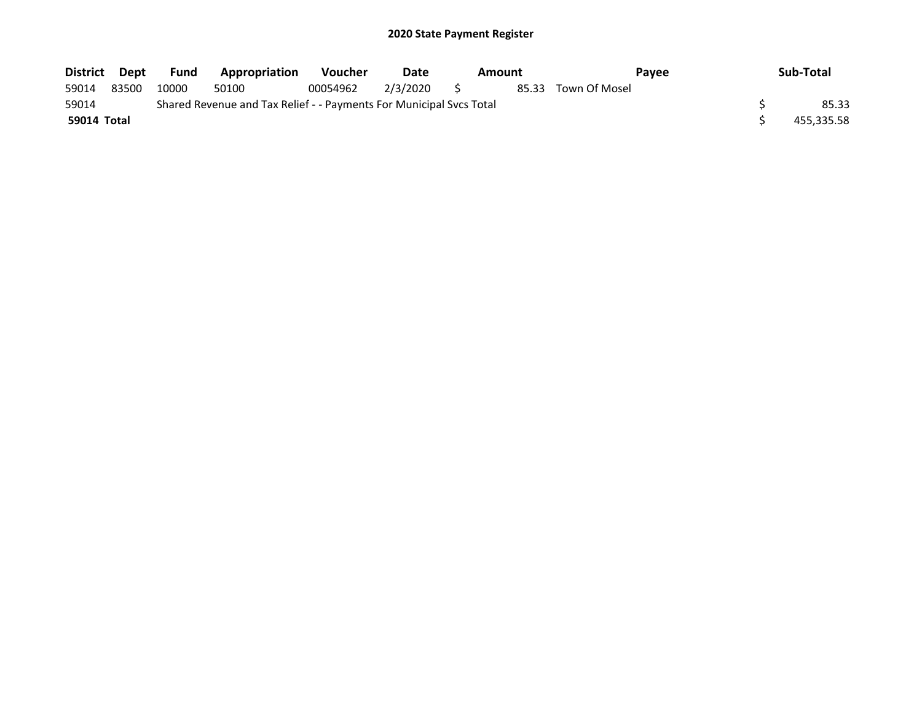| District Dept |       | Fund  | Appropriation                                                       | <b>Voucher</b> | Date        | Payee<br>Amount |  |                     | Sub-Total |            |
|---------------|-------|-------|---------------------------------------------------------------------|----------------|-------------|-----------------|--|---------------------|-----------|------------|
| 59014         | 83500 | 10000 | 50100                                                               | 00054962       | 2/3/2020 \$ |                 |  | 85.33 Town Of Mosel |           |            |
| 59014         |       |       | Shared Revenue and Tax Relief - - Payments For Municipal Svcs Total |                |             |                 |  |                     |           | 85.33      |
| 59014 Total   |       |       |                                                                     |                |             |                 |  |                     |           | 455.335.58 |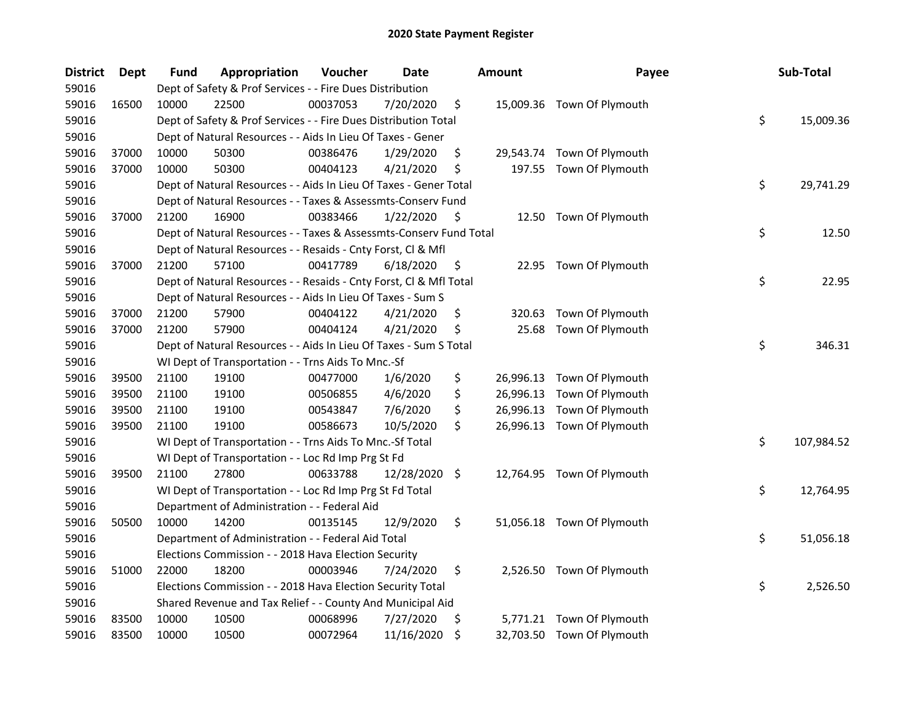| <b>District</b> | <b>Dept</b> | <b>Fund</b> | Appropriation                                                      | Voucher  | <b>Date</b>   | <b>Amount</b>   | Payee                      | Sub-Total        |
|-----------------|-------------|-------------|--------------------------------------------------------------------|----------|---------------|-----------------|----------------------------|------------------|
| 59016           |             |             | Dept of Safety & Prof Services - - Fire Dues Distribution          |          |               |                 |                            |                  |
| 59016           | 16500       | 10000       | 22500                                                              | 00037053 | 7/20/2020     | \$              | 15,009.36 Town Of Plymouth |                  |
| 59016           |             |             | Dept of Safety & Prof Services - - Fire Dues Distribution Total    |          |               |                 |                            | \$<br>15,009.36  |
| 59016           |             |             | Dept of Natural Resources - - Aids In Lieu Of Taxes - Gener        |          |               |                 |                            |                  |
| 59016           | 37000       | 10000       | 50300                                                              | 00386476 | 1/29/2020     | \$              | 29,543.74 Town Of Plymouth |                  |
| 59016           | 37000       | 10000       | 50300                                                              | 00404123 | 4/21/2020     | \$              | 197.55 Town Of Plymouth    |                  |
| 59016           |             |             | Dept of Natural Resources - - Aids In Lieu Of Taxes - Gener Total  |          |               |                 |                            | \$<br>29,741.29  |
| 59016           |             |             | Dept of Natural Resources - - Taxes & Assessmts-Conserv Fund       |          |               |                 |                            |                  |
| 59016           | 37000       | 21200       | 16900                                                              | 00383466 | 1/22/2020     | \$              | 12.50 Town Of Plymouth     |                  |
| 59016           |             |             | Dept of Natural Resources - - Taxes & Assessmts-Conserv Fund Total |          |               |                 |                            | \$<br>12.50      |
| 59016           |             |             | Dept of Natural Resources - - Resaids - Cnty Forst, Cl & Mfl       |          |               |                 |                            |                  |
| 59016           | 37000       | 21200       | 57100                                                              | 00417789 | 6/18/2020     | \$              | 22.95 Town Of Plymouth     |                  |
| 59016           |             |             | Dept of Natural Resources - - Resaids - Cnty Forst, Cl & Mfl Total |          |               |                 |                            | \$<br>22.95      |
| 59016           |             |             | Dept of Natural Resources - - Aids In Lieu Of Taxes - Sum S        |          |               |                 |                            |                  |
| 59016           | 37000       | 21200       | 57900                                                              | 00404122 | 4/21/2020     | \$<br>320.63    | Town Of Plymouth           |                  |
| 59016           | 37000       | 21200       | 57900                                                              | 00404124 | 4/21/2020     | \$<br>25.68     | Town Of Plymouth           |                  |
| 59016           |             |             | Dept of Natural Resources - - Aids In Lieu Of Taxes - Sum S Total  |          |               |                 |                            | \$<br>346.31     |
| 59016           |             |             | WI Dept of Transportation - - Trns Aids To Mnc.-Sf                 |          |               |                 |                            |                  |
| 59016           | 39500       | 21100       | 19100                                                              | 00477000 | 1/6/2020      | \$<br>26,996.13 | Town Of Plymouth           |                  |
| 59016           | 39500       | 21100       | 19100                                                              | 00506855 | 4/6/2020      | \$<br>26,996.13 | Town Of Plymouth           |                  |
| 59016           | 39500       | 21100       | 19100                                                              | 00543847 | 7/6/2020      | \$              | 26,996.13 Town Of Plymouth |                  |
| 59016           | 39500       | 21100       | 19100                                                              | 00586673 | 10/5/2020     | \$              | 26,996.13 Town Of Plymouth |                  |
| 59016           |             |             | WI Dept of Transportation - - Trns Aids To Mnc.-Sf Total           |          |               |                 |                            | \$<br>107,984.52 |
| 59016           |             |             | WI Dept of Transportation - - Loc Rd Imp Prg St Fd                 |          |               |                 |                            |                  |
| 59016           | 39500       | 21100       | 27800                                                              | 00633788 | 12/28/2020 \$ |                 | 12,764.95 Town Of Plymouth |                  |
| 59016           |             |             | WI Dept of Transportation - - Loc Rd Imp Prg St Fd Total           |          |               |                 |                            | \$<br>12,764.95  |
| 59016           |             |             | Department of Administration - - Federal Aid                       |          |               |                 |                            |                  |
| 59016           | 50500       | 10000       | 14200                                                              | 00135145 | 12/9/2020     | \$              | 51,056.18 Town Of Plymouth |                  |
| 59016           |             |             | Department of Administration - - Federal Aid Total                 |          |               |                 |                            | \$<br>51,056.18  |
| 59016           |             |             | Elections Commission - - 2018 Hava Election Security               |          |               |                 |                            |                  |
| 59016           | 51000       | 22000       | 18200                                                              | 00003946 | 7/24/2020     | \$              | 2,526.50 Town Of Plymouth  |                  |
| 59016           |             |             | Elections Commission - - 2018 Hava Election Security Total         |          |               |                 |                            | \$<br>2,526.50   |
| 59016           |             |             | Shared Revenue and Tax Relief - - County And Municipal Aid         |          |               |                 |                            |                  |
| 59016           | 83500       | 10000       | 10500                                                              | 00068996 | 7/27/2020     | \$              | 5,771.21 Town Of Plymouth  |                  |
| 59016           | 83500       | 10000       | 10500                                                              | 00072964 | 11/16/2020    | \$              | 32,703.50 Town Of Plymouth |                  |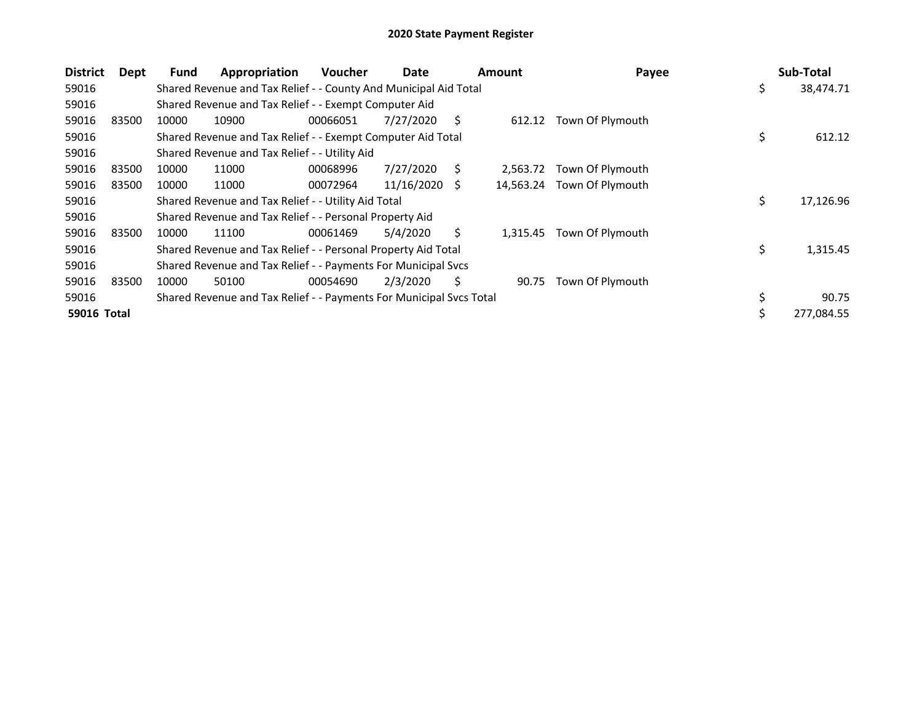| <b>District</b> | Dept  | <b>Fund</b> | Appropriation                                                       | <b>Voucher</b> | Date       |    | <b>Amount</b> | Payee                      |     | Sub-Total  |
|-----------------|-------|-------------|---------------------------------------------------------------------|----------------|------------|----|---------------|----------------------------|-----|------------|
| 59016           |       |             | Shared Revenue and Tax Relief - - County And Municipal Aid Total    |                |            |    |               |                            | \$  | 38,474.71  |
| 59016           |       |             | Shared Revenue and Tax Relief - - Exempt Computer Aid               |                |            |    |               |                            |     |            |
| 59016           | 83500 | 10000       | 10900                                                               | 00066051       | 7/27/2020  | S  | 612.12        | Town Of Plymouth           |     |            |
| 59016           |       |             | Shared Revenue and Tax Relief - - Exempt Computer Aid Total         |                |            |    |               |                            | \$  | 612.12     |
| 59016           |       |             | Shared Revenue and Tax Relief - - Utility Aid                       |                |            |    |               |                            |     |            |
| 59016           | 83500 | 10000       | 11000                                                               | 00068996       | 7/27/2020  | S  | 2.563.72      | Town Of Plymouth           |     |            |
| 59016           | 83500 | 10000       | 11000                                                               | 00072964       | 11/16/2020 | S. |               | 14,563.24 Town Of Plymouth |     |            |
| 59016           |       |             | Shared Revenue and Tax Relief - - Utility Aid Total                 |                |            |    |               |                            | \$  | 17,126.96  |
| 59016           |       |             | Shared Revenue and Tax Relief - - Personal Property Aid             |                |            |    |               |                            |     |            |
| 59016           | 83500 | 10000       | 11100                                                               | 00061469       | 5/4/2020   | S  | 1,315.45      | Town Of Plymouth           |     |            |
| 59016           |       |             | Shared Revenue and Tax Relief - - Personal Property Aid Total       |                |            |    |               |                            | \$. | 1,315.45   |
| 59016           |       |             | Shared Revenue and Tax Relief - - Payments For Municipal Svcs       |                |            |    |               |                            |     |            |
| 59016           | 83500 | 10000       | 50100                                                               | 00054690       | 2/3/2020   | S  | 90.75         | Town Of Plymouth           |     |            |
| 59016           |       |             | Shared Revenue and Tax Relief - - Payments For Municipal Svcs Total |                |            |    |               |                            |     | 90.75      |
| 59016 Total     |       |             |                                                                     |                |            |    |               |                            | \$  | 277,084.55 |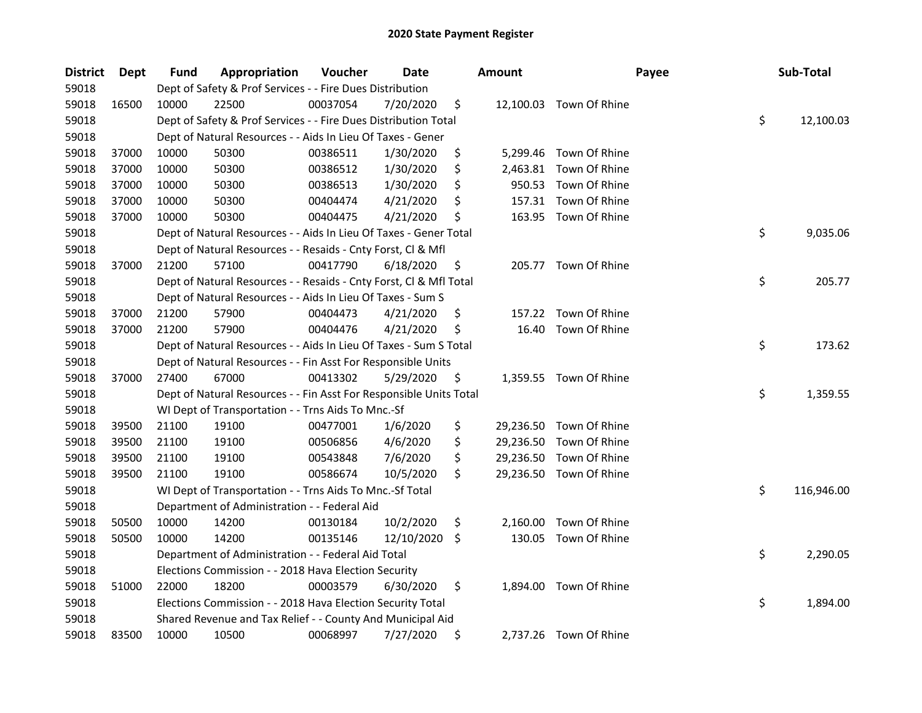| <b>District</b> | Dept  | <b>Fund</b> | Appropriation                                                      | Voucher  | Date       |     | <b>Amount</b> | Payee                   | Sub-Total        |
|-----------------|-------|-------------|--------------------------------------------------------------------|----------|------------|-----|---------------|-------------------------|------------------|
| 59018           |       |             | Dept of Safety & Prof Services - - Fire Dues Distribution          |          |            |     |               |                         |                  |
| 59018           | 16500 | 10000       | 22500                                                              | 00037054 | 7/20/2020  | \$  |               | 12,100.03 Town Of Rhine |                  |
| 59018           |       |             | Dept of Safety & Prof Services - - Fire Dues Distribution Total    |          |            |     |               |                         | \$<br>12,100.03  |
| 59018           |       |             | Dept of Natural Resources - - Aids In Lieu Of Taxes - Gener        |          |            |     |               |                         |                  |
| 59018           | 37000 | 10000       | 50300                                                              | 00386511 | 1/30/2020  | \$  |               | 5,299.46 Town Of Rhine  |                  |
| 59018           | 37000 | 10000       | 50300                                                              | 00386512 | 1/30/2020  | \$  | 2,463.81      | Town Of Rhine           |                  |
| 59018           | 37000 | 10000       | 50300                                                              | 00386513 | 1/30/2020  | \$  | 950.53        | Town Of Rhine           |                  |
| 59018           | 37000 | 10000       | 50300                                                              | 00404474 | 4/21/2020  | \$  | 157.31        | Town Of Rhine           |                  |
| 59018           | 37000 | 10000       | 50300                                                              | 00404475 | 4/21/2020  | \$  | 163.95        | Town Of Rhine           |                  |
| 59018           |       |             | Dept of Natural Resources - - Aids In Lieu Of Taxes - Gener Total  |          |            |     |               |                         | \$<br>9,035.06   |
| 59018           |       |             | Dept of Natural Resources - - Resaids - Cnty Forst, Cl & Mfl       |          |            |     |               |                         |                  |
| 59018           | 37000 | 21200       | 57100                                                              | 00417790 | 6/18/2020  | \$  |               | 205.77 Town Of Rhine    |                  |
| 59018           |       |             | Dept of Natural Resources - - Resaids - Cnty Forst, Cl & Mfl Total |          |            |     |               |                         | \$<br>205.77     |
| 59018           |       |             | Dept of Natural Resources - - Aids In Lieu Of Taxes - Sum S        |          |            |     |               |                         |                  |
| 59018           | 37000 | 21200       | 57900                                                              | 00404473 | 4/21/2020  | \$. | 157.22        | Town Of Rhine           |                  |
| 59018           | 37000 | 21200       | 57900                                                              | 00404476 | 4/21/2020  | \$  | 16.40         | Town Of Rhine           |                  |
| 59018           |       |             | Dept of Natural Resources - - Aids In Lieu Of Taxes - Sum S Total  |          |            |     |               |                         | \$<br>173.62     |
| 59018           |       |             | Dept of Natural Resources - - Fin Asst For Responsible Units       |          |            |     |               |                         |                  |
| 59018           | 37000 | 27400       | 67000                                                              | 00413302 | 5/29/2020  | \$  |               | 1,359.55 Town Of Rhine  |                  |
| 59018           |       |             | Dept of Natural Resources - - Fin Asst For Responsible Units Total |          |            |     |               |                         | \$<br>1,359.55   |
| 59018           |       |             | WI Dept of Transportation - - Trns Aids To Mnc.-Sf                 |          |            |     |               |                         |                  |
| 59018           | 39500 | 21100       | 19100                                                              | 00477001 | 1/6/2020   | \$  |               | 29,236.50 Town Of Rhine |                  |
| 59018           | 39500 | 21100       | 19100                                                              | 00506856 | 4/6/2020   | \$  |               | 29,236.50 Town Of Rhine |                  |
| 59018           | 39500 | 21100       | 19100                                                              | 00543848 | 7/6/2020   | \$  | 29,236.50     | Town Of Rhine           |                  |
| 59018           | 39500 | 21100       | 19100                                                              | 00586674 | 10/5/2020  | \$  |               | 29,236.50 Town Of Rhine |                  |
| 59018           |       |             | WI Dept of Transportation - - Trns Aids To Mnc.-Sf Total           |          |            |     |               |                         | \$<br>116,946.00 |
| 59018           |       |             | Department of Administration - - Federal Aid                       |          |            |     |               |                         |                  |
| 59018           | 50500 | 10000       | 14200                                                              | 00130184 | 10/2/2020  | \$  | 2,160.00      | Town Of Rhine           |                  |
| 59018           | 50500 | 10000       | 14200                                                              | 00135146 | 12/10/2020 | \$  | 130.05        | Town Of Rhine           |                  |
| 59018           |       |             | Department of Administration - - Federal Aid Total                 |          |            |     |               |                         | \$<br>2,290.05   |
| 59018           |       |             | Elections Commission - - 2018 Hava Election Security               |          |            |     |               |                         |                  |
| 59018           | 51000 | 22000       | 18200                                                              | 00003579 | 6/30/2020  | \$  |               | 1,894.00 Town Of Rhine  |                  |
| 59018           |       |             | Elections Commission - - 2018 Hava Election Security Total         |          |            |     |               |                         | \$<br>1,894.00   |
| 59018           |       |             | Shared Revenue and Tax Relief - - County And Municipal Aid         |          |            |     |               |                         |                  |
| 59018           | 83500 | 10000       | 10500                                                              | 00068997 | 7/27/2020  | \$  |               | 2,737.26 Town Of Rhine  |                  |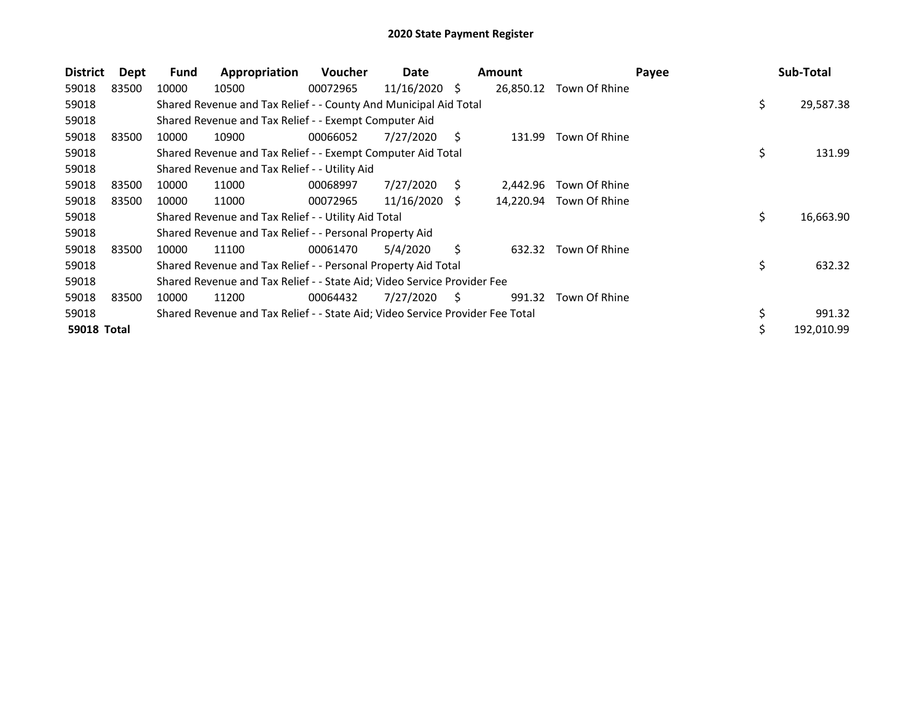| <b>District</b>    | Dept  | Fund  | Appropriation                                                                 | <b>Voucher</b> | Date       |    | <b>Amount</b> |                         | Payee | Sub-Total  |        |
|--------------------|-------|-------|-------------------------------------------------------------------------------|----------------|------------|----|---------------|-------------------------|-------|------------|--------|
| 59018              | 83500 | 10000 | 10500                                                                         | 00072965       | 11/16/2020 | -S | 26,850.12     | Town Of Rhine           |       |            |        |
| 59018              |       |       | Shared Revenue and Tax Relief - - County And Municipal Aid Total              |                |            |    |               |                         | \$    | 29,587.38  |        |
| 59018              |       |       | Shared Revenue and Tax Relief - - Exempt Computer Aid                         |                |            |    |               |                         |       |            |        |
| 59018              | 83500 | 10000 | 10900                                                                         | 00066052       | 7/27/2020  | S  | 131.99        | Town Of Rhine           |       |            |        |
| 59018              |       |       | Shared Revenue and Tax Relief - - Exempt Computer Aid Total                   |                |            |    |               |                         | \$    |            | 131.99 |
| 59018              |       |       | Shared Revenue and Tax Relief - - Utility Aid                                 |                |            |    |               |                         |       |            |        |
| 59018              | 83500 | 10000 | 11000                                                                         | 00068997       | 7/27/2020  | S. | 2,442.96      | Town Of Rhine           |       |            |        |
| 59018              | 83500 | 10000 | 11000                                                                         | 00072965       | 11/16/2020 | -S |               | 14,220.94 Town Of Rhine |       |            |        |
| 59018              |       |       | Shared Revenue and Tax Relief - - Utility Aid Total                           |                |            |    |               |                         | \$    | 16,663.90  |        |
| 59018              |       |       | Shared Revenue and Tax Relief - - Personal Property Aid                       |                |            |    |               |                         |       |            |        |
| 59018              | 83500 | 10000 | 11100                                                                         | 00061470       | 5/4/2020   | S  | 632.32        | Town Of Rhine           |       |            |        |
| 59018              |       |       | Shared Revenue and Tax Relief - - Personal Property Aid Total                 |                |            |    |               |                         | \$    |            | 632.32 |
| 59018              |       |       | Shared Revenue and Tax Relief - - State Aid; Video Service Provider Fee       |                |            |    |               |                         |       |            |        |
| 59018              | 83500 | 10000 | 11200                                                                         | 00064432       | 7/27/2020  | S  | 991.32        | Town Of Rhine           |       |            |        |
| 59018              |       |       | Shared Revenue and Tax Relief - - State Aid; Video Service Provider Fee Total |                |            |    |               |                         | \$    |            | 991.32 |
| <b>59018 Total</b> |       |       |                                                                               |                |            |    |               |                         |       | 192,010.99 |        |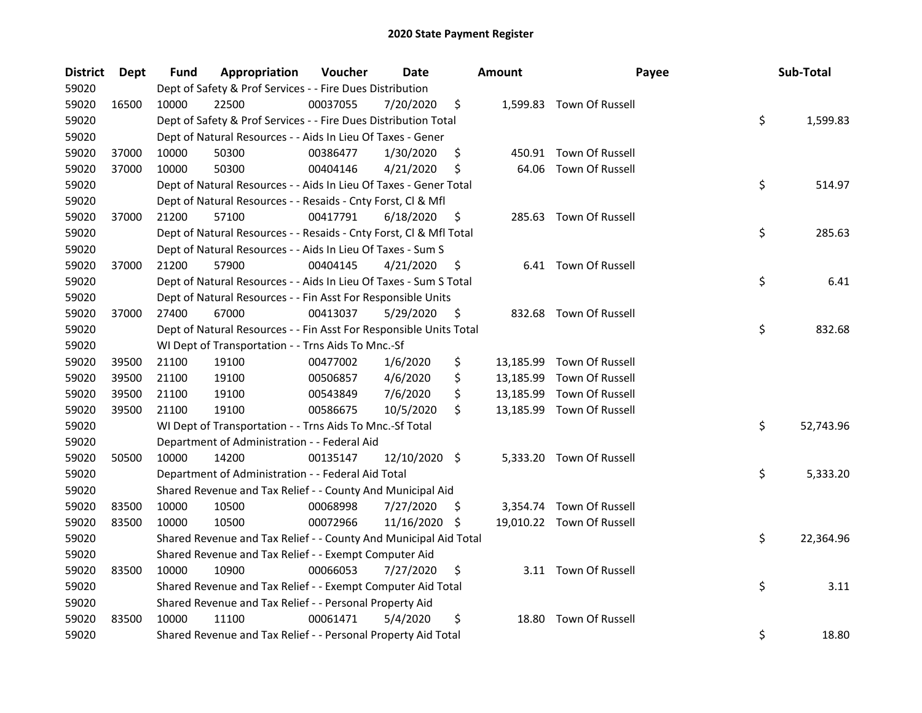| <b>District</b> | <b>Dept</b> | Fund  | Appropriation                                                      | Voucher  | <b>Date</b>   |     | <b>Amount</b> | Payee                     | Sub-Total       |
|-----------------|-------------|-------|--------------------------------------------------------------------|----------|---------------|-----|---------------|---------------------------|-----------------|
| 59020           |             |       | Dept of Safety & Prof Services - - Fire Dues Distribution          |          |               |     |               |                           |                 |
| 59020           | 16500       | 10000 | 22500                                                              | 00037055 | 7/20/2020     | \$  |               | 1,599.83 Town Of Russell  |                 |
| 59020           |             |       | Dept of Safety & Prof Services - - Fire Dues Distribution Total    |          |               |     |               |                           | \$<br>1,599.83  |
| 59020           |             |       | Dept of Natural Resources - - Aids In Lieu Of Taxes - Gener        |          |               |     |               |                           |                 |
| 59020           | 37000       | 10000 | 50300                                                              | 00386477 | 1/30/2020     | \$  |               | 450.91 Town Of Russell    |                 |
| 59020           | 37000       | 10000 | 50300                                                              | 00404146 | 4/21/2020     | \$  | 64.06         | Town Of Russell           |                 |
| 59020           |             |       | Dept of Natural Resources - - Aids In Lieu Of Taxes - Gener Total  |          |               |     |               |                           | \$<br>514.97    |
| 59020           |             |       | Dept of Natural Resources - - Resaids - Cnty Forst, Cl & Mfl       |          |               |     |               |                           |                 |
| 59020           | 37000       | 21200 | 57100                                                              | 00417791 | 6/18/2020     | \$  |               | 285.63 Town Of Russell    |                 |
| 59020           |             |       | Dept of Natural Resources - - Resaids - Cnty Forst, Cl & Mfl Total |          |               |     |               |                           | \$<br>285.63    |
| 59020           |             |       | Dept of Natural Resources - - Aids In Lieu Of Taxes - Sum S        |          |               |     |               |                           |                 |
| 59020           | 37000       | 21200 | 57900                                                              | 00404145 | 4/21/2020     | \$  |               | 6.41 Town Of Russell      |                 |
| 59020           |             |       | Dept of Natural Resources - - Aids In Lieu Of Taxes - Sum S Total  |          |               |     |               |                           | \$<br>6.41      |
| 59020           |             |       | Dept of Natural Resources - - Fin Asst For Responsible Units       |          |               |     |               |                           |                 |
| 59020           | 37000       | 27400 | 67000                                                              | 00413037 | 5/29/2020     | \$  |               | 832.68 Town Of Russell    |                 |
| 59020           |             |       | Dept of Natural Resources - - Fin Asst For Responsible Units Total |          |               |     |               |                           | \$<br>832.68    |
| 59020           |             |       | WI Dept of Transportation - - Trns Aids To Mnc.-Sf                 |          |               |     |               |                           |                 |
| 59020           | 39500       | 21100 | 19100                                                              | 00477002 | 1/6/2020      | \$  | 13,185.99     | Town Of Russell           |                 |
| 59020           | 39500       | 21100 | 19100                                                              | 00506857 | 4/6/2020      | \$  | 13,185.99     | Town Of Russell           |                 |
| 59020           | 39500       | 21100 | 19100                                                              | 00543849 | 7/6/2020      | \$  | 13,185.99     | Town Of Russell           |                 |
| 59020           | 39500       | 21100 | 19100                                                              | 00586675 | 10/5/2020     | \$  |               | 13,185.99 Town Of Russell |                 |
| 59020           |             |       | WI Dept of Transportation - - Trns Aids To Mnc.-Sf Total           |          |               |     |               |                           | \$<br>52,743.96 |
| 59020           |             |       | Department of Administration - - Federal Aid                       |          |               |     |               |                           |                 |
| 59020           | 50500       | 10000 | 14200                                                              | 00135147 | 12/10/2020 \$ |     |               | 5,333.20 Town Of Russell  |                 |
| 59020           |             |       | Department of Administration - - Federal Aid Total                 |          |               |     |               |                           | \$<br>5,333.20  |
| 59020           |             |       | Shared Revenue and Tax Relief - - County And Municipal Aid         |          |               |     |               |                           |                 |
| 59020           | 83500       | 10000 | 10500                                                              | 00068998 | 7/27/2020     | \$. |               | 3,354.74 Town Of Russell  |                 |
| 59020           | 83500       | 10000 | 10500                                                              | 00072966 | 11/16/2020    | \$  |               | 19,010.22 Town Of Russell |                 |
| 59020           |             |       | Shared Revenue and Tax Relief - - County And Municipal Aid Total   |          |               |     |               |                           | \$<br>22,364.96 |
| 59020           |             |       | Shared Revenue and Tax Relief - - Exempt Computer Aid              |          |               |     |               |                           |                 |
| 59020           | 83500       | 10000 | 10900                                                              | 00066053 | 7/27/2020     | \$  |               | 3.11 Town Of Russell      |                 |
| 59020           |             |       | Shared Revenue and Tax Relief - - Exempt Computer Aid Total        |          |               |     |               |                           | \$<br>3.11      |
| 59020           |             |       | Shared Revenue and Tax Relief - - Personal Property Aid            |          |               |     |               |                           |                 |
| 59020           | 83500       | 10000 | 11100                                                              | 00061471 | 5/4/2020      | \$  | 18.80         | Town Of Russell           |                 |
| 59020           |             |       | Shared Revenue and Tax Relief - - Personal Property Aid Total      |          |               |     |               |                           | \$<br>18.80     |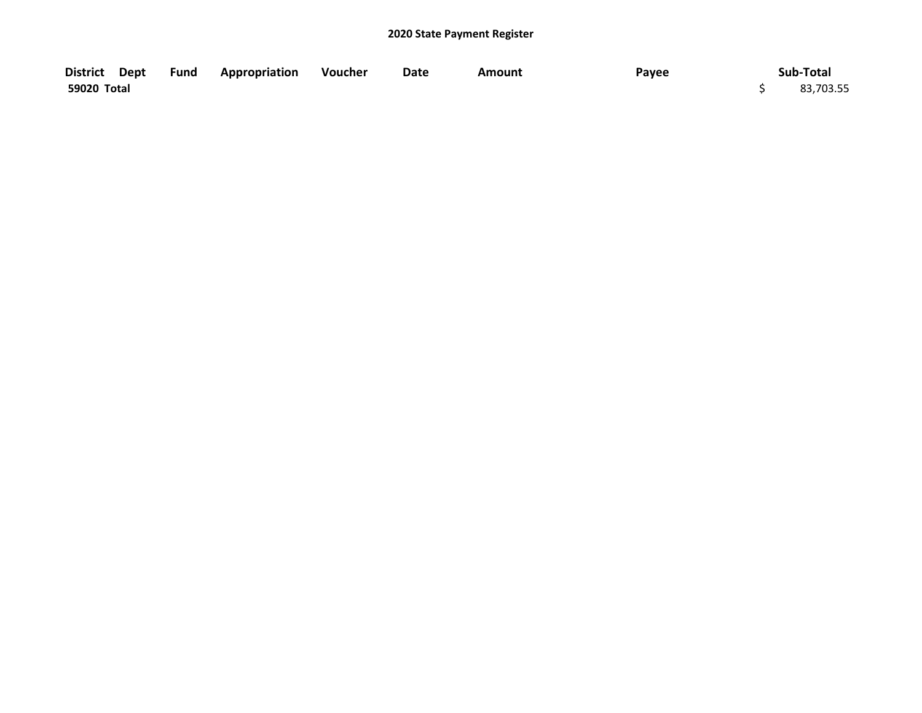| District Dept | <b>Fund Appropriation Voucher</b> | Date | Amount | Payee | Sub-Total |
|---------------|-----------------------------------|------|--------|-------|-----------|
| 59020 Total   |                                   |      |        |       | 83,703.55 |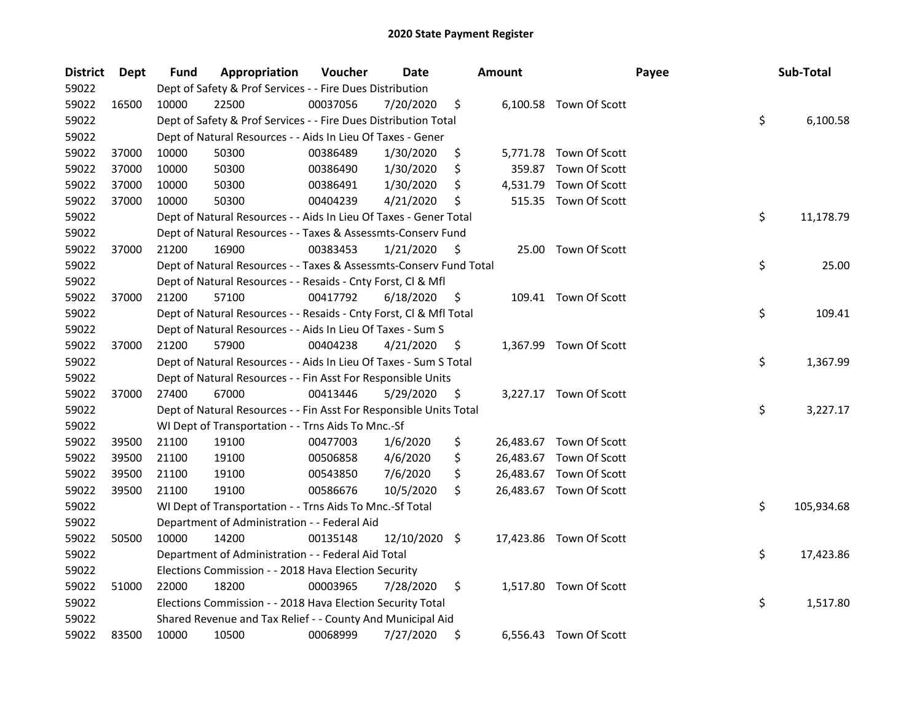| <b>District</b> | <b>Dept</b> | Fund  | Appropriation                                                      | Voucher  | Date          |     | <b>Amount</b> |                         | Payee | Sub-Total        |
|-----------------|-------------|-------|--------------------------------------------------------------------|----------|---------------|-----|---------------|-------------------------|-------|------------------|
| 59022           |             |       | Dept of Safety & Prof Services - - Fire Dues Distribution          |          |               |     |               |                         |       |                  |
| 59022           | 16500       | 10000 | 22500                                                              | 00037056 | 7/20/2020     | \$  |               | 6,100.58 Town Of Scott  |       |                  |
| 59022           |             |       | Dept of Safety & Prof Services - - Fire Dues Distribution Total    |          |               |     |               |                         |       | \$<br>6,100.58   |
| 59022           |             |       | Dept of Natural Resources - - Aids In Lieu Of Taxes - Gener        |          |               |     |               |                         |       |                  |
| 59022           | 37000       | 10000 | 50300                                                              | 00386489 | 1/30/2020     | \$  |               | 5,771.78 Town Of Scott  |       |                  |
| 59022           | 37000       | 10000 | 50300                                                              | 00386490 | 1/30/2020     | \$  | 359.87        | Town Of Scott           |       |                  |
| 59022           | 37000       | 10000 | 50300                                                              | 00386491 | 1/30/2020     | \$  |               | 4,531.79 Town Of Scott  |       |                  |
| 59022           | 37000       | 10000 | 50300                                                              | 00404239 | 4/21/2020     | \$  |               | 515.35 Town Of Scott    |       |                  |
| 59022           |             |       | Dept of Natural Resources - - Aids In Lieu Of Taxes - Gener Total  |          |               |     |               |                         |       | \$<br>11,178.79  |
| 59022           |             |       | Dept of Natural Resources - - Taxes & Assessmts-Conserv Fund       |          |               |     |               |                         |       |                  |
| 59022           | 37000       | 21200 | 16900                                                              | 00383453 | 1/21/2020     | \$  |               | 25.00 Town Of Scott     |       |                  |
| 59022           |             |       | Dept of Natural Resources - - Taxes & Assessmts-Conserv Fund Total |          |               |     |               |                         |       | \$<br>25.00      |
| 59022           |             |       | Dept of Natural Resources - - Resaids - Cnty Forst, Cl & Mfl       |          |               |     |               |                         |       |                  |
| 59022           | 37000       | 21200 | 57100                                                              | 00417792 | 6/18/2020     | Ş   |               | 109.41 Town Of Scott    |       |                  |
| 59022           |             |       | Dept of Natural Resources - - Resaids - Cnty Forst, Cl & Mfl Total |          |               |     |               |                         |       | \$<br>109.41     |
| 59022           |             |       | Dept of Natural Resources - - Aids In Lieu Of Taxes - Sum S        |          |               |     |               |                         |       |                  |
| 59022           | 37000       | 21200 | 57900                                                              | 00404238 | 4/21/2020     | \$, |               | 1,367.99 Town Of Scott  |       |                  |
| 59022           |             |       | Dept of Natural Resources - - Aids In Lieu Of Taxes - Sum S Total  |          |               |     |               |                         |       | \$<br>1,367.99   |
| 59022           |             |       | Dept of Natural Resources - - Fin Asst For Responsible Units       |          |               |     |               |                         |       |                  |
| 59022           | 37000       | 27400 | 67000                                                              | 00413446 | 5/29/2020     | \$  |               | 3,227.17 Town Of Scott  |       |                  |
| 59022           |             |       | Dept of Natural Resources - - Fin Asst For Responsible Units Total |          |               |     |               |                         |       | \$<br>3,227.17   |
| 59022           |             |       | WI Dept of Transportation - - Trns Aids To Mnc.-Sf                 |          |               |     |               |                         |       |                  |
| 59022           | 39500       | 21100 | 19100                                                              | 00477003 | 1/6/2020      | \$  |               | 26,483.67 Town Of Scott |       |                  |
| 59022           | 39500       | 21100 | 19100                                                              | 00506858 | 4/6/2020      | \$  |               | 26,483.67 Town Of Scott |       |                  |
| 59022           | 39500       | 21100 | 19100                                                              | 00543850 | 7/6/2020      | \$  |               | 26,483.67 Town Of Scott |       |                  |
| 59022           | 39500       | 21100 | 19100                                                              | 00586676 | 10/5/2020     | \$  |               | 26,483.67 Town Of Scott |       |                  |
| 59022           |             |       | WI Dept of Transportation - - Trns Aids To Mnc.-Sf Total           |          |               |     |               |                         |       | \$<br>105,934.68 |
| 59022           |             |       | Department of Administration - - Federal Aid                       |          |               |     |               |                         |       |                  |
| 59022           | 50500       | 10000 | 14200                                                              | 00135148 | 12/10/2020 \$ |     |               | 17,423.86 Town Of Scott |       |                  |
| 59022           |             |       | Department of Administration - - Federal Aid Total                 |          |               |     |               |                         |       | \$<br>17,423.86  |
| 59022           |             |       | Elections Commission - - 2018 Hava Election Security               |          |               |     |               |                         |       |                  |
| 59022           | 51000       | 22000 | 18200                                                              | 00003965 | 7/28/2020     | \$  |               | 1,517.80 Town Of Scott  |       |                  |
| 59022           |             |       | Elections Commission - - 2018 Hava Election Security Total         |          |               |     |               |                         |       | \$<br>1,517.80   |
| 59022           |             |       | Shared Revenue and Tax Relief - - County And Municipal Aid         |          |               |     |               |                         |       |                  |
| 59022           | 83500       | 10000 | 10500                                                              | 00068999 | 7/27/2020     | \$  |               | 6,556.43 Town Of Scott  |       |                  |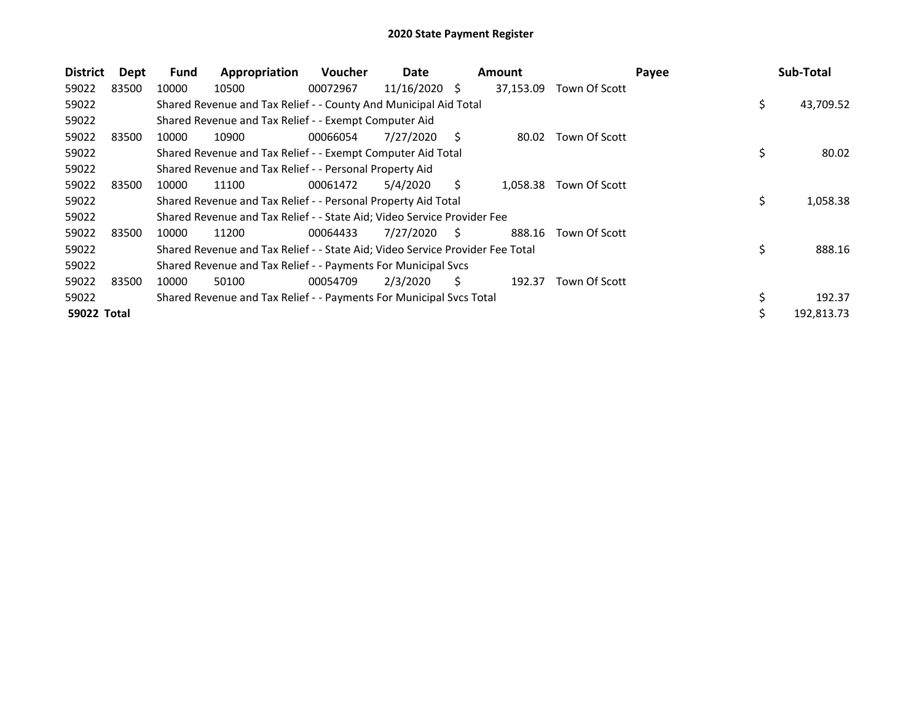| <b>District</b> | Dept  | <b>Fund</b> | Appropriation                                                                 | <b>Voucher</b> | Date            |    | <b>Amount</b> |               | Payee |    | Sub-Total  |
|-----------------|-------|-------------|-------------------------------------------------------------------------------|----------------|-----------------|----|---------------|---------------|-------|----|------------|
| 59022           | 83500 | 10000       | 10500                                                                         | 00072967       | $11/16/2020$ \$ |    | 37,153.09     | Town Of Scott |       |    |            |
| 59022           |       |             | Shared Revenue and Tax Relief - - County And Municipal Aid Total              |                |                 |    |               |               |       | \$ | 43,709.52  |
| 59022           |       |             | Shared Revenue and Tax Relief - - Exempt Computer Aid                         |                |                 |    |               |               |       |    |            |
| 59022           | 83500 | 10000       | 10900                                                                         | 00066054       | 7/27/2020       | Ś  | 80.02         | Town Of Scott |       |    |            |
| 59022           |       |             | Shared Revenue and Tax Relief - - Exempt Computer Aid Total                   |                |                 |    |               |               |       | \$ | 80.02      |
| 59022           |       |             | Shared Revenue and Tax Relief - - Personal Property Aid                       |                |                 |    |               |               |       |    |            |
| 59022           | 83500 | 10000       | 11100                                                                         | 00061472       | 5/4/2020        | Ś. | 1,058.38      | Town Of Scott |       |    |            |
| 59022           |       |             | Shared Revenue and Tax Relief - - Personal Property Aid Total                 |                |                 |    |               |               |       | \$ | 1,058.38   |
| 59022           |       |             | Shared Revenue and Tax Relief - - State Aid; Video Service Provider Fee       |                |                 |    |               |               |       |    |            |
| 59022           | 83500 | 10000       | 11200                                                                         | 00064433       | 7/27/2020       | S  | 888.16        | Town Of Scott |       |    |            |
| 59022           |       |             | Shared Revenue and Tax Relief - - State Aid; Video Service Provider Fee Total |                |                 |    |               |               |       | \$ | 888.16     |
| 59022           |       |             | Shared Revenue and Tax Relief - - Payments For Municipal Svcs                 |                |                 |    |               |               |       |    |            |
| 59022           | 83500 | 10000       | 50100                                                                         | 00054709       | 2/3/2020        | S. | 192.37        | Town Of Scott |       |    |            |
| 59022           |       |             | Shared Revenue and Tax Relief - - Payments For Municipal Svcs Total           |                |                 |    |               |               |       | \$ | 192.37     |
| 59022 Total     |       |             |                                                                               |                |                 |    |               |               |       | C  | 192,813.73 |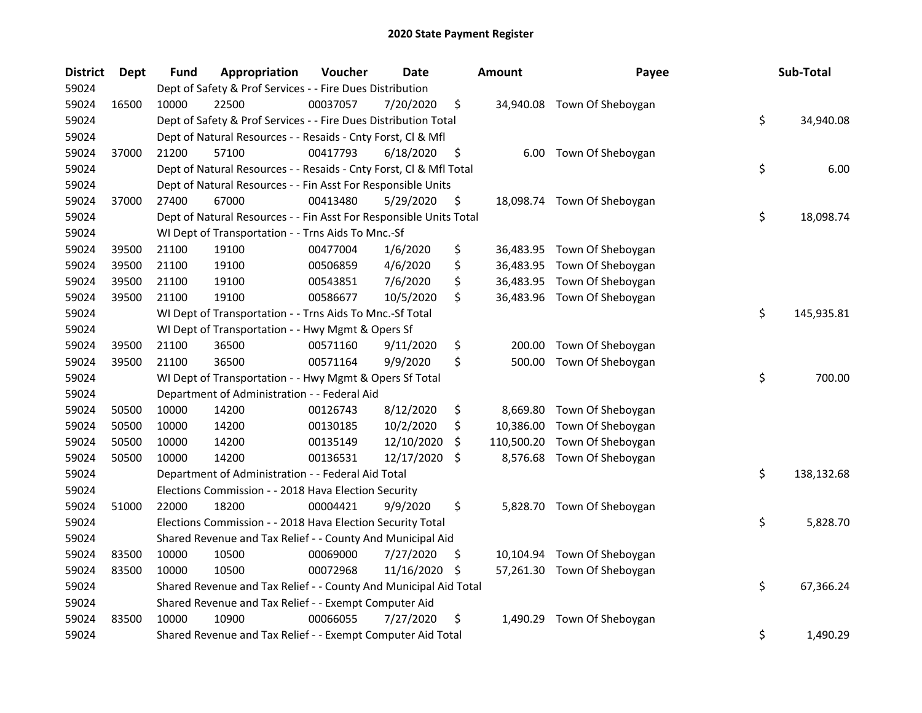| <b>District</b> | Dept  | Fund  | Appropriation                                                      | Voucher  | Date       |     | <b>Amount</b> | Payee                       | Sub-Total        |
|-----------------|-------|-------|--------------------------------------------------------------------|----------|------------|-----|---------------|-----------------------------|------------------|
| 59024           |       |       | Dept of Safety & Prof Services - - Fire Dues Distribution          |          |            |     |               |                             |                  |
| 59024           | 16500 | 10000 | 22500                                                              | 00037057 | 7/20/2020  | \$  |               | 34,940.08 Town Of Sheboygan |                  |
| 59024           |       |       | Dept of Safety & Prof Services - - Fire Dues Distribution Total    |          |            |     |               |                             | \$<br>34,940.08  |
| 59024           |       |       | Dept of Natural Resources - - Resaids - Cnty Forst, Cl & Mfl       |          |            |     |               |                             |                  |
| 59024           | 37000 | 21200 | 57100                                                              | 00417793 | 6/18/2020  | \$  |               | 6.00 Town Of Sheboygan      |                  |
| 59024           |       |       | Dept of Natural Resources - - Resaids - Cnty Forst, Cl & Mfl Total |          |            |     |               |                             | \$<br>6.00       |
| 59024           |       |       | Dept of Natural Resources - - Fin Asst For Responsible Units       |          |            |     |               |                             |                  |
| 59024           | 37000 | 27400 | 67000                                                              | 00413480 | 5/29/2020  | \$  |               | 18,098.74 Town Of Sheboygan |                  |
| 59024           |       |       | Dept of Natural Resources - - Fin Asst For Responsible Units Total |          |            |     |               |                             | \$<br>18,098.74  |
| 59024           |       |       | WI Dept of Transportation - - Trns Aids To Mnc.-Sf                 |          |            |     |               |                             |                  |
| 59024           | 39500 | 21100 | 19100                                                              | 00477004 | 1/6/2020   | \$  |               | 36,483.95 Town Of Sheboygan |                  |
| 59024           | 39500 | 21100 | 19100                                                              | 00506859 | 4/6/2020   | \$  |               | 36,483.95 Town Of Sheboygan |                  |
| 59024           | 39500 | 21100 | 19100                                                              | 00543851 | 7/6/2020   | \$  |               | 36,483.95 Town Of Sheboygan |                  |
| 59024           | 39500 | 21100 | 19100                                                              | 00586677 | 10/5/2020  | \$  |               | 36,483.96 Town Of Sheboygan |                  |
| 59024           |       |       | WI Dept of Transportation - - Trns Aids To Mnc.-Sf Total           |          |            |     |               |                             | \$<br>145,935.81 |
| 59024           |       |       | WI Dept of Transportation - - Hwy Mgmt & Opers Sf                  |          |            |     |               |                             |                  |
| 59024           | 39500 | 21100 | 36500                                                              | 00571160 | 9/11/2020  | \$  | 200.00        | Town Of Sheboygan           |                  |
| 59024           | 39500 | 21100 | 36500                                                              | 00571164 | 9/9/2020   | \$  | 500.00        | Town Of Sheboygan           |                  |
| 59024           |       |       | WI Dept of Transportation - - Hwy Mgmt & Opers Sf Total            |          |            |     |               |                             | \$<br>700.00     |
| 59024           |       |       | Department of Administration - - Federal Aid                       |          |            |     |               |                             |                  |
| 59024           | 50500 | 10000 | 14200                                                              | 00126743 | 8/12/2020  | \$  | 8,669.80      | Town Of Sheboygan           |                  |
| 59024           | 50500 | 10000 | 14200                                                              | 00130185 | 10/2/2020  | \$  | 10,386.00     | Town Of Sheboygan           |                  |
| 59024           | 50500 | 10000 | 14200                                                              | 00135149 | 12/10/2020 | \$  | 110,500.20    | Town Of Sheboygan           |                  |
| 59024           | 50500 | 10000 | 14200                                                              | 00136531 | 12/17/2020 | \$  |               | 8,576.68 Town Of Sheboygan  |                  |
| 59024           |       |       | Department of Administration - - Federal Aid Total                 |          |            |     |               |                             | \$<br>138,132.68 |
| 59024           |       |       | Elections Commission - - 2018 Hava Election Security               |          |            |     |               |                             |                  |
| 59024           | 51000 | 22000 | 18200                                                              | 00004421 | 9/9/2020   | \$  |               | 5,828.70 Town Of Sheboygan  |                  |
| 59024           |       |       | Elections Commission - - 2018 Hava Election Security Total         |          |            |     |               |                             | \$<br>5,828.70   |
| 59024           |       |       | Shared Revenue and Tax Relief - - County And Municipal Aid         |          |            |     |               |                             |                  |
| 59024           | 83500 | 10000 | 10500                                                              | 00069000 | 7/27/2020  | \$. |               | 10,104.94 Town Of Sheboygan |                  |
| 59024           | 83500 | 10000 | 10500                                                              | 00072968 | 11/16/2020 | \$. |               | 57,261.30 Town Of Sheboygan |                  |
| 59024           |       |       | Shared Revenue and Tax Relief - - County And Municipal Aid Total   |          |            |     |               |                             | \$<br>67,366.24  |
| 59024           |       |       | Shared Revenue and Tax Relief - - Exempt Computer Aid              |          |            |     |               |                             |                  |
| 59024           | 83500 | 10000 | 10900                                                              | 00066055 | 7/27/2020  | \$  | 1,490.29      | Town Of Sheboygan           |                  |
| 59024           |       |       | Shared Revenue and Tax Relief - - Exempt Computer Aid Total        |          |            |     |               |                             | \$<br>1,490.29   |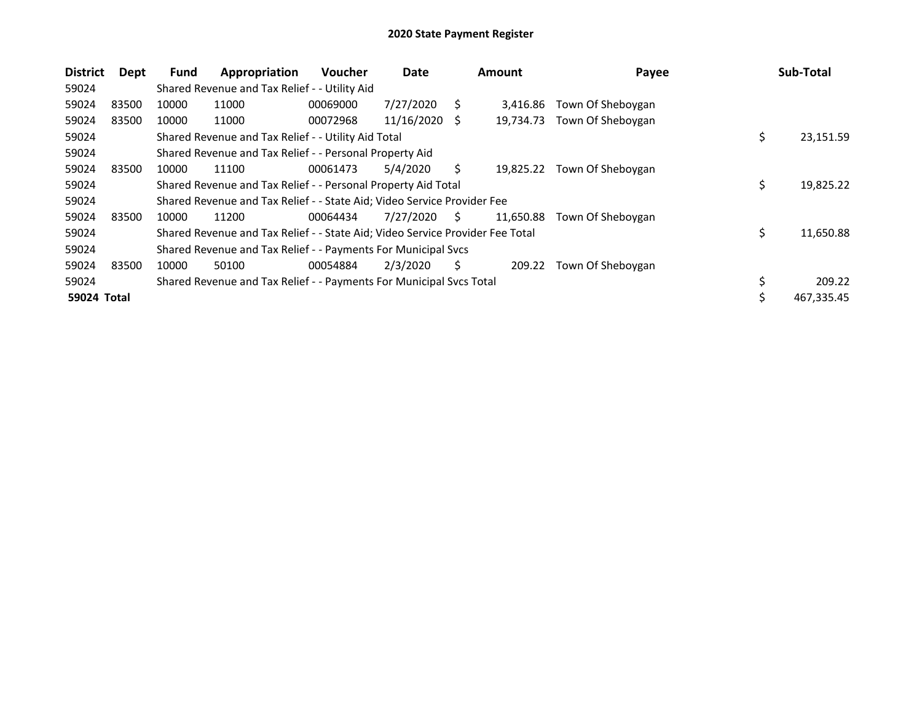| <b>District</b> | Dept  | <b>Fund</b> | Appropriation                                                                 | <b>Voucher</b> | Date       |      | <b>Amount</b> | Payee             | Sub-Total        |
|-----------------|-------|-------------|-------------------------------------------------------------------------------|----------------|------------|------|---------------|-------------------|------------------|
| 59024           |       |             | Shared Revenue and Tax Relief - - Utility Aid                                 |                |            |      |               |                   |                  |
| 59024           | 83500 | 10000       | 11000                                                                         | 00069000       | 7/27/2020  | S    | 3.416.86      | Town Of Sheboygan |                  |
| 59024           | 83500 | 10000       | 11000                                                                         | 00072968       | 11/16/2020 | - \$ | 19,734.73     | Town Of Sheboygan |                  |
| 59024           |       |             | Shared Revenue and Tax Relief - - Utility Aid Total                           |                |            |      |               |                   | \$<br>23,151.59  |
| 59024           |       |             | Shared Revenue and Tax Relief - - Personal Property Aid                       |                |            |      |               |                   |                  |
| 59024           | 83500 | 10000       | 11100                                                                         | 00061473       | 5/4/2020   | S.   | 19.825.22     | Town Of Sheboygan |                  |
| 59024           |       |             | Shared Revenue and Tax Relief - - Personal Property Aid Total                 |                |            |      |               |                   | \$<br>19,825.22  |
| 59024           |       |             | Shared Revenue and Tax Relief - - State Aid; Video Service Provider Fee       |                |            |      |               |                   |                  |
| 59024           | 83500 | 10000       | 11200                                                                         | 00064434       | 7/27/2020  | S.   | 11,650.88     | Town Of Sheboygan |                  |
| 59024           |       |             | Shared Revenue and Tax Relief - - State Aid; Video Service Provider Fee Total |                |            |      |               |                   | \$<br>11,650.88  |
| 59024           |       |             | Shared Revenue and Tax Relief - - Payments For Municipal Svcs                 |                |            |      |               |                   |                  |
| 59024           | 83500 | 10000       | 50100                                                                         | 00054884       | 2/3/2020   | Ś    | 209.22        | Town Of Sheboygan |                  |
| 59024           |       |             | Shared Revenue and Tax Relief - - Payments For Municipal Svcs Total           |                |            |      |               |                   | \$<br>209.22     |
| 59024 Total     |       |             |                                                                               |                |            |      |               |                   | \$<br>467,335.45 |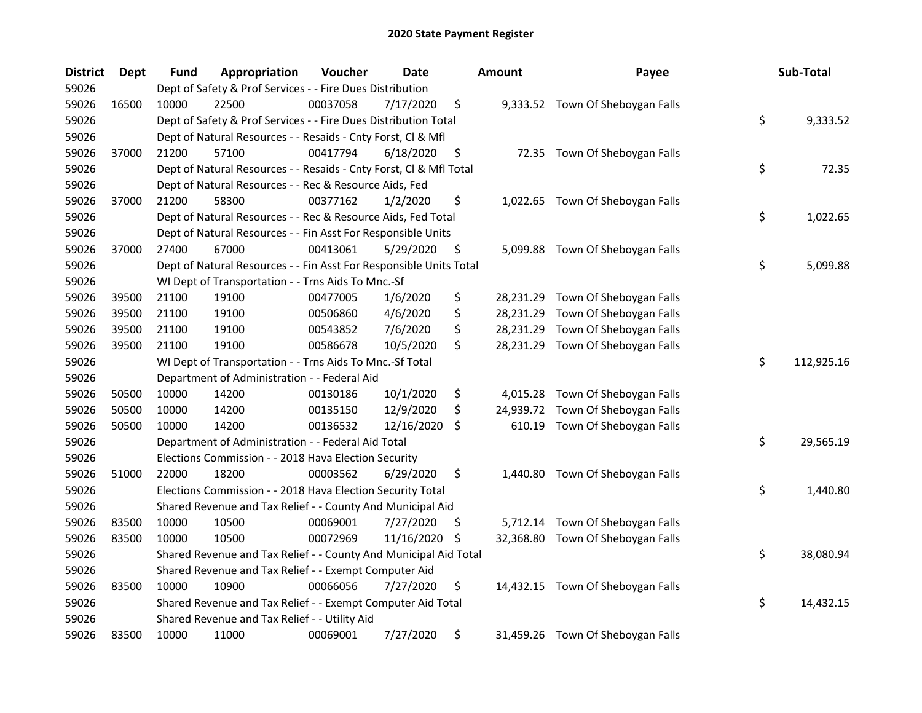| <b>District</b> | <b>Dept</b> | Fund  | Appropriation                                                      | Voucher  | <b>Date</b> |     | <b>Amount</b> | Payee                             | Sub-Total        |
|-----------------|-------------|-------|--------------------------------------------------------------------|----------|-------------|-----|---------------|-----------------------------------|------------------|
| 59026           |             |       | Dept of Safety & Prof Services - - Fire Dues Distribution          |          |             |     |               |                                   |                  |
| 59026           | 16500       | 10000 | 22500                                                              | 00037058 | 7/17/2020   | \$  |               | 9,333.52 Town Of Sheboygan Falls  |                  |
| 59026           |             |       | Dept of Safety & Prof Services - - Fire Dues Distribution Total    |          |             |     |               |                                   | \$<br>9,333.52   |
| 59026           |             |       | Dept of Natural Resources - - Resaids - Cnty Forst, Cl & Mfl       |          |             |     |               |                                   |                  |
| 59026           | 37000       | 21200 | 57100                                                              | 00417794 | 6/18/2020   | \$  |               | 72.35 Town Of Sheboygan Falls     |                  |
| 59026           |             |       | Dept of Natural Resources - - Resaids - Cnty Forst, Cl & Mfl Total |          |             |     |               |                                   | \$<br>72.35      |
| 59026           |             |       | Dept of Natural Resources - - Rec & Resource Aids, Fed             |          |             |     |               |                                   |                  |
| 59026           | 37000       | 21200 | 58300                                                              | 00377162 | 1/2/2020    | \$  |               | 1,022.65 Town Of Sheboygan Falls  |                  |
| 59026           |             |       | Dept of Natural Resources - - Rec & Resource Aids, Fed Total       |          |             |     |               |                                   | \$<br>1,022.65   |
| 59026           |             |       | Dept of Natural Resources - - Fin Asst For Responsible Units       |          |             |     |               |                                   |                  |
| 59026           | 37000       | 27400 | 67000                                                              | 00413061 | 5/29/2020   | \$  |               | 5,099.88 Town Of Sheboygan Falls  |                  |
| 59026           |             |       | Dept of Natural Resources - - Fin Asst For Responsible Units Total |          |             |     |               |                                   | \$<br>5,099.88   |
| 59026           |             |       | WI Dept of Transportation - - Trns Aids To Mnc.-Sf                 |          |             |     |               |                                   |                  |
| 59026           | 39500       | 21100 | 19100                                                              | 00477005 | 1/6/2020    | \$  | 28,231.29     | Town Of Sheboygan Falls           |                  |
| 59026           | 39500       | 21100 | 19100                                                              | 00506860 | 4/6/2020    | \$  | 28,231.29     | Town Of Sheboygan Falls           |                  |
| 59026           | 39500       | 21100 | 19100                                                              | 00543852 | 7/6/2020    | \$  | 28,231.29     | Town Of Sheboygan Falls           |                  |
| 59026           | 39500       | 21100 | 19100                                                              | 00586678 | 10/5/2020   | \$  | 28,231.29     | Town Of Sheboygan Falls           |                  |
| 59026           |             |       | WI Dept of Transportation - - Trns Aids To Mnc.-Sf Total           |          |             |     |               |                                   | \$<br>112,925.16 |
| 59026           |             |       | Department of Administration - - Federal Aid                       |          |             |     |               |                                   |                  |
| 59026           | 50500       | 10000 | 14200                                                              | 00130186 | 10/1/2020   | \$  |               | 4,015.28 Town Of Sheboygan Falls  |                  |
| 59026           | 50500       | 10000 | 14200                                                              | 00135150 | 12/9/2020   | \$  |               | 24,939.72 Town Of Sheboygan Falls |                  |
| 59026           | 50500       | 10000 | 14200                                                              | 00136532 | 12/16/2020  | Ŝ.  |               | 610.19 Town Of Sheboygan Falls    |                  |
| 59026           |             |       | Department of Administration - - Federal Aid Total                 |          |             |     |               |                                   | \$<br>29,565.19  |
| 59026           |             |       | Elections Commission - - 2018 Hava Election Security               |          |             |     |               |                                   |                  |
| 59026           | 51000       | 22000 | 18200                                                              | 00003562 | 6/29/2020   | \$  | 1,440.80      | Town Of Sheboygan Falls           |                  |
| 59026           |             |       | Elections Commission - - 2018 Hava Election Security Total         |          |             |     |               |                                   | \$<br>1,440.80   |
| 59026           |             |       | Shared Revenue and Tax Relief - - County And Municipal Aid         |          |             |     |               |                                   |                  |
| 59026           | 83500       | 10000 | 10500                                                              | 00069001 | 7/27/2020   | \$. |               | 5,712.14 Town Of Sheboygan Falls  |                  |
| 59026           | 83500       | 10000 | 10500                                                              | 00072969 | 11/16/2020  | S   |               | 32,368.80 Town Of Sheboygan Falls |                  |
| 59026           |             |       | Shared Revenue and Tax Relief - - County And Municipal Aid Total   |          |             |     |               |                                   | \$<br>38,080.94  |
| 59026           |             |       | Shared Revenue and Tax Relief - - Exempt Computer Aid              |          |             |     |               |                                   |                  |
| 59026           | 83500       | 10000 | 10900                                                              | 00066056 | 7/27/2020   | \$  |               | 14,432.15 Town Of Sheboygan Falls |                  |
| 59026           |             |       | Shared Revenue and Tax Relief - - Exempt Computer Aid Total        |          |             |     |               |                                   | \$<br>14,432.15  |
| 59026           |             |       | Shared Revenue and Tax Relief - - Utility Aid                      |          |             |     |               |                                   |                  |
| 59026           | 83500       | 10000 | 11000                                                              | 00069001 | 7/27/2020   | \$  |               | 31,459.26 Town Of Sheboygan Falls |                  |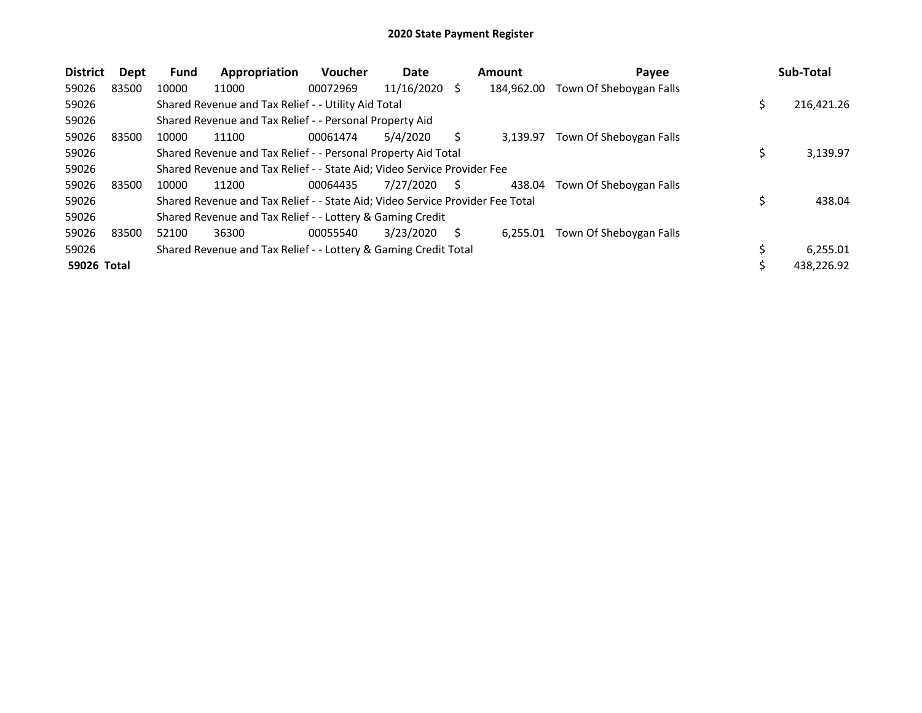| <b>District</b> | Dept  | <b>Fund</b> | Appropriation                                                                 | <b>Voucher</b> | Date       |   | <b>Amount</b> | Payee                   |            | Sub-Total  |
|-----------------|-------|-------------|-------------------------------------------------------------------------------|----------------|------------|---|---------------|-------------------------|------------|------------|
| 59026           | 83500 | 10000       | 11000                                                                         | 00072969       | 11/16/2020 | S | 184.962.00    | Town Of Sheboygan Falls |            |            |
| 59026           |       |             | Shared Revenue and Tax Relief - - Utility Aid Total                           |                |            |   |               |                         |            | 216,421.26 |
| 59026           |       |             | Shared Revenue and Tax Relief - - Personal Property Aid                       |                |            |   |               |                         |            |            |
| 59026           | 83500 | 10000       | 11100                                                                         | 00061474       | 5/4/2020   |   | 3.139.97      | Town Of Sheboygan Falls |            |            |
| 59026           |       |             | Shared Revenue and Tax Relief - - Personal Property Aid Total                 |                |            |   |               |                         | $\ddot{ }$ | 3,139.97   |
| 59026           |       |             | Shared Revenue and Tax Relief - - State Aid; Video Service Provider Fee       |                |            |   |               |                         |            |            |
| 59026           | 83500 | 10000       | 11200                                                                         | 00064435       | 7/27/2020  | S | 438.04        | Town Of Sheboygan Falls |            |            |
| 59026           |       |             | Shared Revenue and Tax Relief - - State Aid; Video Service Provider Fee Total |                |            |   |               |                         | \$         | 438.04     |
| 59026           |       |             | Shared Revenue and Tax Relief - - Lottery & Gaming Credit                     |                |            |   |               |                         |            |            |
| 59026           | 83500 | 52100       | 36300                                                                         | 00055540       | 3/23/2020  | S | 6.255.01      | Town Of Sheboygan Falls |            |            |
| 59026           |       |             | Shared Revenue and Tax Relief - - Lottery & Gaming Credit Total               |                |            |   |               |                         |            | 6,255.01   |
| 59026 Total     |       |             |                                                                               |                |            |   |               |                         |            | 438,226.92 |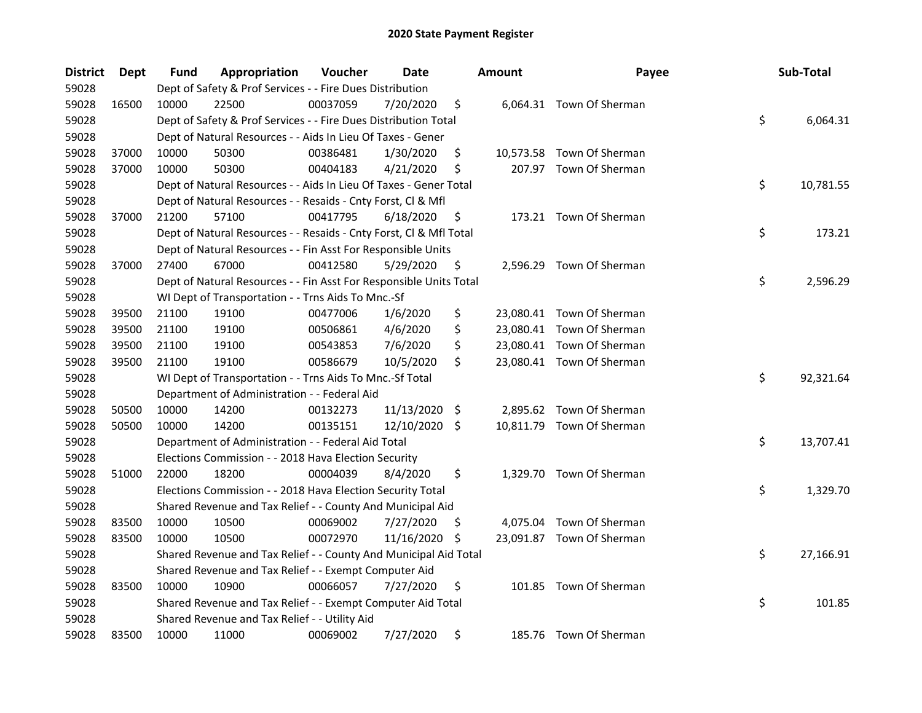| <b>District</b> | Dept  | Fund  | Appropriation                                                      | Voucher  | Date          |      | <b>Amount</b> | Payee                     | Sub-Total       |
|-----------------|-------|-------|--------------------------------------------------------------------|----------|---------------|------|---------------|---------------------------|-----------------|
| 59028           |       |       | Dept of Safety & Prof Services - - Fire Dues Distribution          |          |               |      |               |                           |                 |
| 59028           | 16500 | 10000 | 22500                                                              | 00037059 | 7/20/2020     | \$   |               | 6,064.31 Town Of Sherman  |                 |
| 59028           |       |       | Dept of Safety & Prof Services - - Fire Dues Distribution Total    |          |               |      |               |                           | \$<br>6,064.31  |
| 59028           |       |       | Dept of Natural Resources - - Aids In Lieu Of Taxes - Gener        |          |               |      |               |                           |                 |
| 59028           | 37000 | 10000 | 50300                                                              | 00386481 | 1/30/2020     | \$   |               | 10,573.58 Town Of Sherman |                 |
| 59028           | 37000 | 10000 | 50300                                                              | 00404183 | 4/21/2020     | \$   |               | 207.97 Town Of Sherman    |                 |
| 59028           |       |       | Dept of Natural Resources - - Aids In Lieu Of Taxes - Gener Total  |          |               |      |               |                           | \$<br>10,781.55 |
| 59028           |       |       | Dept of Natural Resources - - Resaids - Cnty Forst, Cl & Mfl       |          |               |      |               |                           |                 |
| 59028           | 37000 | 21200 | 57100                                                              | 00417795 | 6/18/2020     | \$   |               | 173.21 Town Of Sherman    |                 |
| 59028           |       |       | Dept of Natural Resources - - Resaids - Cnty Forst, Cl & Mfl Total |          |               |      |               |                           | \$<br>173.21    |
| 59028           |       |       | Dept of Natural Resources - - Fin Asst For Responsible Units       |          |               |      |               |                           |                 |
| 59028           | 37000 | 27400 | 67000                                                              | 00412580 | 5/29/2020     | \$   |               | 2,596.29 Town Of Sherman  |                 |
| 59028           |       |       | Dept of Natural Resources - - Fin Asst For Responsible Units Total |          |               |      |               |                           | \$<br>2,596.29  |
| 59028           |       |       | WI Dept of Transportation - - Trns Aids To Mnc.-Sf                 |          |               |      |               |                           |                 |
| 59028           | 39500 | 21100 | 19100                                                              | 00477006 | 1/6/2020      | \$   |               | 23,080.41 Town Of Sherman |                 |
| 59028           | 39500 | 21100 | 19100                                                              | 00506861 | 4/6/2020      | \$   |               | 23,080.41 Town Of Sherman |                 |
| 59028           | 39500 | 21100 | 19100                                                              | 00543853 | 7/6/2020      | \$   |               | 23,080.41 Town Of Sherman |                 |
| 59028           | 39500 | 21100 | 19100                                                              | 00586679 | 10/5/2020     | \$   |               | 23,080.41 Town Of Sherman |                 |
| 59028           |       |       | WI Dept of Transportation - - Trns Aids To Mnc.-Sf Total           |          |               |      |               |                           | \$<br>92,321.64 |
| 59028           |       |       | Department of Administration - - Federal Aid                       |          |               |      |               |                           |                 |
| 59028           | 50500 | 10000 | 14200                                                              | 00132273 | 11/13/2020    | - \$ |               | 2,895.62 Town Of Sherman  |                 |
| 59028           | 50500 | 10000 | 14200                                                              | 00135151 | 12/10/2020 \$ |      |               | 10,811.79 Town Of Sherman |                 |
| 59028           |       |       | Department of Administration - - Federal Aid Total                 |          |               |      |               |                           | \$<br>13,707.41 |
| 59028           |       |       | Elections Commission - - 2018 Hava Election Security               |          |               |      |               |                           |                 |
| 59028           | 51000 | 22000 | 18200                                                              | 00004039 | 8/4/2020      | \$   |               | 1,329.70 Town Of Sherman  |                 |
| 59028           |       |       | Elections Commission - - 2018 Hava Election Security Total         |          |               |      |               |                           | \$<br>1,329.70  |
| 59028           |       |       | Shared Revenue and Tax Relief - - County And Municipal Aid         |          |               |      |               |                           |                 |
| 59028           | 83500 | 10000 | 10500                                                              | 00069002 | 7/27/2020     | \$.  |               | 4,075.04 Town Of Sherman  |                 |
| 59028           | 83500 | 10000 | 10500                                                              | 00072970 | 11/16/2020    | S    |               | 23,091.87 Town Of Sherman |                 |
| 59028           |       |       | Shared Revenue and Tax Relief - - County And Municipal Aid Total   |          |               |      |               |                           | \$<br>27,166.91 |
| 59028           |       |       | Shared Revenue and Tax Relief - - Exempt Computer Aid              |          |               |      |               |                           |                 |
| 59028           | 83500 | 10000 | 10900                                                              | 00066057 | 7/27/2020     | \$   |               | 101.85 Town Of Sherman    |                 |
| 59028           |       |       | Shared Revenue and Tax Relief - - Exempt Computer Aid Total        |          |               |      |               |                           | \$<br>101.85    |
| 59028           |       |       | Shared Revenue and Tax Relief - - Utility Aid                      |          |               |      |               |                           |                 |
| 59028           | 83500 | 10000 | 11000                                                              | 00069002 | 7/27/2020     | \$   |               | 185.76 Town Of Sherman    |                 |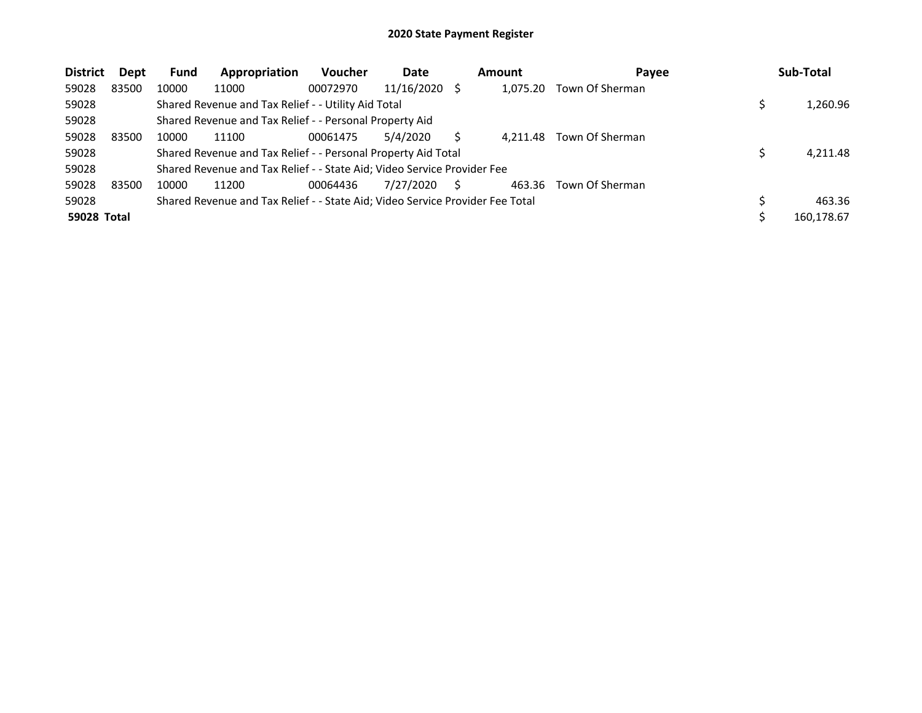| <b>District</b>    | Dept  | <b>Fund</b> | Appropriation                                                                 | <b>Voucher</b> | Date       | Amount   | Payee           | Sub-Total  |
|--------------------|-------|-------------|-------------------------------------------------------------------------------|----------------|------------|----------|-----------------|------------|
| 59028              | 83500 | 10000       | 11000                                                                         | 00072970       | 11/16/2020 | 1.075.20 | Town Of Sherman |            |
| 59028              |       |             | Shared Revenue and Tax Relief - - Utility Aid Total                           |                |            |          |                 | 1,260.96   |
| 59028              |       |             | Shared Revenue and Tax Relief - - Personal Property Aid                       |                |            |          |                 |            |
| 59028              | 83500 | 10000       | 11100                                                                         | 00061475       | 5/4/2020   | 4.211.48 | Town Of Sherman |            |
| 59028              |       |             | Shared Revenue and Tax Relief - - Personal Property Aid Total                 |                |            |          |                 | 4,211.48   |
| 59028              |       |             | Shared Revenue and Tax Relief - - State Aid; Video Service Provider Fee       |                |            |          |                 |            |
| 59028              | 83500 | 10000       | 11200                                                                         | 00064436       | 7/27/2020  | 463.36   | Town Of Sherman |            |
| 59028              |       |             | Shared Revenue and Tax Relief - - State Aid; Video Service Provider Fee Total |                |            |          |                 | 463.36     |
| <b>59028 Total</b> |       |             |                                                                               |                |            |          |                 | 160,178.67 |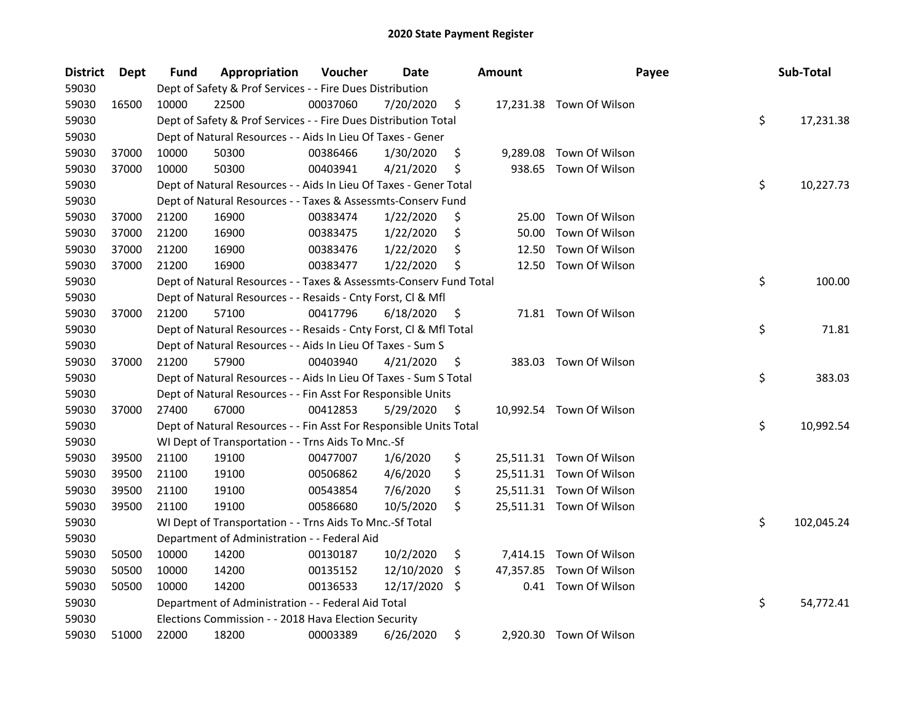| <b>District</b> | <b>Dept</b> | Fund  | Appropriation                                                      | Voucher  | Date       |     | <b>Amount</b> | Payee                    | Sub-Total        |
|-----------------|-------------|-------|--------------------------------------------------------------------|----------|------------|-----|---------------|--------------------------|------------------|
| 59030           |             |       | Dept of Safety & Prof Services - - Fire Dues Distribution          |          |            |     |               |                          |                  |
| 59030           | 16500       | 10000 | 22500                                                              | 00037060 | 7/20/2020  | \$  |               | 17,231.38 Town Of Wilson |                  |
| 59030           |             |       | Dept of Safety & Prof Services - - Fire Dues Distribution Total    |          |            |     |               |                          | \$<br>17,231.38  |
| 59030           |             |       | Dept of Natural Resources - - Aids In Lieu Of Taxes - Gener        |          |            |     |               |                          |                  |
| 59030           | 37000       | 10000 | 50300                                                              | 00386466 | 1/30/2020  | \$  | 9,289.08      | Town Of Wilson           |                  |
| 59030           | 37000       | 10000 | 50300                                                              | 00403941 | 4/21/2020  | \$  | 938.65        | Town Of Wilson           |                  |
| 59030           |             |       | Dept of Natural Resources - - Aids In Lieu Of Taxes - Gener Total  |          |            |     |               |                          | \$<br>10,227.73  |
| 59030           |             |       | Dept of Natural Resources - - Taxes & Assessmts-Conserv Fund       |          |            |     |               |                          |                  |
| 59030           | 37000       | 21200 | 16900                                                              | 00383474 | 1/22/2020  | \$  | 25.00         | Town Of Wilson           |                  |
| 59030           | 37000       | 21200 | 16900                                                              | 00383475 | 1/22/2020  | \$  | 50.00         | Town Of Wilson           |                  |
| 59030           | 37000       | 21200 | 16900                                                              | 00383476 | 1/22/2020  | \$  | 12.50         | Town Of Wilson           |                  |
| 59030           | 37000       | 21200 | 16900                                                              | 00383477 | 1/22/2020  | \$  | 12.50         | Town Of Wilson           |                  |
| 59030           |             |       | Dept of Natural Resources - - Taxes & Assessmts-Conserv Fund Total |          |            |     |               |                          | \$<br>100.00     |
| 59030           |             |       | Dept of Natural Resources - - Resaids - Cnty Forst, Cl & Mfl       |          |            |     |               |                          |                  |
| 59030           | 37000       | 21200 | 57100                                                              | 00417796 | 6/18/2020  | \$  |               | 71.81 Town Of Wilson     |                  |
| 59030           |             |       | Dept of Natural Resources - - Resaids - Cnty Forst, Cl & Mfl Total |          |            |     |               |                          | \$<br>71.81      |
| 59030           |             |       | Dept of Natural Resources - - Aids In Lieu Of Taxes - Sum S        |          |            |     |               |                          |                  |
| 59030           | 37000       | 21200 | 57900                                                              | 00403940 | 4/21/2020  | \$  |               | 383.03 Town Of Wilson    |                  |
| 59030           |             |       | Dept of Natural Resources - - Aids In Lieu Of Taxes - Sum S Total  |          |            |     |               |                          | \$<br>383.03     |
| 59030           |             |       | Dept of Natural Resources - - Fin Asst For Responsible Units       |          |            |     |               |                          |                  |
| 59030           | 37000       | 27400 | 67000                                                              | 00412853 | 5/29/2020  | \$  |               | 10,992.54 Town Of Wilson |                  |
| 59030           |             |       | Dept of Natural Resources - - Fin Asst For Responsible Units Total |          |            |     |               |                          | \$<br>10,992.54  |
| 59030           |             |       | WI Dept of Transportation - - Trns Aids To Mnc.-Sf                 |          |            |     |               |                          |                  |
| 59030           | 39500       | 21100 | 19100                                                              | 00477007 | 1/6/2020   | \$  |               | 25,511.31 Town Of Wilson |                  |
| 59030           | 39500       | 21100 | 19100                                                              | 00506862 | 4/6/2020   | \$  |               | 25,511.31 Town Of Wilson |                  |
| 59030           | 39500       | 21100 | 19100                                                              | 00543854 | 7/6/2020   | \$  |               | 25,511.31 Town Of Wilson |                  |
| 59030           | 39500       | 21100 | 19100                                                              | 00586680 | 10/5/2020  | \$  |               | 25,511.31 Town Of Wilson |                  |
| 59030           |             |       | WI Dept of Transportation - - Trns Aids To Mnc.-Sf Total           |          |            |     |               |                          | \$<br>102,045.24 |
| 59030           |             |       | Department of Administration - - Federal Aid                       |          |            |     |               |                          |                  |
| 59030           | 50500       | 10000 | 14200                                                              | 00130187 | 10/2/2020  | \$  |               | 7,414.15 Town Of Wilson  |                  |
| 59030           | 50500       | 10000 | 14200                                                              | 00135152 | 12/10/2020 | \$. | 47,357.85     | Town Of Wilson           |                  |
| 59030           | 50500       | 10000 | 14200                                                              | 00136533 | 12/17/2020 | \$  | 0.41          | Town Of Wilson           |                  |
| 59030           |             |       | Department of Administration - - Federal Aid Total                 |          |            |     |               |                          | \$<br>54,772.41  |
| 59030           |             |       | Elections Commission - - 2018 Hava Election Security               |          |            |     |               |                          |                  |
| 59030           | 51000       | 22000 | 18200                                                              | 00003389 | 6/26/2020  | \$  |               | 2,920.30 Town Of Wilson  |                  |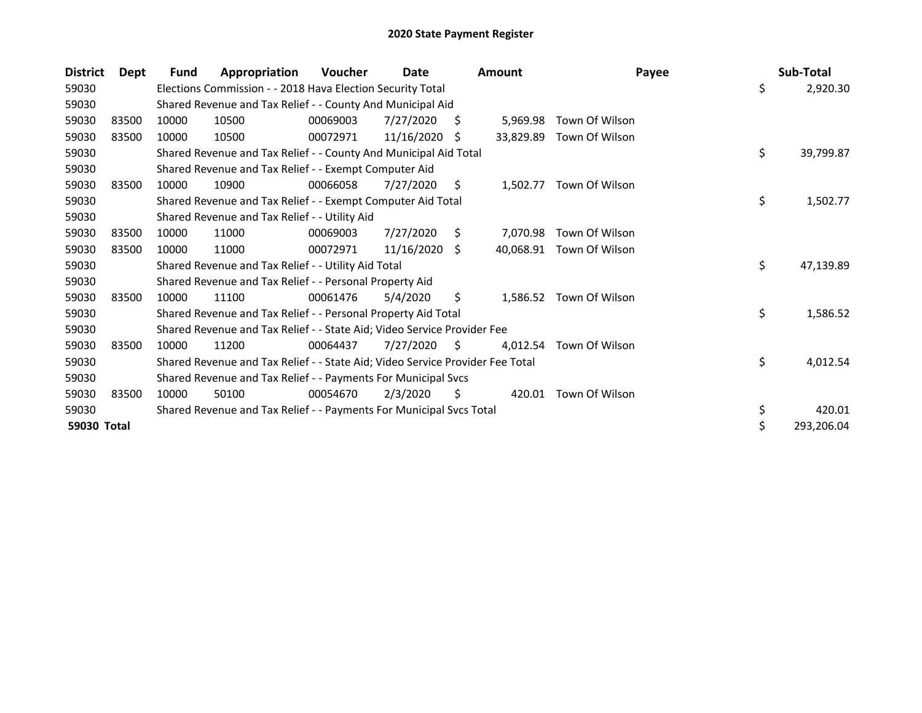| <b>District</b> | Dept  | Fund  | Appropriation                                                                 | <b>Voucher</b> | Date       |              | <b>Amount</b> | Payee                   | Sub-Total        |
|-----------------|-------|-------|-------------------------------------------------------------------------------|----------------|------------|--------------|---------------|-------------------------|------------------|
| 59030           |       |       | Elections Commission - - 2018 Hava Election Security Total                    |                |            |              |               |                         | \$<br>2,920.30   |
| 59030           |       |       | Shared Revenue and Tax Relief - - County And Municipal Aid                    |                |            |              |               |                         |                  |
| 59030           | 83500 | 10000 | 10500                                                                         | 00069003       | 7/27/2020  | S            | 5,969.98      | Town Of Wilson          |                  |
| 59030           | 83500 | 10000 | 10500                                                                         | 00072971       | 11/16/2020 | -S           | 33,829.89     | Town Of Wilson          |                  |
| 59030           |       |       | Shared Revenue and Tax Relief - - County And Municipal Aid Total              |                |            |              |               |                         | \$<br>39,799.87  |
| 59030           |       |       | Shared Revenue and Tax Relief - - Exempt Computer Aid                         |                |            |              |               |                         |                  |
| 59030           | 83500 | 10000 | 10900                                                                         | 00066058       | 7/27/2020  | S.           | 1,502.77      | Town Of Wilson          |                  |
| 59030           |       |       | Shared Revenue and Tax Relief - - Exempt Computer Aid Total                   |                |            |              |               |                         | \$<br>1,502.77   |
| 59030           |       |       | Shared Revenue and Tax Relief - - Utility Aid                                 |                |            |              |               |                         |                  |
| 59030           | 83500 | 10000 | 11000                                                                         | 00069003       | 7/27/2020  | Ŝ.           | 7,070.98      | Town Of Wilson          |                  |
| 59030           | 83500 | 10000 | 11000                                                                         | 00072971       | 11/16/2020 | <sup>S</sup> | 40,068.91     | Town Of Wilson          |                  |
| 59030           |       |       | Shared Revenue and Tax Relief - - Utility Aid Total                           |                |            |              |               |                         | \$<br>47,139.89  |
| 59030           |       |       | Shared Revenue and Tax Relief - - Personal Property Aid                       |                |            |              |               |                         |                  |
| 59030           | 83500 | 10000 | 11100                                                                         | 00061476       | 5/4/2020   | \$           |               | 1,586.52 Town Of Wilson |                  |
| 59030           |       |       | Shared Revenue and Tax Relief - - Personal Property Aid Total                 |                |            |              |               |                         | \$<br>1,586.52   |
| 59030           |       |       | Shared Revenue and Tax Relief - - State Aid; Video Service Provider Fee       |                |            |              |               |                         |                  |
| 59030           | 83500 | 10000 | 11200                                                                         | 00064437       | 7/27/2020  | S            | 4.012.54      | Town Of Wilson          |                  |
| 59030           |       |       | Shared Revenue and Tax Relief - - State Aid; Video Service Provider Fee Total |                |            |              |               |                         | \$<br>4,012.54   |
| 59030           |       |       | Shared Revenue and Tax Relief - - Payments For Municipal Svcs                 |                |            |              |               |                         |                  |
| 59030           | 83500 | 10000 | 50100                                                                         | 00054670       | 2/3/2020   | \$           | 420.01        | Town Of Wilson          |                  |
| 59030           |       |       | Shared Revenue and Tax Relief - - Payments For Municipal Svcs Total           |                |            |              |               |                         | \$<br>420.01     |
| 59030 Total     |       |       |                                                                               |                |            |              |               |                         | \$<br>293,206.04 |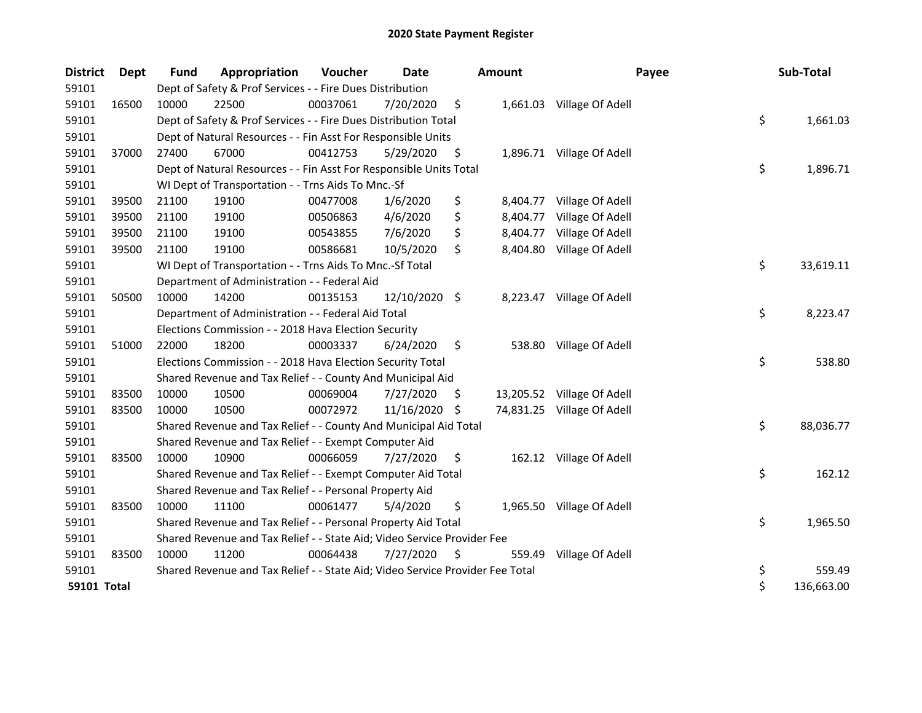| <b>District</b> | <b>Dept</b> | Fund  | Appropriation                                                                 | Voucher  | Date          |     | <b>Amount</b> | Payee                      | Sub-Total        |
|-----------------|-------------|-------|-------------------------------------------------------------------------------|----------|---------------|-----|---------------|----------------------------|------------------|
| 59101           |             |       | Dept of Safety & Prof Services - - Fire Dues Distribution                     |          |               |     |               |                            |                  |
| 59101           | 16500       | 10000 | 22500                                                                         | 00037061 | 7/20/2020     | \$  |               | 1,661.03 Village Of Adell  |                  |
| 59101           |             |       | Dept of Safety & Prof Services - - Fire Dues Distribution Total               |          |               |     |               |                            | \$<br>1,661.03   |
| 59101           |             |       | Dept of Natural Resources - - Fin Asst For Responsible Units                  |          |               |     |               |                            |                  |
| 59101           | 37000       | 27400 | 67000                                                                         | 00412753 | 5/29/2020     | \$  |               | 1,896.71 Village Of Adell  |                  |
| 59101           |             |       | Dept of Natural Resources - - Fin Asst For Responsible Units Total            |          |               |     |               |                            | \$<br>1,896.71   |
| 59101           |             |       | WI Dept of Transportation - - Trns Aids To Mnc.-Sf                            |          |               |     |               |                            |                  |
| 59101           | 39500       | 21100 | 19100                                                                         | 00477008 | 1/6/2020      | \$  | 8,404.77      | Village Of Adell           |                  |
| 59101           | 39500       | 21100 | 19100                                                                         | 00506863 | 4/6/2020      | \$  | 8,404.77      | Village Of Adell           |                  |
| 59101           | 39500       | 21100 | 19100                                                                         | 00543855 | 7/6/2020      | \$  | 8,404.77      | Village Of Adell           |                  |
| 59101           | 39500       | 21100 | 19100                                                                         | 00586681 | 10/5/2020     | \$  | 8,404.80      | Village Of Adell           |                  |
| 59101           |             |       | WI Dept of Transportation - - Trns Aids To Mnc.-Sf Total                      |          |               |     |               |                            | \$<br>33,619.11  |
| 59101           |             |       | Department of Administration - - Federal Aid                                  |          |               |     |               |                            |                  |
| 59101           | 50500       | 10000 | 14200                                                                         | 00135153 | 12/10/2020 \$ |     |               | 8,223.47 Village Of Adell  |                  |
| 59101           |             |       | Department of Administration - - Federal Aid Total                            |          |               |     |               |                            | \$<br>8,223.47   |
| 59101           |             |       | Elections Commission - - 2018 Hava Election Security                          |          |               |     |               |                            |                  |
| 59101           | 51000       | 22000 | 18200                                                                         | 00003337 | 6/24/2020     | \$  |               | 538.80 Village Of Adell    |                  |
| 59101           |             |       | Elections Commission - - 2018 Hava Election Security Total                    |          |               |     |               |                            | \$<br>538.80     |
| 59101           |             |       | Shared Revenue and Tax Relief - - County And Municipal Aid                    |          |               |     |               |                            |                  |
| 59101           | 83500       | 10000 | 10500                                                                         | 00069004 | 7/27/2020     | S   |               | 13,205.52 Village Of Adell |                  |
| 59101           | 83500       | 10000 | 10500                                                                         | 00072972 | 11/16/2020    | \$. |               | 74,831.25 Village Of Adell |                  |
| 59101           |             |       | Shared Revenue and Tax Relief - - County And Municipal Aid Total              |          |               |     |               |                            | \$<br>88,036.77  |
| 59101           |             |       | Shared Revenue and Tax Relief - - Exempt Computer Aid                         |          |               |     |               |                            |                  |
| 59101           | 83500       | 10000 | 10900                                                                         | 00066059 | 7/27/2020     | \$. |               | 162.12 Village Of Adell    |                  |
| 59101           |             |       | Shared Revenue and Tax Relief - - Exempt Computer Aid Total                   |          |               |     |               |                            | \$<br>162.12     |
| 59101           |             |       | Shared Revenue and Tax Relief - - Personal Property Aid                       |          |               |     |               |                            |                  |
| 59101           | 83500       | 10000 | 11100                                                                         | 00061477 | 5/4/2020      | \$  |               | 1,965.50 Village Of Adell  |                  |
| 59101           |             |       | Shared Revenue and Tax Relief - - Personal Property Aid Total                 |          |               |     |               |                            | \$<br>1,965.50   |
| 59101           |             |       | Shared Revenue and Tax Relief - - State Aid; Video Service Provider Fee       |          |               |     |               |                            |                  |
| 59101           | 83500       | 10000 | 11200                                                                         | 00064438 | 7/27/2020     | \$. | 559.49        | Village Of Adell           |                  |
| 59101           |             |       | Shared Revenue and Tax Relief - - State Aid; Video Service Provider Fee Total |          |               |     |               |                            | \$<br>559.49     |
| 59101 Total     |             |       |                                                                               |          |               |     |               |                            | \$<br>136,663.00 |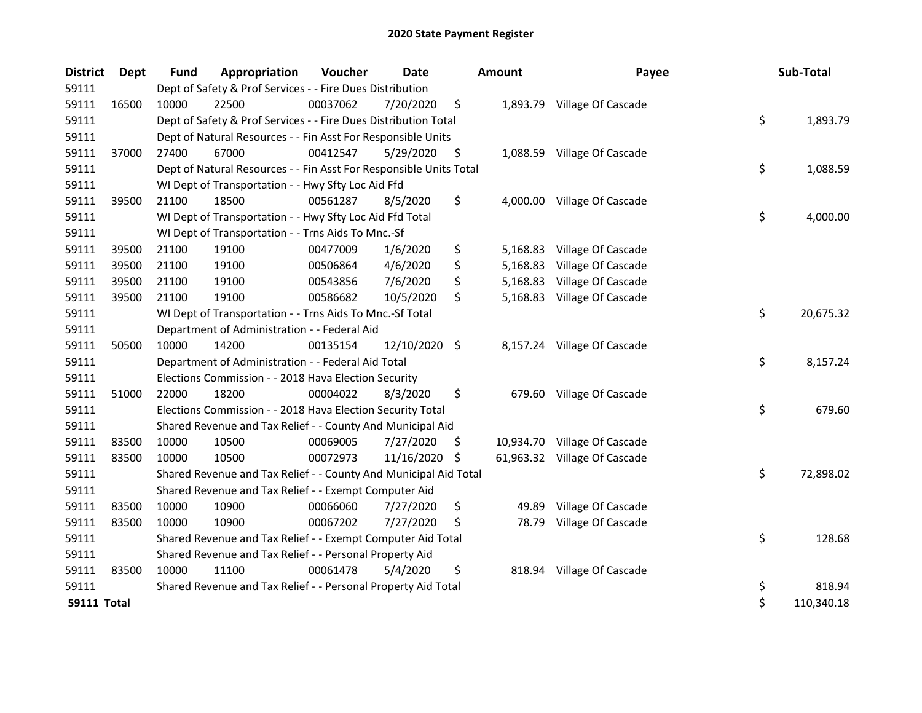| <b>District</b>    | <b>Dept</b> | <b>Fund</b> | Appropriation                                                      | Voucher  | <b>Date</b>   |     | <b>Amount</b> | Payee                        | Sub-Total        |
|--------------------|-------------|-------------|--------------------------------------------------------------------|----------|---------------|-----|---------------|------------------------------|------------------|
| 59111              |             |             | Dept of Safety & Prof Services - - Fire Dues Distribution          |          |               |     |               |                              |                  |
| 59111              | 16500       | 10000       | 22500                                                              | 00037062 | 7/20/2020     | \$  |               | 1,893.79 Village Of Cascade  |                  |
| 59111              |             |             | Dept of Safety & Prof Services - - Fire Dues Distribution Total    |          |               |     |               |                              | \$<br>1,893.79   |
| 59111              |             |             | Dept of Natural Resources - - Fin Asst For Responsible Units       |          |               |     |               |                              |                  |
| 59111              | 37000       | 27400       | 67000                                                              | 00412547 | 5/29/2020     | \$  | 1,088.59      | Village Of Cascade           |                  |
| 59111              |             |             | Dept of Natural Resources - - Fin Asst For Responsible Units Total |          |               |     |               |                              | \$<br>1,088.59   |
| 59111              |             |             | WI Dept of Transportation - - Hwy Sfty Loc Aid Ffd                 |          |               |     |               |                              |                  |
| 59111              | 39500       | 21100       | 18500                                                              | 00561287 | 8/5/2020      | \$  |               | 4,000.00 Village Of Cascade  |                  |
| 59111              |             |             | WI Dept of Transportation - - Hwy Sfty Loc Aid Ffd Total           |          |               |     |               |                              | \$<br>4,000.00   |
| 59111              |             |             | WI Dept of Transportation - - Trns Aids To Mnc.-Sf                 |          |               |     |               |                              |                  |
| 59111              | 39500       | 21100       | 19100                                                              | 00477009 | 1/6/2020      | \$  | 5,168.83      | Village Of Cascade           |                  |
| 59111              | 39500       | 21100       | 19100                                                              | 00506864 | 4/6/2020      | \$  | 5,168.83      | Village Of Cascade           |                  |
| 59111              | 39500       | 21100       | 19100                                                              | 00543856 | 7/6/2020      | \$  |               | 5,168.83 Village Of Cascade  |                  |
| 59111              | 39500       | 21100       | 19100                                                              | 00586682 | 10/5/2020     | \$  |               | 5,168.83 Village Of Cascade  |                  |
| 59111              |             |             | WI Dept of Transportation - - Trns Aids To Mnc.-Sf Total           |          |               |     |               |                              | \$<br>20,675.32  |
| 59111              |             |             | Department of Administration - - Federal Aid                       |          |               |     |               |                              |                  |
| 59111              | 50500       | 10000       | 14200                                                              | 00135154 | 12/10/2020 \$ |     |               | 8,157.24 Village Of Cascade  |                  |
| 59111              |             |             | Department of Administration - - Federal Aid Total                 |          |               |     |               |                              | \$<br>8,157.24   |
| 59111              |             |             | Elections Commission - - 2018 Hava Election Security               |          |               |     |               |                              |                  |
| 59111              | 51000       | 22000       | 18200                                                              | 00004022 | 8/3/2020      | \$  |               | 679.60 Village Of Cascade    |                  |
| 59111              |             |             | Elections Commission - - 2018 Hava Election Security Total         |          |               |     |               |                              | \$<br>679.60     |
| 59111              |             |             | Shared Revenue and Tax Relief - - County And Municipal Aid         |          |               |     |               |                              |                  |
| 59111              | 83500       | 10000       | 10500                                                              | 00069005 | 7/27/2020     | \$  |               | 10,934.70 Village Of Cascade |                  |
| 59111              | 83500       | 10000       | 10500                                                              | 00072973 | 11/16/2020    | -\$ |               | 61,963.32 Village Of Cascade |                  |
| 59111              |             |             | Shared Revenue and Tax Relief - - County And Municipal Aid Total   |          |               |     |               |                              | \$<br>72,898.02  |
| 59111              |             |             | Shared Revenue and Tax Relief - - Exempt Computer Aid              |          |               |     |               |                              |                  |
| 59111              | 83500       | 10000       | 10900                                                              | 00066060 | 7/27/2020     | \$  | 49.89         | Village Of Cascade           |                  |
| 59111              | 83500       | 10000       | 10900                                                              | 00067202 | 7/27/2020     | \$  | 78.79         | Village Of Cascade           |                  |
| 59111              |             |             | Shared Revenue and Tax Relief - - Exempt Computer Aid Total        |          |               |     |               |                              | \$<br>128.68     |
| 59111              |             |             | Shared Revenue and Tax Relief - - Personal Property Aid            |          |               |     |               |                              |                  |
| 59111              | 83500       | 10000       | 11100                                                              | 00061478 | 5/4/2020      | \$  |               | 818.94 Village Of Cascade    |                  |
| 59111              |             |             | Shared Revenue and Tax Relief - - Personal Property Aid Total      |          |               |     |               |                              | \$<br>818.94     |
| <b>59111 Total</b> |             |             |                                                                    |          |               |     |               |                              | \$<br>110,340.18 |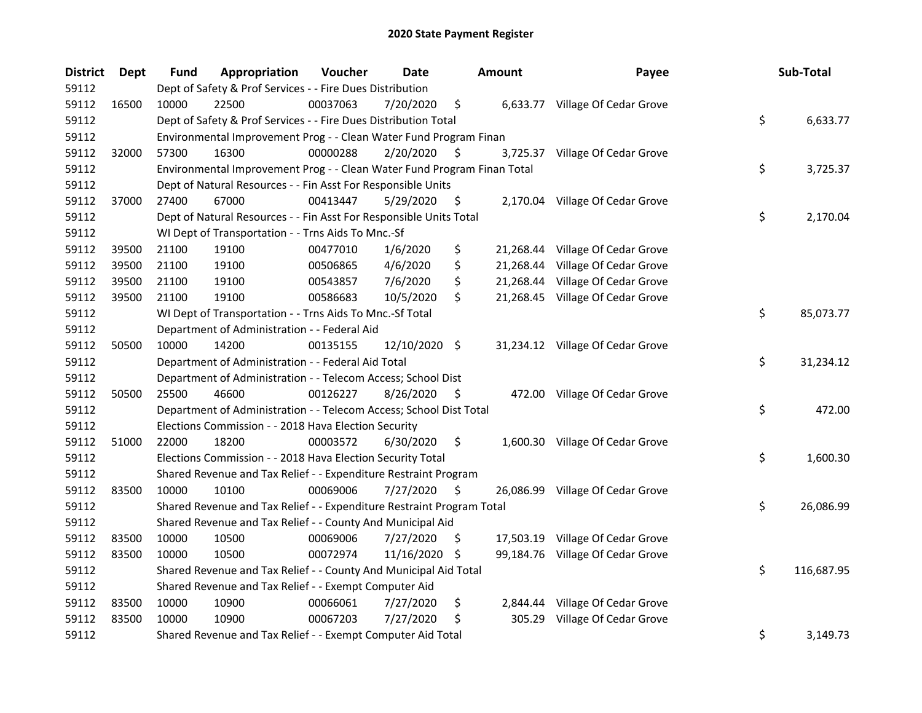| <b>District</b> | Dept  | <b>Fund</b> | Appropriation                                                           | Voucher  | <b>Date</b>   |     | <b>Amount</b> | Payee                            | Sub-Total        |
|-----------------|-------|-------------|-------------------------------------------------------------------------|----------|---------------|-----|---------------|----------------------------------|------------------|
| 59112           |       |             | Dept of Safety & Prof Services - - Fire Dues Distribution               |          |               |     |               |                                  |                  |
| 59112           | 16500 | 10000       | 22500                                                                   | 00037063 | 7/20/2020     | \$  |               | 6,633.77 Village Of Cedar Grove  |                  |
| 59112           |       |             | Dept of Safety & Prof Services - - Fire Dues Distribution Total         |          |               |     |               |                                  | \$<br>6,633.77   |
| 59112           |       |             | Environmental Improvement Prog - - Clean Water Fund Program Finan       |          |               |     |               |                                  |                  |
| 59112           | 32000 | 57300       | 16300                                                                   | 00000288 | 2/20/2020     | \$. |               | 3,725.37 Village Of Cedar Grove  |                  |
| 59112           |       |             | Environmental Improvement Prog - - Clean Water Fund Program Finan Total |          |               |     |               |                                  | \$<br>3,725.37   |
| 59112           |       |             | Dept of Natural Resources - - Fin Asst For Responsible Units            |          |               |     |               |                                  |                  |
| 59112           | 37000 | 27400       | 67000                                                                   | 00413447 | 5/29/2020     | \$  |               | 2,170.04 Village Of Cedar Grove  |                  |
| 59112           |       |             | Dept of Natural Resources - - Fin Asst For Responsible Units Total      |          |               |     |               |                                  | \$<br>2,170.04   |
| 59112           |       |             | WI Dept of Transportation - - Trns Aids To Mnc.-Sf                      |          |               |     |               |                                  |                  |
| 59112           | 39500 | 21100       | 19100                                                                   | 00477010 | 1/6/2020      | \$  |               | 21,268.44 Village Of Cedar Grove |                  |
| 59112           | 39500 | 21100       | 19100                                                                   | 00506865 | 4/6/2020      | \$  |               | 21,268.44 Village Of Cedar Grove |                  |
| 59112           | 39500 | 21100       | 19100                                                                   | 00543857 | 7/6/2020      | \$  |               | 21,268.44 Village Of Cedar Grove |                  |
| 59112           | 39500 | 21100       | 19100                                                                   | 00586683 | 10/5/2020     | \$  |               | 21,268.45 Village Of Cedar Grove |                  |
| 59112           |       |             | WI Dept of Transportation - - Trns Aids To Mnc.-Sf Total                |          |               |     |               |                                  | \$<br>85,073.77  |
| 59112           |       |             | Department of Administration - - Federal Aid                            |          |               |     |               |                                  |                  |
| 59112           | 50500 | 10000       | 14200                                                                   | 00135155 | 12/10/2020 \$ |     |               | 31,234.12 Village Of Cedar Grove |                  |
| 59112           |       |             | Department of Administration - - Federal Aid Total                      |          |               |     |               |                                  | \$<br>31,234.12  |
| 59112           |       |             | Department of Administration - - Telecom Access; School Dist            |          |               |     |               |                                  |                  |
| 59112           | 50500 | 25500       | 46600                                                                   | 00126227 | 8/26/2020     | \$  |               | 472.00 Village Of Cedar Grove    |                  |
| 59112           |       |             | Department of Administration - - Telecom Access; School Dist Total      |          |               |     |               |                                  | \$<br>472.00     |
| 59112           |       |             | Elections Commission - - 2018 Hava Election Security                    |          |               |     |               |                                  |                  |
| 59112           | 51000 | 22000       | 18200                                                                   | 00003572 | 6/30/2020     | \$  |               | 1,600.30 Village Of Cedar Grove  |                  |
| 59112           |       |             | Elections Commission - - 2018 Hava Election Security Total              |          |               |     |               |                                  | \$<br>1,600.30   |
| 59112           |       |             | Shared Revenue and Tax Relief - - Expenditure Restraint Program         |          |               |     |               |                                  |                  |
| 59112           | 83500 | 10000       | 10100                                                                   | 00069006 | 7/27/2020     | \$  |               | 26,086.99 Village Of Cedar Grove |                  |
| 59112           |       |             | Shared Revenue and Tax Relief - - Expenditure Restraint Program Total   |          |               |     |               |                                  | \$<br>26,086.99  |
| 59112           |       |             | Shared Revenue and Tax Relief - - County And Municipal Aid              |          |               |     |               |                                  |                  |
| 59112           | 83500 | 10000       | 10500                                                                   | 00069006 | 7/27/2020     | \$  |               | 17,503.19 Village Of Cedar Grove |                  |
| 59112           | 83500 | 10000       | 10500                                                                   | 00072974 | 11/16/2020    | -\$ |               | 99,184.76 Village Of Cedar Grove |                  |
| 59112           |       |             | Shared Revenue and Tax Relief - - County And Municipal Aid Total        |          |               |     |               |                                  | \$<br>116,687.95 |
| 59112           |       |             | Shared Revenue and Tax Relief - - Exempt Computer Aid                   |          |               |     |               |                                  |                  |
| 59112           | 83500 | 10000       | 10900                                                                   | 00066061 | 7/27/2020     | \$  | 2,844.44      | Village Of Cedar Grove           |                  |
| 59112           | 83500 | 10000       | 10900                                                                   | 00067203 | 7/27/2020     | \$  | 305.29        | Village Of Cedar Grove           |                  |
| 59112           |       |             | Shared Revenue and Tax Relief - - Exempt Computer Aid Total             |          |               |     |               |                                  | \$<br>3,149.73   |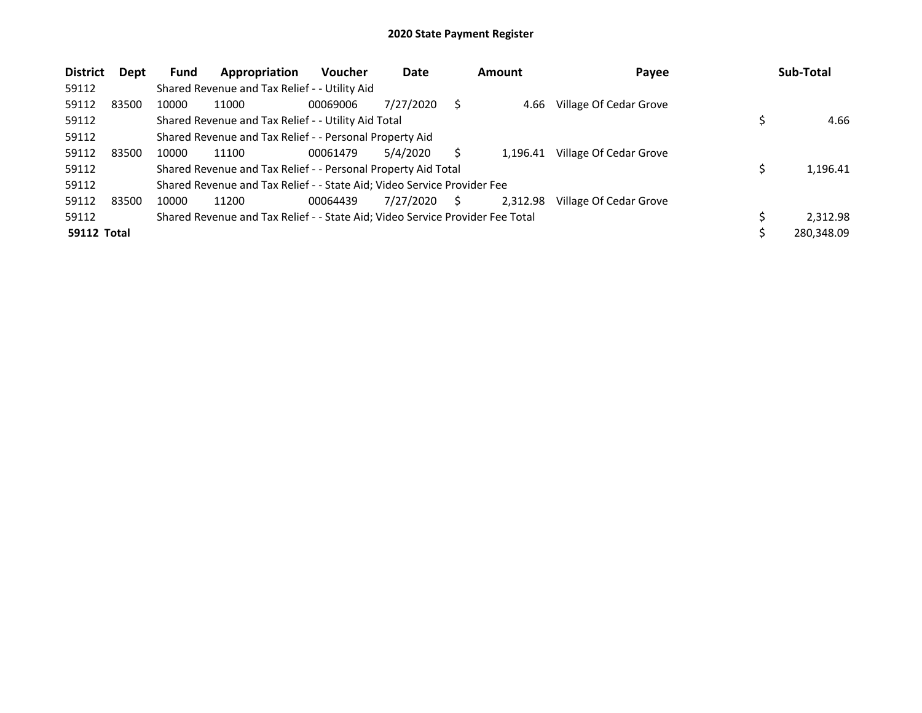| <b>District</b>    | Dept  | <b>Fund</b> | Appropriation                                                                 | <b>Voucher</b> | Date      |   | <b>Amount</b> | Payee                  | Sub-Total  |
|--------------------|-------|-------------|-------------------------------------------------------------------------------|----------------|-----------|---|---------------|------------------------|------------|
| 59112              |       |             | Shared Revenue and Tax Relief - - Utility Aid                                 |                |           |   |               |                        |            |
| 59112              | 83500 | 10000       | 11000                                                                         | 00069006       | 7/27/2020 | S | 4.66          | Village Of Cedar Grove |            |
| 59112              |       |             | Shared Revenue and Tax Relief - - Utility Aid Total                           |                |           |   |               |                        | 4.66       |
| 59112              |       |             | Shared Revenue and Tax Relief - - Personal Property Aid                       |                |           |   |               |                        |            |
| 59112              | 83500 | 10000       | 11100                                                                         | 00061479       | 5/4/2020  |   | 1.196.41      | Village Of Cedar Grove |            |
| 59112              |       |             | Shared Revenue and Tax Relief - - Personal Property Aid Total                 |                |           |   |               |                        | 1,196.41   |
| 59112              |       |             | Shared Revenue and Tax Relief - - State Aid; Video Service Provider Fee       |                |           |   |               |                        |            |
| 59112              | 83500 | 10000       | 11200                                                                         | 00064439       | 7/27/2020 | S | 2,312.98      | Village Of Cedar Grove |            |
| 59112              |       |             | Shared Revenue and Tax Relief - - State Aid; Video Service Provider Fee Total |                |           |   |               |                        | 2.312.98   |
| <b>59112 Total</b> |       |             |                                                                               |                |           |   |               |                        | 280,348.09 |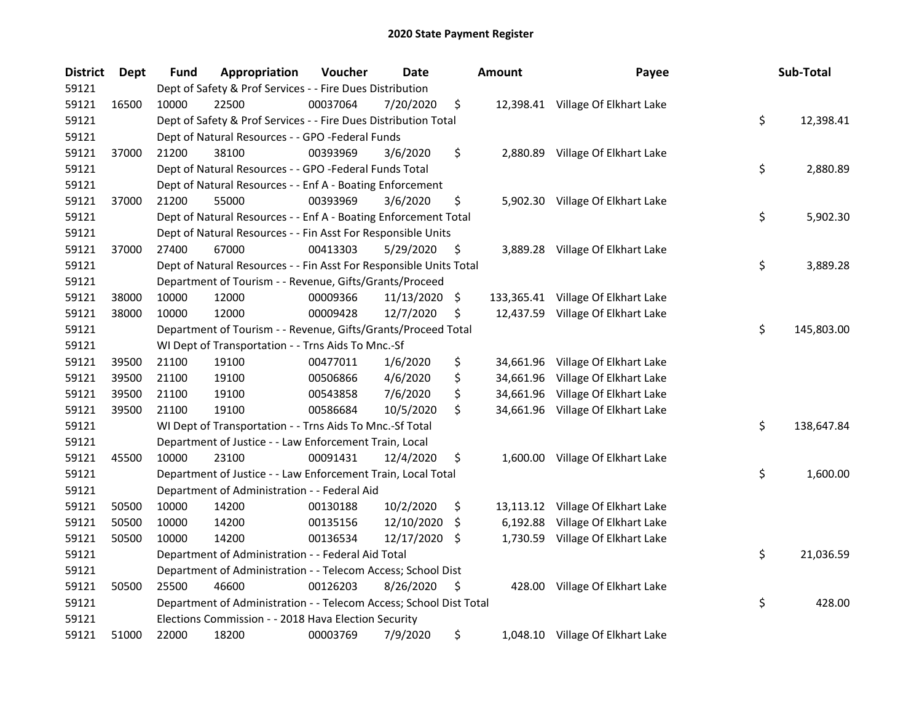| <b>District</b> | Dept  | Fund  | Appropriation                                                      | Voucher  | Date          |     | <b>Amount</b> | Payee                              | Sub-Total        |
|-----------------|-------|-------|--------------------------------------------------------------------|----------|---------------|-----|---------------|------------------------------------|------------------|
| 59121           |       |       | Dept of Safety & Prof Services - - Fire Dues Distribution          |          |               |     |               |                                    |                  |
| 59121           | 16500 | 10000 | 22500                                                              | 00037064 | 7/20/2020     | \$  |               | 12,398.41 Village Of Elkhart Lake  |                  |
| 59121           |       |       | Dept of Safety & Prof Services - - Fire Dues Distribution Total    |          |               |     |               |                                    | \$<br>12,398.41  |
| 59121           |       |       | Dept of Natural Resources - - GPO -Federal Funds                   |          |               |     |               |                                    |                  |
| 59121           | 37000 | 21200 | 38100                                                              | 00393969 | 3/6/2020      | \$  |               | 2,880.89 Village Of Elkhart Lake   |                  |
| 59121           |       |       | Dept of Natural Resources - - GPO -Federal Funds Total             |          |               |     |               |                                    | \$<br>2,880.89   |
| 59121           |       |       | Dept of Natural Resources - - Enf A - Boating Enforcement          |          |               |     |               |                                    |                  |
| 59121           | 37000 | 21200 | 55000                                                              | 00393969 | 3/6/2020      | \$  |               | 5,902.30 Village Of Elkhart Lake   |                  |
| 59121           |       |       | Dept of Natural Resources - - Enf A - Boating Enforcement Total    |          |               |     |               |                                    | \$<br>5,902.30   |
| 59121           |       |       | Dept of Natural Resources - - Fin Asst For Responsible Units       |          |               |     |               |                                    |                  |
| 59121           | 37000 | 27400 | 67000                                                              | 00413303 | 5/29/2020     | \$  |               | 3,889.28 Village Of Elkhart Lake   |                  |
| 59121           |       |       | Dept of Natural Resources - - Fin Asst For Responsible Units Total |          |               |     |               |                                    | \$<br>3,889.28   |
| 59121           |       |       | Department of Tourism - - Revenue, Gifts/Grants/Proceed            |          |               |     |               |                                    |                  |
| 59121           | 38000 | 10000 | 12000                                                              | 00009366 | 11/13/2020 \$ |     |               | 133,365.41 Village Of Elkhart Lake |                  |
| 59121           | 38000 | 10000 | 12000                                                              | 00009428 | 12/7/2020     | \$  |               | 12,437.59 Village Of Elkhart Lake  |                  |
| 59121           |       |       | Department of Tourism - - Revenue, Gifts/Grants/Proceed Total      |          |               |     |               |                                    | \$<br>145,803.00 |
| 59121           |       |       | WI Dept of Transportation - - Trns Aids To Mnc.-Sf                 |          |               |     |               |                                    |                  |
| 59121           | 39500 | 21100 | 19100                                                              | 00477011 | 1/6/2020      | \$  |               | 34,661.96 Village Of Elkhart Lake  |                  |
| 59121           | 39500 | 21100 | 19100                                                              | 00506866 | 4/6/2020      | \$  |               | 34,661.96 Village Of Elkhart Lake  |                  |
| 59121           | 39500 | 21100 | 19100                                                              | 00543858 | 7/6/2020      | \$  |               | 34,661.96 Village Of Elkhart Lake  |                  |
| 59121           | 39500 | 21100 | 19100                                                              | 00586684 | 10/5/2020     | \$  |               | 34,661.96 Village Of Elkhart Lake  |                  |
| 59121           |       |       | WI Dept of Transportation - - Trns Aids To Mnc.-Sf Total           |          |               |     |               |                                    | \$<br>138,647.84 |
| 59121           |       |       | Department of Justice - - Law Enforcement Train, Local             |          |               |     |               |                                    |                  |
| 59121           | 45500 | 10000 | 23100                                                              | 00091431 | 12/4/2020     | \$  |               | 1,600.00 Village Of Elkhart Lake   |                  |
| 59121           |       |       | Department of Justice - - Law Enforcement Train, Local Total       |          |               |     |               |                                    | \$<br>1,600.00   |
| 59121           |       |       | Department of Administration - - Federal Aid                       |          |               |     |               |                                    |                  |
| 59121           | 50500 | 10000 | 14200                                                              | 00130188 | 10/2/2020     | \$  |               | 13,113.12 Village Of Elkhart Lake  |                  |
| 59121           | 50500 | 10000 | 14200                                                              | 00135156 | 12/10/2020    | \$. | 6,192.88      | Village Of Elkhart Lake            |                  |
| 59121           | 50500 | 10000 | 14200                                                              | 00136534 | 12/17/2020    | \$. |               | 1,730.59 Village Of Elkhart Lake   |                  |
| 59121           |       |       | Department of Administration - - Federal Aid Total                 |          |               |     |               |                                    | \$<br>21,036.59  |
| 59121           |       |       | Department of Administration - - Telecom Access; School Dist       |          |               |     |               |                                    |                  |
| 59121           | 50500 | 25500 | 46600                                                              | 00126203 | 8/26/2020     | \$  | 428.00        | Village Of Elkhart Lake            |                  |
| 59121           |       |       | Department of Administration - - Telecom Access; School Dist Total |          |               |     |               |                                    | \$<br>428.00     |
| 59121           |       |       | Elections Commission - - 2018 Hava Election Security               |          |               |     |               |                                    |                  |
| 59121           | 51000 | 22000 | 18200                                                              | 00003769 | 7/9/2020      | \$  |               | 1,048.10 Village Of Elkhart Lake   |                  |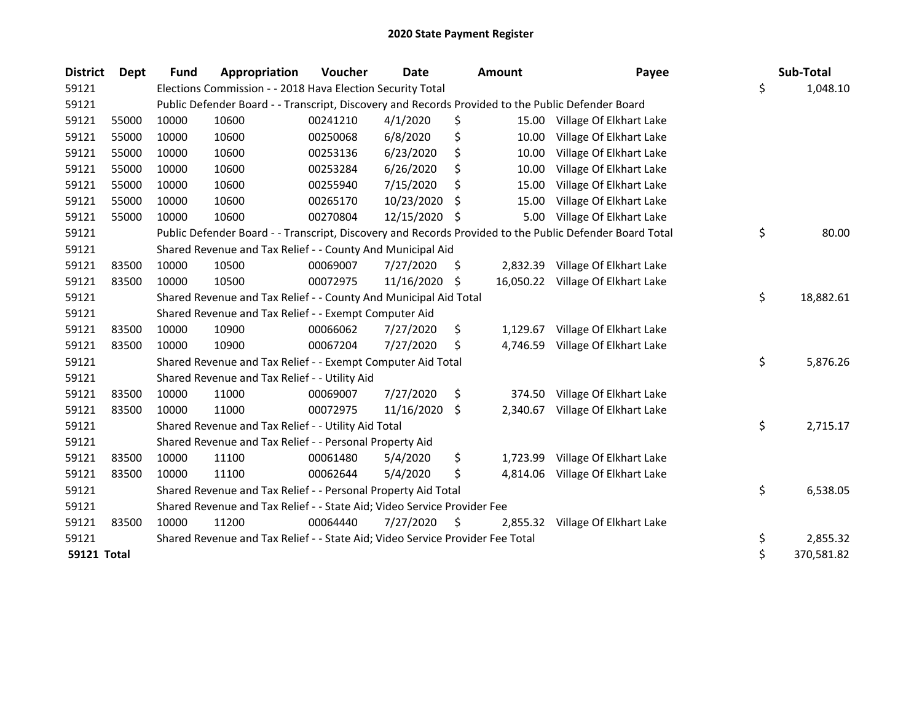| <b>District</b>    | Dept  | <b>Fund</b> | Appropriation                                                                                     | Voucher  | Date       |     | <b>Amount</b> | Payee                                                                                                   | Sub-Total        |
|--------------------|-------|-------------|---------------------------------------------------------------------------------------------------|----------|------------|-----|---------------|---------------------------------------------------------------------------------------------------------|------------------|
| 59121              |       |             | Elections Commission - - 2018 Hava Election Security Total                                        |          |            |     |               |                                                                                                         | \$<br>1,048.10   |
| 59121              |       |             | Public Defender Board - - Transcript, Discovery and Records Provided to the Public Defender Board |          |            |     |               |                                                                                                         |                  |
| 59121              | 55000 | 10000       | 10600                                                                                             | 00241210 | 4/1/2020   | \$  | 15.00         | Village Of Elkhart Lake                                                                                 |                  |
| 59121              | 55000 | 10000       | 10600                                                                                             | 00250068 | 6/8/2020   | \$  | 10.00         | Village Of Elkhart Lake                                                                                 |                  |
| 59121              | 55000 | 10000       | 10600                                                                                             | 00253136 | 6/23/2020  | \$  | 10.00         | Village Of Elkhart Lake                                                                                 |                  |
| 59121              | 55000 | 10000       | 10600                                                                                             | 00253284 | 6/26/2020  | \$  | 10.00         | Village Of Elkhart Lake                                                                                 |                  |
| 59121              | 55000 | 10000       | 10600                                                                                             | 00255940 | 7/15/2020  | \$  | 15.00         | Village Of Elkhart Lake                                                                                 |                  |
| 59121              | 55000 | 10000       | 10600                                                                                             | 00265170 | 10/23/2020 | Ś   | 15.00         | Village Of Elkhart Lake                                                                                 |                  |
| 59121              | 55000 | 10000       | 10600                                                                                             | 00270804 | 12/15/2020 | -S  | 5.00          | Village Of Elkhart Lake                                                                                 |                  |
| 59121              |       |             |                                                                                                   |          |            |     |               | Public Defender Board - - Transcript, Discovery and Records Provided to the Public Defender Board Total | \$<br>80.00      |
| 59121              |       |             | Shared Revenue and Tax Relief - - County And Municipal Aid                                        |          |            |     |               |                                                                                                         |                  |
| 59121              | 83500 | 10000       | 10500                                                                                             | 00069007 | 7/27/2020  | \$. | 2,832.39      | Village Of Elkhart Lake                                                                                 |                  |
| 59121              | 83500 | 10000       | 10500                                                                                             | 00072975 | 11/16/2020 | -S  | 16,050.22     | Village Of Elkhart Lake                                                                                 |                  |
| 59121              |       |             | Shared Revenue and Tax Relief - - County And Municipal Aid Total                                  |          |            |     |               |                                                                                                         | \$<br>18,882.61  |
| 59121              |       |             | Shared Revenue and Tax Relief - - Exempt Computer Aid                                             |          |            |     |               |                                                                                                         |                  |
| 59121              | 83500 | 10000       | 10900                                                                                             | 00066062 | 7/27/2020  | \$  | 1,129.67      | Village Of Elkhart Lake                                                                                 |                  |
| 59121              | 83500 | 10000       | 10900                                                                                             | 00067204 | 7/27/2020  | \$  | 4,746.59      | Village Of Elkhart Lake                                                                                 |                  |
| 59121              |       |             | Shared Revenue and Tax Relief - - Exempt Computer Aid Total                                       |          |            |     |               |                                                                                                         | \$<br>5,876.26   |
| 59121              |       |             | Shared Revenue and Tax Relief - - Utility Aid                                                     |          |            |     |               |                                                                                                         |                  |
| 59121              | 83500 | 10000       | 11000                                                                                             | 00069007 | 7/27/2020  | \$  | 374.50        | Village Of Elkhart Lake                                                                                 |                  |
| 59121              | 83500 | 10000       | 11000                                                                                             | 00072975 | 11/16/2020 | \$  | 2,340.67      | Village Of Elkhart Lake                                                                                 |                  |
| 59121              |       |             | Shared Revenue and Tax Relief - - Utility Aid Total                                               |          |            |     |               |                                                                                                         | \$<br>2,715.17   |
| 59121              |       |             | Shared Revenue and Tax Relief - - Personal Property Aid                                           |          |            |     |               |                                                                                                         |                  |
| 59121              | 83500 | 10000       | 11100                                                                                             | 00061480 | 5/4/2020   | \$  | 1,723.99      | Village Of Elkhart Lake                                                                                 |                  |
| 59121              | 83500 | 10000       | 11100                                                                                             | 00062644 | 5/4/2020   | \$  | 4,814.06      | Village Of Elkhart Lake                                                                                 |                  |
| 59121              |       |             | Shared Revenue and Tax Relief - - Personal Property Aid Total                                     |          |            |     |               |                                                                                                         | \$<br>6,538.05   |
| 59121              |       |             | Shared Revenue and Tax Relief - - State Aid; Video Service Provider Fee                           |          |            |     |               |                                                                                                         |                  |
| 59121              | 83500 | 10000       | 11200                                                                                             | 00064440 | 7/27/2020  | \$  | 2,855.32      | Village Of Elkhart Lake                                                                                 |                  |
| 59121              |       |             | Shared Revenue and Tax Relief - - State Aid; Video Service Provider Fee Total                     |          |            |     |               |                                                                                                         | \$<br>2,855.32   |
| <b>59121 Total</b> |       |             |                                                                                                   |          |            |     |               |                                                                                                         | \$<br>370,581.82 |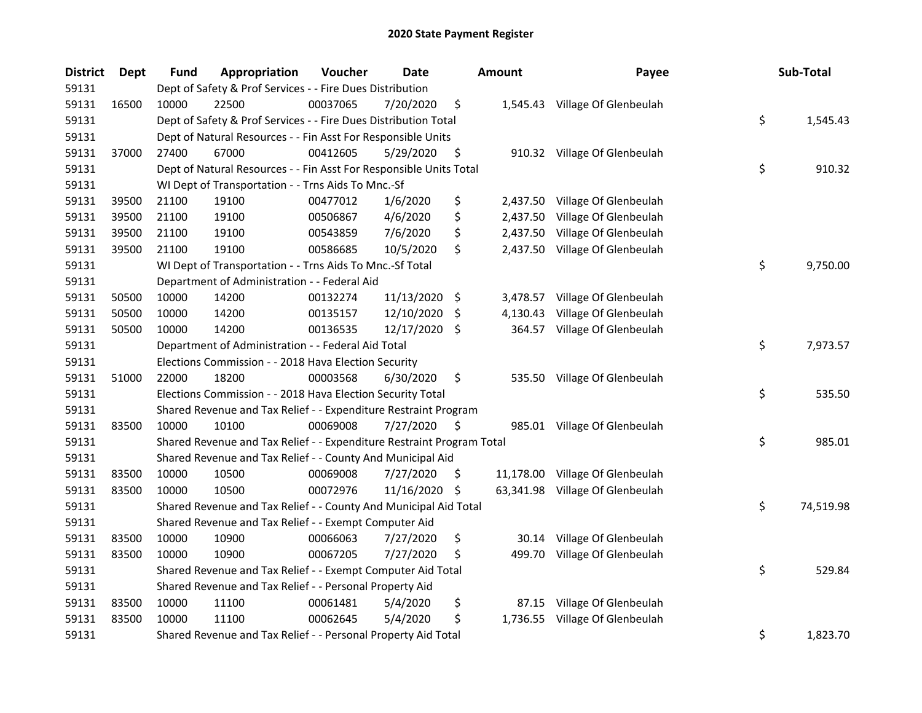| <b>District</b> | Dept  | <b>Fund</b> | Appropriation                                                         | Voucher  | Date       |     | Amount   | Payee                           | Sub-Total       |
|-----------------|-------|-------------|-----------------------------------------------------------------------|----------|------------|-----|----------|---------------------------------|-----------------|
| 59131           |       |             | Dept of Safety & Prof Services - - Fire Dues Distribution             |          |            |     |          |                                 |                 |
| 59131           | 16500 | 10000       | 22500                                                                 | 00037065 | 7/20/2020  | \$  |          | 1,545.43 Village Of Glenbeulah  |                 |
| 59131           |       |             | Dept of Safety & Prof Services - - Fire Dues Distribution Total       |          |            |     |          |                                 | \$<br>1,545.43  |
| 59131           |       |             | Dept of Natural Resources - - Fin Asst For Responsible Units          |          |            |     |          |                                 |                 |
| 59131           | 37000 | 27400       | 67000                                                                 | 00412605 | 5/29/2020  | \$  |          | 910.32 Village Of Glenbeulah    |                 |
| 59131           |       |             | Dept of Natural Resources - - Fin Asst For Responsible Units Total    |          |            |     |          |                                 | \$<br>910.32    |
| 59131           |       |             | WI Dept of Transportation - - Trns Aids To Mnc.-Sf                    |          |            |     |          |                                 |                 |
| 59131           | 39500 | 21100       | 19100                                                                 | 00477012 | 1/6/2020   | \$  |          | 2,437.50 Village Of Glenbeulah  |                 |
| 59131           | 39500 | 21100       | 19100                                                                 | 00506867 | 4/6/2020   | \$  | 2,437.50 | Village Of Glenbeulah           |                 |
| 59131           | 39500 | 21100       | 19100                                                                 | 00543859 | 7/6/2020   | \$  |          | 2,437.50 Village Of Glenbeulah  |                 |
| 59131           | 39500 | 21100       | 19100                                                                 | 00586685 | 10/5/2020  | \$  |          | 2,437.50 Village Of Glenbeulah  |                 |
| 59131           |       |             | WI Dept of Transportation - - Trns Aids To Mnc.-Sf Total              |          |            |     |          |                                 | \$<br>9,750.00  |
| 59131           |       |             | Department of Administration - - Federal Aid                          |          |            |     |          |                                 |                 |
| 59131           | 50500 | 10000       | 14200                                                                 | 00132274 | 11/13/2020 | \$  | 3,478.57 | Village Of Glenbeulah           |                 |
| 59131           | 50500 | 10000       | 14200                                                                 | 00135157 | 12/10/2020 | \$. | 4,130.43 | Village Of Glenbeulah           |                 |
| 59131           | 50500 | 10000       | 14200                                                                 | 00136535 | 12/17/2020 | -\$ |          | 364.57 Village Of Glenbeulah    |                 |
| 59131           |       |             | Department of Administration - - Federal Aid Total                    |          |            |     |          |                                 | \$<br>7,973.57  |
| 59131           |       |             | Elections Commission - - 2018 Hava Election Security                  |          |            |     |          |                                 |                 |
| 59131           | 51000 | 22000       | 18200                                                                 | 00003568 | 6/30/2020  | \$  | 535.50   | Village Of Glenbeulah           |                 |
| 59131           |       |             | Elections Commission - - 2018 Hava Election Security Total            |          |            |     |          |                                 | \$<br>535.50    |
| 59131           |       |             | Shared Revenue and Tax Relief - - Expenditure Restraint Program       |          |            |     |          |                                 |                 |
| 59131           | 83500 | 10000       | 10100                                                                 | 00069008 | 7/27/2020  | \$  |          | 985.01 Village Of Glenbeulah    |                 |
| 59131           |       |             | Shared Revenue and Tax Relief - - Expenditure Restraint Program Total |          |            |     |          |                                 | \$<br>985.01    |
| 59131           |       |             | Shared Revenue and Tax Relief - - County And Municipal Aid            |          |            |     |          |                                 |                 |
| 59131           | 83500 | 10000       | 10500                                                                 | 00069008 | 7/27/2020  | \$  |          | 11,178.00 Village Of Glenbeulah |                 |
| 59131           | 83500 | 10000       | 10500                                                                 | 00072976 | 11/16/2020 | \$  |          | 63,341.98 Village Of Glenbeulah |                 |
| 59131           |       |             | Shared Revenue and Tax Relief - - County And Municipal Aid Total      |          |            |     |          |                                 | \$<br>74,519.98 |
| 59131           |       |             | Shared Revenue and Tax Relief - - Exempt Computer Aid                 |          |            |     |          |                                 |                 |
| 59131           | 83500 | 10000       | 10900                                                                 | 00066063 | 7/27/2020  | \$  | 30.14    | Village Of Glenbeulah           |                 |
| 59131           | 83500 | 10000       | 10900                                                                 | 00067205 | 7/27/2020  | \$  | 499.70   | Village Of Glenbeulah           |                 |
| 59131           |       |             | Shared Revenue and Tax Relief - - Exempt Computer Aid Total           |          |            |     |          |                                 | \$<br>529.84    |
| 59131           |       |             | Shared Revenue and Tax Relief - - Personal Property Aid               |          |            |     |          |                                 |                 |
| 59131           | 83500 | 10000       | 11100                                                                 | 00061481 | 5/4/2020   | \$  | 87.15    | Village Of Glenbeulah           |                 |
| 59131           | 83500 | 10000       | 11100                                                                 | 00062645 | 5/4/2020   | \$  | 1,736.55 | Village Of Glenbeulah           |                 |
| 59131           |       |             | Shared Revenue and Tax Relief - - Personal Property Aid Total         |          |            |     |          |                                 | \$<br>1,823.70  |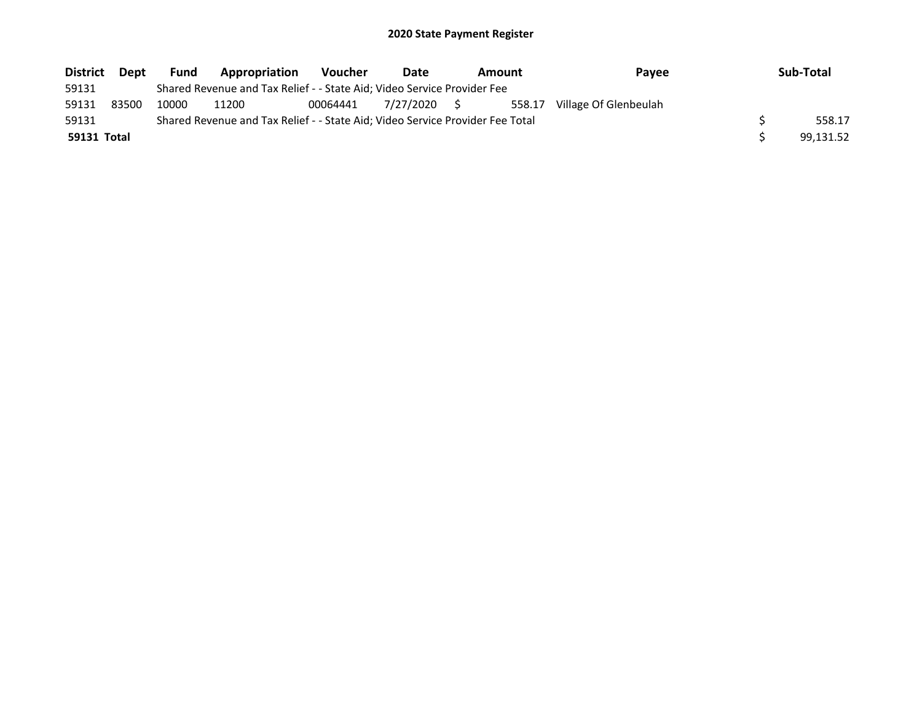| <b>District</b> | <b>Dept</b> | <b>Fund</b> | <b>Appropriation</b>                                                          | <b>Voucher</b> | Date         | <b>Pavee</b><br>Amount |        | Sub-Total             |           |
|-----------------|-------------|-------------|-------------------------------------------------------------------------------|----------------|--------------|------------------------|--------|-----------------------|-----------|
| 59131           |             |             | Shared Revenue and Tax Relief - - State Aid; Video Service Provider Fee       |                |              |                        |        |                       |           |
| 59131           | 83500       | 10000       | 11200                                                                         | 00064441       | 7/27/2020 \$ |                        | 558.17 | Village Of Glenbeulah |           |
| 59131           |             |             | Shared Revenue and Tax Relief - - State Aid; Video Service Provider Fee Total |                |              |                        |        |                       | 558.17    |
| 59131 Total     |             |             |                                                                               |                |              |                        |        |                       | 99.131.52 |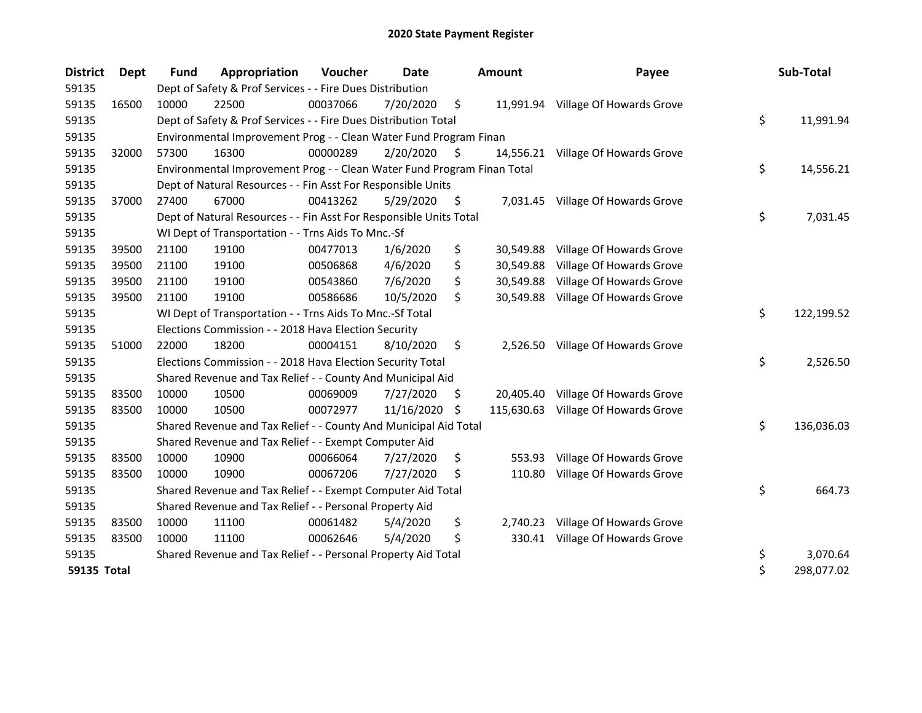| <b>District</b> | Dept  | <b>Fund</b> | Appropriation                                                           | Voucher  | <b>Date</b> |                     | <b>Amount</b> | Payee                              | Sub-Total        |
|-----------------|-------|-------------|-------------------------------------------------------------------------|----------|-------------|---------------------|---------------|------------------------------------|------------------|
| 59135           |       |             | Dept of Safety & Prof Services - - Fire Dues Distribution               |          |             |                     |               |                                    |                  |
| 59135           | 16500 | 10000       | 22500                                                                   | 00037066 | 7/20/2020   | \$                  |               | 11,991.94 Village Of Howards Grove |                  |
| 59135           |       |             | Dept of Safety & Prof Services - - Fire Dues Distribution Total         |          |             |                     |               |                                    | \$<br>11,991.94  |
| 59135           |       |             | Environmental Improvement Prog - - Clean Water Fund Program Finan       |          |             |                     |               |                                    |                  |
| 59135           | 32000 | 57300       | 16300                                                                   | 00000289 | 2/20/2020   | $\ddot{\mathsf{s}}$ |               | 14,556.21 Village Of Howards Grove |                  |
| 59135           |       |             | Environmental Improvement Prog - - Clean Water Fund Program Finan Total |          |             |                     |               |                                    | \$<br>14,556.21  |
| 59135           |       |             | Dept of Natural Resources - - Fin Asst For Responsible Units            |          |             |                     |               |                                    |                  |
| 59135           | 37000 | 27400       | 67000                                                                   | 00413262 | 5/29/2020   | \$                  |               | 7,031.45 Village Of Howards Grove  |                  |
| 59135           |       |             | Dept of Natural Resources - - Fin Asst For Responsible Units Total      |          |             |                     |               |                                    | \$<br>7,031.45   |
| 59135           |       |             | WI Dept of Transportation - - Trns Aids To Mnc.-Sf                      |          |             |                     |               |                                    |                  |
| 59135           | 39500 | 21100       | 19100                                                                   | 00477013 | 1/6/2020    | \$                  | 30,549.88     | Village Of Howards Grove           |                  |
| 59135           | 39500 | 21100       | 19100                                                                   | 00506868 | 4/6/2020    | \$                  | 30,549.88     | Village Of Howards Grove           |                  |
| 59135           | 39500 | 21100       | 19100                                                                   | 00543860 | 7/6/2020    | \$                  | 30,549.88     | Village Of Howards Grove           |                  |
| 59135           | 39500 | 21100       | 19100                                                                   | 00586686 | 10/5/2020   | \$                  | 30,549.88     | Village Of Howards Grove           |                  |
| 59135           |       |             | WI Dept of Transportation - - Trns Aids To Mnc.-Sf Total                |          |             |                     |               |                                    | \$<br>122,199.52 |
| 59135           |       |             | Elections Commission - - 2018 Hava Election Security                    |          |             |                     |               |                                    |                  |
| 59135           | 51000 | 22000       | 18200                                                                   | 00004151 | 8/10/2020   | \$                  |               | 2,526.50 Village Of Howards Grove  |                  |
| 59135           |       |             | Elections Commission - - 2018 Hava Election Security Total              |          |             |                     |               |                                    | \$<br>2,526.50   |
| 59135           |       |             | Shared Revenue and Tax Relief - - County And Municipal Aid              |          |             |                     |               |                                    |                  |
| 59135           | 83500 | 10000       | 10500                                                                   | 00069009 | 7/27/2020   | \$                  |               | 20,405.40 Village Of Howards Grove |                  |
| 59135           | 83500 | 10000       | 10500                                                                   | 00072977 | 11/16/2020  | \$                  | 115,630.63    | Village Of Howards Grove           |                  |
| 59135           |       |             | Shared Revenue and Tax Relief - - County And Municipal Aid Total        |          |             |                     |               |                                    | \$<br>136,036.03 |
| 59135           |       |             | Shared Revenue and Tax Relief - - Exempt Computer Aid                   |          |             |                     |               |                                    |                  |
| 59135           | 83500 | 10000       | 10900                                                                   | 00066064 | 7/27/2020   | \$                  | 553.93        | Village Of Howards Grove           |                  |
| 59135           | 83500 | 10000       | 10900                                                                   | 00067206 | 7/27/2020   | \$,                 | 110.80        | Village Of Howards Grove           |                  |
| 59135           |       |             | Shared Revenue and Tax Relief - - Exempt Computer Aid Total             |          |             |                     |               |                                    | \$<br>664.73     |
| 59135           |       |             | Shared Revenue and Tax Relief - - Personal Property Aid                 |          |             |                     |               |                                    |                  |
| 59135           | 83500 | 10000       | 11100                                                                   | 00061482 | 5/4/2020    | \$                  | 2,740.23      | Village Of Howards Grove           |                  |
| 59135           | 83500 | 10000       | 11100                                                                   | 00062646 | 5/4/2020    | \$                  |               | 330.41 Village Of Howards Grove    |                  |
| 59135           |       |             | Shared Revenue and Tax Relief - - Personal Property Aid Total           |          |             |                     |               |                                    | \$<br>3,070.64   |
| 59135 Total     |       |             |                                                                         |          |             |                     |               |                                    | \$<br>298,077.02 |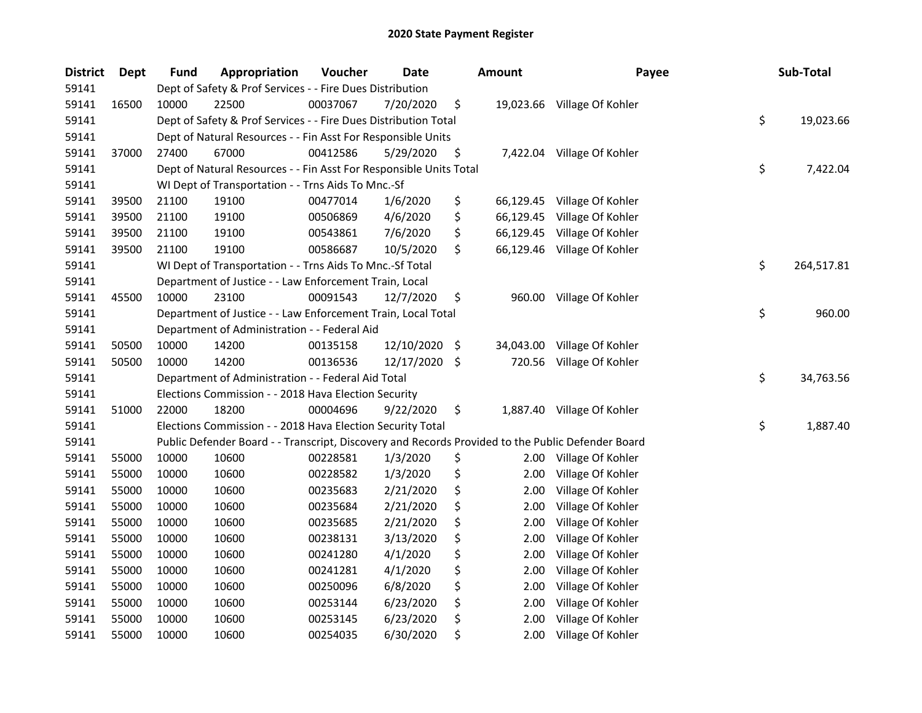| <b>District</b> | Dept  | <b>Fund</b> | Appropriation                                                                                     | Voucher  | Date       |      | <b>Amount</b> | Payee                       | Sub-Total        |
|-----------------|-------|-------------|---------------------------------------------------------------------------------------------------|----------|------------|------|---------------|-----------------------------|------------------|
| 59141           |       |             | Dept of Safety & Prof Services - - Fire Dues Distribution                                         |          |            |      |               |                             |                  |
| 59141           | 16500 | 10000       | 22500                                                                                             | 00037067 | 7/20/2020  | \$   |               | 19,023.66 Village Of Kohler |                  |
| 59141           |       |             | Dept of Safety & Prof Services - - Fire Dues Distribution Total                                   |          |            |      |               |                             | \$<br>19,023.66  |
| 59141           |       |             | Dept of Natural Resources - - Fin Asst For Responsible Units                                      |          |            |      |               |                             |                  |
| 59141           | 37000 | 27400       | 67000                                                                                             | 00412586 | 5/29/2020  | \$   |               | 7,422.04 Village Of Kohler  |                  |
| 59141           |       |             | Dept of Natural Resources - - Fin Asst For Responsible Units Total                                |          |            |      |               |                             | \$<br>7,422.04   |
| 59141           |       |             | WI Dept of Transportation - - Trns Aids To Mnc.-Sf                                                |          |            |      |               |                             |                  |
| 59141           | 39500 | 21100       | 19100                                                                                             | 00477014 | 1/6/2020   | \$   |               | 66,129.45 Village Of Kohler |                  |
| 59141           | 39500 | 21100       | 19100                                                                                             | 00506869 | 4/6/2020   | \$   | 66,129.45     | Village Of Kohler           |                  |
| 59141           | 39500 | 21100       | 19100                                                                                             | 00543861 | 7/6/2020   | \$   |               | 66,129.45 Village Of Kohler |                  |
| 59141           | 39500 | 21100       | 19100                                                                                             | 00586687 | 10/5/2020  | \$   |               | 66,129.46 Village Of Kohler |                  |
| 59141           |       |             | WI Dept of Transportation - - Trns Aids To Mnc.-Sf Total                                          |          |            |      |               |                             | \$<br>264,517.81 |
| 59141           |       |             | Department of Justice - - Law Enforcement Train, Local                                            |          |            |      |               |                             |                  |
| 59141           | 45500 | 10000       | 23100                                                                                             | 00091543 | 12/7/2020  | \$   |               | 960.00 Village Of Kohler    |                  |
| 59141           |       |             | Department of Justice - - Law Enforcement Train, Local Total                                      |          |            |      |               |                             | \$<br>960.00     |
| 59141           |       |             | Department of Administration - - Federal Aid                                                      |          |            |      |               |                             |                  |
| 59141           | 50500 | 10000       | 14200                                                                                             | 00135158 | 12/10/2020 | -\$  | 34,043.00     | Village Of Kohler           |                  |
| 59141           | 50500 | 10000       | 14200                                                                                             | 00136536 | 12/17/2020 | - \$ | 720.56        | Village Of Kohler           |                  |
| 59141           |       |             | Department of Administration - - Federal Aid Total                                                |          |            |      |               |                             | \$<br>34,763.56  |
| 59141           |       |             | Elections Commission - - 2018 Hava Election Security                                              |          |            |      |               |                             |                  |
| 59141           | 51000 | 22000       | 18200                                                                                             | 00004696 | 9/22/2020  | \$   |               | 1,887.40 Village Of Kohler  |                  |
| 59141           |       |             | Elections Commission - - 2018 Hava Election Security Total                                        |          |            |      |               |                             | \$<br>1,887.40   |
| 59141           |       |             | Public Defender Board - - Transcript, Discovery and Records Provided to the Public Defender Board |          |            |      |               |                             |                  |
| 59141           | 55000 | 10000       | 10600                                                                                             | 00228581 | 1/3/2020   | \$   |               | 2.00 Village Of Kohler      |                  |
| 59141           | 55000 | 10000       | 10600                                                                                             | 00228582 | 1/3/2020   | \$   | 2.00          | Village Of Kohler           |                  |
| 59141           | 55000 | 10000       | 10600                                                                                             | 00235683 | 2/21/2020  | \$   | 2.00          | Village Of Kohler           |                  |
| 59141           | 55000 | 10000       | 10600                                                                                             | 00235684 | 2/21/2020  | \$   | 2.00          | Village Of Kohler           |                  |
| 59141           | 55000 | 10000       | 10600                                                                                             | 00235685 | 2/21/2020  | \$   | 2.00          | Village Of Kohler           |                  |
| 59141           | 55000 | 10000       | 10600                                                                                             | 00238131 | 3/13/2020  | \$   | 2.00          | Village Of Kohler           |                  |
| 59141           | 55000 | 10000       | 10600                                                                                             | 00241280 | 4/1/2020   | \$   | 2.00          | Village Of Kohler           |                  |
| 59141           | 55000 | 10000       | 10600                                                                                             | 00241281 | 4/1/2020   | \$   | 2.00          | Village Of Kohler           |                  |
| 59141           | 55000 | 10000       | 10600                                                                                             | 00250096 | 6/8/2020   | \$   | 2.00          | Village Of Kohler           |                  |
| 59141           | 55000 | 10000       | 10600                                                                                             | 00253144 | 6/23/2020  | \$   | 2.00          | Village Of Kohler           |                  |
| 59141           | 55000 | 10000       | 10600                                                                                             | 00253145 | 6/23/2020  | \$   | 2.00          | Village Of Kohler           |                  |
| 59141           | 55000 | 10000       | 10600                                                                                             | 00254035 | 6/30/2020  | \$   | 2.00          | Village Of Kohler           |                  |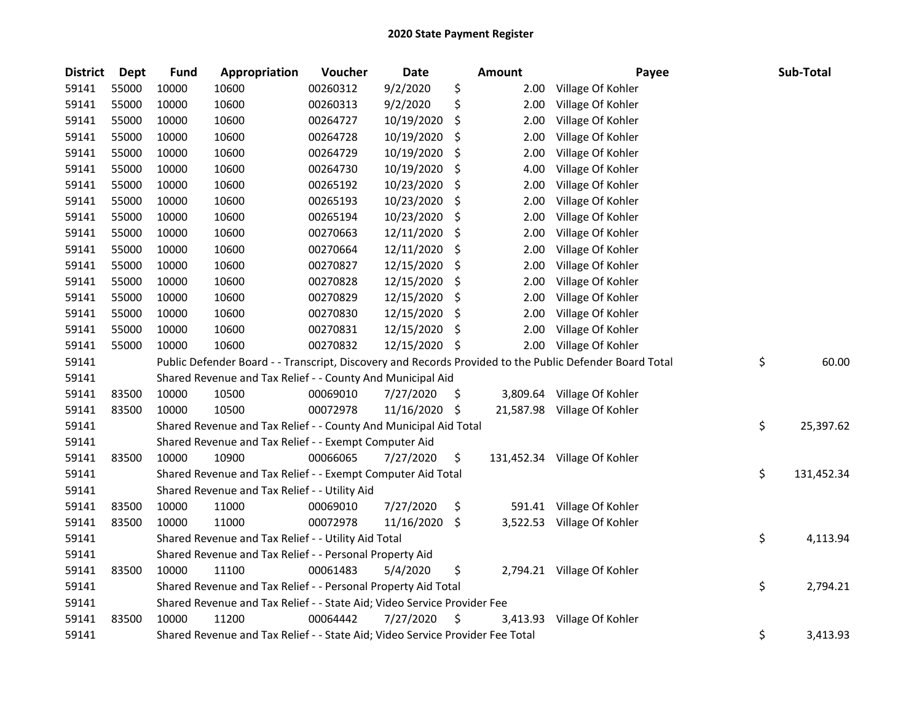| <b>District</b> | Dept  | <b>Fund</b> | Appropriation                                                                 | Voucher  | <b>Date</b> |     | Amount   | Payee                                                                                                   | Sub-Total        |
|-----------------|-------|-------------|-------------------------------------------------------------------------------|----------|-------------|-----|----------|---------------------------------------------------------------------------------------------------------|------------------|
| 59141           | 55000 | 10000       | 10600                                                                         | 00260312 | 9/2/2020    | \$  | 2.00     | Village Of Kohler                                                                                       |                  |
| 59141           | 55000 | 10000       | 10600                                                                         | 00260313 | 9/2/2020    | \$  | 2.00     | Village Of Kohler                                                                                       |                  |
| 59141           | 55000 | 10000       | 10600                                                                         | 00264727 | 10/19/2020  | \$  | 2.00     | Village Of Kohler                                                                                       |                  |
| 59141           | 55000 | 10000       | 10600                                                                         | 00264728 | 10/19/2020  | \$  | 2.00     | Village Of Kohler                                                                                       |                  |
| 59141           | 55000 | 10000       | 10600                                                                         | 00264729 | 10/19/2020  | \$  | 2.00     | Village Of Kohler                                                                                       |                  |
| 59141           | 55000 | 10000       | 10600                                                                         | 00264730 | 10/19/2020  | \$  | 4.00     | Village Of Kohler                                                                                       |                  |
| 59141           | 55000 | 10000       | 10600                                                                         | 00265192 | 10/23/2020  | \$  | 2.00     | Village Of Kohler                                                                                       |                  |
| 59141           | 55000 | 10000       | 10600                                                                         | 00265193 | 10/23/2020  | \$  | 2.00     | Village Of Kohler                                                                                       |                  |
| 59141           | 55000 | 10000       | 10600                                                                         | 00265194 | 10/23/2020  | \$  | 2.00     | Village Of Kohler                                                                                       |                  |
| 59141           | 55000 | 10000       | 10600                                                                         | 00270663 | 12/11/2020  | \$  | 2.00     | Village Of Kohler                                                                                       |                  |
| 59141           | 55000 | 10000       | 10600                                                                         | 00270664 | 12/11/2020  | -\$ | 2.00     | Village Of Kohler                                                                                       |                  |
| 59141           | 55000 | 10000       | 10600                                                                         | 00270827 | 12/15/2020  | \$  | 2.00     | Village Of Kohler                                                                                       |                  |
| 59141           | 55000 | 10000       | 10600                                                                         | 00270828 | 12/15/2020  | \$  | 2.00     | Village Of Kohler                                                                                       |                  |
| 59141           | 55000 | 10000       | 10600                                                                         | 00270829 | 12/15/2020  | \$  | 2.00     | Village Of Kohler                                                                                       |                  |
| 59141           | 55000 | 10000       | 10600                                                                         | 00270830 | 12/15/2020  | S.  | 2.00     | Village Of Kohler                                                                                       |                  |
| 59141           | 55000 | 10000       | 10600                                                                         | 00270831 | 12/15/2020  | \$, | 2.00     | Village Of Kohler                                                                                       |                  |
| 59141           | 55000 | 10000       | 10600                                                                         | 00270832 | 12/15/2020  | -S  | 2.00     | Village Of Kohler                                                                                       |                  |
| 59141           |       |             |                                                                               |          |             |     |          | Public Defender Board - - Transcript, Discovery and Records Provided to the Public Defender Board Total | \$<br>60.00      |
| 59141           |       |             | Shared Revenue and Tax Relief - - County And Municipal Aid                    |          |             |     |          |                                                                                                         |                  |
| 59141           | 83500 | 10000       | 10500                                                                         | 00069010 | 7/27/2020   | \$  | 3,809.64 | Village Of Kohler                                                                                       |                  |
| 59141           | 83500 | 10000       | 10500                                                                         | 00072978 | 11/16/2020  | -\$ |          | 21,587.98 Village Of Kohler                                                                             |                  |
| 59141           |       |             | Shared Revenue and Tax Relief - - County And Municipal Aid Total              |          |             |     |          |                                                                                                         | \$<br>25,397.62  |
| 59141           |       |             | Shared Revenue and Tax Relief - - Exempt Computer Aid                         |          |             |     |          |                                                                                                         |                  |
| 59141           | 83500 | 10000       | 10900                                                                         | 00066065 | 7/27/2020   | \$  |          | 131,452.34 Village Of Kohler                                                                            |                  |
| 59141           |       |             | Shared Revenue and Tax Relief - - Exempt Computer Aid Total                   |          |             |     |          |                                                                                                         | \$<br>131,452.34 |
| 59141           |       |             | Shared Revenue and Tax Relief - - Utility Aid                                 |          |             |     |          |                                                                                                         |                  |
| 59141           | 83500 | 10000       | 11000                                                                         | 00069010 | 7/27/2020   | \$  |          | 591.41 Village Of Kohler                                                                                |                  |
| 59141           | 83500 | 10000       | 11000                                                                         | 00072978 | 11/16/2020  | -\$ |          | 3,522.53 Village Of Kohler                                                                              |                  |
| 59141           |       |             | Shared Revenue and Tax Relief - - Utility Aid Total                           |          |             |     |          |                                                                                                         | \$<br>4,113.94   |
| 59141           |       |             | Shared Revenue and Tax Relief - - Personal Property Aid                       |          |             |     |          |                                                                                                         |                  |
| 59141           | 83500 | 10000       | 11100                                                                         | 00061483 | 5/4/2020    | \$  |          | 2,794.21 Village Of Kohler                                                                              |                  |
| 59141           |       |             | Shared Revenue and Tax Relief - - Personal Property Aid Total                 |          |             |     |          |                                                                                                         | \$<br>2,794.21   |
| 59141           |       |             | Shared Revenue and Tax Relief - - State Aid; Video Service Provider Fee       |          |             |     |          |                                                                                                         |                  |
| 59141           | 83500 | 10000       | 11200                                                                         | 00064442 | 7/27/2020   | \$. |          | 3,413.93 Village Of Kohler                                                                              |                  |
| 59141           |       |             | Shared Revenue and Tax Relief - - State Aid; Video Service Provider Fee Total |          |             |     |          |                                                                                                         | \$<br>3,413.93   |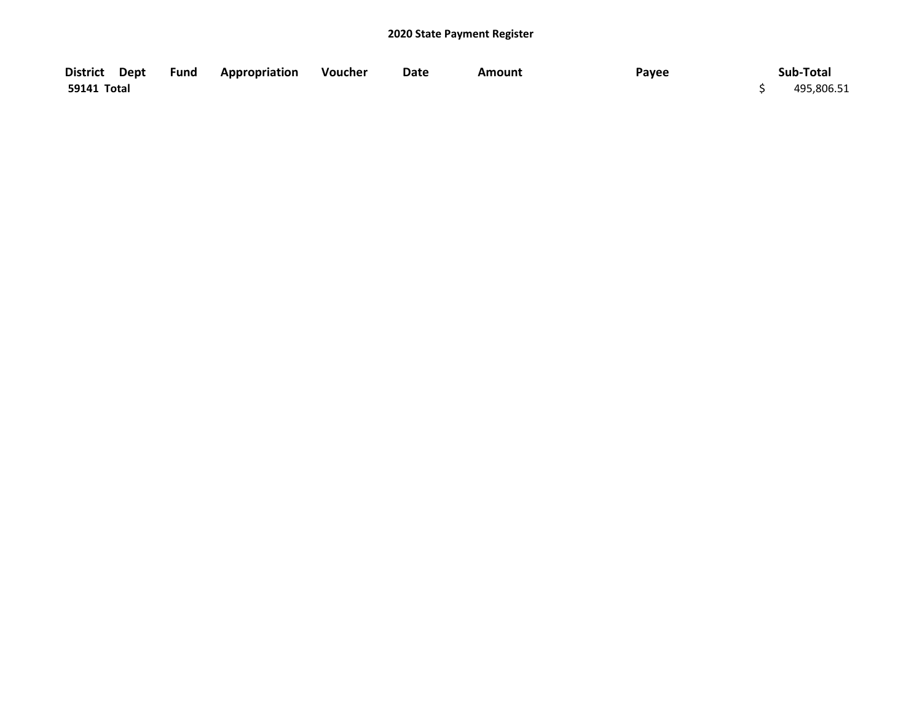| District Dept Fund Appropriation |  | Voucher | Date | Amount | Payee | Sub-Total  |
|----------------------------------|--|---------|------|--------|-------|------------|
| 59141 Total                      |  |         |      |        |       | 495,806.51 |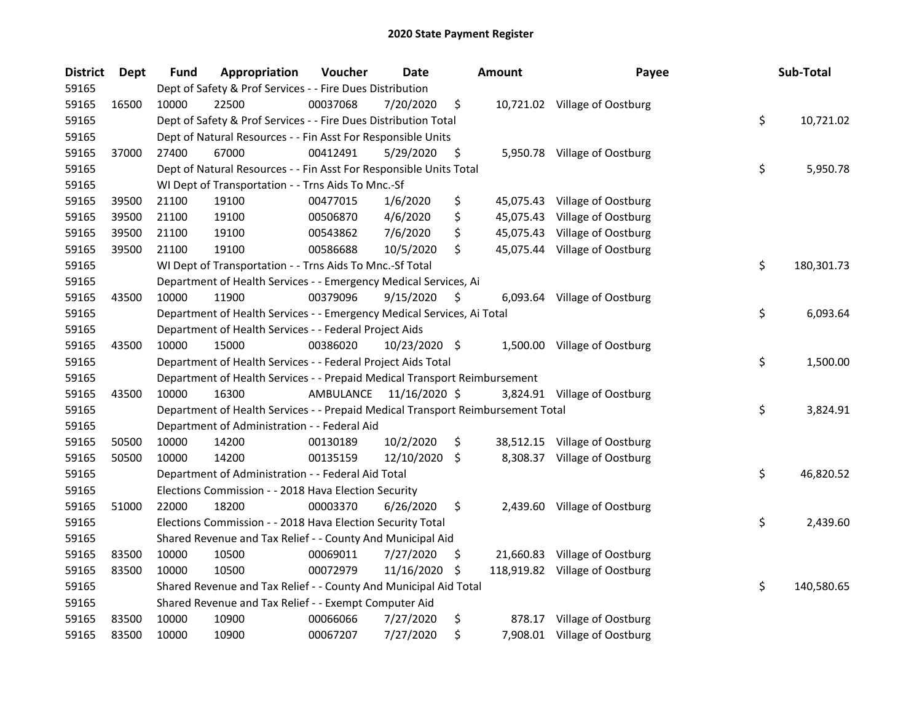| <b>District</b> | Dept  | <b>Fund</b> | Appropriation                                                                   | Voucher   | Date          |     | <b>Amount</b> | Payee                          | Sub-Total        |
|-----------------|-------|-------------|---------------------------------------------------------------------------------|-----------|---------------|-----|---------------|--------------------------------|------------------|
| 59165           |       |             | Dept of Safety & Prof Services - - Fire Dues Distribution                       |           |               |     |               |                                |                  |
| 59165           | 16500 | 10000       | 22500                                                                           | 00037068  | 7/20/2020     | \$  |               | 10,721.02 Village of Oostburg  |                  |
| 59165           |       |             | Dept of Safety & Prof Services - - Fire Dues Distribution Total                 |           |               |     |               |                                | \$<br>10,721.02  |
| 59165           |       |             | Dept of Natural Resources - - Fin Asst For Responsible Units                    |           |               |     |               |                                |                  |
| 59165           | 37000 | 27400       | 67000                                                                           | 00412491  | 5/29/2020     | \$  |               | 5,950.78 Village of Oostburg   |                  |
| 59165           |       |             | Dept of Natural Resources - - Fin Asst For Responsible Units Total              |           |               |     |               |                                | \$<br>5,950.78   |
| 59165           |       |             | WI Dept of Transportation - - Trns Aids To Mnc.-Sf                              |           |               |     |               |                                |                  |
| 59165           | 39500 | 21100       | 19100                                                                           | 00477015  | 1/6/2020      | \$  |               | 45,075.43 Village of Oostburg  |                  |
| 59165           | 39500 | 21100       | 19100                                                                           | 00506870  | 4/6/2020      | \$  |               | 45,075.43 Village of Oostburg  |                  |
| 59165           | 39500 | 21100       | 19100                                                                           | 00543862  | 7/6/2020      | \$  |               | 45,075.43 Village of Oostburg  |                  |
| 59165           | 39500 | 21100       | 19100                                                                           | 00586688  | 10/5/2020     | \$  |               | 45,075.44 Village of Oostburg  |                  |
| 59165           |       |             | WI Dept of Transportation - - Trns Aids To Mnc.-Sf Total                        |           |               |     |               |                                | \$<br>180,301.73 |
| 59165           |       |             | Department of Health Services - - Emergency Medical Services, Ai                |           |               |     |               |                                |                  |
| 59165           | 43500 | 10000       | 11900                                                                           | 00379096  | 9/15/2020     | \$  |               | 6,093.64 Village of Oostburg   |                  |
| 59165           |       |             | Department of Health Services - - Emergency Medical Services, Ai Total          |           |               |     |               |                                | \$<br>6,093.64   |
| 59165           |       |             | Department of Health Services - - Federal Project Aids                          |           |               |     |               |                                |                  |
| 59165           | 43500 | 10000       | 15000                                                                           | 00386020  | 10/23/2020 \$ |     |               | 1,500.00 Village of Oostburg   |                  |
| 59165           |       |             | Department of Health Services - - Federal Project Aids Total                    |           |               |     |               |                                | \$<br>1,500.00   |
| 59165           |       |             | Department of Health Services - - Prepaid Medical Transport Reimbursement       |           |               |     |               |                                |                  |
| 59165           | 43500 | 10000       | 16300                                                                           | AMBULANCE | 11/16/2020 \$ |     |               | 3,824.91 Village of Oostburg   |                  |
| 59165           |       |             | Department of Health Services - - Prepaid Medical Transport Reimbursement Total |           |               |     |               |                                | \$<br>3,824.91   |
| 59165           |       |             | Department of Administration - - Federal Aid                                    |           |               |     |               |                                |                  |
| 59165           | 50500 | 10000       | 14200                                                                           | 00130189  | 10/2/2020     | \$  |               | 38,512.15 Village of Oostburg  |                  |
| 59165           | 50500 | 10000       | 14200                                                                           | 00135159  | 12/10/2020    | \$  |               | 8,308.37 Village of Oostburg   |                  |
| 59165           |       |             | Department of Administration - - Federal Aid Total                              |           |               |     |               |                                | \$<br>46,820.52  |
| 59165           |       |             | Elections Commission - - 2018 Hava Election Security                            |           |               |     |               |                                |                  |
| 59165           | 51000 | 22000       | 18200                                                                           | 00003370  | 6/26/2020     | \$  |               | 2,439.60 Village of Oostburg   |                  |
| 59165           |       |             | Elections Commission - - 2018 Hava Election Security Total                      |           |               |     |               |                                | \$<br>2,439.60   |
| 59165           |       |             | Shared Revenue and Tax Relief - - County And Municipal Aid                      |           |               |     |               |                                |                  |
| 59165           | 83500 | 10000       | 10500                                                                           | 00069011  | 7/27/2020     | \$  |               | 21,660.83 Village of Oostburg  |                  |
| 59165           | 83500 | 10000       | 10500                                                                           | 00072979  | 11/16/2020    | -\$ |               | 118,919.82 Village of Oostburg |                  |
| 59165           |       |             | Shared Revenue and Tax Relief - - County And Municipal Aid Total                |           |               |     |               |                                | \$<br>140,580.65 |
| 59165           |       |             | Shared Revenue and Tax Relief - - Exempt Computer Aid                           |           |               |     |               |                                |                  |
| 59165           | 83500 | 10000       | 10900                                                                           | 00066066  | 7/27/2020     | \$  |               | 878.17 Village of Oostburg     |                  |
| 59165           | 83500 | 10000       | 10900                                                                           | 00067207  | 7/27/2020     | \$  |               | 7,908.01 Village of Oostburg   |                  |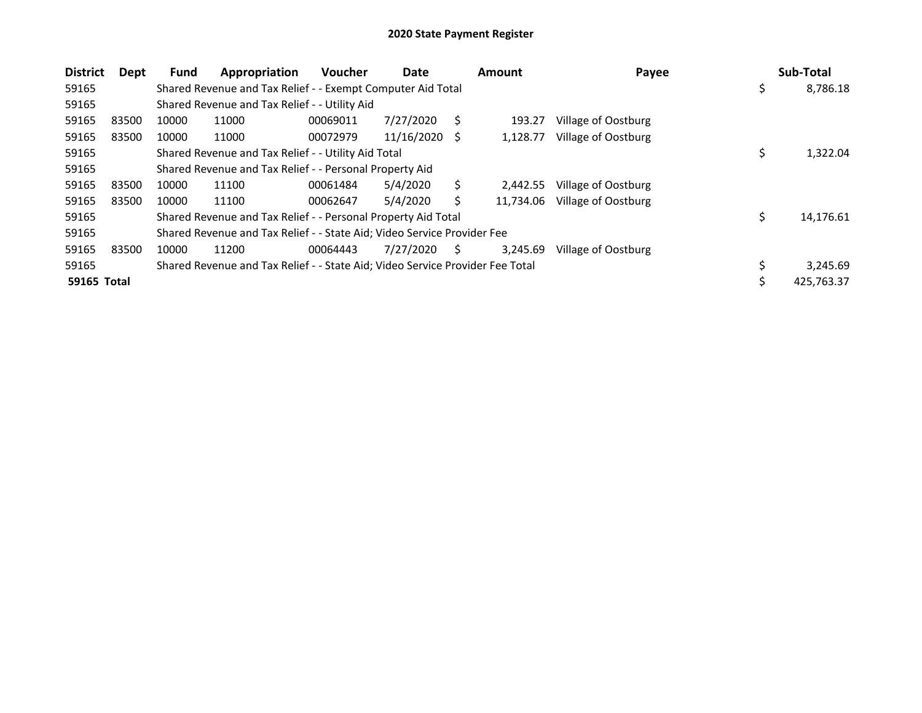| <b>District</b> | Dept  | <b>Fund</b> | Appropriation                                                                 | <b>Voucher</b> | Date       |    | <b>Amount</b> | Payee               | Sub-Total        |
|-----------------|-------|-------------|-------------------------------------------------------------------------------|----------------|------------|----|---------------|---------------------|------------------|
| 59165           |       |             | Shared Revenue and Tax Relief - - Exempt Computer Aid Total                   |                |            |    |               |                     | \$<br>8,786.18   |
| 59165           |       |             | Shared Revenue and Tax Relief - - Utility Aid                                 |                |            |    |               |                     |                  |
| 59165           | 83500 | 10000       | 11000                                                                         | 00069011       | 7/27/2020  | S  | 193.27        | Village of Oostburg |                  |
| 59165           | 83500 | 10000       | 11000                                                                         | 00072979       | 11/16/2020 | -S | 1,128.77      | Village of Oostburg |                  |
| 59165           |       |             | Shared Revenue and Tax Relief - - Utility Aid Total                           |                |            |    |               |                     | \$<br>1,322.04   |
| 59165           |       |             | Shared Revenue and Tax Relief - - Personal Property Aid                       |                |            |    |               |                     |                  |
| 59165           | 83500 | 10000       | 11100                                                                         | 00061484       | 5/4/2020   | Ś. | 2.442.55      | Village of Oostburg |                  |
| 59165           | 83500 | 10000       | 11100                                                                         | 00062647       | 5/4/2020   | Ś  | 11,734.06     | Village of Oostburg |                  |
| 59165           |       |             | Shared Revenue and Tax Relief - - Personal Property Aid Total                 |                |            |    |               |                     | \$<br>14,176.61  |
| 59165           |       |             | Shared Revenue and Tax Relief - - State Aid; Video Service Provider Fee       |                |            |    |               |                     |                  |
| 59165           | 83500 | 10000       | 11200                                                                         | 00064443       | 7/27/2020  | S  | 3,245.69      | Village of Oostburg |                  |
| 59165           |       |             | Shared Revenue and Tax Relief - - State Aid; Video Service Provider Fee Total |                |            |    |               |                     | \$<br>3,245.69   |
| 59165 Total     |       |             |                                                                               |                |            |    |               |                     | \$<br>425,763.37 |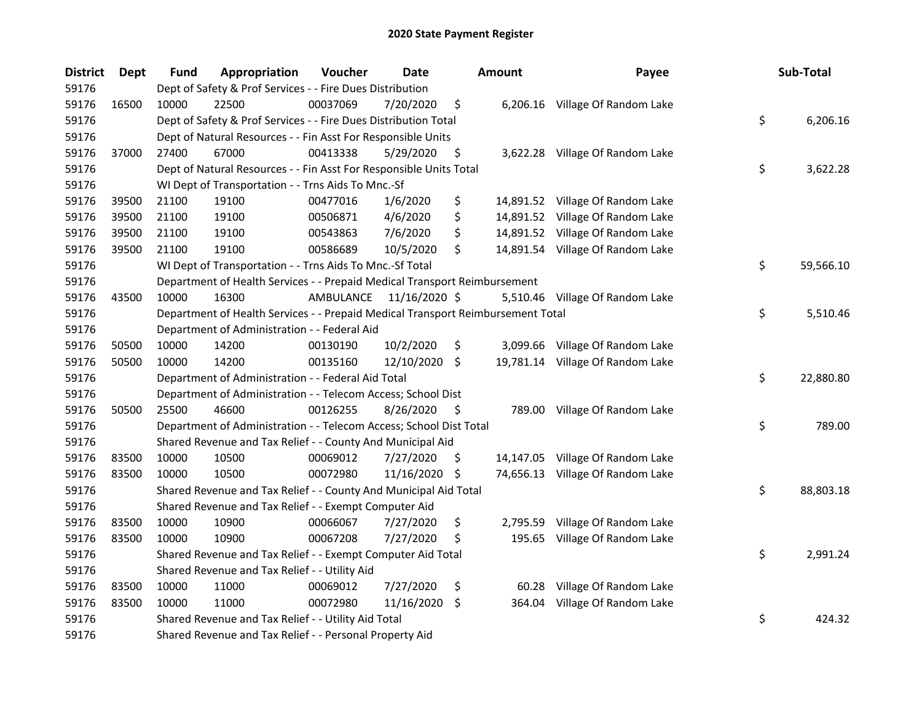| <b>District</b> | <b>Dept</b> | <b>Fund</b> | Appropriation                                                                   | Voucher   | Date          |     | <b>Amount</b> | Payee                            | Sub-Total       |
|-----------------|-------------|-------------|---------------------------------------------------------------------------------|-----------|---------------|-----|---------------|----------------------------------|-----------------|
| 59176           |             |             | Dept of Safety & Prof Services - - Fire Dues Distribution                       |           |               |     |               |                                  |                 |
| 59176           | 16500       | 10000       | 22500                                                                           | 00037069  | 7/20/2020     | \$  |               | 6,206.16 Village Of Random Lake  |                 |
| 59176           |             |             | Dept of Safety & Prof Services - - Fire Dues Distribution Total                 |           |               |     |               |                                  | \$<br>6,206.16  |
| 59176           |             |             | Dept of Natural Resources - - Fin Asst For Responsible Units                    |           |               |     |               |                                  |                 |
| 59176           | 37000       | 27400       | 67000                                                                           | 00413338  | 5/29/2020     | \$  |               | 3,622.28 Village Of Random Lake  |                 |
| 59176           |             |             | Dept of Natural Resources - - Fin Asst For Responsible Units Total              |           |               |     |               |                                  | \$<br>3,622.28  |
| 59176           |             |             | WI Dept of Transportation - - Trns Aids To Mnc.-Sf                              |           |               |     |               |                                  |                 |
| 59176           | 39500       | 21100       | 19100                                                                           | 00477016  | 1/6/2020      | \$  |               | 14,891.52 Village Of Random Lake |                 |
| 59176           | 39500       | 21100       | 19100                                                                           | 00506871  | 4/6/2020      | \$  |               | 14,891.52 Village Of Random Lake |                 |
| 59176           | 39500       | 21100       | 19100                                                                           | 00543863  | 7/6/2020      | \$  |               | 14,891.52 Village Of Random Lake |                 |
| 59176           | 39500       | 21100       | 19100                                                                           | 00586689  | 10/5/2020     | \$  |               | 14,891.54 Village Of Random Lake |                 |
| 59176           |             |             | WI Dept of Transportation - - Trns Aids To Mnc.-Sf Total                        |           |               |     |               |                                  | \$<br>59,566.10 |
| 59176           |             |             | Department of Health Services - - Prepaid Medical Transport Reimbursement       |           |               |     |               |                                  |                 |
| 59176           | 43500       | 10000       | 16300                                                                           | AMBULANCE | 11/16/2020 \$ |     |               | 5,510.46 Village Of Random Lake  |                 |
| 59176           |             |             | Department of Health Services - - Prepaid Medical Transport Reimbursement Total |           |               |     |               |                                  | \$<br>5,510.46  |
| 59176           |             |             | Department of Administration - - Federal Aid                                    |           |               |     |               |                                  |                 |
| 59176           | 50500       | 10000       | 14200                                                                           | 00130190  | 10/2/2020     | \$  | 3,099.66      | Village Of Random Lake           |                 |
| 59176           | 50500       | 10000       | 14200                                                                           | 00135160  | 12/10/2020 \$ |     |               | 19,781.14 Village Of Random Lake |                 |
| 59176           |             |             | Department of Administration - - Federal Aid Total                              |           |               |     |               |                                  | \$<br>22,880.80 |
| 59176           |             |             | Department of Administration - - Telecom Access; School Dist                    |           |               |     |               |                                  |                 |
| 59176           | 50500       | 25500       | 46600                                                                           | 00126255  | 8/26/2020     | \$  |               | 789.00 Village Of Random Lake    |                 |
| 59176           |             |             | Department of Administration - - Telecom Access; School Dist Total              |           |               |     |               |                                  | \$<br>789.00    |
| 59176           |             |             | Shared Revenue and Tax Relief - - County And Municipal Aid                      |           |               |     |               |                                  |                 |
| 59176           | 83500       | 10000       | 10500                                                                           | 00069012  | 7/27/2020     | \$. |               | 14,147.05 Village Of Random Lake |                 |
| 59176           | 83500       | 10000       | 10500                                                                           | 00072980  | 11/16/2020    | \$  |               | 74,656.13 Village Of Random Lake |                 |
| 59176           |             |             | Shared Revenue and Tax Relief - - County And Municipal Aid Total                |           |               |     |               |                                  | \$<br>88,803.18 |
| 59176           |             |             | Shared Revenue and Tax Relief - - Exempt Computer Aid                           |           |               |     |               |                                  |                 |
| 59176           | 83500       | 10000       | 10900                                                                           | 00066067  | 7/27/2020     | \$  | 2,795.59      | Village Of Random Lake           |                 |
| 59176           | 83500       | 10000       | 10900                                                                           | 00067208  | 7/27/2020     | \$  | 195.65        | Village Of Random Lake           |                 |
| 59176           |             |             | Shared Revenue and Tax Relief - - Exempt Computer Aid Total                     |           |               |     |               |                                  | \$<br>2,991.24  |
| 59176           |             |             | Shared Revenue and Tax Relief - - Utility Aid                                   |           |               |     |               |                                  |                 |
| 59176           | 83500       | 10000       | 11000                                                                           | 00069012  | 7/27/2020     | \$  | 60.28         | Village Of Random Lake           |                 |
| 59176           | 83500       | 10000       | 11000                                                                           | 00072980  | 11/16/2020    | \$. | 364.04        | Village Of Random Lake           |                 |
| 59176           |             |             | Shared Revenue and Tax Relief - - Utility Aid Total                             |           |               |     |               |                                  | \$<br>424.32    |
| 59176           |             |             | Shared Revenue and Tax Relief - - Personal Property Aid                         |           |               |     |               |                                  |                 |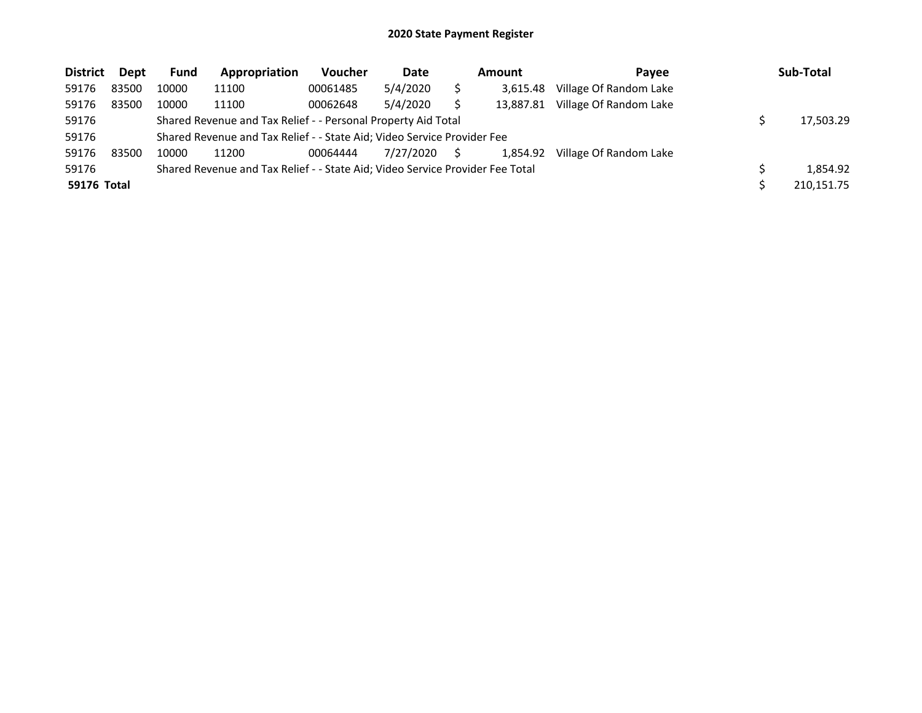| <b>District</b> | Dept  | <b>Fund</b> | Appropriation                                                                 | Voucher  | Date      |    | Amount    | Pavee                  | Sub-Total  |
|-----------------|-------|-------------|-------------------------------------------------------------------------------|----------|-----------|----|-----------|------------------------|------------|
| 59176           | 83500 | 10000       | 11100                                                                         | 00061485 | 5/4/2020  |    | 3.615.48  | Village Of Random Lake |            |
| 59176           | 83500 | 10000       | 11100                                                                         | 00062648 | 5/4/2020  |    | 13,887.81 | Village Of Random Lake |            |
| 59176           |       |             | Shared Revenue and Tax Relief - - Personal Property Aid Total                 |          |           |    |           |                        | 17,503.29  |
| 59176           |       |             | Shared Revenue and Tax Relief - - State Aid; Video Service Provider Fee       |          |           |    |           |                        |            |
| 59176           | 83500 | 10000       | 11200                                                                         | 00064444 | 7/27/2020 | S. | 1.854.92  | Village Of Random Lake |            |
| 59176           |       |             | Shared Revenue and Tax Relief - - State Aid; Video Service Provider Fee Total |          |           |    |           |                        | 1.854.92   |
| 59176 Total     |       |             |                                                                               |          |           |    |           |                        | 210.151.75 |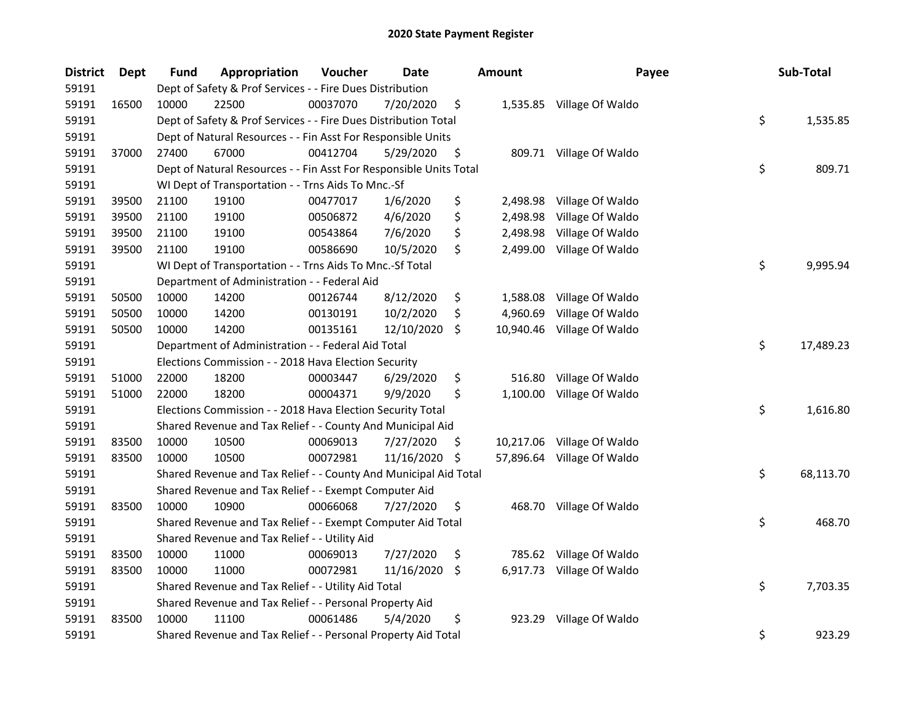| <b>District</b> | Dept  | <b>Fund</b> | Appropriation                                                      | Voucher  | Date       |     | Amount    | Payee                      | Sub-Total       |
|-----------------|-------|-------------|--------------------------------------------------------------------|----------|------------|-----|-----------|----------------------------|-----------------|
| 59191           |       |             | Dept of Safety & Prof Services - - Fire Dues Distribution          |          |            |     |           |                            |                 |
| 59191           | 16500 | 10000       | 22500                                                              | 00037070 | 7/20/2020  | \$  |           | 1,535.85 Village Of Waldo  |                 |
| 59191           |       |             | Dept of Safety & Prof Services - - Fire Dues Distribution Total    |          |            |     |           |                            | \$<br>1,535.85  |
| 59191           |       |             | Dept of Natural Resources - - Fin Asst For Responsible Units       |          |            |     |           |                            |                 |
| 59191           | 37000 | 27400       | 67000                                                              | 00412704 | 5/29/2020  | \$  |           | 809.71 Village Of Waldo    |                 |
| 59191           |       |             | Dept of Natural Resources - - Fin Asst For Responsible Units Total |          |            |     |           |                            | \$<br>809.71    |
| 59191           |       |             | WI Dept of Transportation - - Trns Aids To Mnc.-Sf                 |          |            |     |           |                            |                 |
| 59191           | 39500 | 21100       | 19100                                                              | 00477017 | 1/6/2020   | \$  | 2,498.98  | Village Of Waldo           |                 |
| 59191           | 39500 | 21100       | 19100                                                              | 00506872 | 4/6/2020   | \$  | 2,498.98  | Village Of Waldo           |                 |
| 59191           | 39500 | 21100       | 19100                                                              | 00543864 | 7/6/2020   | \$  | 2,498.98  | Village Of Waldo           |                 |
| 59191           | 39500 | 21100       | 19100                                                              | 00586690 | 10/5/2020  | \$  | 2,499.00  | Village Of Waldo           |                 |
| 59191           |       |             | WI Dept of Transportation - - Trns Aids To Mnc.-Sf Total           |          |            |     |           |                            | \$<br>9,995.94  |
| 59191           |       |             | Department of Administration - - Federal Aid                       |          |            |     |           |                            |                 |
| 59191           | 50500 | 10000       | 14200                                                              | 00126744 | 8/12/2020  | \$  | 1,588.08  | Village Of Waldo           |                 |
| 59191           | 50500 | 10000       | 14200                                                              | 00130191 | 10/2/2020  | \$  | 4,960.69  | Village Of Waldo           |                 |
| 59191           | 50500 | 10000       | 14200                                                              | 00135161 | 12/10/2020 | \$  | 10,940.46 | Village Of Waldo           |                 |
| 59191           |       |             | Department of Administration - - Federal Aid Total                 |          |            |     |           |                            | \$<br>17,489.23 |
| 59191           |       |             | Elections Commission - - 2018 Hava Election Security               |          |            |     |           |                            |                 |
| 59191           | 51000 | 22000       | 18200                                                              | 00003447 | 6/29/2020  | \$  | 516.80    | Village Of Waldo           |                 |
| 59191           | 51000 | 22000       | 18200                                                              | 00004371 | 9/9/2020   | \$  | 1,100.00  | Village Of Waldo           |                 |
| 59191           |       |             | Elections Commission - - 2018 Hava Election Security Total         |          |            |     |           |                            | \$<br>1,616.80  |
| 59191           |       |             | Shared Revenue and Tax Relief - - County And Municipal Aid         |          |            |     |           |                            |                 |
| 59191           | 83500 | 10000       | 10500                                                              | 00069013 | 7/27/2020  | \$  |           | 10,217.06 Village Of Waldo |                 |
| 59191           | 83500 | 10000       | 10500                                                              | 00072981 | 11/16/2020 | \$  |           | 57,896.64 Village Of Waldo |                 |
| 59191           |       |             | Shared Revenue and Tax Relief - - County And Municipal Aid Total   |          |            |     |           |                            | \$<br>68,113.70 |
| 59191           |       |             | Shared Revenue and Tax Relief - - Exempt Computer Aid              |          |            |     |           |                            |                 |
| 59191           | 83500 | 10000       | 10900                                                              | 00066068 | 7/27/2020  | \$  |           | 468.70 Village Of Waldo    |                 |
| 59191           |       |             | Shared Revenue and Tax Relief - - Exempt Computer Aid Total        |          |            |     |           |                            | \$<br>468.70    |
| 59191           |       |             | Shared Revenue and Tax Relief - - Utility Aid                      |          |            |     |           |                            |                 |
| 59191           | 83500 | 10000       | 11000                                                              | 00069013 | 7/27/2020  | \$  |           | 785.62 Village Of Waldo    |                 |
| 59191           | 83500 | 10000       | 11000                                                              | 00072981 | 11/16/2020 | -\$ |           | 6,917.73 Village Of Waldo  |                 |
| 59191           |       |             | Shared Revenue and Tax Relief - - Utility Aid Total                |          |            |     |           |                            | \$<br>7,703.35  |
| 59191           |       |             | Shared Revenue and Tax Relief - - Personal Property Aid            |          |            |     |           |                            |                 |
| 59191           | 83500 | 10000       | 11100                                                              | 00061486 | 5/4/2020   | \$  | 923.29    | Village Of Waldo           |                 |
| 59191           |       |             | Shared Revenue and Tax Relief - - Personal Property Aid Total      |          |            |     |           |                            | \$<br>923.29    |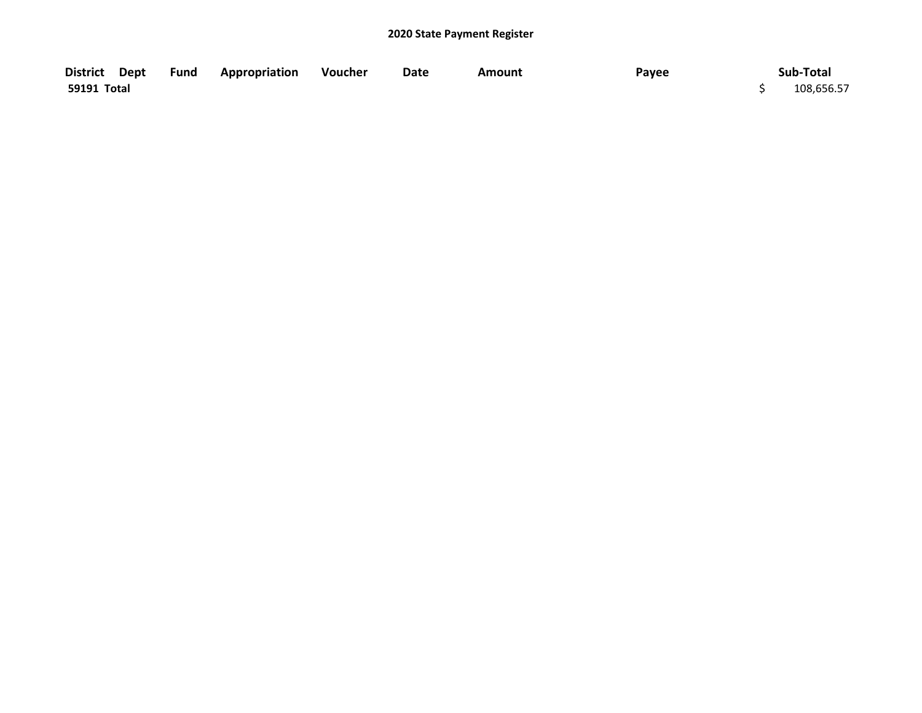|             | District Dept Fund Appropriation Voucher | Date | <b>Amount</b> | Payee | Sub-Total  |
|-------------|------------------------------------------|------|---------------|-------|------------|
| 59191 Total |                                          |      |               |       | 108,656.57 |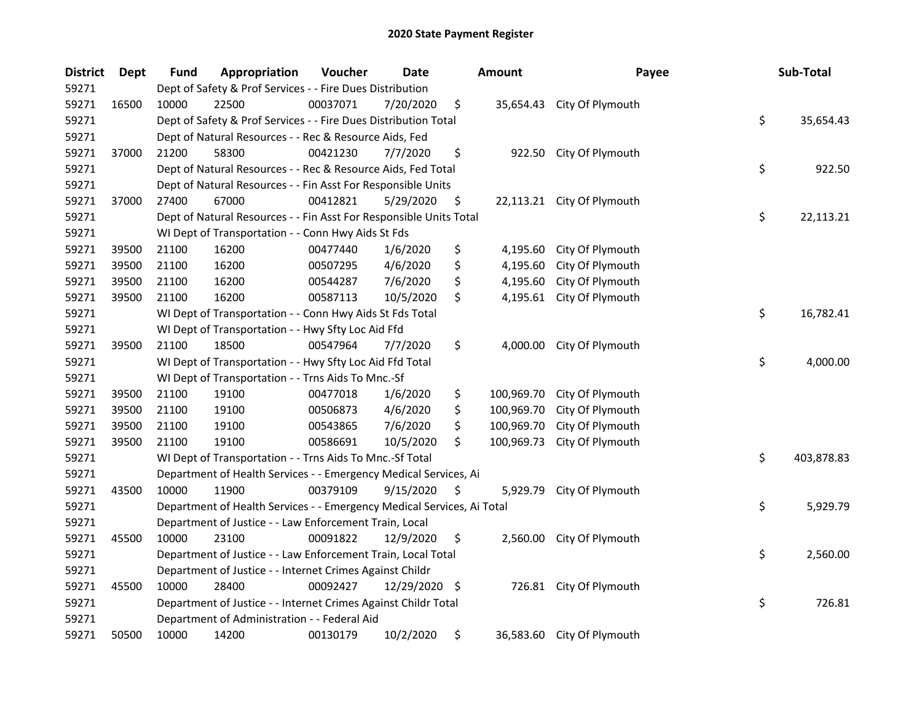| <b>District</b> | <b>Dept</b> | <b>Fund</b> | Appropriation                                                          | Voucher  | Date       |    | Amount     | Payee                      | Sub-Total        |
|-----------------|-------------|-------------|------------------------------------------------------------------------|----------|------------|----|------------|----------------------------|------------------|
| 59271           |             |             | Dept of Safety & Prof Services - - Fire Dues Distribution              |          |            |    |            |                            |                  |
| 59271           | 16500       | 10000       | 22500                                                                  | 00037071 | 7/20/2020  | \$ |            | 35,654.43 City Of Plymouth |                  |
| 59271           |             |             | Dept of Safety & Prof Services - - Fire Dues Distribution Total        |          |            |    |            |                            | \$<br>35,654.43  |
| 59271           |             |             | Dept of Natural Resources - - Rec & Resource Aids, Fed                 |          |            |    |            |                            |                  |
| 59271           | 37000       | 21200       | 58300                                                                  | 00421230 | 7/7/2020   | \$ |            | 922.50 City Of Plymouth    |                  |
| 59271           |             |             | Dept of Natural Resources - - Rec & Resource Aids, Fed Total           |          |            |    |            |                            | \$<br>922.50     |
| 59271           |             |             | Dept of Natural Resources - - Fin Asst For Responsible Units           |          |            |    |            |                            |                  |
| 59271           | 37000       | 27400       | 67000                                                                  | 00412821 | 5/29/2020  | \$ |            | 22,113.21 City Of Plymouth |                  |
| 59271           |             |             | Dept of Natural Resources - - Fin Asst For Responsible Units Total     |          |            |    |            |                            | \$<br>22,113.21  |
| 59271           |             |             | WI Dept of Transportation - - Conn Hwy Aids St Fds                     |          |            |    |            |                            |                  |
| 59271           | 39500       | 21100       | 16200                                                                  | 00477440 | 1/6/2020   | \$ | 4,195.60   | City Of Plymouth           |                  |
| 59271           | 39500       | 21100       | 16200                                                                  | 00507295 | 4/6/2020   | \$ | 4,195.60   | City Of Plymouth           |                  |
| 59271           | 39500       | 21100       | 16200                                                                  | 00544287 | 7/6/2020   | \$ | 4,195.60   | City Of Plymouth           |                  |
| 59271           | 39500       | 21100       | 16200                                                                  | 00587113 | 10/5/2020  | \$ | 4,195.61   | City Of Plymouth           |                  |
| 59271           |             |             | WI Dept of Transportation - - Conn Hwy Aids St Fds Total               |          |            |    |            |                            | \$<br>16,782.41  |
| 59271           |             |             | WI Dept of Transportation - - Hwy Sfty Loc Aid Ffd                     |          |            |    |            |                            |                  |
| 59271           | 39500       | 21100       | 18500                                                                  | 00547964 | 7/7/2020   | \$ | 4,000.00   | City Of Plymouth           |                  |
| 59271           |             |             | WI Dept of Transportation - - Hwy Sfty Loc Aid Ffd Total               |          |            |    |            |                            | \$<br>4,000.00   |
| 59271           |             |             | WI Dept of Transportation - - Trns Aids To Mnc.-Sf                     |          |            |    |            |                            |                  |
| 59271           | 39500       | 21100       | 19100                                                                  | 00477018 | 1/6/2020   | \$ | 100,969.70 | City Of Plymouth           |                  |
| 59271           | 39500       | 21100       | 19100                                                                  | 00506873 | 4/6/2020   | \$ | 100,969.70 | City Of Plymouth           |                  |
| 59271           | 39500       | 21100       | 19100                                                                  | 00543865 | 7/6/2020   | \$ | 100,969.70 | City Of Plymouth           |                  |
| 59271           | 39500       | 21100       | 19100                                                                  | 00586691 | 10/5/2020  | \$ | 100,969.73 | City Of Plymouth           |                  |
| 59271           |             |             | WI Dept of Transportation - - Trns Aids To Mnc.-Sf Total               |          |            |    |            |                            | \$<br>403,878.83 |
| 59271           |             |             | Department of Health Services - - Emergency Medical Services, Ai       |          |            |    |            |                            |                  |
| 59271           | 43500       | 10000       | 11900                                                                  | 00379109 | 9/15/2020  | S  | 5,929.79   | City Of Plymouth           |                  |
| 59271           |             |             | Department of Health Services - - Emergency Medical Services, Ai Total |          |            |    |            |                            | \$<br>5,929.79   |
| 59271           |             |             | Department of Justice - - Law Enforcement Train, Local                 |          |            |    |            |                            |                  |
| 59271           | 45500       | 10000       | 23100                                                                  | 00091822 | 12/9/2020  | \$ |            | 2,560.00 City Of Plymouth  |                  |
| 59271           |             |             | Department of Justice - - Law Enforcement Train, Local Total           |          |            |    |            |                            | \$<br>2,560.00   |
| 59271           |             |             | Department of Justice - - Internet Crimes Against Childr               |          |            |    |            |                            |                  |
| 59271           | 45500       | 10000       | 28400                                                                  | 00092427 | 12/29/2020 | \$ |            | 726.81 City Of Plymouth    |                  |
| 59271           |             |             | Department of Justice - - Internet Crimes Against Childr Total         |          |            |    |            |                            | \$<br>726.81     |
| 59271           |             |             | Department of Administration - - Federal Aid                           |          |            |    |            |                            |                  |
| 59271           | 50500       | 10000       | 14200                                                                  | 00130179 | 10/2/2020  | \$ |            | 36,583.60 City Of Plymouth |                  |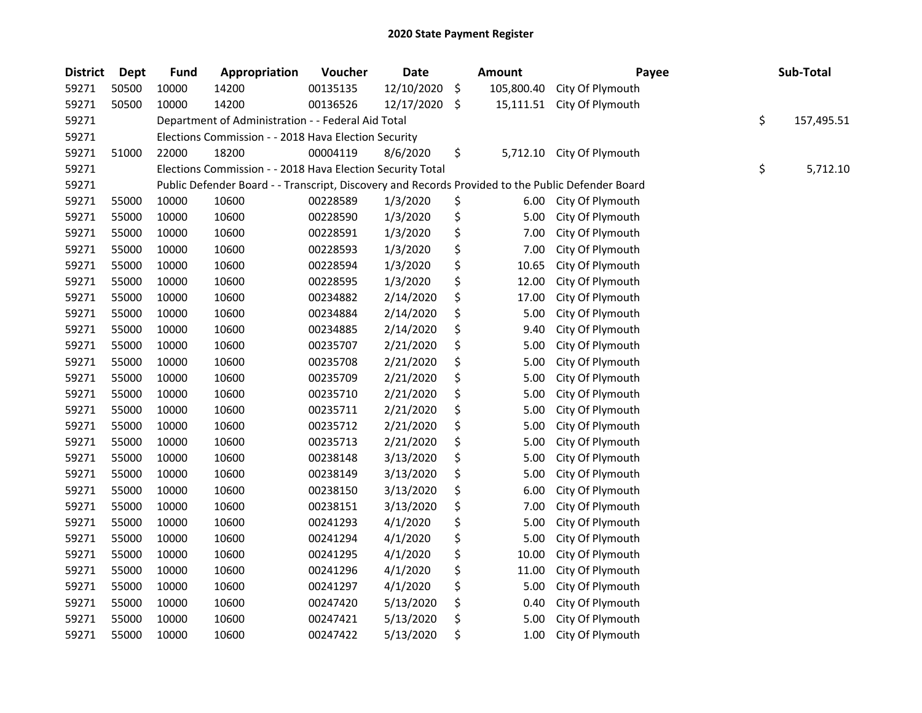| <b>District</b> | <b>Dept</b> | <b>Fund</b> | Appropriation                                                                                     | Voucher  | <b>Date</b> | Amount           | Payee                     | Sub-Total        |
|-----------------|-------------|-------------|---------------------------------------------------------------------------------------------------|----------|-------------|------------------|---------------------------|------------------|
| 59271           | 50500       | 10000       | 14200                                                                                             | 00135135 | 12/10/2020  | \$<br>105,800.40 | City Of Plymouth          |                  |
| 59271           | 50500       | 10000       | 14200                                                                                             | 00136526 | 12/17/2020  | \$<br>15,111.51  | City Of Plymouth          |                  |
| 59271           |             |             | Department of Administration - - Federal Aid Total                                                |          |             |                  |                           | \$<br>157,495.51 |
| 59271           |             |             | Elections Commission - - 2018 Hava Election Security                                              |          |             |                  |                           |                  |
| 59271           | 51000       | 22000       | 18200                                                                                             | 00004119 | 8/6/2020    | \$               | 5,712.10 City Of Plymouth |                  |
| 59271           |             |             | Elections Commission - - 2018 Hava Election Security Total                                        |          |             |                  |                           | \$<br>5,712.10   |
| 59271           |             |             | Public Defender Board - - Transcript, Discovery and Records Provided to the Public Defender Board |          |             |                  |                           |                  |
| 59271           | 55000       | 10000       | 10600                                                                                             | 00228589 | 1/3/2020    | \$<br>6.00       | City Of Plymouth          |                  |
| 59271           | 55000       | 10000       | 10600                                                                                             | 00228590 | 1/3/2020    | \$<br>5.00       | City Of Plymouth          |                  |
| 59271           | 55000       | 10000       | 10600                                                                                             | 00228591 | 1/3/2020    | \$<br>7.00       | City Of Plymouth          |                  |
| 59271           | 55000       | 10000       | 10600                                                                                             | 00228593 | 1/3/2020    | \$<br>7.00       | City Of Plymouth          |                  |
| 59271           | 55000       | 10000       | 10600                                                                                             | 00228594 | 1/3/2020    | \$<br>10.65      | City Of Plymouth          |                  |
| 59271           | 55000       | 10000       | 10600                                                                                             | 00228595 | 1/3/2020    | \$<br>12.00      | City Of Plymouth          |                  |
| 59271           | 55000       | 10000       | 10600                                                                                             | 00234882 | 2/14/2020   | \$<br>17.00      | City Of Plymouth          |                  |
| 59271           | 55000       | 10000       | 10600                                                                                             | 00234884 | 2/14/2020   | \$<br>5.00       | City Of Plymouth          |                  |
| 59271           | 55000       | 10000       | 10600                                                                                             | 00234885 | 2/14/2020   | \$<br>9.40       | City Of Plymouth          |                  |
| 59271           | 55000       | 10000       | 10600                                                                                             | 00235707 | 2/21/2020   | \$<br>5.00       | City Of Plymouth          |                  |
| 59271           | 55000       | 10000       | 10600                                                                                             | 00235708 | 2/21/2020   | \$<br>5.00       | City Of Plymouth          |                  |
| 59271           | 55000       | 10000       | 10600                                                                                             | 00235709 | 2/21/2020   | \$<br>5.00       | City Of Plymouth          |                  |
| 59271           | 55000       | 10000       | 10600                                                                                             | 00235710 | 2/21/2020   | \$<br>5.00       | City Of Plymouth          |                  |
| 59271           | 55000       | 10000       | 10600                                                                                             | 00235711 | 2/21/2020   | \$<br>5.00       | City Of Plymouth          |                  |
| 59271           | 55000       | 10000       | 10600                                                                                             | 00235712 | 2/21/2020   | \$<br>5.00       | City Of Plymouth          |                  |
| 59271           | 55000       | 10000       | 10600                                                                                             | 00235713 | 2/21/2020   | \$<br>5.00       | City Of Plymouth          |                  |
| 59271           | 55000       | 10000       | 10600                                                                                             | 00238148 | 3/13/2020   | \$<br>5.00       | City Of Plymouth          |                  |
| 59271           | 55000       | 10000       | 10600                                                                                             | 00238149 | 3/13/2020   | \$<br>5.00       | City Of Plymouth          |                  |
| 59271           | 55000       | 10000       | 10600                                                                                             | 00238150 | 3/13/2020   | \$<br>6.00       | City Of Plymouth          |                  |
| 59271           | 55000       | 10000       | 10600                                                                                             | 00238151 | 3/13/2020   | \$<br>7.00       | City Of Plymouth          |                  |
| 59271           | 55000       | 10000       | 10600                                                                                             | 00241293 | 4/1/2020    | \$<br>5.00       | City Of Plymouth          |                  |
| 59271           | 55000       | 10000       | 10600                                                                                             | 00241294 | 4/1/2020    | \$<br>5.00       | City Of Plymouth          |                  |
| 59271           | 55000       | 10000       | 10600                                                                                             | 00241295 | 4/1/2020    | \$<br>10.00      | City Of Plymouth          |                  |
| 59271           | 55000       | 10000       | 10600                                                                                             | 00241296 | 4/1/2020    | \$<br>11.00      | City Of Plymouth          |                  |
| 59271           | 55000       | 10000       | 10600                                                                                             | 00241297 | 4/1/2020    | \$<br>5.00       | City Of Plymouth          |                  |
| 59271           | 55000       | 10000       | 10600                                                                                             | 00247420 | 5/13/2020   | \$<br>0.40       | City Of Plymouth          |                  |
| 59271           | 55000       | 10000       | 10600                                                                                             | 00247421 | 5/13/2020   | \$<br>5.00       | City Of Plymouth          |                  |
| 59271           | 55000       | 10000       | 10600                                                                                             | 00247422 | 5/13/2020   | \$<br>1.00       | City Of Plymouth          |                  |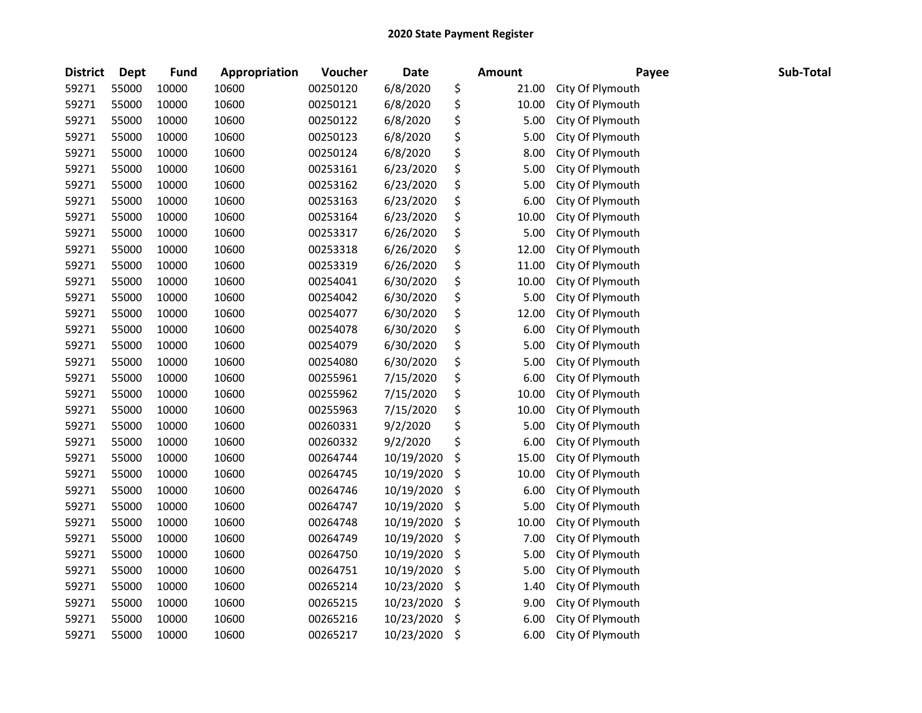| <b>District</b> | <b>Dept</b> | <b>Fund</b> | Appropriation | Voucher  | Date       | <b>Amount</b> | Payee            | Sub-Total |
|-----------------|-------------|-------------|---------------|----------|------------|---------------|------------------|-----------|
| 59271           | 55000       | 10000       | 10600         | 00250120 | 6/8/2020   | \$<br>21.00   | City Of Plymouth |           |
| 59271           | 55000       | 10000       | 10600         | 00250121 | 6/8/2020   | \$<br>10.00   | City Of Plymouth |           |
| 59271           | 55000       | 10000       | 10600         | 00250122 | 6/8/2020   | \$<br>5.00    | City Of Plymouth |           |
| 59271           | 55000       | 10000       | 10600         | 00250123 | 6/8/2020   | \$<br>5.00    | City Of Plymouth |           |
| 59271           | 55000       | 10000       | 10600         | 00250124 | 6/8/2020   | \$<br>8.00    | City Of Plymouth |           |
| 59271           | 55000       | 10000       | 10600         | 00253161 | 6/23/2020  | \$<br>5.00    | City Of Plymouth |           |
| 59271           | 55000       | 10000       | 10600         | 00253162 | 6/23/2020  | \$<br>5.00    | City Of Plymouth |           |
| 59271           | 55000       | 10000       | 10600         | 00253163 | 6/23/2020  | \$<br>6.00    | City Of Plymouth |           |
| 59271           | 55000       | 10000       | 10600         | 00253164 | 6/23/2020  | \$<br>10.00   | City Of Plymouth |           |
| 59271           | 55000       | 10000       | 10600         | 00253317 | 6/26/2020  | \$<br>5.00    | City Of Plymouth |           |
| 59271           | 55000       | 10000       | 10600         | 00253318 | 6/26/2020  | \$<br>12.00   | City Of Plymouth |           |
| 59271           | 55000       | 10000       | 10600         | 00253319 | 6/26/2020  | \$<br>11.00   | City Of Plymouth |           |
| 59271           | 55000       | 10000       | 10600         | 00254041 | 6/30/2020  | \$<br>10.00   | City Of Plymouth |           |
| 59271           | 55000       | 10000       | 10600         | 00254042 | 6/30/2020  | \$<br>5.00    | City Of Plymouth |           |
| 59271           | 55000       | 10000       | 10600         | 00254077 | 6/30/2020  | \$<br>12.00   | City Of Plymouth |           |
| 59271           | 55000       | 10000       | 10600         | 00254078 | 6/30/2020  | \$<br>6.00    | City Of Plymouth |           |
| 59271           | 55000       | 10000       | 10600         | 00254079 | 6/30/2020  | \$<br>5.00    | City Of Plymouth |           |
| 59271           | 55000       | 10000       | 10600         | 00254080 | 6/30/2020  | \$<br>5.00    | City Of Plymouth |           |
| 59271           | 55000       | 10000       | 10600         | 00255961 | 7/15/2020  | \$<br>6.00    | City Of Plymouth |           |
| 59271           | 55000       | 10000       | 10600         | 00255962 | 7/15/2020  | \$<br>10.00   | City Of Plymouth |           |
| 59271           | 55000       | 10000       | 10600         | 00255963 | 7/15/2020  | \$<br>10.00   | City Of Plymouth |           |
| 59271           | 55000       | 10000       | 10600         | 00260331 | 9/2/2020   | \$<br>5.00    | City Of Plymouth |           |
| 59271           | 55000       | 10000       | 10600         | 00260332 | 9/2/2020   | \$<br>6.00    | City Of Plymouth |           |
| 59271           | 55000       | 10000       | 10600         | 00264744 | 10/19/2020 | \$<br>15.00   | City Of Plymouth |           |
| 59271           | 55000       | 10000       | 10600         | 00264745 | 10/19/2020 | \$<br>10.00   | City Of Plymouth |           |
| 59271           | 55000       | 10000       | 10600         | 00264746 | 10/19/2020 | \$<br>6.00    | City Of Plymouth |           |
| 59271           | 55000       | 10000       | 10600         | 00264747 | 10/19/2020 | \$<br>5.00    | City Of Plymouth |           |
| 59271           | 55000       | 10000       | 10600         | 00264748 | 10/19/2020 | \$<br>10.00   | City Of Plymouth |           |
| 59271           | 55000       | 10000       | 10600         | 00264749 | 10/19/2020 | \$<br>7.00    | City Of Plymouth |           |
| 59271           | 55000       | 10000       | 10600         | 00264750 | 10/19/2020 | \$<br>5.00    | City Of Plymouth |           |
| 59271           | 55000       | 10000       | 10600         | 00264751 | 10/19/2020 | \$<br>5.00    | City Of Plymouth |           |
| 59271           | 55000       | 10000       | 10600         | 00265214 | 10/23/2020 | \$<br>1.40    | City Of Plymouth |           |
| 59271           | 55000       | 10000       | 10600         | 00265215 | 10/23/2020 | \$<br>9.00    | City Of Plymouth |           |
| 59271           | 55000       | 10000       | 10600         | 00265216 | 10/23/2020 | \$<br>6.00    | City Of Plymouth |           |
| 59271           | 55000       | 10000       | 10600         | 00265217 | 10/23/2020 | \$<br>6.00    | City Of Plymouth |           |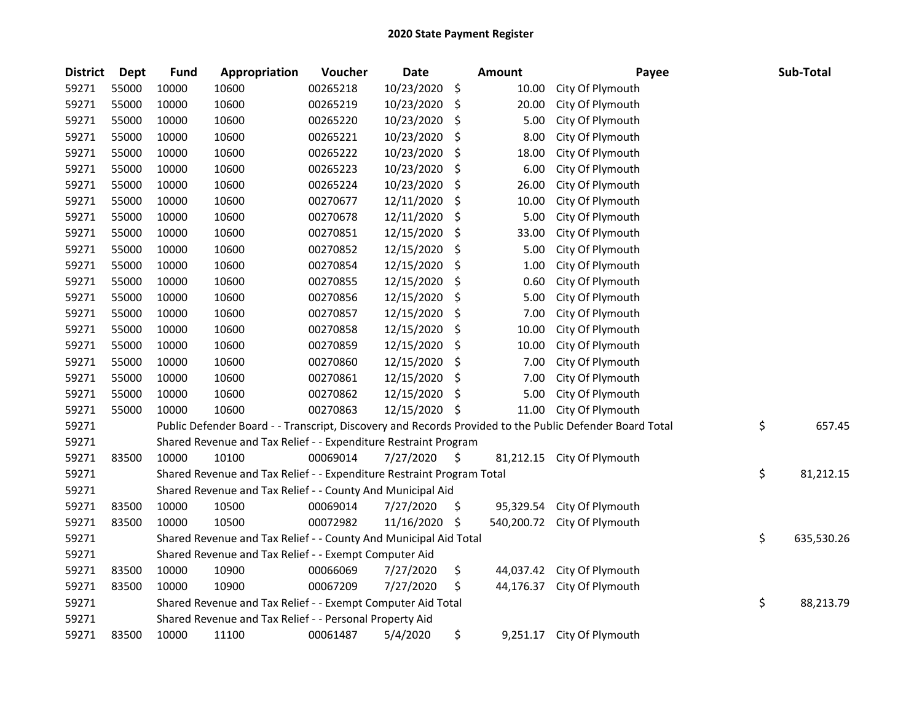| <b>District</b> | <b>Dept</b> | <b>Fund</b> | Appropriation                                                         | Voucher  | <b>Date</b> |     | <b>Amount</b> | Payee                                                                                                   | Sub-Total        |
|-----------------|-------------|-------------|-----------------------------------------------------------------------|----------|-------------|-----|---------------|---------------------------------------------------------------------------------------------------------|------------------|
| 59271           | 55000       | 10000       | 10600                                                                 | 00265218 | 10/23/2020  | \$  | 10.00         | City Of Plymouth                                                                                        |                  |
| 59271           | 55000       | 10000       | 10600                                                                 | 00265219 | 10/23/2020  | \$  | 20.00         | City Of Plymouth                                                                                        |                  |
| 59271           | 55000       | 10000       | 10600                                                                 | 00265220 | 10/23/2020  | \$  | 5.00          | City Of Plymouth                                                                                        |                  |
| 59271           | 55000       | 10000       | 10600                                                                 | 00265221 | 10/23/2020  | \$  | 8.00          | City Of Plymouth                                                                                        |                  |
| 59271           | 55000       | 10000       | 10600                                                                 | 00265222 | 10/23/2020  | \$  | 18.00         | City Of Plymouth                                                                                        |                  |
| 59271           | 55000       | 10000       | 10600                                                                 | 00265223 | 10/23/2020  | \$  | 6.00          | City Of Plymouth                                                                                        |                  |
| 59271           | 55000       | 10000       | 10600                                                                 | 00265224 | 10/23/2020  | \$  | 26.00         | City Of Plymouth                                                                                        |                  |
| 59271           | 55000       | 10000       | 10600                                                                 | 00270677 | 12/11/2020  | \$  | 10.00         | City Of Plymouth                                                                                        |                  |
| 59271           | 55000       | 10000       | 10600                                                                 | 00270678 | 12/11/2020  | \$  | 5.00          | City Of Plymouth                                                                                        |                  |
| 59271           | 55000       | 10000       | 10600                                                                 | 00270851 | 12/15/2020  | \$  | 33.00         | City Of Plymouth                                                                                        |                  |
| 59271           | 55000       | 10000       | 10600                                                                 | 00270852 | 12/15/2020  | \$  | 5.00          | City Of Plymouth                                                                                        |                  |
| 59271           | 55000       | 10000       | 10600                                                                 | 00270854 | 12/15/2020  | \$  | 1.00          | City Of Plymouth                                                                                        |                  |
| 59271           | 55000       | 10000       | 10600                                                                 | 00270855 | 12/15/2020  | \$  | 0.60          | City Of Plymouth                                                                                        |                  |
| 59271           | 55000       | 10000       | 10600                                                                 | 00270856 | 12/15/2020  | \$  | 5.00          | City Of Plymouth                                                                                        |                  |
| 59271           | 55000       | 10000       | 10600                                                                 | 00270857 | 12/15/2020  | \$  | 7.00          | City Of Plymouth                                                                                        |                  |
| 59271           | 55000       | 10000       | 10600                                                                 | 00270858 | 12/15/2020  | \$  | 10.00         | City Of Plymouth                                                                                        |                  |
| 59271           | 55000       | 10000       | 10600                                                                 | 00270859 | 12/15/2020  | \$  | 10.00         | City Of Plymouth                                                                                        |                  |
| 59271           | 55000       | 10000       | 10600                                                                 | 00270860 | 12/15/2020  | \$  | 7.00          | City Of Plymouth                                                                                        |                  |
| 59271           | 55000       | 10000       | 10600                                                                 | 00270861 | 12/15/2020  | \$  | 7.00          | City Of Plymouth                                                                                        |                  |
| 59271           | 55000       | 10000       | 10600                                                                 | 00270862 | 12/15/2020  | \$, | 5.00          | City Of Plymouth                                                                                        |                  |
| 59271           | 55000       | 10000       | 10600                                                                 | 00270863 | 12/15/2020  | \$  | 11.00         | City Of Plymouth                                                                                        |                  |
| 59271           |             |             |                                                                       |          |             |     |               | Public Defender Board - - Transcript, Discovery and Records Provided to the Public Defender Board Total | \$<br>657.45     |
| 59271           |             |             | Shared Revenue and Tax Relief - - Expenditure Restraint Program       |          |             |     |               |                                                                                                         |                  |
| 59271           | 83500       | 10000       | 10100                                                                 | 00069014 | 7/27/2020   | \$  | 81,212.15     | City Of Plymouth                                                                                        |                  |
| 59271           |             |             | Shared Revenue and Tax Relief - - Expenditure Restraint Program Total |          |             |     |               |                                                                                                         | \$<br>81,212.15  |
| 59271           |             |             | Shared Revenue and Tax Relief - - County And Municipal Aid            |          |             |     |               |                                                                                                         |                  |
| 59271           | 83500       | 10000       | 10500                                                                 | 00069014 | 7/27/2020   | \$  | 95,329.54     | City Of Plymouth                                                                                        |                  |
| 59271           | 83500       | 10000       | 10500                                                                 | 00072982 | 11/16/2020  | \$  | 540,200.72    | City Of Plymouth                                                                                        |                  |
| 59271           |             |             | Shared Revenue and Tax Relief - - County And Municipal Aid Total      |          |             |     |               |                                                                                                         | \$<br>635,530.26 |
| 59271           |             |             | Shared Revenue and Tax Relief - - Exempt Computer Aid                 |          |             |     |               |                                                                                                         |                  |
| 59271           | 83500       | 10000       | 10900                                                                 | 00066069 | 7/27/2020   | \$  | 44,037.42     | City Of Plymouth                                                                                        |                  |
| 59271           | 83500       | 10000       | 10900                                                                 | 00067209 | 7/27/2020   | \$  | 44,176.37     | City Of Plymouth                                                                                        |                  |
| 59271           |             |             | Shared Revenue and Tax Relief - - Exempt Computer Aid Total           |          |             |     |               |                                                                                                         | \$<br>88,213.79  |
| 59271           |             |             | Shared Revenue and Tax Relief - - Personal Property Aid               |          |             |     |               |                                                                                                         |                  |
| 59271           | 83500       | 10000       | 11100                                                                 | 00061487 | 5/4/2020    | \$  | 9,251.17      | City Of Plymouth                                                                                        |                  |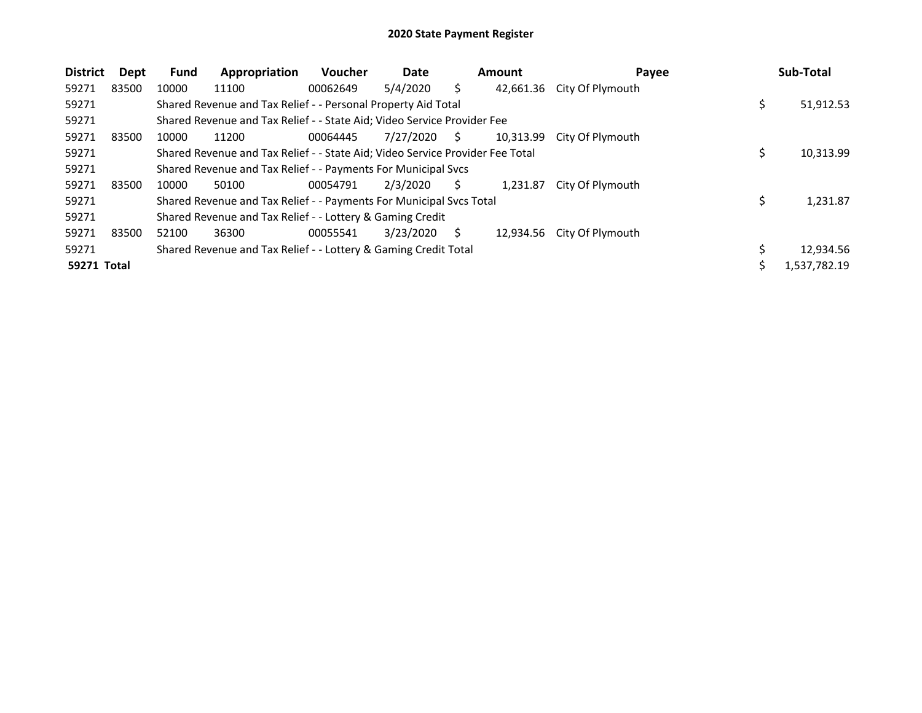| <b>District</b> | Dept  | <b>Fund</b> | Appropriation                                                                 | <b>Voucher</b> | Date      |    | <b>Amount</b> | Payee                      | Sub-Total    |
|-----------------|-------|-------------|-------------------------------------------------------------------------------|----------------|-----------|----|---------------|----------------------------|--------------|
| 59271           | 83500 | 10000       | 11100                                                                         | 00062649       | 5/4/2020  |    |               | 42,661.36 City Of Plymouth |              |
| 59271           |       |             | Shared Revenue and Tax Relief - - Personal Property Aid Total                 |                |           |    |               |                            | 51,912.53    |
| 59271           |       |             | Shared Revenue and Tax Relief - - State Aid; Video Service Provider Fee       |                |           |    |               |                            |              |
| 59271           | 83500 | 10000       | 11200                                                                         | 00064445       | 7/27/2020 | S. | 10.313.99     | City Of Plymouth           |              |
| 59271           |       |             | Shared Revenue and Tax Relief - - State Aid; Video Service Provider Fee Total |                |           |    |               |                            | 10,313.99    |
| 59271           |       |             | Shared Revenue and Tax Relief - - Payments For Municipal Svcs                 |                |           |    |               |                            |              |
| 59271           | 83500 | 10000       | 50100                                                                         | 00054791       | 2/3/2020  | S  | 1.231.87      | City Of Plymouth           |              |
| 59271           |       |             | Shared Revenue and Tax Relief - - Payments For Municipal Svcs Total           |                |           |    |               |                            | 1,231.87     |
| 59271           |       |             | Shared Revenue and Tax Relief - - Lottery & Gaming Credit                     |                |           |    |               |                            |              |
| 59271           | 83500 | 52100       | 36300                                                                         | 00055541       | 3/23/2020 | S  |               | 12,934.56 City Of Plymouth |              |
| 59271           |       |             | Shared Revenue and Tax Relief - - Lottery & Gaming Credit Total               |                |           |    |               |                            | 12,934.56    |
| 59271 Total     |       |             |                                                                               |                |           |    |               |                            | 1,537,782.19 |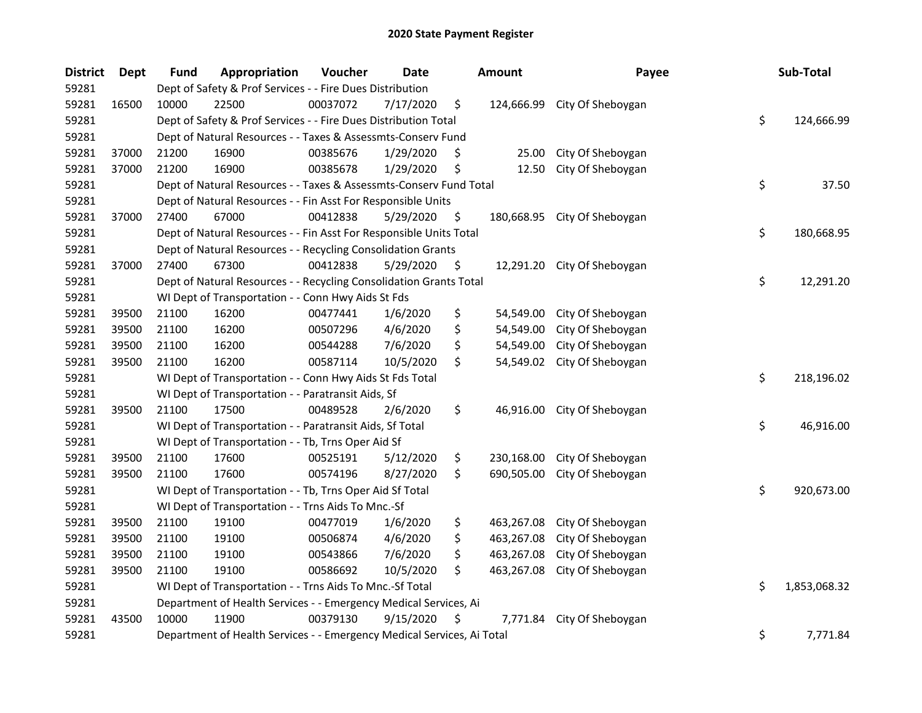| <b>District</b> | <b>Dept</b> | <b>Fund</b> | Appropriation                                                          | Voucher  | Date      | <b>Amount</b>    | Payee                        | Sub-Total          |
|-----------------|-------------|-------------|------------------------------------------------------------------------|----------|-----------|------------------|------------------------------|--------------------|
| 59281           |             |             | Dept of Safety & Prof Services - - Fire Dues Distribution              |          |           |                  |                              |                    |
| 59281           | 16500       | 10000       | 22500                                                                  | 00037072 | 7/17/2020 | \$<br>124,666.99 | City Of Sheboygan            |                    |
| 59281           |             |             | Dept of Safety & Prof Services - - Fire Dues Distribution Total        |          |           |                  |                              | \$<br>124,666.99   |
| 59281           |             |             | Dept of Natural Resources - - Taxes & Assessmts-Conserv Fund           |          |           |                  |                              |                    |
| 59281           | 37000       | 21200       | 16900                                                                  | 00385676 | 1/29/2020 | \$<br>25.00      | City Of Sheboygan            |                    |
| 59281           | 37000       | 21200       | 16900                                                                  | 00385678 | 1/29/2020 | \$<br>12.50      | City Of Sheboygan            |                    |
| 59281           |             |             | Dept of Natural Resources - - Taxes & Assessmts-Conserv Fund Total     |          |           |                  |                              | \$<br>37.50        |
| 59281           |             |             | Dept of Natural Resources - - Fin Asst For Responsible Units           |          |           |                  |                              |                    |
| 59281           | 37000       | 27400       | 67000                                                                  | 00412838 | 5/29/2020 | \$               | 180,668.95 City Of Sheboygan |                    |
| 59281           |             |             | Dept of Natural Resources - - Fin Asst For Responsible Units Total     |          |           |                  |                              | \$<br>180,668.95   |
| 59281           |             |             | Dept of Natural Resources - - Recycling Consolidation Grants           |          |           |                  |                              |                    |
| 59281           | 37000       | 27400       | 67300                                                                  | 00412838 | 5/29/2020 | \$<br>12,291.20  | City Of Sheboygan            |                    |
| 59281           |             |             | Dept of Natural Resources - - Recycling Consolidation Grants Total     |          |           |                  |                              | \$<br>12,291.20    |
| 59281           |             |             | WI Dept of Transportation - - Conn Hwy Aids St Fds                     |          |           |                  |                              |                    |
| 59281           | 39500       | 21100       | 16200                                                                  | 00477441 | 1/6/2020  | \$<br>54,549.00  | City Of Sheboygan            |                    |
| 59281           | 39500       | 21100       | 16200                                                                  | 00507296 | 4/6/2020  | \$<br>54,549.00  | City Of Sheboygan            |                    |
| 59281           | 39500       | 21100       | 16200                                                                  | 00544288 | 7/6/2020  | \$<br>54,549.00  | City Of Sheboygan            |                    |
| 59281           | 39500       | 21100       | 16200                                                                  | 00587114 | 10/5/2020 | \$<br>54,549.02  | City Of Sheboygan            |                    |
| 59281           |             |             | WI Dept of Transportation - - Conn Hwy Aids St Fds Total               |          |           |                  |                              | \$<br>218,196.02   |
| 59281           |             |             | WI Dept of Transportation - - Paratransit Aids, Sf                     |          |           |                  |                              |                    |
| 59281           | 39500       | 21100       | 17500                                                                  | 00489528 | 2/6/2020  | \$<br>46,916.00  | City Of Sheboygan            |                    |
| 59281           |             |             | WI Dept of Transportation - - Paratransit Aids, Sf Total               |          |           |                  |                              | \$<br>46,916.00    |
| 59281           |             |             | WI Dept of Transportation - - Tb, Trns Oper Aid Sf                     |          |           |                  |                              |                    |
| 59281           | 39500       | 21100       | 17600                                                                  | 00525191 | 5/12/2020 | \$<br>230,168.00 | City Of Sheboygan            |                    |
| 59281           | 39500       | 21100       | 17600                                                                  | 00574196 | 8/27/2020 | \$<br>690,505.00 | City Of Sheboygan            |                    |
| 59281           |             |             | WI Dept of Transportation - - Tb, Trns Oper Aid Sf Total               |          |           |                  |                              | \$<br>920,673.00   |
| 59281           |             |             | WI Dept of Transportation - - Trns Aids To Mnc.-Sf                     |          |           |                  |                              |                    |
| 59281           | 39500       | 21100       | 19100                                                                  | 00477019 | 1/6/2020  | \$<br>463,267.08 | City Of Sheboygan            |                    |
| 59281           | 39500       | 21100       | 19100                                                                  | 00506874 | 4/6/2020  | \$<br>463,267.08 | City Of Sheboygan            |                    |
| 59281           | 39500       | 21100       | 19100                                                                  | 00543866 | 7/6/2020  | \$<br>463,267.08 | City Of Sheboygan            |                    |
| 59281           | 39500       | 21100       | 19100                                                                  | 00586692 | 10/5/2020 | \$<br>463,267.08 | City Of Sheboygan            |                    |
| 59281           |             |             | WI Dept of Transportation - - Trns Aids To Mnc.-Sf Total               |          |           |                  |                              | \$<br>1,853,068.32 |
| 59281           |             |             | Department of Health Services - - Emergency Medical Services, Ai       |          |           |                  |                              |                    |
| 59281           | 43500       | 10000       | 11900                                                                  | 00379130 | 9/15/2020 | \$<br>7,771.84   | City Of Sheboygan            |                    |
| 59281           |             |             | Department of Health Services - - Emergency Medical Services, Ai Total |          |           |                  |                              | \$<br>7,771.84     |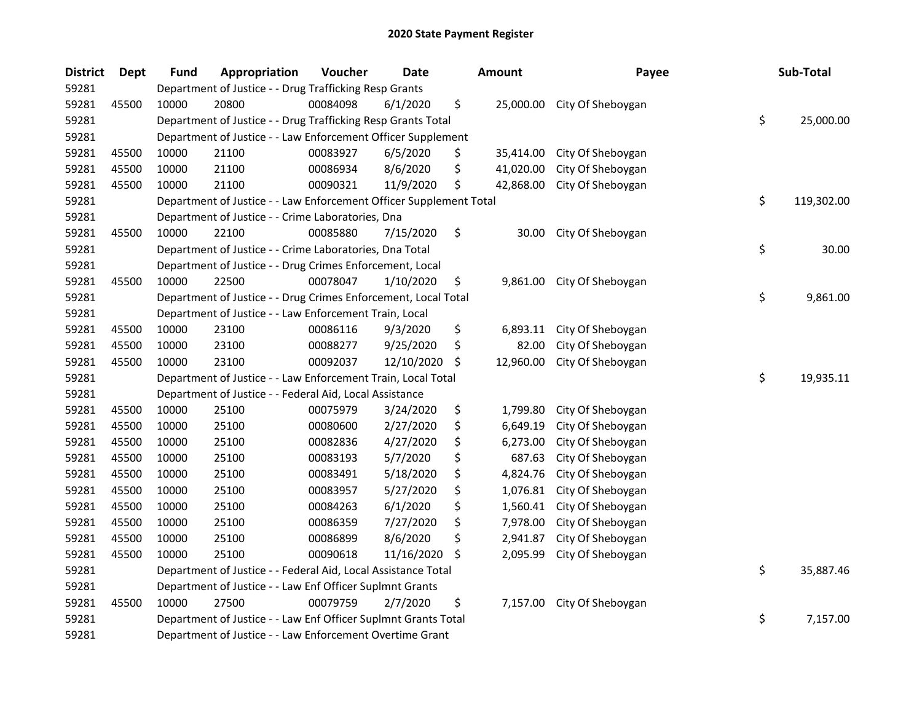| <b>District</b> | <b>Dept</b> | <b>Fund</b> | Appropriation                                                      | Voucher  | <b>Date</b> |     | <b>Amount</b> | Payee             | Sub-Total        |
|-----------------|-------------|-------------|--------------------------------------------------------------------|----------|-------------|-----|---------------|-------------------|------------------|
| 59281           |             |             | Department of Justice - - Drug Trafficking Resp Grants             |          |             |     |               |                   |                  |
| 59281           | 45500       | 10000       | 20800                                                              | 00084098 | 6/1/2020    | \$  | 25,000.00     | City Of Sheboygan |                  |
| 59281           |             |             | Department of Justice - - Drug Trafficking Resp Grants Total       |          |             |     |               |                   | \$<br>25,000.00  |
| 59281           |             |             | Department of Justice - - Law Enforcement Officer Supplement       |          |             |     |               |                   |                  |
| 59281           | 45500       | 10000       | 21100                                                              | 00083927 | 6/5/2020    | \$. | 35,414.00     | City Of Sheboygan |                  |
| 59281           | 45500       | 10000       | 21100                                                              | 00086934 | 8/6/2020    | \$  | 41,020.00     | City Of Sheboygan |                  |
| 59281           | 45500       | 10000       | 21100                                                              | 00090321 | 11/9/2020   | \$  | 42,868.00     | City Of Sheboygan |                  |
| 59281           |             |             | Department of Justice - - Law Enforcement Officer Supplement Total |          |             |     |               |                   | \$<br>119,302.00 |
| 59281           |             |             | Department of Justice - - Crime Laboratories, Dna                  |          |             |     |               |                   |                  |
| 59281           | 45500       | 10000       | 22100                                                              | 00085880 | 7/15/2020   | \$  | 30.00         | City Of Sheboygan |                  |
| 59281           |             |             | Department of Justice - - Crime Laboratories, Dna Total            |          |             |     |               |                   | \$<br>30.00      |
| 59281           |             |             | Department of Justice - - Drug Crimes Enforcement, Local           |          |             |     |               |                   |                  |
| 59281           | 45500       | 10000       | 22500                                                              | 00078047 | 1/10/2020   | \$  | 9,861.00      | City Of Sheboygan |                  |
| 59281           |             |             | Department of Justice - - Drug Crimes Enforcement, Local Total     |          |             |     |               |                   | \$<br>9,861.00   |
| 59281           |             |             | Department of Justice - - Law Enforcement Train, Local             |          |             |     |               |                   |                  |
| 59281           | 45500       | 10000       | 23100                                                              | 00086116 | 9/3/2020    | \$  | 6,893.11      | City Of Sheboygan |                  |
| 59281           | 45500       | 10000       | 23100                                                              | 00088277 | 9/25/2020   | \$  | 82.00         | City Of Sheboygan |                  |
| 59281           | 45500       | 10000       | 23100                                                              | 00092037 | 12/10/2020  | S   | 12,960.00     | City Of Sheboygan |                  |
| 59281           |             |             | Department of Justice - - Law Enforcement Train, Local Total       |          |             |     |               |                   | \$<br>19,935.11  |
| 59281           |             |             | Department of Justice - - Federal Aid, Local Assistance            |          |             |     |               |                   |                  |
| 59281           | 45500       | 10000       | 25100                                                              | 00075979 | 3/24/2020   | \$  | 1,799.80      | City Of Sheboygan |                  |
| 59281           | 45500       | 10000       | 25100                                                              | 00080600 | 2/27/2020   | \$  | 6,649.19      | City Of Sheboygan |                  |
| 59281           | 45500       | 10000       | 25100                                                              | 00082836 | 4/27/2020   | \$  | 6,273.00      | City Of Sheboygan |                  |
| 59281           | 45500       | 10000       | 25100                                                              | 00083193 | 5/7/2020    | \$  | 687.63        | City Of Sheboygan |                  |
| 59281           | 45500       | 10000       | 25100                                                              | 00083491 | 5/18/2020   | \$  | 4,824.76      | City Of Sheboygan |                  |
| 59281           | 45500       | 10000       | 25100                                                              | 00083957 | 5/27/2020   | \$  | 1,076.81      | City Of Sheboygan |                  |
| 59281           | 45500       | 10000       | 25100                                                              | 00084263 | 6/1/2020    | \$  | 1,560.41      | City Of Sheboygan |                  |
| 59281           | 45500       | 10000       | 25100                                                              | 00086359 | 7/27/2020   | \$  | 7,978.00      | City Of Sheboygan |                  |
| 59281           | 45500       | 10000       | 25100                                                              | 00086899 | 8/6/2020    | \$  | 2,941.87      | City Of Sheboygan |                  |
| 59281           | 45500       | 10000       | 25100                                                              | 00090618 | 11/16/2020  | \$  | 2,095.99      | City Of Sheboygan |                  |
| 59281           |             |             | Department of Justice - - Federal Aid, Local Assistance Total      |          |             |     |               |                   | \$<br>35,887.46  |
| 59281           |             |             | Department of Justice - - Law Enf Officer Suplmnt Grants           |          |             |     |               |                   |                  |
| 59281           | 45500       | 10000       | 27500                                                              | 00079759 | 2/7/2020    | \$  | 7,157.00      | City Of Sheboygan |                  |
| 59281           |             |             | Department of Justice - - Law Enf Officer Suplmnt Grants Total     |          |             |     |               |                   | \$<br>7,157.00   |
| 59281           |             |             | Department of Justice - - Law Enforcement Overtime Grant           |          |             |     |               |                   |                  |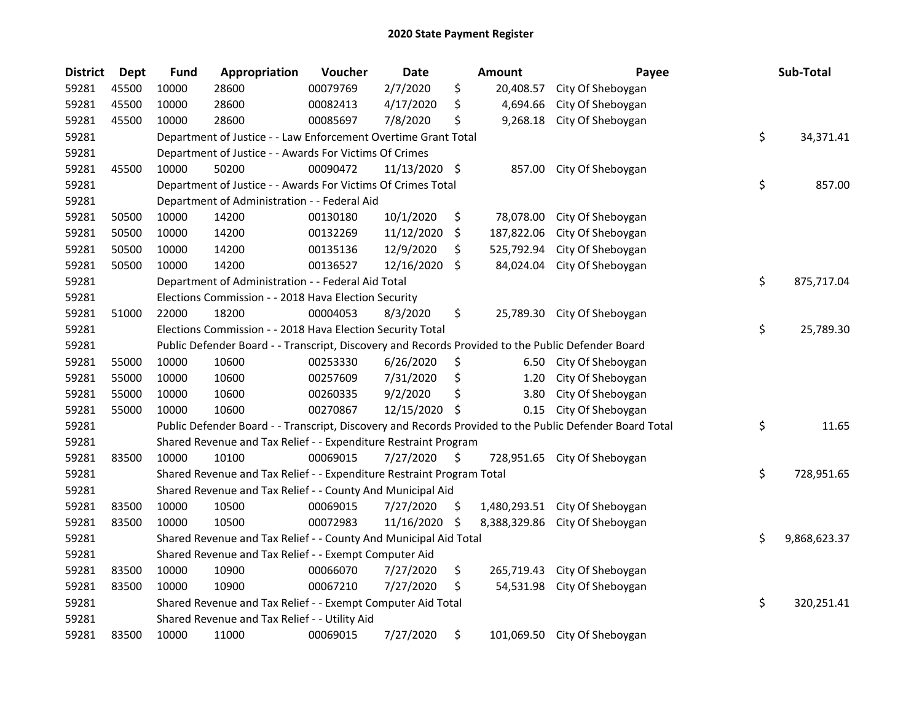| <b>District</b> | <b>Dept</b> | <b>Fund</b> | Appropriation                                                         | Voucher  | <b>Date</b>   |     | <b>Amount</b> | Payee                                                                                                   | Sub-Total          |
|-----------------|-------------|-------------|-----------------------------------------------------------------------|----------|---------------|-----|---------------|---------------------------------------------------------------------------------------------------------|--------------------|
| 59281           | 45500       | 10000       | 28600                                                                 | 00079769 | 2/7/2020      | \$  | 20,408.57     | City Of Sheboygan                                                                                       |                    |
| 59281           | 45500       | 10000       | 28600                                                                 | 00082413 | 4/17/2020     | \$  | 4,694.66      | City Of Sheboygan                                                                                       |                    |
| 59281           | 45500       | 10000       | 28600                                                                 | 00085697 | 7/8/2020      | \$  | 9,268.18      | City Of Sheboygan                                                                                       |                    |
| 59281           |             |             | Department of Justice - - Law Enforcement Overtime Grant Total        |          |               |     |               |                                                                                                         | \$<br>34,371.41    |
| 59281           |             |             | Department of Justice - - Awards For Victims Of Crimes                |          |               |     |               |                                                                                                         |                    |
| 59281           | 45500       | 10000       | 50200                                                                 | 00090472 | 11/13/2020 \$ |     | 857.00        | City Of Sheboygan                                                                                       |                    |
| 59281           |             |             | Department of Justice - - Awards For Victims Of Crimes Total          |          |               |     |               |                                                                                                         | \$<br>857.00       |
| 59281           |             |             | Department of Administration - - Federal Aid                          |          |               |     |               |                                                                                                         |                    |
| 59281           | 50500       | 10000       | 14200                                                                 | 00130180 | 10/1/2020     | \$  | 78,078.00     | City Of Sheboygan                                                                                       |                    |
| 59281           | 50500       | 10000       | 14200                                                                 | 00132269 | 11/12/2020    | \$  | 187,822.06    | City Of Sheboygan                                                                                       |                    |
| 59281           | 50500       | 10000       | 14200                                                                 | 00135136 | 12/9/2020     | \$  | 525,792.94    | City Of Sheboygan                                                                                       |                    |
| 59281           | 50500       | 10000       | 14200                                                                 | 00136527 | 12/16/2020    | \$  | 84,024.04     | City Of Sheboygan                                                                                       |                    |
| 59281           |             |             | Department of Administration - - Federal Aid Total                    |          |               |     |               |                                                                                                         | \$<br>875,717.04   |
| 59281           |             |             | Elections Commission - - 2018 Hava Election Security                  |          |               |     |               |                                                                                                         |                    |
| 59281           | 51000       | 22000       | 18200                                                                 | 00004053 | 8/3/2020      | \$  |               | 25,789.30 City Of Sheboygan                                                                             |                    |
| 59281           |             |             | Elections Commission - - 2018 Hava Election Security Total            |          |               |     |               |                                                                                                         | \$<br>25,789.30    |
| 59281           |             |             |                                                                       |          |               |     |               | Public Defender Board - - Transcript, Discovery and Records Provided to the Public Defender Board       |                    |
| 59281           | 55000       | 10000       | 10600                                                                 | 00253330 | 6/26/2020     | \$  | 6.50          | City Of Sheboygan                                                                                       |                    |
| 59281           | 55000       | 10000       | 10600                                                                 | 00257609 | 7/31/2020     | \$  | 1.20          | City Of Sheboygan                                                                                       |                    |
| 59281           | 55000       | 10000       | 10600                                                                 | 00260335 | 9/2/2020      | \$  | 3.80          | City Of Sheboygan                                                                                       |                    |
| 59281           | 55000       | 10000       | 10600                                                                 | 00270867 | 12/15/2020    | \$  | 0.15          | City Of Sheboygan                                                                                       |                    |
| 59281           |             |             |                                                                       |          |               |     |               | Public Defender Board - - Transcript, Discovery and Records Provided to the Public Defender Board Total | \$<br>11.65        |
| 59281           |             |             | Shared Revenue and Tax Relief - - Expenditure Restraint Program       |          |               |     |               |                                                                                                         |                    |
| 59281           | 83500       | 10000       | 10100                                                                 | 00069015 | 7/27/2020     | \$  | 728,951.65    | City Of Sheboygan                                                                                       |                    |
| 59281           |             |             | Shared Revenue and Tax Relief - - Expenditure Restraint Program Total |          |               |     |               |                                                                                                         | \$<br>728,951.65   |
| 59281           |             |             | Shared Revenue and Tax Relief - - County And Municipal Aid            |          |               |     |               |                                                                                                         |                    |
| 59281           | 83500       | 10000       | 10500                                                                 | 00069015 | 7/27/2020     | \$. | 1,480,293.51  | City Of Sheboygan                                                                                       |                    |
| 59281           | 83500       | 10000       | 10500                                                                 | 00072983 | 11/16/2020    | \$  | 8,388,329.86  | City Of Sheboygan                                                                                       |                    |
| 59281           |             |             | Shared Revenue and Tax Relief - - County And Municipal Aid Total      |          |               |     |               |                                                                                                         | \$<br>9,868,623.37 |
| 59281           |             |             | Shared Revenue and Tax Relief - - Exempt Computer Aid                 |          |               |     |               |                                                                                                         |                    |
| 59281           | 83500       | 10000       | 10900                                                                 | 00066070 | 7/27/2020     | \$  | 265,719.43    | City Of Sheboygan                                                                                       |                    |
| 59281           | 83500       | 10000       | 10900                                                                 | 00067210 | 7/27/2020     | \$  | 54,531.98     | City Of Sheboygan                                                                                       |                    |
| 59281           |             |             | Shared Revenue and Tax Relief - - Exempt Computer Aid Total           |          |               |     |               |                                                                                                         | \$<br>320,251.41   |
| 59281           |             |             | Shared Revenue and Tax Relief - - Utility Aid                         |          |               |     |               |                                                                                                         |                    |
| 59281           | 83500       | 10000       | 11000                                                                 | 00069015 | 7/27/2020     | \$  |               | 101,069.50 City Of Sheboygan                                                                            |                    |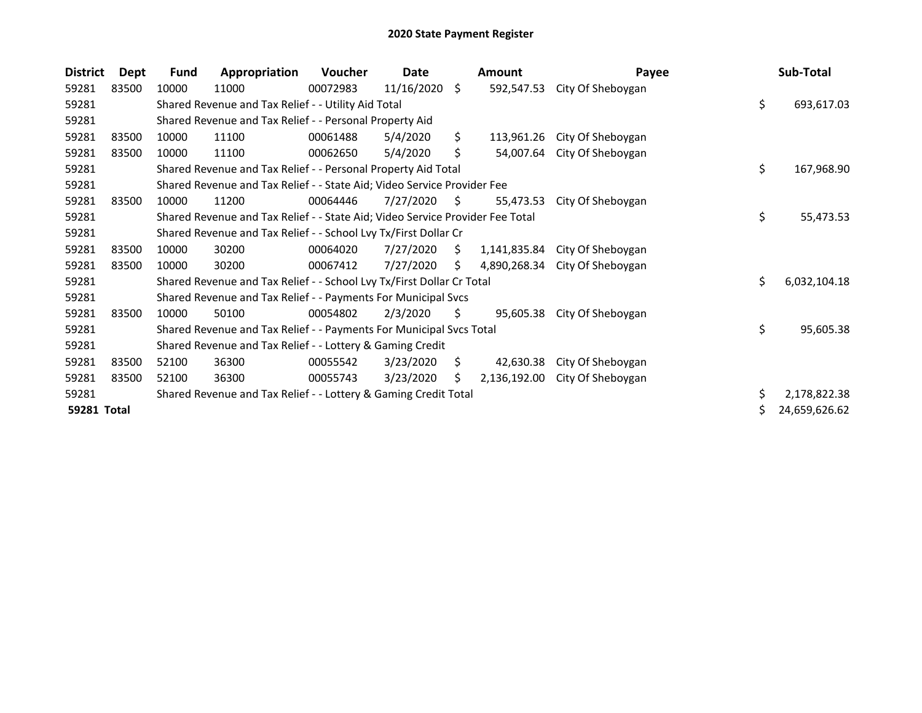## 2020 State Payment Register

| <b>District</b> | Dept  | <b>Fund</b>                                                           | Appropriation                                                                 | <b>Voucher</b> | Date<br><b>Amount</b> |     |              | Payee             |    | Sub-Total     |  |
|-----------------|-------|-----------------------------------------------------------------------|-------------------------------------------------------------------------------|----------------|-----------------------|-----|--------------|-------------------|----|---------------|--|
| 59281           | 83500 | 10000                                                                 | 11000                                                                         | 00072983       | 11/16/2020 \$         |     | 592,547.53   | City Of Sheboygan |    |               |  |
| 59281           |       |                                                                       | Shared Revenue and Tax Relief - - Utility Aid Total                           |                |                       |     |              |                   | \$ | 693,617.03    |  |
| 59281           |       | Shared Revenue and Tax Relief - - Personal Property Aid               |                                                                               |                |                       |     |              |                   |    |               |  |
| 59281           | 83500 | 10000                                                                 | 11100                                                                         | 00061488       | 5/4/2020              | Ś.  | 113,961.26   | City Of Sheboygan |    |               |  |
| 59281           | 83500 | 10000                                                                 | 11100                                                                         | 00062650       | 5/4/2020              | \$  | 54,007.64    | City Of Sheboygan |    |               |  |
| 59281           |       |                                                                       | Shared Revenue and Tax Relief - - Personal Property Aid Total                 |                |                       |     |              |                   | \$ | 167,968.90    |  |
| 59281           |       |                                                                       | Shared Revenue and Tax Relief - - State Aid; Video Service Provider Fee       |                |                       |     |              |                   |    |               |  |
| 59281           | 83500 | 10000                                                                 | 11200                                                                         | 00064446       | 7/27/2020             | \$  | 55,473.53    | City Of Sheboygan |    |               |  |
| 59281           |       |                                                                       | Shared Revenue and Tax Relief - - State Aid; Video Service Provider Fee Total |                |                       |     |              |                   | \$ | 55,473.53     |  |
| 59281           |       |                                                                       | Shared Revenue and Tax Relief - - School Lvy Tx/First Dollar Cr               |                |                       |     |              |                   |    |               |  |
| 59281           | 83500 | 10000                                                                 | 30200                                                                         | 00064020       | 7/27/2020             | S.  | 1,141,835.84 | City Of Sheboygan |    |               |  |
| 59281           | 83500 | 10000                                                                 | 30200                                                                         | 00067412       | 7/27/2020             | \$. | 4,890,268.34 | City Of Sheboygan |    |               |  |
| 59281           |       | Shared Revenue and Tax Relief - - School Lvy Tx/First Dollar Cr Total |                                                                               |                |                       |     |              |                   |    | 6,032,104.18  |  |
| 59281           |       | Shared Revenue and Tax Relief - - Payments For Municipal Svcs         |                                                                               |                |                       |     |              |                   |    |               |  |
| 59281           | 83500 | 10000                                                                 | 50100                                                                         | 00054802       | 2/3/2020              | \$. | 95,605.38    | City Of Sheboygan |    |               |  |
| 59281           |       |                                                                       | Shared Revenue and Tax Relief - - Payments For Municipal Svcs Total           |                |                       |     |              |                   | \$ | 95,605.38     |  |
| 59281           |       | Shared Revenue and Tax Relief - - Lottery & Gaming Credit             |                                                                               |                |                       |     |              |                   |    |               |  |
| 59281           | 83500 | 52100                                                                 | 36300                                                                         | 00055542       | 3/23/2020             | S.  | 42,630.38    | City Of Sheboygan |    |               |  |
| 59281           | 83500 | 52100                                                                 | 36300                                                                         | 00055743       | 3/23/2020             | S   | 2,136,192.00 | City Of Sheboygan |    |               |  |
| 59281           |       | Shared Revenue and Tax Relief - - Lottery & Gaming Credit Total       |                                                                               |                |                       |     |              |                   |    | 2,178,822.38  |  |
| 59281 Total     |       |                                                                       |                                                                               |                |                       |     |              |                   |    | 24,659,626.62 |  |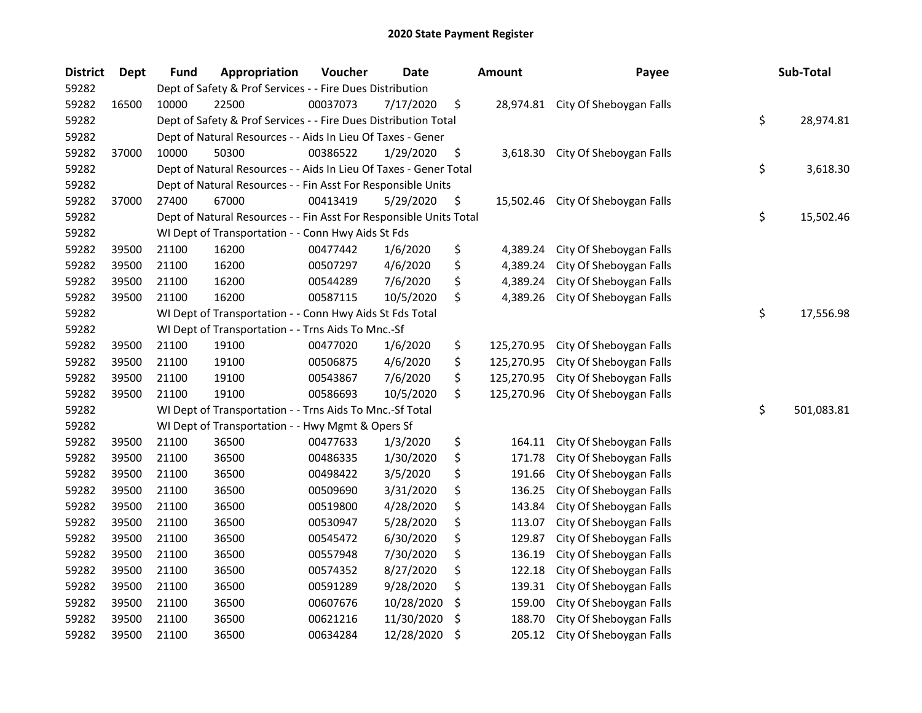## 2020 State Payment Register

| <b>District</b> | <b>Dept</b> | <b>Fund</b>                                               | Appropriation                                                                      | Voucher  | <b>Date</b> |    | <b>Amount</b> | Payee                             |    | Sub-Total  |  |
|-----------------|-------------|-----------------------------------------------------------|------------------------------------------------------------------------------------|----------|-------------|----|---------------|-----------------------------------|----|------------|--|
| 59282           |             | Dept of Safety & Prof Services - - Fire Dues Distribution |                                                                                    |          |             |    |               |                                   |    |            |  |
| 59282           | 16500       | 10000                                                     | 22500                                                                              | 00037073 | 7/17/2020   | \$ |               | 28,974.81 City Of Sheboygan Falls |    |            |  |
| 59282           |             |                                                           | \$<br>Dept of Safety & Prof Services - - Fire Dues Distribution Total<br>28,974.81 |          |             |    |               |                                   |    |            |  |
| 59282           |             |                                                           | Dept of Natural Resources - - Aids In Lieu Of Taxes - Gener                        |          |             |    |               |                                   |    |            |  |
| 59282           | 37000       | 10000                                                     | 50300                                                                              | 00386522 | 1/29/2020   | \$ | 3,618.30      | City Of Sheboygan Falls           |    |            |  |
| 59282           |             |                                                           | Dept of Natural Resources - - Aids In Lieu Of Taxes - Gener Total                  |          |             |    |               |                                   | \$ | 3,618.30   |  |
| 59282           |             |                                                           | Dept of Natural Resources - - Fin Asst For Responsible Units                       |          |             |    |               |                                   |    |            |  |
| 59282           | 37000       | 27400                                                     | 67000                                                                              | 00413419 | 5/29/2020   | \$ | 15,502.46     | City Of Sheboygan Falls           |    |            |  |
| 59282           |             |                                                           | Dept of Natural Resources - - Fin Asst For Responsible Units Total                 |          |             |    |               |                                   | \$ | 15,502.46  |  |
| 59282           |             |                                                           | WI Dept of Transportation - - Conn Hwy Aids St Fds                                 |          |             |    |               |                                   |    |            |  |
| 59282           | 39500       | 21100                                                     | 16200                                                                              | 00477442 | 1/6/2020    | \$ | 4,389.24      | City Of Sheboygan Falls           |    |            |  |
| 59282           | 39500       | 21100                                                     | 16200                                                                              | 00507297 | 4/6/2020    | \$ | 4,389.24      | City Of Sheboygan Falls           |    |            |  |
| 59282           | 39500       | 21100                                                     | 16200                                                                              | 00544289 | 7/6/2020    | \$ | 4,389.24      | City Of Sheboygan Falls           |    |            |  |
| 59282           | 39500       | 21100                                                     | 16200                                                                              | 00587115 | 10/5/2020   | \$ | 4,389.26      | City Of Sheboygan Falls           |    |            |  |
| 59282           |             |                                                           | WI Dept of Transportation - - Conn Hwy Aids St Fds Total                           |          |             |    |               |                                   | \$ | 17,556.98  |  |
| 59282           |             |                                                           | WI Dept of Transportation - - Trns Aids To Mnc.-Sf                                 |          |             |    |               |                                   |    |            |  |
| 59282           | 39500       | 21100                                                     | 19100                                                                              | 00477020 | 1/6/2020    | \$ | 125,270.95    | City Of Sheboygan Falls           |    |            |  |
| 59282           | 39500       | 21100                                                     | 19100                                                                              | 00506875 | 4/6/2020    | \$ | 125,270.95    | City Of Sheboygan Falls           |    |            |  |
| 59282           | 39500       | 21100                                                     | 19100                                                                              | 00543867 | 7/6/2020    | \$ | 125,270.95    | City Of Sheboygan Falls           |    |            |  |
| 59282           | 39500       | 21100                                                     | 19100                                                                              | 00586693 | 10/5/2020   | \$ | 125,270.96    | City Of Sheboygan Falls           |    |            |  |
| 59282           |             |                                                           | WI Dept of Transportation - - Trns Aids To Mnc.-Sf Total                           |          |             |    |               |                                   | \$ | 501,083.81 |  |
| 59282           |             |                                                           | WI Dept of Transportation - - Hwy Mgmt & Opers Sf                                  |          |             |    |               |                                   |    |            |  |
| 59282           | 39500       | 21100                                                     | 36500                                                                              | 00477633 | 1/3/2020    | \$ | 164.11        | City Of Sheboygan Falls           |    |            |  |
| 59282           | 39500       | 21100                                                     | 36500                                                                              | 00486335 | 1/30/2020   | \$ | 171.78        | City Of Sheboygan Falls           |    |            |  |
| 59282           | 39500       | 21100                                                     | 36500                                                                              | 00498422 | 3/5/2020    | \$ | 191.66        | City Of Sheboygan Falls           |    |            |  |
| 59282           | 39500       | 21100                                                     | 36500                                                                              | 00509690 | 3/31/2020   | \$ | 136.25        | City Of Sheboygan Falls           |    |            |  |
| 59282           | 39500       | 21100                                                     | 36500                                                                              | 00519800 | 4/28/2020   | \$ | 143.84        | City Of Sheboygan Falls           |    |            |  |
| 59282           | 39500       | 21100                                                     | 36500                                                                              | 00530947 | 5/28/2020   | \$ | 113.07        | City Of Sheboygan Falls           |    |            |  |
| 59282           | 39500       | 21100                                                     | 36500                                                                              | 00545472 | 6/30/2020   | \$ | 129.87        | City Of Sheboygan Falls           |    |            |  |
| 59282           | 39500       | 21100                                                     | 36500                                                                              | 00557948 | 7/30/2020   | \$ | 136.19        | City Of Sheboygan Falls           |    |            |  |
| 59282           | 39500       | 21100                                                     | 36500                                                                              | 00574352 | 8/27/2020   | \$ | 122.18        | City Of Sheboygan Falls           |    |            |  |
| 59282           | 39500       | 21100                                                     | 36500                                                                              | 00591289 | 9/28/2020   | \$ | 139.31        | City Of Sheboygan Falls           |    |            |  |
| 59282           | 39500       | 21100                                                     | 36500                                                                              | 00607676 | 10/28/2020  | \$ | 159.00        | City Of Sheboygan Falls           |    |            |  |
| 59282           | 39500       | 21100                                                     | 36500                                                                              | 00621216 | 11/30/2020  | \$ | 188.70        | City Of Sheboygan Falls           |    |            |  |
| 59282           | 39500       | 21100                                                     | 36500                                                                              | 00634284 | 12/28/2020  | \$ | 205.12        | City Of Sheboygan Falls           |    |            |  |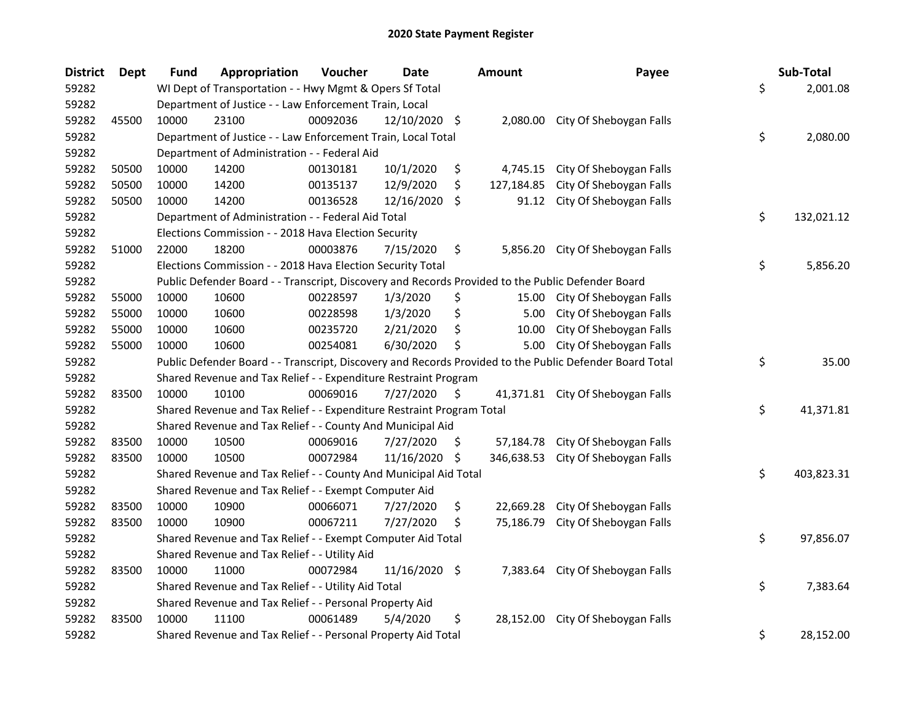| <b>District</b> | Dept  | <b>Fund</b>                                               | Appropriation                                                                                     | Voucher  | Date          |     | <b>Amount</b> | Payee                                                                                                   |          | Sub-Total  |
|-----------------|-------|-----------------------------------------------------------|---------------------------------------------------------------------------------------------------|----------|---------------|-----|---------------|---------------------------------------------------------------------------------------------------------|----------|------------|
| 59282           |       |                                                           | WI Dept of Transportation - - Hwy Mgmt & Opers Sf Total                                           |          |               |     |               |                                                                                                         | \$       | 2,001.08   |
| 59282           |       |                                                           | Department of Justice - - Law Enforcement Train, Local                                            |          |               |     |               |                                                                                                         |          |            |
| 59282           | 45500 | 10000                                                     | 23100                                                                                             | 00092036 | 12/10/2020 \$ |     |               | 2,080.00 City Of Sheboygan Falls                                                                        |          |            |
| 59282           |       |                                                           | Department of Justice - - Law Enforcement Train, Local Total                                      | \$       | 2,080.00      |     |               |                                                                                                         |          |            |
| 59282           |       |                                                           | Department of Administration - - Federal Aid                                                      |          |               |     |               |                                                                                                         |          |            |
| 59282           | 50500 | 10000                                                     | 14200                                                                                             | 00130181 | 10/1/2020     | \$  | 4,745.15      | City Of Sheboygan Falls                                                                                 |          |            |
| 59282           | 50500 | 10000                                                     | 14200                                                                                             | 00135137 | 12/9/2020     | \$  | 127,184.85    | City Of Sheboygan Falls                                                                                 |          |            |
| 59282           | 50500 | 10000                                                     | 14200                                                                                             | 00136528 | 12/16/2020    | -\$ | 91.12         | City Of Sheboygan Falls                                                                                 |          |            |
| 59282           |       |                                                           | Department of Administration - - Federal Aid Total                                                |          |               |     |               |                                                                                                         | \$       | 132,021.12 |
| 59282           |       |                                                           | Elections Commission - - 2018 Hava Election Security                                              |          |               |     |               |                                                                                                         |          |            |
| 59282           | 51000 | 22000                                                     | 18200                                                                                             | 00003876 | 7/15/2020     | \$  |               | 5,856.20 City Of Sheboygan Falls                                                                        |          |            |
| 59282           |       |                                                           | Elections Commission - - 2018 Hava Election Security Total                                        |          |               |     |               |                                                                                                         | \$       | 5,856.20   |
| 59282           |       |                                                           | Public Defender Board - - Transcript, Discovery and Records Provided to the Public Defender Board |          |               |     |               |                                                                                                         |          |            |
| 59282           | 55000 | 10000                                                     | 10600                                                                                             | 00228597 | 1/3/2020      | \$  | 15.00         | City Of Sheboygan Falls                                                                                 |          |            |
| 59282           | 55000 | 10000                                                     | 10600                                                                                             | 00228598 | 1/3/2020      | \$  | 5.00          | City Of Sheboygan Falls                                                                                 |          |            |
| 59282           | 55000 | 10000                                                     | 10600                                                                                             | 00235720 | 2/21/2020     | \$  | 10.00         | City Of Sheboygan Falls                                                                                 |          |            |
| 59282           | 55000 | 10000                                                     | 10600                                                                                             | 00254081 | 6/30/2020     | Ś   | 5.00          | City Of Sheboygan Falls                                                                                 |          |            |
| 59282           |       |                                                           |                                                                                                   |          |               |     |               | Public Defender Board - - Transcript, Discovery and Records Provided to the Public Defender Board Total | \$       | 35.00      |
| 59282           |       |                                                           | Shared Revenue and Tax Relief - - Expenditure Restraint Program                                   |          |               |     |               |                                                                                                         |          |            |
| 59282           | 83500 | 10000                                                     | 10100                                                                                             | 00069016 | 7/27/2020     | \$  | 41,371.81     | City Of Sheboygan Falls                                                                                 |          |            |
| 59282           |       |                                                           | Shared Revenue and Tax Relief - - Expenditure Restraint Program Total                             |          |               |     |               |                                                                                                         | \$       | 41,371.81  |
| 59282           |       |                                                           | Shared Revenue and Tax Relief - - County And Municipal Aid                                        |          |               |     |               |                                                                                                         |          |            |
| 59282           | 83500 | 10000                                                     | 10500                                                                                             | 00069016 | 7/27/2020     | \$. | 57,184.78     | City Of Sheboygan Falls                                                                                 |          |            |
| 59282           | 83500 | 10000                                                     | 10500                                                                                             | 00072984 | 11/16/2020 \$ |     | 346,638.53    | City Of Sheboygan Falls                                                                                 |          |            |
| 59282           |       |                                                           | Shared Revenue and Tax Relief - - County And Municipal Aid Total                                  |          |               |     |               |                                                                                                         | \$       | 403,823.31 |
| 59282           |       |                                                           | Shared Revenue and Tax Relief - - Exempt Computer Aid                                             |          |               |     |               |                                                                                                         |          |            |
| 59282           | 83500 | 10000                                                     | 10900                                                                                             | 00066071 | 7/27/2020     | \$  | 22,669.28     | City Of Sheboygan Falls                                                                                 |          |            |
| 59282           | 83500 | 10000                                                     | 10900                                                                                             | 00067211 | 7/27/2020     | \$  | 75,186.79     | City Of Sheboygan Falls                                                                                 |          |            |
| 59282           |       |                                                           | Shared Revenue and Tax Relief - - Exempt Computer Aid Total                                       |          |               |     |               |                                                                                                         | \$       | 97,856.07  |
| 59282           |       |                                                           | Shared Revenue and Tax Relief - - Utility Aid                                                     |          |               |     |               |                                                                                                         |          |            |
| 59282           | 83500 | 10000                                                     | 11000                                                                                             | 00072984 | 11/16/2020 \$ |     | 7,383.64      | City Of Sheboygan Falls                                                                                 |          |            |
| 59282           |       | \$<br>Shared Revenue and Tax Relief - - Utility Aid Total |                                                                                                   |          |               |     |               |                                                                                                         | 7,383.64 |            |
| 59282           |       | Shared Revenue and Tax Relief - - Personal Property Aid   |                                                                                                   |          |               |     |               |                                                                                                         |          |            |
| 59282           | 83500 | 10000                                                     | 11100                                                                                             | 00061489 | 5/4/2020      | \$  | 28,152.00     | City Of Sheboygan Falls                                                                                 |          |            |
| 59282           |       |                                                           | Shared Revenue and Tax Relief - - Personal Property Aid Total                                     |          |               |     |               |                                                                                                         | \$       | 28,152.00  |